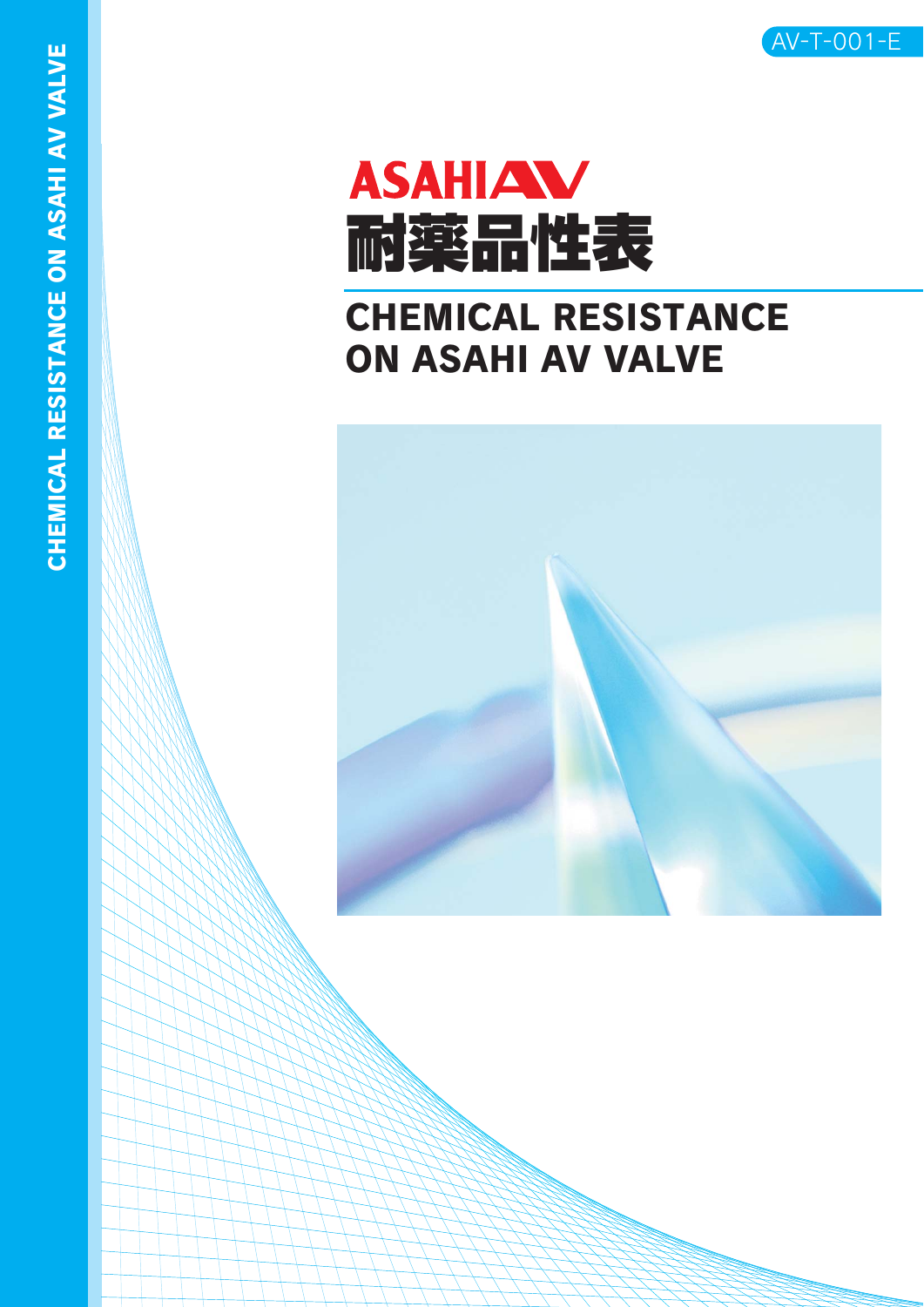

# **ASAHIAW** 耐薬品性表

# CHEMICAL RESISTANCE ON ASAHI AV VALVE

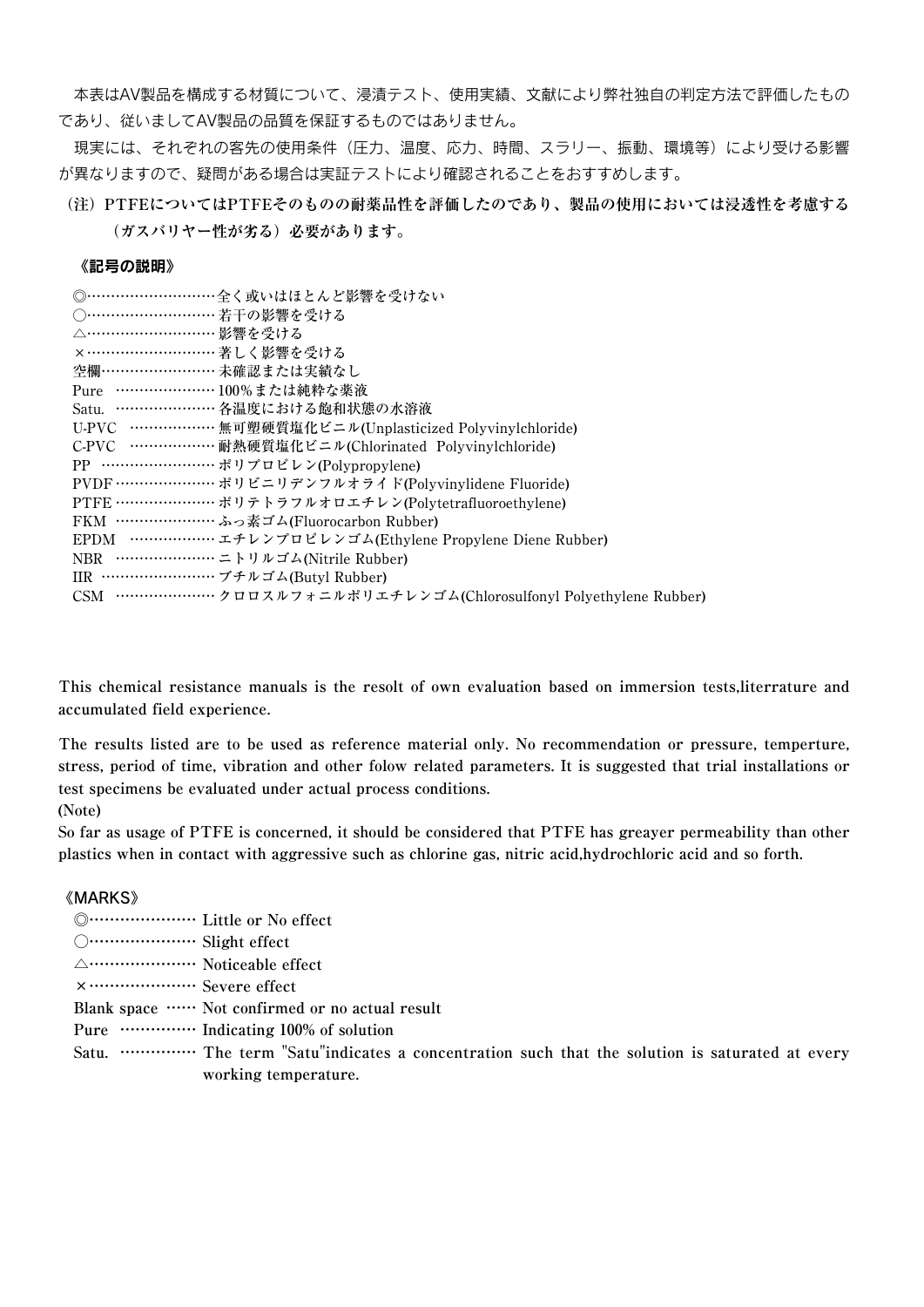本表はAV製品を構成する材質について、浸漬テスト、使用実績、文献により弊社独自の判定方法で評価したもの であり、従いましてAV製品の品質を保証するものではありません。

現実には、それぞれの客先の使用条件(圧力、温度、応力、時間、スラリー、振動、環境等)により受ける影響 が異なりますので、疑問がある場合は実証テストにより確認されることをおすすめします。

**(注) PTFEについてはPTFEそのものの耐薬品性を評価したのであり、製品の使用においては浸透性を考慮する (ガスバリヤー性が劣る)必要があります。**

#### 《記号の説明》

| ◎…………………………全く或いはほとんど影響を受けない                                       |
|-------------------------------------------------------------------|
| ○………………………若干の影響を受ける                                               |
| △…………………………影響を受ける                                                 |
| ×……………………… 著しく影響を受ける                                              |
| 空欄…………………… 未確認または実績なし                                             |
| Pure ………………… 100%または純粋な薬液                                         |
| Satu. ………………… 各温度における飽和状態の水溶液                                     |
| U-PVC ……………… 無可塑硬質塩化ビニル(Unplasticized Polyvinylchloride)          |
| C-PVC ………………耐熱硬質塩化ビニル(Chlorinated Polyvinylchloride)              |
|                                                                   |
|                                                                   |
| PTFE …………………… ポリテトラフルオロエチレン(Polytetrafluoroethylene)              |
| FKM ………………… ふっ素ゴム(Fluorocarbon Rubber)                            |
| EPDM ……………… エチレンプロピレンゴム(Ethylene Propylene Diene Rubber)          |
| NBR ………………… ニトリルゴム(Nitrile Rubber)                                |
| IIR …………………… ブチルゴム(Butyl Rubber)                                  |
| CSM ………………… クロロスルフォニルポリエチレンゴム(Chlorosulfonyl Polyethylene Rubber) |
|                                                                   |

**This chemical resistance manuals is the resolt of own evaluation based on immersion tests,literrature and accumulated field experience.**

**The results listed are to be used as reference material only. No recommendation or pressure, temperture, stress, period of time, vibration and other folow related parameters. It is suggested that trial installations or test specimens be evaluated under actual process conditions.**

**(Note)**

**So far as usage of PTFE is concerned, it should be considered that PTFE has greayer permeability than other plastics when in contact with aggressive such as chlorine gas, nitric acid,hydrochloric acid and so forth.**

#### 《MARKS》

- **◎………………… Little or No effect**
- **○………………… Slight effect**
- **△………………… Noticeable effect**
- **×………………… Severe effect**
- **Blank space …… Not confirmed or no actual result**
- **Pure …………… Indicating 100% of solution**
- **Satu. …………… The term "Satu"indicates a concentration such that the solution is saturated at every working temperature.**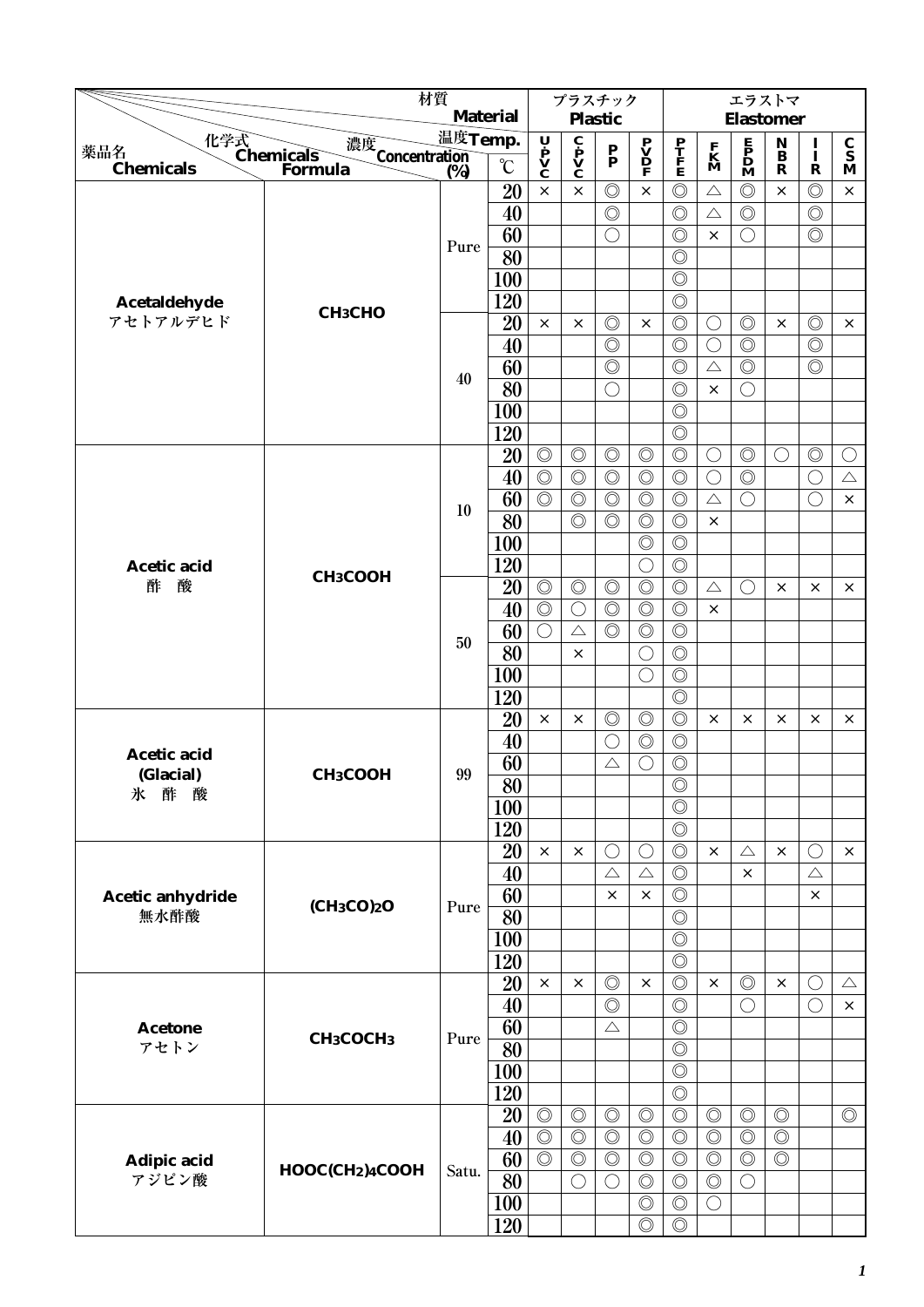|                          | 材質                                          |         |                   |                                                                                       |                                                         | プラスチック                    |                         |                                  |                   | エラストマ                                        |                              |                          |                                 |
|--------------------------|---------------------------------------------|---------|-------------------|---------------------------------------------------------------------------------------|---------------------------------------------------------|---------------------------|-------------------------|----------------------------------|-------------------|----------------------------------------------|------------------------------|--------------------------|---------------------------------|
|                          |                                             |         | <b>Material</b>   |                                                                                       |                                                         | <b>Plastic</b>            |                         |                                  |                   | <b>Elastomer</b>                             |                              |                          |                                 |
| 薬品名                      | 化学式<br>Chemicals<br>濃度<br>Concentration (%) | 温度Temp. |                   | $\begin{array}{c}\n\mathbf{U} \\ \mathbf{P} \\ \mathbf{V} \\ \mathbf{C}\n\end{array}$ | $\overline{\mathbf{c}}$<br>$\mathbf{v}$<br>$\mathbf{c}$ | $\mathbf{P}_{\mathbf{P}}$ | $\mathbf{P} \mathbf{V}$ | $\frac{\mathbf{P}}{\mathbf{F}}$  | $\mathbf{K}$<br>M | $\mathbf{P}$<br>$\mathbf{D}$<br>$\mathbf{M}$ | $\mathbf{N}$<br>$\mathbf{B}$ | $\frac{I}{I}$            | $\frac{\mathbf{C}}{\mathbf{S}}$ |
| <b>Chemicals</b>         | Formula                                     |         | $\rm ^{\circ}\!C$ |                                                                                       |                                                         |                           |                         |                                  |                   |                                              | $\mathbf R$                  | $\mathbf R$              | M                               |
|                          |                                             |         | 20                | $\times$                                                                              | $\times$                                                | $\circledcirc$            | $\times$                | $\circledcirc$                   | $\triangle$       | $\circledcirc$                               | $\times$                     | $\circledcirc$           | $\times$                        |
|                          |                                             |         | 40                |                                                                                       |                                                         | $\circledcirc$            |                         | $\circledcirc$                   | $\triangle$       | $\circledcirc$                               |                              | $\circledcirc$           |                                 |
|                          |                                             | Pure    | 60                |                                                                                       |                                                         | $\bigcirc$                |                         | $\circledcirc$                   | $\times$          | O                                            |                              | $\circledcirc$           |                                 |
|                          |                                             |         | 80                |                                                                                       |                                                         |                           |                         | $\circledcirc$                   |                   |                                              |                              |                          |                                 |
|                          |                                             |         | 100               |                                                                                       |                                                         |                           |                         | $\circledcirc$                   |                   |                                              |                              |                          |                                 |
| Acetaldehyde             | СНзСНО                                      |         | 120               |                                                                                       |                                                         |                           |                         | $\circledcirc$                   |                   |                                              |                              |                          |                                 |
| アセトアルデヒド                 |                                             |         | 20                | $\times$                                                                              | $\times$                                                | $\circledcirc$            | $\times$                | $\circledcirc$                   | $\bigcirc$        | $\circledcirc$                               | $\times$                     | $\circledcirc$           | $\times$                        |
|                          |                                             |         | 40                |                                                                                       |                                                         | $\circledcirc$            |                         | $\circledcirc$                   | $\bigcirc$        | $\circledcirc$                               |                              | $\circledcirc$           |                                 |
|                          |                                             | 40      | 60                |                                                                                       |                                                         | $\circledcirc$            |                         | $\circledcirc$                   | $\triangle$       | $\circledcirc$                               |                              | $\circledcirc$           |                                 |
|                          |                                             |         | 80                |                                                                                       |                                                         | $\bigcirc$                |                         | $\circledcirc$                   | $\times$          | $\bigcirc$                                   |                              |                          |                                 |
|                          |                                             |         | 100               |                                                                                       |                                                         |                           |                         | $\circledcirc$                   |                   |                                              |                              |                          |                                 |
|                          |                                             |         | 120               |                                                                                       |                                                         |                           |                         | $\circledcirc$                   |                   |                                              |                              |                          |                                 |
|                          |                                             |         | 20                | $\circledcirc$                                                                        | $\circledcirc$                                          | $\circledcirc$            | $\circledcirc$          | $\circledcirc$                   | $\bigcirc$        | $\circledcirc$                               | $\bigcirc$                   | $\circledcirc$           | $\bigcirc$                      |
|                          |                                             |         | 40                | $\circledcirc$                                                                        | $\circledcirc$                                          | $\circledcirc$            | $\circledcirc$          | $\circledcirc$                   | $\bigcirc$        | $\circledcirc$                               |                              | $\bigcirc$               | $\triangle$                     |
|                          |                                             | 10      | 60                | $\circledcirc$                                                                        | $\circledcirc$                                          | $\circledcirc$            | $\circledcirc$          | $\circledcirc$                   | $\triangle$       | $\bigcirc$                                   |                              | $\bigcirc$               | $\times$                        |
|                          |                                             |         | 80                |                                                                                       | $\circledcirc$                                          | $\circledcirc$            | $\circledcirc$          | $\circledcirc$                   | $\times$          |                                              |                              |                          |                                 |
|                          |                                             |         | 100               |                                                                                       |                                                         |                           | $\circledcirc$          | $\circledcirc$                   |                   |                                              |                              |                          |                                 |
| Acetic acid              | CH <sub>3</sub> COOH                        |         | 120               |                                                                                       |                                                         |                           | $\bigcirc$              | $\circledcirc$                   |                   |                                              |                              |                          |                                 |
| 酢<br>酸                   |                                             |         | 20                | $\circledcirc$                                                                        | $\circledcirc$                                          | $\circledcirc$            | $\circledcirc$          | $\circledcirc$                   | $\triangle$       | ()                                           | $\times$                     | $\times$                 | $\times$                        |
|                          |                                             |         | 40                | $\circledcirc$                                                                        | $\bigcirc$                                              | $\circledcirc$            | $\circledcirc$          | $\circledcirc$                   | $\times$          |                                              |                              |                          |                                 |
|                          |                                             | 50      | 60                | $\bigcirc$                                                                            | $\triangle$                                             | $\circledcirc$            | $\circledcirc$          | $\circledcirc$                   |                   |                                              |                              |                          |                                 |
|                          |                                             |         | 80                |                                                                                       | $\times$                                                |                           | О                       | $\circledcirc$                   |                   |                                              |                              |                          |                                 |
|                          |                                             |         | 100               |                                                                                       |                                                         |                           | $\bigcirc$              | $\circledcirc$                   |                   |                                              |                              |                          |                                 |
|                          |                                             |         | 120               |                                                                                       |                                                         |                           |                         | $\circledcirc$                   |                   |                                              |                              |                          |                                 |
|                          |                                             |         | 20                | $\times$                                                                              | $\times$                                                | $\circledcirc$            | $\circledcirc$          | $\circledcirc$                   | ×                 | ×                                            | ×                            | ×                        | ×                               |
| Acetic acid              |                                             |         | 40                |                                                                                       |                                                         | O                         | $\circledcirc$          | $\circledcirc$                   |                   |                                              |                              |                          |                                 |
| (Glacial)                | <b>СН3СООН</b>                              | 99      | 60                |                                                                                       |                                                         | $\triangle$               | О                       | $\circledcirc$                   |                   |                                              |                              |                          |                                 |
| 氷<br>酢<br>酸              |                                             |         | $\overline{80}$   |                                                                                       |                                                         |                           |                         | $\overline{\circ}$               |                   |                                              |                              |                          |                                 |
|                          |                                             |         | 100               |                                                                                       |                                                         |                           |                         | $\circledcirc$                   |                   |                                              |                              |                          |                                 |
|                          |                                             |         | 120               |                                                                                       |                                                         |                           |                         | $\circledcirc$                   |                   |                                              |                              |                          |                                 |
|                          |                                             |         | 20                | $\times$                                                                              | $\times$                                                | $\bigcirc$                | $\bigcirc$              | $\circledcirc$                   | $\times$          | $\triangle$                                  | $\times$                     | $\bigcirc$               | $\times$                        |
|                          |                                             |         | 40                |                                                                                       |                                                         | $\triangle$               | $\triangle$             | $\circledcirc$                   |                   | $\times$                                     |                              | $\triangle$              |                                 |
| Acetic anhydride<br>無水酢酸 | (CH <sub>3</sub> CO) <sub>2</sub> O         | Pure    | 60                |                                                                                       |                                                         | $\times$                  | $\times$                | $\circledcirc$                   |                   |                                              |                              | $\times$                 |                                 |
|                          |                                             |         | $\overline{80}$   |                                                                                       |                                                         |                           |                         | $\circledcirc$                   |                   |                                              |                              |                          |                                 |
|                          |                                             |         | 100               |                                                                                       |                                                         |                           |                         | $\circledcirc$                   |                   |                                              |                              |                          |                                 |
|                          |                                             |         | 120<br>20         | $\times$                                                                              | $\times$                                                | $\circledcirc$            | $\times$                | $\circledcirc$<br>$\circledcirc$ |                   | $\circledcirc$                               | $\times$                     |                          |                                 |
|                          |                                             |         | 40                |                                                                                       |                                                         | $\circledcirc$            |                         | $\circledcirc$                   | $\times$          | $\bigcirc$                                   |                              | $\bigcirc$<br>$\bigcirc$ | $\triangle$<br>$\times$         |
|                          |                                             |         | 60                |                                                                                       |                                                         | $\triangle$               |                         | $\circledcirc$                   |                   |                                              |                              |                          |                                 |
| <b>Acetone</b><br>アセトン   | CH <sub>3</sub> COCH <sub>3</sub>           | Pure    | 80                |                                                                                       |                                                         |                           |                         | $\circledcirc$                   |                   |                                              |                              |                          |                                 |
|                          |                                             |         | 100               |                                                                                       |                                                         |                           |                         | $\circledcirc$                   |                   |                                              |                              |                          |                                 |
|                          |                                             |         | 120               |                                                                                       |                                                         |                           |                         | $\circledcirc$                   |                   |                                              |                              |                          |                                 |
|                          |                                             |         | 20                | $\circledcirc$                                                                        | $\circledcirc$                                          | $\circledcirc$            | $\circledcirc$          | $\circledcirc$                   | $\circledcirc$    | $\circledcirc$                               | $\circledcirc$               |                          | $\circledcirc$                  |
|                          |                                             |         | 40                | $\overline{\circ}$                                                                    | $\circledcirc$                                          | $\circledcirc$            | $\circledcirc$          | $\circledcirc$                   | $\circledcirc$    | $\circledcirc$                               | $\circledcirc$               |                          |                                 |
| Adipic acid              |                                             |         | 60                | $\circledcirc$                                                                        | $\circledcirc$                                          | $\circledcirc$            | $\circledcirc$          | $\circledcirc$                   | $\circledcirc$    | $\circledcirc$                               | $\circledcirc$               |                          |                                 |
| アジピン酸                    | HOOC(CH2)4COOH                              | Satu.   | 80                |                                                                                       | $\bigcirc$                                              | $\bigcirc$                | $\circledcirc$          | $\circledcirc$                   | $\circledcirc$    | $\bigcirc$                                   |                              |                          |                                 |
|                          |                                             |         | 100               |                                                                                       |                                                         |                           | $\circledcirc$          | $\circledcirc$                   | $\bigcirc$        |                                              |                              |                          |                                 |
|                          |                                             |         | 120               |                                                                                       |                                                         |                           | $\circledcirc$          | $\circledcirc$                   |                   |                                              |                              |                          |                                 |
|                          |                                             |         |                   |                                                                                       |                                                         |                           |                         |                                  |                   |                                              |                              |                          |                                 |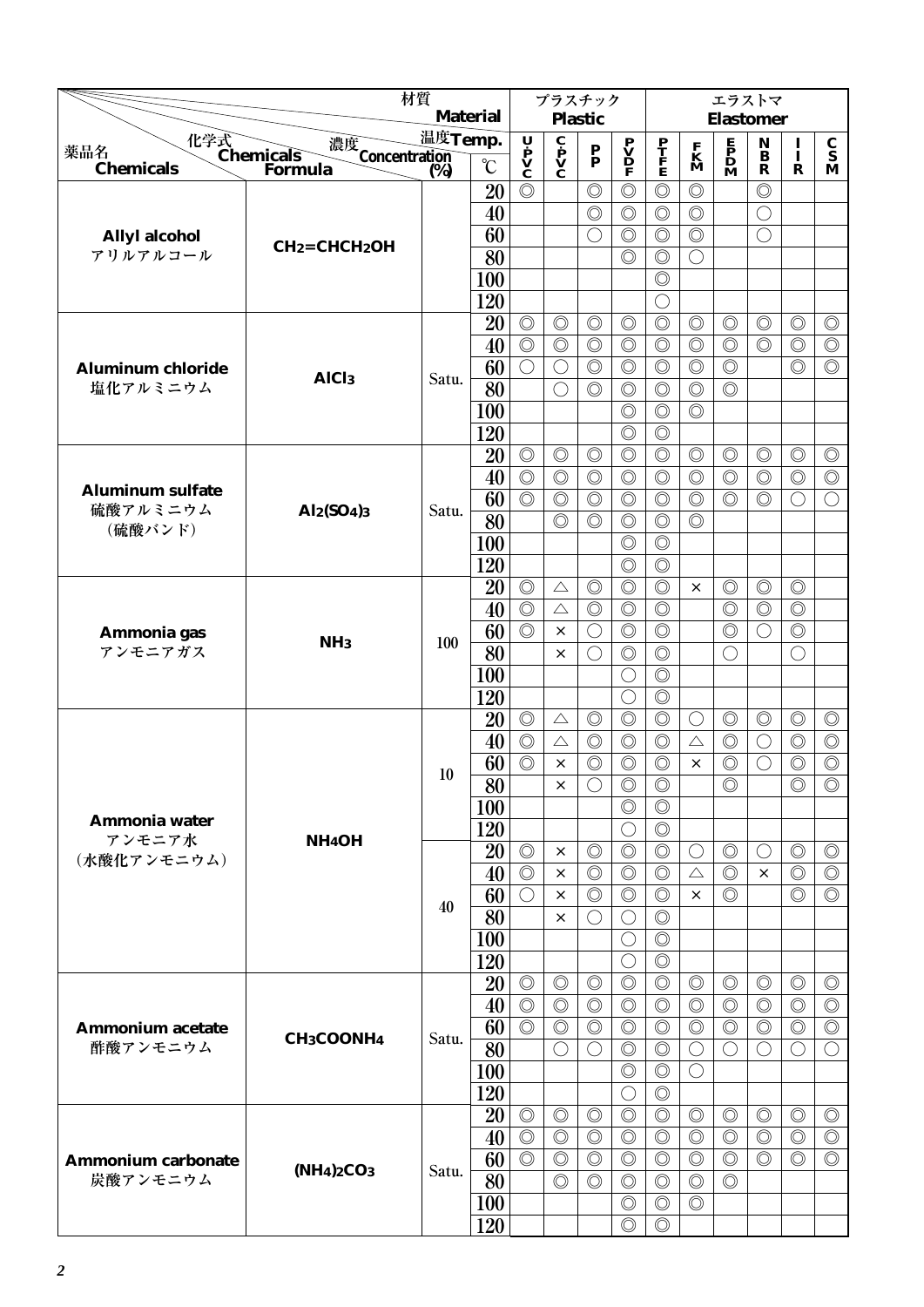| <b>Material</b><br><b>Plastic</b><br><b>Elastomer</b><br>温度Temp.<br>化学式<br>Chemicals<br>U P<br>V<br>C<br>$\mathbf{c}$ $\mathbf{p}$ $\mathbf{V}$ $\mathbf{C}$<br>濃度<br>$\mathbf N$<br>$\begin{array}{c} \mathbf{P} \\ \mathbf{V} \\ \mathbf{D} \\ \mathbf{F} \end{array}$<br>$\frac{\mathbf{P}}{\mathbf{F}}$<br>$\mathbf{F}$<br>$\mathbf{D}$<br>$\mathbf{M}$<br>$\frac{\mathbf{C}}{\mathbf{S}}$<br>I<br>$\frac{\mathbf{F}}{\mathbf{M}}$<br>薬品名<br>$\frac{P}{P}$<br>Concentration<br>$\ddot{\mathbf{B}}$<br>Ī<br>$\rm ^{\circ}C$<br><b>Chemicals</b><br>Formula<br>(%)<br>$\mathbf R$<br>R<br>M<br>$\circledcirc$<br>20<br>$\circledcirc$<br>$\circledcirc$<br>$\circledcirc$<br>$\circledcirc$<br>$\circledcirc$<br>$\circledcirc$<br>$\circledcirc$<br>$\circledcirc$<br>40<br>$\circledcirc$<br>$\bigcirc$<br>$\circledcirc$<br>$\circledcirc$<br>60<br>$\circledcirc$<br>$\bigcirc$<br>◯<br><b>Allyl alcohol</b><br>$CH2=CHCH2OH$<br>$\overline{80}$<br>アリルアルコール<br>$\circledcirc$<br>$\circledcirc$<br>$\bigcirc$<br>100<br>$\circledcirc$<br>120<br>O<br>$\circledcirc$<br>20<br>$\circledcirc$<br>$\circledcirc$<br>$\circledcirc$<br>$\circledcirc$<br>$\circledcirc$<br>$\circledcirc$<br>$\circledcirc$<br>$\circledcirc$<br>$\circledcirc$<br>$\overline{\circ}$<br>$\circledcirc$<br>$\circledcirc$<br>$\circledcirc$<br>$\circledcirc$<br>$\circledcirc$<br>$\circledcirc$<br>$\circledcirc$<br>$\circledcirc$<br>$\circledcirc$<br>40<br>60<br>$\circledcirc$<br>$\circledcirc$<br>$\circledcirc$<br>$\circledcirc$<br>$\circledcirc$<br>$\circledcirc$<br>$\circledcirc$<br>$\bigcirc$<br>$\bigcirc$<br><b>Aluminum chloride</b><br>AlC <sub>l3</sub><br>Satu.<br>塩化アルミニウム<br>80<br>$\circledcirc$<br>$\circledcirc$<br>$\circledcirc$<br>$\circledcirc$<br>$\circledcirc$<br>$\bigcirc$<br>100<br>$\circledcirc$<br>$\circledcirc$<br>$\circledcirc$<br>$\circledcirc$<br>120<br>$\circledcirc$<br>20<br>$\circledcirc$<br>$\circledcirc$<br>$\circledcirc$<br>$\circledcirc$<br>$\circledcirc$<br>$\circledcirc$<br>$\circledcirc$<br>$\circledcirc$<br>$\circledcirc$<br>$\circledcirc$<br>$\circledcirc$<br>$\circledcirc$<br>$\circledcirc$<br>$\circledcirc$<br>$\circledcirc$<br>$\circledcirc$<br>$\circledcirc$<br>$\circledcirc$<br>40<br>$\circledcirc$<br>$\circledcirc$<br><b>Aluminum sulfate</b><br>60<br>$\circledcirc$<br>$\circledcirc$<br>$\circledcirc$<br>$\circledcirc$<br>$\circledcirc$<br>$\circledcirc$<br>$\circledcirc$<br>$\circledcirc$<br>$\bigcirc$<br>$\bigcirc$<br>硫酸アルミニウム<br>Al2(SO4)3<br>Satu.<br>80<br>$\circledcirc$<br>$\circledcirc$<br>$\circledcirc$<br>$\circledcirc$<br>$\circledcirc$<br>(硫酸バンド)<br>100<br>$\circledcirc$<br>$\circledcirc$<br>$\circledcirc$<br>120<br>$\circledcirc$<br>20<br>$\circledcirc$<br>$\circledcirc$<br>$\circledcirc$<br>$\circledcirc$<br>$\circledcirc$<br>$\circledcirc$<br>$\circledcirc$<br>$\triangle$<br>$\times$<br>40<br>$\circledcirc$<br>$\circledcirc$<br>$\circledcirc$<br>$\circledcirc$<br>$\circledcirc$<br>$\circledcirc$<br>$\circledcirc$<br>$\triangle$<br>60<br>$\circledcirc$<br>$\circledcirc$<br>$\circledcirc$<br>$\circledcirc$<br>$\circledcirc$<br>$\bigcirc$<br>∩<br>$\times$<br>Ammonia gas<br>100<br>NH <sub>3</sub><br>アンモニアガス<br>80<br>$\circledcirc$<br>$\circledcirc$<br>$\bigcirc$<br>$\bigcirc$<br>$\times$<br>$\circledcirc$<br>100<br>$\bigcirc$<br>120<br>$\circledcirc$<br>$\bigcirc$<br>$\circledcirc$<br>$\circledcirc$<br>20<br>$\circledcirc$<br>$\circledcirc$<br>$\circledcirc$<br>$\circledcirc$<br>$\circledcirc$<br>$\circledcirc$<br>$\triangle$<br>O<br>40<br>$\circledcirc$<br>$\circledcirc$<br>$\circledcirc$<br>$\circledcirc$<br>$\circledcirc$<br>$\circledcirc$<br>$\circledcirc$<br>$\triangle$<br>$\triangle$<br>$\bigcirc$<br>60<br>$\circledcirc$<br>$\circledcirc$<br>$\circledcirc$<br>$\circledcirc$<br>$\circledcirc$<br>$\circledcirc$<br>$\circledcirc$<br>$\times$<br>$\times$<br>$\bigcirc$<br>10<br>$\overline{80}$<br>$\overline{\circ}$<br>$\bigcirc$<br>$\circledcirc$<br>$\circledcirc$<br>$\circledcirc$<br>$\circledcirc$<br>×<br>$\circledcirc$<br>$\circledcirc$<br><b>100</b><br>Ammonia water<br>120<br>$\circledcirc$<br>$\bigcirc$<br>アンモニア水<br>NH <sub>4</sub> OH<br><b>20</b><br>$\circledcirc$<br>$\circledcirc$<br>$\circledcirc$<br>$\circledcirc$<br>$\circledcirc$<br>$\circledcirc$<br>$\circledcirc$<br>$\bigcirc$<br>×<br>()<br>(水酸化アンモニウム)<br>40<br>$\circledcirc$<br>$\circledcirc$<br>$\circledcirc$<br>$\circledcirc$<br>$\circledcirc$<br>$\circledcirc$<br>$\circledcirc$<br>$\triangle$<br>$\times$<br>×<br>60<br>$\circledcirc$<br>$\circledcirc$<br>$\circledcirc$<br>$\circledcirc$<br>$\circledcirc$<br>$\circledcirc$<br>$\bigcirc$<br>$\times$<br>×<br>40<br>80<br>$\circledcirc$<br>$\bigcirc$<br>O<br>$\times$<br>100<br>$\circledcirc$<br>$\bigcirc$<br>$\circledcirc$<br>120<br>$\bigcirc$<br>$\circledcirc$<br>20<br>$\circledcirc$<br>$\circledcirc$<br>$\circledcirc$<br>$\circledcirc$<br>$\circledcirc$<br>$\circledcirc$<br>$\circledcirc$<br>$\circledcirc$<br>$\circledcirc$<br>$\circledcirc$<br>40<br>$\circledcirc$<br>$\circledcirc$<br>$\circledcirc$<br>$\circledcirc$<br>$\circledcirc$<br>$\circledcirc$<br>$\circledcirc$<br>$\circledcirc$<br>$\circledcirc$<br>$\circledcirc$<br>$\circledcirc$<br>$\circledcirc$<br>60<br>$\circledcirc$<br>$\circledcirc$<br>$\circledcirc$<br>$\circledcirc$<br>$\circledcirc$<br>$\circledcirc$<br>$\circledcirc$<br><b>Ammonium acetate</b><br>CH <sub>3</sub> COONH <sub>4</sub><br>Satu.<br>80<br>$\circledcirc$<br>酢酸アンモニウム<br>$\circledcirc$<br>$\bigcirc$<br>$\bigcirc$<br>$\bigcirc$<br>$\bigcirc$<br>$\bigcirc$<br>$\left(\right)$<br>$\left(\right)$<br>100<br>$\circledcirc$<br>$\circledcirc$<br>$\bigcirc$<br>120<br>$\circledcirc$<br>$\bigcirc$<br>20<br>$\circledcirc$<br>$\circledcirc$<br>$\circledcirc$<br>$\circledcirc$<br>$\circledcirc$<br>$\circledcirc$<br>$\circledcirc$<br>$\circledcirc$<br>$\circledcirc$<br>$\circledcirc$<br>$\circledcirc$<br>$\circledcirc$<br>$\circledcirc$<br>$\circledcirc$<br>$\circledcirc$<br>$\circledcirc$<br>$\circledcirc$<br>$\circledcirc$<br>$\circledcirc$<br>$\circledcirc$<br>40<br>60<br>$\circledcirc$<br>$\circledcirc$<br>$\circledcirc$<br>$\circledcirc$<br>$\circledcirc$<br>$\circledcirc$<br>$\circledcirc$<br>$\circledcirc$<br>$\circledcirc$<br>$\circledcirc$<br>Ammonium carbonate<br>$(NH4)2CO3$<br>Satu.<br>80<br>炭酸アンモニウム<br>$\circledcirc$<br>$\circledcirc$<br>$\circledcirc$<br>$\circledcirc$<br>$\circledcirc$<br>$\circledcirc$<br>100<br>$\circledcirc$<br>$\circledcirc$<br>$\circledcirc$<br>$\circledcirc$<br>120<br>$\circledcirc$ | 材質 |  | プラスチック |  |  | エラストマ |  |
|-----------------------------------------------------------------------------------------------------------------------------------------------------------------------------------------------------------------------------------------------------------------------------------------------------------------------------------------------------------------------------------------------------------------------------------------------------------------------------------------------------------------------------------------------------------------------------------------------------------------------------------------------------------------------------------------------------------------------------------------------------------------------------------------------------------------------------------------------------------------------------------------------------------------------------------------------------------------------------------------------------------------------------------------------------------------------------------------------------------------------------------------------------------------------------------------------------------------------------------------------------------------------------------------------------------------------------------------------------------------------------------------------------------------------------------------------------------------------------------------------------------------------------------------------------------------------------------------------------------------------------------------------------------------------------------------------------------------------------------------------------------------------------------------------------------------------------------------------------------------------------------------------------------------------------------------------------------------------------------------------------------------------------------------------------------------------------------------------------------------------------------------------------------------------------------------------------------------------------------------------------------------------------------------------------------------------------------------------------------------------------------------------------------------------------------------------------------------------------------------------------------------------------------------------------------------------------------------------------------------------------------------------------------------------------------------------------------------------------------------------------------------------------------------------------------------------------------------------------------------------------------------------------------------------------------------------------------------------------------------------------------------------------------------------------------------------------------------------------------------------------------------------------------------------------------------------------------------------------------------------------------------------------------------------------------------------------------------------------------------------------------------------------------------------------------------------------------------------------------------------------------------------------------------------------------------------------------------------------------------------------------------------------------------------------------------------------------------------------------------------------------------------------------------------------------------------------------------------------------------------------------------------------------------------------------------------------------------------------------------------------------------------------------------------------------------------------------------------------------------------------------------------------------------------------------------------------------------------------------------------------------------------------------------------------------------------------------------------------------------------------------------------------------------------------------------------------------------------------------------------------------------------------------------------------------------------------------------------------------------------------------------------------------------------------------------------------------------------------------------------------------------------------------------------------------------------------------------------------------------------------------------------------------------------------------------------------------------------------------------------------------------------------------------------------------------------------------------------------------------------------------------------------------------------------------------------------------------------------------------------------------------------------------------------------------------------------------------------------------------------------------------------------------------------------------------------------------------------------------------------------------------------------------------------------------------------------------------------------------------------------------------------------------------------------------------------------------------------------------------------------------------------------------------------------------------------------------------------------------------------------------------------------------------------------------------------------------------------------------------------------------------------------------------------------------------------------------------------------------------------------------------------------------------------------------------------------------------------------------------------------------------------------------------------------------------------------------------------------------------------------------------------------------------------------------------------------------------------------------------------------------------------------------------------------------------------------------------------------------------------------------------------------------------------------------------------|----|--|--------|--|--|-------|--|
|                                                                                                                                                                                                                                                                                                                                                                                                                                                                                                                                                                                                                                                                                                                                                                                                                                                                                                                                                                                                                                                                                                                                                                                                                                                                                                                                                                                                                                                                                                                                                                                                                                                                                                                                                                                                                                                                                                                                                                                                                                                                                                                                                                                                                                                                                                                                                                                                                                                                                                                                                                                                                                                                                                                                                                                                                                                                                                                                                                                                                                                                                                                                                                                                                                                                                                                                                                                                                                                                                                                                                                                                                                                                                                                                                                                                                                                                                                                                                                                                                                                                                                                                                                                                                                                                                                                                                                                                                                                                                                                                                                                                                                                                                                                                                                                                                                                                                                                                                                                                                                                                                                                                                                                                                                                                                                                                                                                                                                                                                                                                                                                                                                                                                                                                                                                                                                                                                                                                                                                                                                                                                                                                                                                                                                                                                                                                                                                                                                                                                                                                                                                                                                                                                               |    |  |        |  |  |       |  |
|                                                                                                                                                                                                                                                                                                                                                                                                                                                                                                                                                                                                                                                                                                                                                                                                                                                                                                                                                                                                                                                                                                                                                                                                                                                                                                                                                                                                                                                                                                                                                                                                                                                                                                                                                                                                                                                                                                                                                                                                                                                                                                                                                                                                                                                                                                                                                                                                                                                                                                                                                                                                                                                                                                                                                                                                                                                                                                                                                                                                                                                                                                                                                                                                                                                                                                                                                                                                                                                                                                                                                                                                                                                                                                                                                                                                                                                                                                                                                                                                                                                                                                                                                                                                                                                                                                                                                                                                                                                                                                                                                                                                                                                                                                                                                                                                                                                                                                                                                                                                                                                                                                                                                                                                                                                                                                                                                                                                                                                                                                                                                                                                                                                                                                                                                                                                                                                                                                                                                                                                                                                                                                                                                                                                                                                                                                                                                                                                                                                                                                                                                                                                                                                                                               |    |  |        |  |  |       |  |
|                                                                                                                                                                                                                                                                                                                                                                                                                                                                                                                                                                                                                                                                                                                                                                                                                                                                                                                                                                                                                                                                                                                                                                                                                                                                                                                                                                                                                                                                                                                                                                                                                                                                                                                                                                                                                                                                                                                                                                                                                                                                                                                                                                                                                                                                                                                                                                                                                                                                                                                                                                                                                                                                                                                                                                                                                                                                                                                                                                                                                                                                                                                                                                                                                                                                                                                                                                                                                                                                                                                                                                                                                                                                                                                                                                                                                                                                                                                                                                                                                                                                                                                                                                                                                                                                                                                                                                                                                                                                                                                                                                                                                                                                                                                                                                                                                                                                                                                                                                                                                                                                                                                                                                                                                                                                                                                                                                                                                                                                                                                                                                                                                                                                                                                                                                                                                                                                                                                                                                                                                                                                                                                                                                                                                                                                                                                                                                                                                                                                                                                                                                                                                                                                                               |    |  |        |  |  |       |  |
|                                                                                                                                                                                                                                                                                                                                                                                                                                                                                                                                                                                                                                                                                                                                                                                                                                                                                                                                                                                                                                                                                                                                                                                                                                                                                                                                                                                                                                                                                                                                                                                                                                                                                                                                                                                                                                                                                                                                                                                                                                                                                                                                                                                                                                                                                                                                                                                                                                                                                                                                                                                                                                                                                                                                                                                                                                                                                                                                                                                                                                                                                                                                                                                                                                                                                                                                                                                                                                                                                                                                                                                                                                                                                                                                                                                                                                                                                                                                                                                                                                                                                                                                                                                                                                                                                                                                                                                                                                                                                                                                                                                                                                                                                                                                                                                                                                                                                                                                                                                                                                                                                                                                                                                                                                                                                                                                                                                                                                                                                                                                                                                                                                                                                                                                                                                                                                                                                                                                                                                                                                                                                                                                                                                                                                                                                                                                                                                                                                                                                                                                                                                                                                                                                               |    |  |        |  |  |       |  |
|                                                                                                                                                                                                                                                                                                                                                                                                                                                                                                                                                                                                                                                                                                                                                                                                                                                                                                                                                                                                                                                                                                                                                                                                                                                                                                                                                                                                                                                                                                                                                                                                                                                                                                                                                                                                                                                                                                                                                                                                                                                                                                                                                                                                                                                                                                                                                                                                                                                                                                                                                                                                                                                                                                                                                                                                                                                                                                                                                                                                                                                                                                                                                                                                                                                                                                                                                                                                                                                                                                                                                                                                                                                                                                                                                                                                                                                                                                                                                                                                                                                                                                                                                                                                                                                                                                                                                                                                                                                                                                                                                                                                                                                                                                                                                                                                                                                                                                                                                                                                                                                                                                                                                                                                                                                                                                                                                                                                                                                                                                                                                                                                                                                                                                                                                                                                                                                                                                                                                                                                                                                                                                                                                                                                                                                                                                                                                                                                                                                                                                                                                                                                                                                                                               |    |  |        |  |  |       |  |
|                                                                                                                                                                                                                                                                                                                                                                                                                                                                                                                                                                                                                                                                                                                                                                                                                                                                                                                                                                                                                                                                                                                                                                                                                                                                                                                                                                                                                                                                                                                                                                                                                                                                                                                                                                                                                                                                                                                                                                                                                                                                                                                                                                                                                                                                                                                                                                                                                                                                                                                                                                                                                                                                                                                                                                                                                                                                                                                                                                                                                                                                                                                                                                                                                                                                                                                                                                                                                                                                                                                                                                                                                                                                                                                                                                                                                                                                                                                                                                                                                                                                                                                                                                                                                                                                                                                                                                                                                                                                                                                                                                                                                                                                                                                                                                                                                                                                                                                                                                                                                                                                                                                                                                                                                                                                                                                                                                                                                                                                                                                                                                                                                                                                                                                                                                                                                                                                                                                                                                                                                                                                                                                                                                                                                                                                                                                                                                                                                                                                                                                                                                                                                                                                                               |    |  |        |  |  |       |  |
|                                                                                                                                                                                                                                                                                                                                                                                                                                                                                                                                                                                                                                                                                                                                                                                                                                                                                                                                                                                                                                                                                                                                                                                                                                                                                                                                                                                                                                                                                                                                                                                                                                                                                                                                                                                                                                                                                                                                                                                                                                                                                                                                                                                                                                                                                                                                                                                                                                                                                                                                                                                                                                                                                                                                                                                                                                                                                                                                                                                                                                                                                                                                                                                                                                                                                                                                                                                                                                                                                                                                                                                                                                                                                                                                                                                                                                                                                                                                                                                                                                                                                                                                                                                                                                                                                                                                                                                                                                                                                                                                                                                                                                                                                                                                                                                                                                                                                                                                                                                                                                                                                                                                                                                                                                                                                                                                                                                                                                                                                                                                                                                                                                                                                                                                                                                                                                                                                                                                                                                                                                                                                                                                                                                                                                                                                                                                                                                                                                                                                                                                                                                                                                                                                               |    |  |        |  |  |       |  |
|                                                                                                                                                                                                                                                                                                                                                                                                                                                                                                                                                                                                                                                                                                                                                                                                                                                                                                                                                                                                                                                                                                                                                                                                                                                                                                                                                                                                                                                                                                                                                                                                                                                                                                                                                                                                                                                                                                                                                                                                                                                                                                                                                                                                                                                                                                                                                                                                                                                                                                                                                                                                                                                                                                                                                                                                                                                                                                                                                                                                                                                                                                                                                                                                                                                                                                                                                                                                                                                                                                                                                                                                                                                                                                                                                                                                                                                                                                                                                                                                                                                                                                                                                                                                                                                                                                                                                                                                                                                                                                                                                                                                                                                                                                                                                                                                                                                                                                                                                                                                                                                                                                                                                                                                                                                                                                                                                                                                                                                                                                                                                                                                                                                                                                                                                                                                                                                                                                                                                                                                                                                                                                                                                                                                                                                                                                                                                                                                                                                                                                                                                                                                                                                                                               |    |  |        |  |  |       |  |
|                                                                                                                                                                                                                                                                                                                                                                                                                                                                                                                                                                                                                                                                                                                                                                                                                                                                                                                                                                                                                                                                                                                                                                                                                                                                                                                                                                                                                                                                                                                                                                                                                                                                                                                                                                                                                                                                                                                                                                                                                                                                                                                                                                                                                                                                                                                                                                                                                                                                                                                                                                                                                                                                                                                                                                                                                                                                                                                                                                                                                                                                                                                                                                                                                                                                                                                                                                                                                                                                                                                                                                                                                                                                                                                                                                                                                                                                                                                                                                                                                                                                                                                                                                                                                                                                                                                                                                                                                                                                                                                                                                                                                                                                                                                                                                                                                                                                                                                                                                                                                                                                                                                                                                                                                                                                                                                                                                                                                                                                                                                                                                                                                                                                                                                                                                                                                                                                                                                                                                                                                                                                                                                                                                                                                                                                                                                                                                                                                                                                                                                                                                                                                                                                                               |    |  |        |  |  |       |  |
|                                                                                                                                                                                                                                                                                                                                                                                                                                                                                                                                                                                                                                                                                                                                                                                                                                                                                                                                                                                                                                                                                                                                                                                                                                                                                                                                                                                                                                                                                                                                                                                                                                                                                                                                                                                                                                                                                                                                                                                                                                                                                                                                                                                                                                                                                                                                                                                                                                                                                                                                                                                                                                                                                                                                                                                                                                                                                                                                                                                                                                                                                                                                                                                                                                                                                                                                                                                                                                                                                                                                                                                                                                                                                                                                                                                                                                                                                                                                                                                                                                                                                                                                                                                                                                                                                                                                                                                                                                                                                                                                                                                                                                                                                                                                                                                                                                                                                                                                                                                                                                                                                                                                                                                                                                                                                                                                                                                                                                                                                                                                                                                                                                                                                                                                                                                                                                                                                                                                                                                                                                                                                                                                                                                                                                                                                                                                                                                                                                                                                                                                                                                                                                                                                               |    |  |        |  |  |       |  |
|                                                                                                                                                                                                                                                                                                                                                                                                                                                                                                                                                                                                                                                                                                                                                                                                                                                                                                                                                                                                                                                                                                                                                                                                                                                                                                                                                                                                                                                                                                                                                                                                                                                                                                                                                                                                                                                                                                                                                                                                                                                                                                                                                                                                                                                                                                                                                                                                                                                                                                                                                                                                                                                                                                                                                                                                                                                                                                                                                                                                                                                                                                                                                                                                                                                                                                                                                                                                                                                                                                                                                                                                                                                                                                                                                                                                                                                                                                                                                                                                                                                                                                                                                                                                                                                                                                                                                                                                                                                                                                                                                                                                                                                                                                                                                                                                                                                                                                                                                                                                                                                                                                                                                                                                                                                                                                                                                                                                                                                                                                                                                                                                                                                                                                                                                                                                                                                                                                                                                                                                                                                                                                                                                                                                                                                                                                                                                                                                                                                                                                                                                                                                                                                                                               |    |  |        |  |  |       |  |
|                                                                                                                                                                                                                                                                                                                                                                                                                                                                                                                                                                                                                                                                                                                                                                                                                                                                                                                                                                                                                                                                                                                                                                                                                                                                                                                                                                                                                                                                                                                                                                                                                                                                                                                                                                                                                                                                                                                                                                                                                                                                                                                                                                                                                                                                                                                                                                                                                                                                                                                                                                                                                                                                                                                                                                                                                                                                                                                                                                                                                                                                                                                                                                                                                                                                                                                                                                                                                                                                                                                                                                                                                                                                                                                                                                                                                                                                                                                                                                                                                                                                                                                                                                                                                                                                                                                                                                                                                                                                                                                                                                                                                                                                                                                                                                                                                                                                                                                                                                                                                                                                                                                                                                                                                                                                                                                                                                                                                                                                                                                                                                                                                                                                                                                                                                                                                                                                                                                                                                                                                                                                                                                                                                                                                                                                                                                                                                                                                                                                                                                                                                                                                                                                                               |    |  |        |  |  |       |  |
|                                                                                                                                                                                                                                                                                                                                                                                                                                                                                                                                                                                                                                                                                                                                                                                                                                                                                                                                                                                                                                                                                                                                                                                                                                                                                                                                                                                                                                                                                                                                                                                                                                                                                                                                                                                                                                                                                                                                                                                                                                                                                                                                                                                                                                                                                                                                                                                                                                                                                                                                                                                                                                                                                                                                                                                                                                                                                                                                                                                                                                                                                                                                                                                                                                                                                                                                                                                                                                                                                                                                                                                                                                                                                                                                                                                                                                                                                                                                                                                                                                                                                                                                                                                                                                                                                                                                                                                                                                                                                                                                                                                                                                                                                                                                                                                                                                                                                                                                                                                                                                                                                                                                                                                                                                                                                                                                                                                                                                                                                                                                                                                                                                                                                                                                                                                                                                                                                                                                                                                                                                                                                                                                                                                                                                                                                                                                                                                                                                                                                                                                                                                                                                                                                               |    |  |        |  |  |       |  |
|                                                                                                                                                                                                                                                                                                                                                                                                                                                                                                                                                                                                                                                                                                                                                                                                                                                                                                                                                                                                                                                                                                                                                                                                                                                                                                                                                                                                                                                                                                                                                                                                                                                                                                                                                                                                                                                                                                                                                                                                                                                                                                                                                                                                                                                                                                                                                                                                                                                                                                                                                                                                                                                                                                                                                                                                                                                                                                                                                                                                                                                                                                                                                                                                                                                                                                                                                                                                                                                                                                                                                                                                                                                                                                                                                                                                                                                                                                                                                                                                                                                                                                                                                                                                                                                                                                                                                                                                                                                                                                                                                                                                                                                                                                                                                                                                                                                                                                                                                                                                                                                                                                                                                                                                                                                                                                                                                                                                                                                                                                                                                                                                                                                                                                                                                                                                                                                                                                                                                                                                                                                                                                                                                                                                                                                                                                                                                                                                                                                                                                                                                                                                                                                                                               |    |  |        |  |  |       |  |
|                                                                                                                                                                                                                                                                                                                                                                                                                                                                                                                                                                                                                                                                                                                                                                                                                                                                                                                                                                                                                                                                                                                                                                                                                                                                                                                                                                                                                                                                                                                                                                                                                                                                                                                                                                                                                                                                                                                                                                                                                                                                                                                                                                                                                                                                                                                                                                                                                                                                                                                                                                                                                                                                                                                                                                                                                                                                                                                                                                                                                                                                                                                                                                                                                                                                                                                                                                                                                                                                                                                                                                                                                                                                                                                                                                                                                                                                                                                                                                                                                                                                                                                                                                                                                                                                                                                                                                                                                                                                                                                                                                                                                                                                                                                                                                                                                                                                                                                                                                                                                                                                                                                                                                                                                                                                                                                                                                                                                                                                                                                                                                                                                                                                                                                                                                                                                                                                                                                                                                                                                                                                                                                                                                                                                                                                                                                                                                                                                                                                                                                                                                                                                                                                                               |    |  |        |  |  |       |  |
|                                                                                                                                                                                                                                                                                                                                                                                                                                                                                                                                                                                                                                                                                                                                                                                                                                                                                                                                                                                                                                                                                                                                                                                                                                                                                                                                                                                                                                                                                                                                                                                                                                                                                                                                                                                                                                                                                                                                                                                                                                                                                                                                                                                                                                                                                                                                                                                                                                                                                                                                                                                                                                                                                                                                                                                                                                                                                                                                                                                                                                                                                                                                                                                                                                                                                                                                                                                                                                                                                                                                                                                                                                                                                                                                                                                                                                                                                                                                                                                                                                                                                                                                                                                                                                                                                                                                                                                                                                                                                                                                                                                                                                                                                                                                                                                                                                                                                                                                                                                                                                                                                                                                                                                                                                                                                                                                                                                                                                                                                                                                                                                                                                                                                                                                                                                                                                                                                                                                                                                                                                                                                                                                                                                                                                                                                                                                                                                                                                                                                                                                                                                                                                                                                               |    |  |        |  |  |       |  |
|                                                                                                                                                                                                                                                                                                                                                                                                                                                                                                                                                                                                                                                                                                                                                                                                                                                                                                                                                                                                                                                                                                                                                                                                                                                                                                                                                                                                                                                                                                                                                                                                                                                                                                                                                                                                                                                                                                                                                                                                                                                                                                                                                                                                                                                                                                                                                                                                                                                                                                                                                                                                                                                                                                                                                                                                                                                                                                                                                                                                                                                                                                                                                                                                                                                                                                                                                                                                                                                                                                                                                                                                                                                                                                                                                                                                                                                                                                                                                                                                                                                                                                                                                                                                                                                                                                                                                                                                                                                                                                                                                                                                                                                                                                                                                                                                                                                                                                                                                                                                                                                                                                                                                                                                                                                                                                                                                                                                                                                                                                                                                                                                                                                                                                                                                                                                                                                                                                                                                                                                                                                                                                                                                                                                                                                                                                                                                                                                                                                                                                                                                                                                                                                                                               |    |  |        |  |  |       |  |
|                                                                                                                                                                                                                                                                                                                                                                                                                                                                                                                                                                                                                                                                                                                                                                                                                                                                                                                                                                                                                                                                                                                                                                                                                                                                                                                                                                                                                                                                                                                                                                                                                                                                                                                                                                                                                                                                                                                                                                                                                                                                                                                                                                                                                                                                                                                                                                                                                                                                                                                                                                                                                                                                                                                                                                                                                                                                                                                                                                                                                                                                                                                                                                                                                                                                                                                                                                                                                                                                                                                                                                                                                                                                                                                                                                                                                                                                                                                                                                                                                                                                                                                                                                                                                                                                                                                                                                                                                                                                                                                                                                                                                                                                                                                                                                                                                                                                                                                                                                                                                                                                                                                                                                                                                                                                                                                                                                                                                                                                                                                                                                                                                                                                                                                                                                                                                                                                                                                                                                                                                                                                                                                                                                                                                                                                                                                                                                                                                                                                                                                                                                                                                                                                                               |    |  |        |  |  |       |  |
|                                                                                                                                                                                                                                                                                                                                                                                                                                                                                                                                                                                                                                                                                                                                                                                                                                                                                                                                                                                                                                                                                                                                                                                                                                                                                                                                                                                                                                                                                                                                                                                                                                                                                                                                                                                                                                                                                                                                                                                                                                                                                                                                                                                                                                                                                                                                                                                                                                                                                                                                                                                                                                                                                                                                                                                                                                                                                                                                                                                                                                                                                                                                                                                                                                                                                                                                                                                                                                                                                                                                                                                                                                                                                                                                                                                                                                                                                                                                                                                                                                                                                                                                                                                                                                                                                                                                                                                                                                                                                                                                                                                                                                                                                                                                                                                                                                                                                                                                                                                                                                                                                                                                                                                                                                                                                                                                                                                                                                                                                                                                                                                                                                                                                                                                                                                                                                                                                                                                                                                                                                                                                                                                                                                                                                                                                                                                                                                                                                                                                                                                                                                                                                                                                               |    |  |        |  |  |       |  |
|                                                                                                                                                                                                                                                                                                                                                                                                                                                                                                                                                                                                                                                                                                                                                                                                                                                                                                                                                                                                                                                                                                                                                                                                                                                                                                                                                                                                                                                                                                                                                                                                                                                                                                                                                                                                                                                                                                                                                                                                                                                                                                                                                                                                                                                                                                                                                                                                                                                                                                                                                                                                                                                                                                                                                                                                                                                                                                                                                                                                                                                                                                                                                                                                                                                                                                                                                                                                                                                                                                                                                                                                                                                                                                                                                                                                                                                                                                                                                                                                                                                                                                                                                                                                                                                                                                                                                                                                                                                                                                                                                                                                                                                                                                                                                                                                                                                                                                                                                                                                                                                                                                                                                                                                                                                                                                                                                                                                                                                                                                                                                                                                                                                                                                                                                                                                                                                                                                                                                                                                                                                                                                                                                                                                                                                                                                                                                                                                                                                                                                                                                                                                                                                                                               |    |  |        |  |  |       |  |
|                                                                                                                                                                                                                                                                                                                                                                                                                                                                                                                                                                                                                                                                                                                                                                                                                                                                                                                                                                                                                                                                                                                                                                                                                                                                                                                                                                                                                                                                                                                                                                                                                                                                                                                                                                                                                                                                                                                                                                                                                                                                                                                                                                                                                                                                                                                                                                                                                                                                                                                                                                                                                                                                                                                                                                                                                                                                                                                                                                                                                                                                                                                                                                                                                                                                                                                                                                                                                                                                                                                                                                                                                                                                                                                                                                                                                                                                                                                                                                                                                                                                                                                                                                                                                                                                                                                                                                                                                                                                                                                                                                                                                                                                                                                                                                                                                                                                                                                                                                                                                                                                                                                                                                                                                                                                                                                                                                                                                                                                                                                                                                                                                                                                                                                                                                                                                                                                                                                                                                                                                                                                                                                                                                                                                                                                                                                                                                                                                                                                                                                                                                                                                                                                                               |    |  |        |  |  |       |  |
|                                                                                                                                                                                                                                                                                                                                                                                                                                                                                                                                                                                                                                                                                                                                                                                                                                                                                                                                                                                                                                                                                                                                                                                                                                                                                                                                                                                                                                                                                                                                                                                                                                                                                                                                                                                                                                                                                                                                                                                                                                                                                                                                                                                                                                                                                                                                                                                                                                                                                                                                                                                                                                                                                                                                                                                                                                                                                                                                                                                                                                                                                                                                                                                                                                                                                                                                                                                                                                                                                                                                                                                                                                                                                                                                                                                                                                                                                                                                                                                                                                                                                                                                                                                                                                                                                                                                                                                                                                                                                                                                                                                                                                                                                                                                                                                                                                                                                                                                                                                                                                                                                                                                                                                                                                                                                                                                                                                                                                                                                                                                                                                                                                                                                                                                                                                                                                                                                                                                                                                                                                                                                                                                                                                                                                                                                                                                                                                                                                                                                                                                                                                                                                                                                               |    |  |        |  |  |       |  |
|                                                                                                                                                                                                                                                                                                                                                                                                                                                                                                                                                                                                                                                                                                                                                                                                                                                                                                                                                                                                                                                                                                                                                                                                                                                                                                                                                                                                                                                                                                                                                                                                                                                                                                                                                                                                                                                                                                                                                                                                                                                                                                                                                                                                                                                                                                                                                                                                                                                                                                                                                                                                                                                                                                                                                                                                                                                                                                                                                                                                                                                                                                                                                                                                                                                                                                                                                                                                                                                                                                                                                                                                                                                                                                                                                                                                                                                                                                                                                                                                                                                                                                                                                                                                                                                                                                                                                                                                                                                                                                                                                                                                                                                                                                                                                                                                                                                                                                                                                                                                                                                                                                                                                                                                                                                                                                                                                                                                                                                                                                                                                                                                                                                                                                                                                                                                                                                                                                                                                                                                                                                                                                                                                                                                                                                                                                                                                                                                                                                                                                                                                                                                                                                                                               |    |  |        |  |  |       |  |
|                                                                                                                                                                                                                                                                                                                                                                                                                                                                                                                                                                                                                                                                                                                                                                                                                                                                                                                                                                                                                                                                                                                                                                                                                                                                                                                                                                                                                                                                                                                                                                                                                                                                                                                                                                                                                                                                                                                                                                                                                                                                                                                                                                                                                                                                                                                                                                                                                                                                                                                                                                                                                                                                                                                                                                                                                                                                                                                                                                                                                                                                                                                                                                                                                                                                                                                                                                                                                                                                                                                                                                                                                                                                                                                                                                                                                                                                                                                                                                                                                                                                                                                                                                                                                                                                                                                                                                                                                                                                                                                                                                                                                                                                                                                                                                                                                                                                                                                                                                                                                                                                                                                                                                                                                                                                                                                                                                                                                                                                                                                                                                                                                                                                                                                                                                                                                                                                                                                                                                                                                                                                                                                                                                                                                                                                                                                                                                                                                                                                                                                                                                                                                                                                                               |    |  |        |  |  |       |  |
|                                                                                                                                                                                                                                                                                                                                                                                                                                                                                                                                                                                                                                                                                                                                                                                                                                                                                                                                                                                                                                                                                                                                                                                                                                                                                                                                                                                                                                                                                                                                                                                                                                                                                                                                                                                                                                                                                                                                                                                                                                                                                                                                                                                                                                                                                                                                                                                                                                                                                                                                                                                                                                                                                                                                                                                                                                                                                                                                                                                                                                                                                                                                                                                                                                                                                                                                                                                                                                                                                                                                                                                                                                                                                                                                                                                                                                                                                                                                                                                                                                                                                                                                                                                                                                                                                                                                                                                                                                                                                                                                                                                                                                                                                                                                                                                                                                                                                                                                                                                                                                                                                                                                                                                                                                                                                                                                                                                                                                                                                                                                                                                                                                                                                                                                                                                                                                                                                                                                                                                                                                                                                                                                                                                                                                                                                                                                                                                                                                                                                                                                                                                                                                                                                               |    |  |        |  |  |       |  |
|                                                                                                                                                                                                                                                                                                                                                                                                                                                                                                                                                                                                                                                                                                                                                                                                                                                                                                                                                                                                                                                                                                                                                                                                                                                                                                                                                                                                                                                                                                                                                                                                                                                                                                                                                                                                                                                                                                                                                                                                                                                                                                                                                                                                                                                                                                                                                                                                                                                                                                                                                                                                                                                                                                                                                                                                                                                                                                                                                                                                                                                                                                                                                                                                                                                                                                                                                                                                                                                                                                                                                                                                                                                                                                                                                                                                                                                                                                                                                                                                                                                                                                                                                                                                                                                                                                                                                                                                                                                                                                                                                                                                                                                                                                                                                                                                                                                                                                                                                                                                                                                                                                                                                                                                                                                                                                                                                                                                                                                                                                                                                                                                                                                                                                                                                                                                                                                                                                                                                                                                                                                                                                                                                                                                                                                                                                                                                                                                                                                                                                                                                                                                                                                                                               |    |  |        |  |  |       |  |
|                                                                                                                                                                                                                                                                                                                                                                                                                                                                                                                                                                                                                                                                                                                                                                                                                                                                                                                                                                                                                                                                                                                                                                                                                                                                                                                                                                                                                                                                                                                                                                                                                                                                                                                                                                                                                                                                                                                                                                                                                                                                                                                                                                                                                                                                                                                                                                                                                                                                                                                                                                                                                                                                                                                                                                                                                                                                                                                                                                                                                                                                                                                                                                                                                                                                                                                                                                                                                                                                                                                                                                                                                                                                                                                                                                                                                                                                                                                                                                                                                                                                                                                                                                                                                                                                                                                                                                                                                                                                                                                                                                                                                                                                                                                                                                                                                                                                                                                                                                                                                                                                                                                                                                                                                                                                                                                                                                                                                                                                                                                                                                                                                                                                                                                                                                                                                                                                                                                                                                                                                                                                                                                                                                                                                                                                                                                                                                                                                                                                                                                                                                                                                                                                                               |    |  |        |  |  |       |  |
|                                                                                                                                                                                                                                                                                                                                                                                                                                                                                                                                                                                                                                                                                                                                                                                                                                                                                                                                                                                                                                                                                                                                                                                                                                                                                                                                                                                                                                                                                                                                                                                                                                                                                                                                                                                                                                                                                                                                                                                                                                                                                                                                                                                                                                                                                                                                                                                                                                                                                                                                                                                                                                                                                                                                                                                                                                                                                                                                                                                                                                                                                                                                                                                                                                                                                                                                                                                                                                                                                                                                                                                                                                                                                                                                                                                                                                                                                                                                                                                                                                                                                                                                                                                                                                                                                                                                                                                                                                                                                                                                                                                                                                                                                                                                                                                                                                                                                                                                                                                                                                                                                                                                                                                                                                                                                                                                                                                                                                                                                                                                                                                                                                                                                                                                                                                                                                                                                                                                                                                                                                                                                                                                                                                                                                                                                                                                                                                                                                                                                                                                                                                                                                                                                               |    |  |        |  |  |       |  |
|                                                                                                                                                                                                                                                                                                                                                                                                                                                                                                                                                                                                                                                                                                                                                                                                                                                                                                                                                                                                                                                                                                                                                                                                                                                                                                                                                                                                                                                                                                                                                                                                                                                                                                                                                                                                                                                                                                                                                                                                                                                                                                                                                                                                                                                                                                                                                                                                                                                                                                                                                                                                                                                                                                                                                                                                                                                                                                                                                                                                                                                                                                                                                                                                                                                                                                                                                                                                                                                                                                                                                                                                                                                                                                                                                                                                                                                                                                                                                                                                                                                                                                                                                                                                                                                                                                                                                                                                                                                                                                                                                                                                                                                                                                                                                                                                                                                                                                                                                                                                                                                                                                                                                                                                                                                                                                                                                                                                                                                                                                                                                                                                                                                                                                                                                                                                                                                                                                                                                                                                                                                                                                                                                                                                                                                                                                                                                                                                                                                                                                                                                                                                                                                                                               |    |  |        |  |  |       |  |
|                                                                                                                                                                                                                                                                                                                                                                                                                                                                                                                                                                                                                                                                                                                                                                                                                                                                                                                                                                                                                                                                                                                                                                                                                                                                                                                                                                                                                                                                                                                                                                                                                                                                                                                                                                                                                                                                                                                                                                                                                                                                                                                                                                                                                                                                                                                                                                                                                                                                                                                                                                                                                                                                                                                                                                                                                                                                                                                                                                                                                                                                                                                                                                                                                                                                                                                                                                                                                                                                                                                                                                                                                                                                                                                                                                                                                                                                                                                                                                                                                                                                                                                                                                                                                                                                                                                                                                                                                                                                                                                                                                                                                                                                                                                                                                                                                                                                                                                                                                                                                                                                                                                                                                                                                                                                                                                                                                                                                                                                                                                                                                                                                                                                                                                                                                                                                                                                                                                                                                                                                                                                                                                                                                                                                                                                                                                                                                                                                                                                                                                                                                                                                                                                                               |    |  |        |  |  |       |  |
|                                                                                                                                                                                                                                                                                                                                                                                                                                                                                                                                                                                                                                                                                                                                                                                                                                                                                                                                                                                                                                                                                                                                                                                                                                                                                                                                                                                                                                                                                                                                                                                                                                                                                                                                                                                                                                                                                                                                                                                                                                                                                                                                                                                                                                                                                                                                                                                                                                                                                                                                                                                                                                                                                                                                                                                                                                                                                                                                                                                                                                                                                                                                                                                                                                                                                                                                                                                                                                                                                                                                                                                                                                                                                                                                                                                                                                                                                                                                                                                                                                                                                                                                                                                                                                                                                                                                                                                                                                                                                                                                                                                                                                                                                                                                                                                                                                                                                                                                                                                                                                                                                                                                                                                                                                                                                                                                                                                                                                                                                                                                                                                                                                                                                                                                                                                                                                                                                                                                                                                                                                                                                                                                                                                                                                                                                                                                                                                                                                                                                                                                                                                                                                                                                               |    |  |        |  |  |       |  |
|                                                                                                                                                                                                                                                                                                                                                                                                                                                                                                                                                                                                                                                                                                                                                                                                                                                                                                                                                                                                                                                                                                                                                                                                                                                                                                                                                                                                                                                                                                                                                                                                                                                                                                                                                                                                                                                                                                                                                                                                                                                                                                                                                                                                                                                                                                                                                                                                                                                                                                                                                                                                                                                                                                                                                                                                                                                                                                                                                                                                                                                                                                                                                                                                                                                                                                                                                                                                                                                                                                                                                                                                                                                                                                                                                                                                                                                                                                                                                                                                                                                                                                                                                                                                                                                                                                                                                                                                                                                                                                                                                                                                                                                                                                                                                                                                                                                                                                                                                                                                                                                                                                                                                                                                                                                                                                                                                                                                                                                                                                                                                                                                                                                                                                                                                                                                                                                                                                                                                                                                                                                                                                                                                                                                                                                                                                                                                                                                                                                                                                                                                                                                                                                                                               |    |  |        |  |  |       |  |
|                                                                                                                                                                                                                                                                                                                                                                                                                                                                                                                                                                                                                                                                                                                                                                                                                                                                                                                                                                                                                                                                                                                                                                                                                                                                                                                                                                                                                                                                                                                                                                                                                                                                                                                                                                                                                                                                                                                                                                                                                                                                                                                                                                                                                                                                                                                                                                                                                                                                                                                                                                                                                                                                                                                                                                                                                                                                                                                                                                                                                                                                                                                                                                                                                                                                                                                                                                                                                                                                                                                                                                                                                                                                                                                                                                                                                                                                                                                                                                                                                                                                                                                                                                                                                                                                                                                                                                                                                                                                                                                                                                                                                                                                                                                                                                                                                                                                                                                                                                                                                                                                                                                                                                                                                                                                                                                                                                                                                                                                                                                                                                                                                                                                                                                                                                                                                                                                                                                                                                                                                                                                                                                                                                                                                                                                                                                                                                                                                                                                                                                                                                                                                                                                                               |    |  |        |  |  |       |  |
|                                                                                                                                                                                                                                                                                                                                                                                                                                                                                                                                                                                                                                                                                                                                                                                                                                                                                                                                                                                                                                                                                                                                                                                                                                                                                                                                                                                                                                                                                                                                                                                                                                                                                                                                                                                                                                                                                                                                                                                                                                                                                                                                                                                                                                                                                                                                                                                                                                                                                                                                                                                                                                                                                                                                                                                                                                                                                                                                                                                                                                                                                                                                                                                                                                                                                                                                                                                                                                                                                                                                                                                                                                                                                                                                                                                                                                                                                                                                                                                                                                                                                                                                                                                                                                                                                                                                                                                                                                                                                                                                                                                                                                                                                                                                                                                                                                                                                                                                                                                                                                                                                                                                                                                                                                                                                                                                                                                                                                                                                                                                                                                                                                                                                                                                                                                                                                                                                                                                                                                                                                                                                                                                                                                                                                                                                                                                                                                                                                                                                                                                                                                                                                                                                               |    |  |        |  |  |       |  |
|                                                                                                                                                                                                                                                                                                                                                                                                                                                                                                                                                                                                                                                                                                                                                                                                                                                                                                                                                                                                                                                                                                                                                                                                                                                                                                                                                                                                                                                                                                                                                                                                                                                                                                                                                                                                                                                                                                                                                                                                                                                                                                                                                                                                                                                                                                                                                                                                                                                                                                                                                                                                                                                                                                                                                                                                                                                                                                                                                                                                                                                                                                                                                                                                                                                                                                                                                                                                                                                                                                                                                                                                                                                                                                                                                                                                                                                                                                                                                                                                                                                                                                                                                                                                                                                                                                                                                                                                                                                                                                                                                                                                                                                                                                                                                                                                                                                                                                                                                                                                                                                                                                                                                                                                                                                                                                                                                                                                                                                                                                                                                                                                                                                                                                                                                                                                                                                                                                                                                                                                                                                                                                                                                                                                                                                                                                                                                                                                                                                                                                                                                                                                                                                                                               |    |  |        |  |  |       |  |
|                                                                                                                                                                                                                                                                                                                                                                                                                                                                                                                                                                                                                                                                                                                                                                                                                                                                                                                                                                                                                                                                                                                                                                                                                                                                                                                                                                                                                                                                                                                                                                                                                                                                                                                                                                                                                                                                                                                                                                                                                                                                                                                                                                                                                                                                                                                                                                                                                                                                                                                                                                                                                                                                                                                                                                                                                                                                                                                                                                                                                                                                                                                                                                                                                                                                                                                                                                                                                                                                                                                                                                                                                                                                                                                                                                                                                                                                                                                                                                                                                                                                                                                                                                                                                                                                                                                                                                                                                                                                                                                                                                                                                                                                                                                                                                                                                                                                                                                                                                                                                                                                                                                                                                                                                                                                                                                                                                                                                                                                                                                                                                                                                                                                                                                                                                                                                                                                                                                                                                                                                                                                                                                                                                                                                                                                                                                                                                                                                                                                                                                                                                                                                                                                                               |    |  |        |  |  |       |  |
|                                                                                                                                                                                                                                                                                                                                                                                                                                                                                                                                                                                                                                                                                                                                                                                                                                                                                                                                                                                                                                                                                                                                                                                                                                                                                                                                                                                                                                                                                                                                                                                                                                                                                                                                                                                                                                                                                                                                                                                                                                                                                                                                                                                                                                                                                                                                                                                                                                                                                                                                                                                                                                                                                                                                                                                                                                                                                                                                                                                                                                                                                                                                                                                                                                                                                                                                                                                                                                                                                                                                                                                                                                                                                                                                                                                                                                                                                                                                                                                                                                                                                                                                                                                                                                                                                                                                                                                                                                                                                                                                                                                                                                                                                                                                                                                                                                                                                                                                                                                                                                                                                                                                                                                                                                                                                                                                                                                                                                                                                                                                                                                                                                                                                                                                                                                                                                                                                                                                                                                                                                                                                                                                                                                                                                                                                                                                                                                                                                                                                                                                                                                                                                                                                               |    |  |        |  |  |       |  |
|                                                                                                                                                                                                                                                                                                                                                                                                                                                                                                                                                                                                                                                                                                                                                                                                                                                                                                                                                                                                                                                                                                                                                                                                                                                                                                                                                                                                                                                                                                                                                                                                                                                                                                                                                                                                                                                                                                                                                                                                                                                                                                                                                                                                                                                                                                                                                                                                                                                                                                                                                                                                                                                                                                                                                                                                                                                                                                                                                                                                                                                                                                                                                                                                                                                                                                                                                                                                                                                                                                                                                                                                                                                                                                                                                                                                                                                                                                                                                                                                                                                                                                                                                                                                                                                                                                                                                                                                                                                                                                                                                                                                                                                                                                                                                                                                                                                                                                                                                                                                                                                                                                                                                                                                                                                                                                                                                                                                                                                                                                                                                                                                                                                                                                                                                                                                                                                                                                                                                                                                                                                                                                                                                                                                                                                                                                                                                                                                                                                                                                                                                                                                                                                                                               |    |  |        |  |  |       |  |
|                                                                                                                                                                                                                                                                                                                                                                                                                                                                                                                                                                                                                                                                                                                                                                                                                                                                                                                                                                                                                                                                                                                                                                                                                                                                                                                                                                                                                                                                                                                                                                                                                                                                                                                                                                                                                                                                                                                                                                                                                                                                                                                                                                                                                                                                                                                                                                                                                                                                                                                                                                                                                                                                                                                                                                                                                                                                                                                                                                                                                                                                                                                                                                                                                                                                                                                                                                                                                                                                                                                                                                                                                                                                                                                                                                                                                                                                                                                                                                                                                                                                                                                                                                                                                                                                                                                                                                                                                                                                                                                                                                                                                                                                                                                                                                                                                                                                                                                                                                                                                                                                                                                                                                                                                                                                                                                                                                                                                                                                                                                                                                                                                                                                                                                                                                                                                                                                                                                                                                                                                                                                                                                                                                                                                                                                                                                                                                                                                                                                                                                                                                                                                                                                                               |    |  |        |  |  |       |  |
|                                                                                                                                                                                                                                                                                                                                                                                                                                                                                                                                                                                                                                                                                                                                                                                                                                                                                                                                                                                                                                                                                                                                                                                                                                                                                                                                                                                                                                                                                                                                                                                                                                                                                                                                                                                                                                                                                                                                                                                                                                                                                                                                                                                                                                                                                                                                                                                                                                                                                                                                                                                                                                                                                                                                                                                                                                                                                                                                                                                                                                                                                                                                                                                                                                                                                                                                                                                                                                                                                                                                                                                                                                                                                                                                                                                                                                                                                                                                                                                                                                                                                                                                                                                                                                                                                                                                                                                                                                                                                                                                                                                                                                                                                                                                                                                                                                                                                                                                                                                                                                                                                                                                                                                                                                                                                                                                                                                                                                                                                                                                                                                                                                                                                                                                                                                                                                                                                                                                                                                                                                                                                                                                                                                                                                                                                                                                                                                                                                                                                                                                                                                                                                                                                               |    |  |        |  |  |       |  |
|                                                                                                                                                                                                                                                                                                                                                                                                                                                                                                                                                                                                                                                                                                                                                                                                                                                                                                                                                                                                                                                                                                                                                                                                                                                                                                                                                                                                                                                                                                                                                                                                                                                                                                                                                                                                                                                                                                                                                                                                                                                                                                                                                                                                                                                                                                                                                                                                                                                                                                                                                                                                                                                                                                                                                                                                                                                                                                                                                                                                                                                                                                                                                                                                                                                                                                                                                                                                                                                                                                                                                                                                                                                                                                                                                                                                                                                                                                                                                                                                                                                                                                                                                                                                                                                                                                                                                                                                                                                                                                                                                                                                                                                                                                                                                                                                                                                                                                                                                                                                                                                                                                                                                                                                                                                                                                                                                                                                                                                                                                                                                                                                                                                                                                                                                                                                                                                                                                                                                                                                                                                                                                                                                                                                                                                                                                                                                                                                                                                                                                                                                                                                                                                                                               |    |  |        |  |  |       |  |
|                                                                                                                                                                                                                                                                                                                                                                                                                                                                                                                                                                                                                                                                                                                                                                                                                                                                                                                                                                                                                                                                                                                                                                                                                                                                                                                                                                                                                                                                                                                                                                                                                                                                                                                                                                                                                                                                                                                                                                                                                                                                                                                                                                                                                                                                                                                                                                                                                                                                                                                                                                                                                                                                                                                                                                                                                                                                                                                                                                                                                                                                                                                                                                                                                                                                                                                                                                                                                                                                                                                                                                                                                                                                                                                                                                                                                                                                                                                                                                                                                                                                                                                                                                                                                                                                                                                                                                                                                                                                                                                                                                                                                                                                                                                                                                                                                                                                                                                                                                                                                                                                                                                                                                                                                                                                                                                                                                                                                                                                                                                                                                                                                                                                                                                                                                                                                                                                                                                                                                                                                                                                                                                                                                                                                                                                                                                                                                                                                                                                                                                                                                                                                                                                                               |    |  |        |  |  |       |  |
|                                                                                                                                                                                                                                                                                                                                                                                                                                                                                                                                                                                                                                                                                                                                                                                                                                                                                                                                                                                                                                                                                                                                                                                                                                                                                                                                                                                                                                                                                                                                                                                                                                                                                                                                                                                                                                                                                                                                                                                                                                                                                                                                                                                                                                                                                                                                                                                                                                                                                                                                                                                                                                                                                                                                                                                                                                                                                                                                                                                                                                                                                                                                                                                                                                                                                                                                                                                                                                                                                                                                                                                                                                                                                                                                                                                                                                                                                                                                                                                                                                                                                                                                                                                                                                                                                                                                                                                                                                                                                                                                                                                                                                                                                                                                                                                                                                                                                                                                                                                                                                                                                                                                                                                                                                                                                                                                                                                                                                                                                                                                                                                                                                                                                                                                                                                                                                                                                                                                                                                                                                                                                                                                                                                                                                                                                                                                                                                                                                                                                                                                                                                                                                                                                               |    |  |        |  |  |       |  |
|                                                                                                                                                                                                                                                                                                                                                                                                                                                                                                                                                                                                                                                                                                                                                                                                                                                                                                                                                                                                                                                                                                                                                                                                                                                                                                                                                                                                                                                                                                                                                                                                                                                                                                                                                                                                                                                                                                                                                                                                                                                                                                                                                                                                                                                                                                                                                                                                                                                                                                                                                                                                                                                                                                                                                                                                                                                                                                                                                                                                                                                                                                                                                                                                                                                                                                                                                                                                                                                                                                                                                                                                                                                                                                                                                                                                                                                                                                                                                                                                                                                                                                                                                                                                                                                                                                                                                                                                                                                                                                                                                                                                                                                                                                                                                                                                                                                                                                                                                                                                                                                                                                                                                                                                                                                                                                                                                                                                                                                                                                                                                                                                                                                                                                                                                                                                                                                                                                                                                                                                                                                                                                                                                                                                                                                                                                                                                                                                                                                                                                                                                                                                                                                                                               |    |  |        |  |  |       |  |
|                                                                                                                                                                                                                                                                                                                                                                                                                                                                                                                                                                                                                                                                                                                                                                                                                                                                                                                                                                                                                                                                                                                                                                                                                                                                                                                                                                                                                                                                                                                                                                                                                                                                                                                                                                                                                                                                                                                                                                                                                                                                                                                                                                                                                                                                                                                                                                                                                                                                                                                                                                                                                                                                                                                                                                                                                                                                                                                                                                                                                                                                                                                                                                                                                                                                                                                                                                                                                                                                                                                                                                                                                                                                                                                                                                                                                                                                                                                                                                                                                                                                                                                                                                                                                                                                                                                                                                                                                                                                                                                                                                                                                                                                                                                                                                                                                                                                                                                                                                                                                                                                                                                                                                                                                                                                                                                                                                                                                                                                                                                                                                                                                                                                                                                                                                                                                                                                                                                                                                                                                                                                                                                                                                                                                                                                                                                                                                                                                                                                                                                                                                                                                                                                                               |    |  |        |  |  |       |  |
|                                                                                                                                                                                                                                                                                                                                                                                                                                                                                                                                                                                                                                                                                                                                                                                                                                                                                                                                                                                                                                                                                                                                                                                                                                                                                                                                                                                                                                                                                                                                                                                                                                                                                                                                                                                                                                                                                                                                                                                                                                                                                                                                                                                                                                                                                                                                                                                                                                                                                                                                                                                                                                                                                                                                                                                                                                                                                                                                                                                                                                                                                                                                                                                                                                                                                                                                                                                                                                                                                                                                                                                                                                                                                                                                                                                                                                                                                                                                                                                                                                                                                                                                                                                                                                                                                                                                                                                                                                                                                                                                                                                                                                                                                                                                                                                                                                                                                                                                                                                                                                                                                                                                                                                                                                                                                                                                                                                                                                                                                                                                                                                                                                                                                                                                                                                                                                                                                                                                                                                                                                                                                                                                                                                                                                                                                                                                                                                                                                                                                                                                                                                                                                                                                               |    |  |        |  |  |       |  |
|                                                                                                                                                                                                                                                                                                                                                                                                                                                                                                                                                                                                                                                                                                                                                                                                                                                                                                                                                                                                                                                                                                                                                                                                                                                                                                                                                                                                                                                                                                                                                                                                                                                                                                                                                                                                                                                                                                                                                                                                                                                                                                                                                                                                                                                                                                                                                                                                                                                                                                                                                                                                                                                                                                                                                                                                                                                                                                                                                                                                                                                                                                                                                                                                                                                                                                                                                                                                                                                                                                                                                                                                                                                                                                                                                                                                                                                                                                                                                                                                                                                                                                                                                                                                                                                                                                                                                                                                                                                                                                                                                                                                                                                                                                                                                                                                                                                                                                                                                                                                                                                                                                                                                                                                                                                                                                                                                                                                                                                                                                                                                                                                                                                                                                                                                                                                                                                                                                                                                                                                                                                                                                                                                                                                                                                                                                                                                                                                                                                                                                                                                                                                                                                                                               |    |  |        |  |  |       |  |
|                                                                                                                                                                                                                                                                                                                                                                                                                                                                                                                                                                                                                                                                                                                                                                                                                                                                                                                                                                                                                                                                                                                                                                                                                                                                                                                                                                                                                                                                                                                                                                                                                                                                                                                                                                                                                                                                                                                                                                                                                                                                                                                                                                                                                                                                                                                                                                                                                                                                                                                                                                                                                                                                                                                                                                                                                                                                                                                                                                                                                                                                                                                                                                                                                                                                                                                                                                                                                                                                                                                                                                                                                                                                                                                                                                                                                                                                                                                                                                                                                                                                                                                                                                                                                                                                                                                                                                                                                                                                                                                                                                                                                                                                                                                                                                                                                                                                                                                                                                                                                                                                                                                                                                                                                                                                                                                                                                                                                                                                                                                                                                                                                                                                                                                                                                                                                                                                                                                                                                                                                                                                                                                                                                                                                                                                                                                                                                                                                                                                                                                                                                                                                                                                                               |    |  |        |  |  |       |  |
|                                                                                                                                                                                                                                                                                                                                                                                                                                                                                                                                                                                                                                                                                                                                                                                                                                                                                                                                                                                                                                                                                                                                                                                                                                                                                                                                                                                                                                                                                                                                                                                                                                                                                                                                                                                                                                                                                                                                                                                                                                                                                                                                                                                                                                                                                                                                                                                                                                                                                                                                                                                                                                                                                                                                                                                                                                                                                                                                                                                                                                                                                                                                                                                                                                                                                                                                                                                                                                                                                                                                                                                                                                                                                                                                                                                                                                                                                                                                                                                                                                                                                                                                                                                                                                                                                                                                                                                                                                                                                                                                                                                                                                                                                                                                                                                                                                                                                                                                                                                                                                                                                                                                                                                                                                                                                                                                                                                                                                                                                                                                                                                                                                                                                                                                                                                                                                                                                                                                                                                                                                                                                                                                                                                                                                                                                                                                                                                                                                                                                                                                                                                                                                                                                               |    |  |        |  |  |       |  |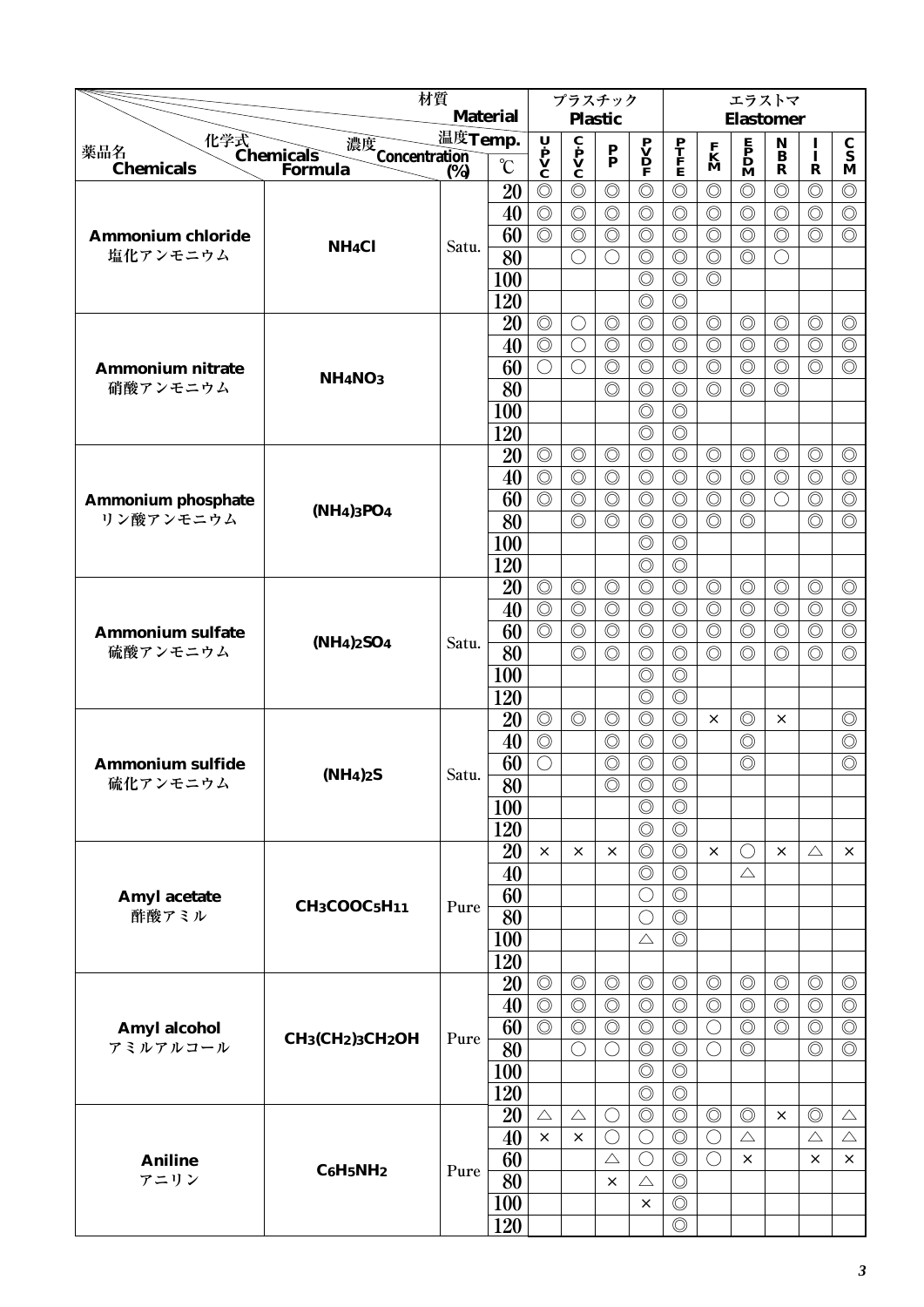|                                     | 材質                                                                 |         |                 | プラスチック                                                                                |                                              |                                  |                                              |                                  | エラストマ                            |                                              |                                    |                                  |                                        |
|-------------------------------------|--------------------------------------------------------------------|---------|-----------------|---------------------------------------------------------------------------------------|----------------------------------------------|----------------------------------|----------------------------------------------|----------------------------------|----------------------------------|----------------------------------------------|------------------------------------|----------------------------------|----------------------------------------|
|                                     |                                                                    |         | <b>Material</b> |                                                                                       |                                              | <b>Plastic</b>                   |                                              |                                  |                                  | <b>Elastomer</b>                             |                                    |                                  |                                        |
| 薬品名                                 | 化学式<br>Chemicals<br>濃度<br>Concentration<br>(%)                     | 温度Temp. |                 | $\begin{array}{c}\n\mathbf{U} \\ \mathbf{P} \\ \mathbf{V} \\ \mathbf{C}\n\end{array}$ | $\mathbf{c}$<br>$\mathbf{v}$<br>$\mathbf{c}$ | $\frac{P}{P}$                    | $\mathbf{P}$<br>$\mathbf{D}$<br>$\mathbf{P}$ | $\frac{\mathbf{P}}{\mathbf{F}}$  | $\mathbf{K}$<br>M                | $\mathbf{P}$<br>$\mathbf{D}$<br>$\mathbf{M}$ | $\mathbf N$<br>$\ddot{\mathbf{B}}$ | I<br>$\mathbf I$                 | $\mathbf C$<br>$\overline{\mathbf{s}}$ |
| <b>Chemicals</b>                    | Formula                                                            | (%)     | $\rm ^{\circ}C$ |                                                                                       |                                              |                                  |                                              |                                  |                                  |                                              | R                                  | $\mathbf R$                      | M                                      |
|                                     |                                                                    |         | 20              | $\circledcirc$                                                                        | $\circledcirc$                               | $\circledcirc$                   | $\circledcirc$                               | $\circledcirc$                   | $\circledcirc$                   | $\circledcirc$                               | $\circledcirc$                     | $\circledcirc$                   | $\circledcirc$                         |
|                                     |                                                                    |         | 40              | $\circledcirc$                                                                        | $\circledcirc$                               | $\circledcirc$                   | $\circledcirc$                               | $\circledcirc$                   | $\circledcirc$                   | $\circledcirc$                               | $\circledcirc$                     | $\circledcirc$                   | $\circledcirc$                         |
| <b>Ammonium chloride</b>            | NH <sub>4</sub> Cl                                                 | Satu.   | 60              | $\circledcirc$                                                                        | $\circledcirc$                               | $\circledcirc$                   | $\circledcirc$                               | $\circledcirc$                   | $\circledcirc$                   | $\circledcirc$                               | $\circledcirc$                     | $\circledcirc$                   | $\circledcirc$                         |
| 塩化アンモニウム                            |                                                                    |         | 80              |                                                                                       | $\bigcirc$                                   | $\bigcirc$                       | $\circledcirc$                               | $\circledcirc$                   | $\circledcirc$                   | $\circledcirc$                               | $\left(\right)$                    |                                  |                                        |
|                                     |                                                                    |         | 100             |                                                                                       |                                              |                                  | $\circledcirc$                               | $\circledcirc$                   | $\circledcirc$                   |                                              |                                    |                                  |                                        |
|                                     |                                                                    |         | 120             |                                                                                       |                                              |                                  | $\circledcirc$                               | $\circledcirc$                   |                                  |                                              |                                    |                                  |                                        |
|                                     |                                                                    |         | 20              | $\circledcirc$<br>$\circledcirc$                                                      | $\bigcirc$<br>$\bigcirc$                     | $\circledcirc$<br>$\circledcirc$ | $\circledcirc$<br>$\circledcirc$             | $\circledcirc$<br>$\circledcirc$ | $\circledcirc$<br>$\circledcirc$ | $\circledcirc$<br>$\circledcirc$             | $\circledcirc$<br>$\circledcirc$   | $\circledcirc$<br>$\circledcirc$ | $\circledcirc$<br>$\circledcirc$       |
|                                     |                                                                    |         | 40<br>60        | $\bigcirc$                                                                            | $\bigcirc$                                   | $\circledcirc$                   | $\circledcirc$                               | $\circledcirc$                   | $\circledcirc$                   | $\circledcirc$                               | $\circledcirc$                     | $\circledcirc$                   | $\circledcirc$                         |
| <b>Ammonium nitrate</b><br>硝酸アンモニウム | <b>NH<sub>4</sub>NO<sub>3</sub></b>                                |         | 80              |                                                                                       |                                              | $\circledcirc$                   | $\circledcirc$                               | $\circledcirc$                   | $\circledcirc$                   | $\circledcirc$                               | $\circledcirc$                     |                                  |                                        |
|                                     |                                                                    |         | 100             |                                                                                       |                                              |                                  | $\circledcirc$                               | $\circledcirc$                   |                                  |                                              |                                    |                                  |                                        |
|                                     |                                                                    |         | 120             |                                                                                       |                                              |                                  | $\circledcirc$                               | $\circledcirc$                   |                                  |                                              |                                    |                                  |                                        |
|                                     |                                                                    |         | 20              | $\circledcirc$                                                                        | $\circledcirc$                               | $\circledcirc$                   | $\circledcirc$                               | $\circledcirc$                   | $\circledcirc$                   | $\circledcirc$                               | $\circledcirc$                     | $\circledcirc$                   | $\circledcirc$                         |
|                                     |                                                                    |         | 40              | $\circledcirc$                                                                        | $\circledcirc$                               | $\circledcirc$                   | $\circledcirc$                               | $\circledcirc$                   | $\circledcirc$                   | $\circledcirc$                               | $\circledcirc$                     | $\circledcirc$                   | $\circledcirc$                         |
| <b>Ammonium phosphate</b>           |                                                                    |         | 60              | $\circledcirc$                                                                        | $\circledcirc$                               | $\circledcirc$                   | $\circledcirc$                               | $\circledcirc$                   | $\circledcirc$                   | $\circledcirc$                               | $\bigcirc$                         | $\circledcirc$                   | $\circledcirc$                         |
| リン酸アンモニウム                           | (NH <sub>4</sub> ) <sub>3</sub> PO <sub>4</sub>                    |         | 80              |                                                                                       | $\circledcirc$                               | $\circledcirc$                   | $\circledcirc$                               | $\circledcirc$                   | $\circledcirc$                   | $\circledcirc$                               |                                    | $\circledcirc$                   | $\circledcirc$                         |
|                                     |                                                                    |         | 100             |                                                                                       |                                              |                                  | $\circledcirc$                               | $\circledcirc$                   |                                  |                                              |                                    |                                  |                                        |
|                                     |                                                                    |         | 120             |                                                                                       |                                              |                                  | $\circledcirc$                               | $\circledcirc$                   |                                  |                                              |                                    |                                  |                                        |
|                                     |                                                                    |         | 20              | $\circledcirc$                                                                        | $\circledcirc$                               | $\circledcirc$                   | $\circledcirc$                               | $\circledcirc$                   | $\circledcirc$                   | $\circledcirc$                               | $\circledcirc$                     | $\circledcirc$                   | $\circledcirc$                         |
|                                     |                                                                    |         | 40              | $\circledcirc$                                                                        | $\circledcirc$                               | $\circledcirc$                   | $\circledcirc$                               | $\circledcirc$                   | $\circledcirc$                   | $\circledcirc$                               | $\circledcirc$                     | $\circledcirc$                   | $\circledcirc$                         |
| <b>Ammonium sulfate</b>             |                                                                    |         | 60              | $\circledcirc$                                                                        | $\circledcirc$                               | $\circledcirc$                   | $\circledcirc$                               | $\circledcirc$                   | $\circledcirc$                   | $\circledcirc$                               | $\circledcirc$                     | $\circledcirc$                   | $\circledcirc$                         |
| 硫酸アンモニウム                            | $(NH4)2SO4$                                                        | Satu.   | 80              |                                                                                       | $\circledcirc$                               | $\circledcirc$                   | $\circledcirc$                               | $\circledcirc$                   | $\circledcirc$                   | $\circledcirc$                               | $\circledcirc$                     | $\circledcirc$                   | $\circledcirc$                         |
|                                     |                                                                    |         | 100             |                                                                                       |                                              |                                  | $\circledcirc$                               | $\circledcirc$                   |                                  |                                              |                                    |                                  |                                        |
|                                     |                                                                    |         | 120             |                                                                                       |                                              |                                  | $\circledcirc$                               | $\circledcirc$                   |                                  |                                              |                                    |                                  |                                        |
|                                     |                                                                    |         | 20              | $\circledcirc$                                                                        | $\circledcirc$                               | $\circledcirc$                   | $\circledcirc$                               | $\circledcirc$                   | $\times$                         | $\circledcirc$                               | $\times$                           |                                  | $\circledcirc$                         |
|                                     |                                                                    |         | 40              | $\circledcirc$                                                                        |                                              | $\circledcirc$                   | $\circledcirc$                               | $\circledcirc$                   |                                  | $\circledcirc$                               |                                    |                                  | $\circledcirc$                         |
| <b>Ammonium sulfide</b>             | (NH <sub>4</sub> ) <sub>2</sub> S                                  | Satu.   | 60              | $\bigcirc$                                                                            |                                              | $\circledcirc$                   | $\circledcirc$                               | $\circledcirc$                   |                                  | $\circledcirc$                               |                                    |                                  | $\circledcirc$                         |
| 硫化アンモニウム                            |                                                                    |         | $\overline{80}$ |                                                                                       |                                              | $\circledcirc$                   | $\overline{\circ}$                           | $\overline{\circ}$               |                                  |                                              |                                    |                                  |                                        |
|                                     |                                                                    |         | 100             |                                                                                       |                                              |                                  | $\circledcirc$                               | $\circledcirc$                   |                                  |                                              |                                    |                                  |                                        |
|                                     |                                                                    |         | 120             |                                                                                       |                                              |                                  | $\circledcirc$                               | $\circledcirc$                   |                                  |                                              |                                    |                                  |                                        |
|                                     |                                                                    |         | 20              | $\times$                                                                              | $\times$                                     | $\times$                         | $\circledcirc$                               | $\circledcirc$                   | $\times$                         | $\bigcirc$                                   | $\times$                           | $\triangle$                      | $\times$                               |
|                                     |                                                                    |         | 40              |                                                                                       |                                              |                                  | $\circledcirc$                               | $\circledcirc$                   |                                  | $\triangle$                                  |                                    |                                  |                                        |
| Amyl acetate                        | $CH3COOC5H11$                                                      | Pure    | 60              |                                                                                       |                                              |                                  | $\bigcirc$                                   | $\circledcirc$                   |                                  |                                              |                                    |                                  |                                        |
| 酢酸アミル                               |                                                                    |         | 80              |                                                                                       |                                              |                                  | $\bigcirc$                                   | $\circledcirc$                   |                                  |                                              |                                    |                                  |                                        |
|                                     |                                                                    |         | 100             |                                                                                       |                                              |                                  | $\triangle$                                  | $\circledcirc$                   |                                  |                                              |                                    |                                  |                                        |
|                                     |                                                                    |         | 120             |                                                                                       |                                              | $\circledcirc$                   |                                              |                                  |                                  |                                              |                                    |                                  |                                        |
|                                     |                                                                    |         | 20<br>40        | $\circledcirc$<br>$\circledcirc$                                                      | $\circledcirc$<br>$\circledcirc$             | $\circledcirc$                   | $\circledcirc$<br>$\circledcirc$             | $\circledcirc$<br>$\circledcirc$ | $\circledcirc$<br>$\circledcirc$ | $\circledcirc$<br>$\circledcirc$             | $\circledcirc$<br>$\circledcirc$   | $\circledcirc$<br>$\circledcirc$ | $\circledcirc$<br>$\circledcirc$       |
|                                     |                                                                    |         | 60              | $\circledcirc$                                                                        | $\circledcirc$                               | $\circledcirc$                   | $\circledcirc$                               | $\circledcirc$                   | $\bigcirc$                       | $\circledcirc$                               | $\circledcirc$                     | $\circledcirc$                   | $\circledcirc$                         |
| Amyl alcohol<br>アミルアルコール            | CH <sub>3</sub> (CH <sub>2</sub> ) <sub>3</sub> CH <sub>2</sub> OH | Pure    | 80              |                                                                                       | $\bigcirc$                                   | $\bigcirc$                       | $\circledcirc$                               | $\circledcirc$                   | $\bigcirc$                       | $\circledcirc$                               |                                    | $\circledcirc$                   | $\circledcirc$                         |
|                                     |                                                                    |         | 100             |                                                                                       |                                              |                                  | $\circledcirc$                               | $\circledcirc$                   |                                  |                                              |                                    |                                  |                                        |
|                                     |                                                                    |         | 120             |                                                                                       |                                              |                                  | $\circledcirc$                               | $\circledcirc$                   |                                  |                                              |                                    |                                  |                                        |
|                                     |                                                                    |         | 20              | $\triangle$                                                                           | $\triangle$                                  | $\bigcirc$                       | $\circledcirc$                               | $\circledcirc$                   | $\circledcirc$                   | $\circledcirc$                               | $\times$                           | $\circledcirc$                   | $\triangle$                            |
|                                     |                                                                    |         | 40              | $\times$                                                                              | $\times$                                     | O                                | $\bigcirc$                                   | $\circledcirc$                   | $\bigcirc$                       | $\triangle$                                  |                                    | $\triangle$                      | $\triangle$                            |
| <b>Aniline</b>                      |                                                                    |         | 60              |                                                                                       |                                              | $\triangle$                      | $\bigcirc$                                   | $\circledcirc$                   | $\bigcirc$                       | $\times$                                     |                                    | ×                                | $\times$                               |
| アニリン                                | $C6H5NH2$                                                          | Pure    | 80              |                                                                                       |                                              | $\times$                         | $\triangle$                                  | $\circledcirc$                   |                                  |                                              |                                    |                                  |                                        |
|                                     |                                                                    |         | 100             |                                                                                       |                                              |                                  | $\times$                                     | $\circledcirc$                   |                                  |                                              |                                    |                                  |                                        |
|                                     |                                                                    |         | 120             |                                                                                       |                                              |                                  |                                              | $\circledcirc$                   |                                  |                                              |                                    |                                  |                                        |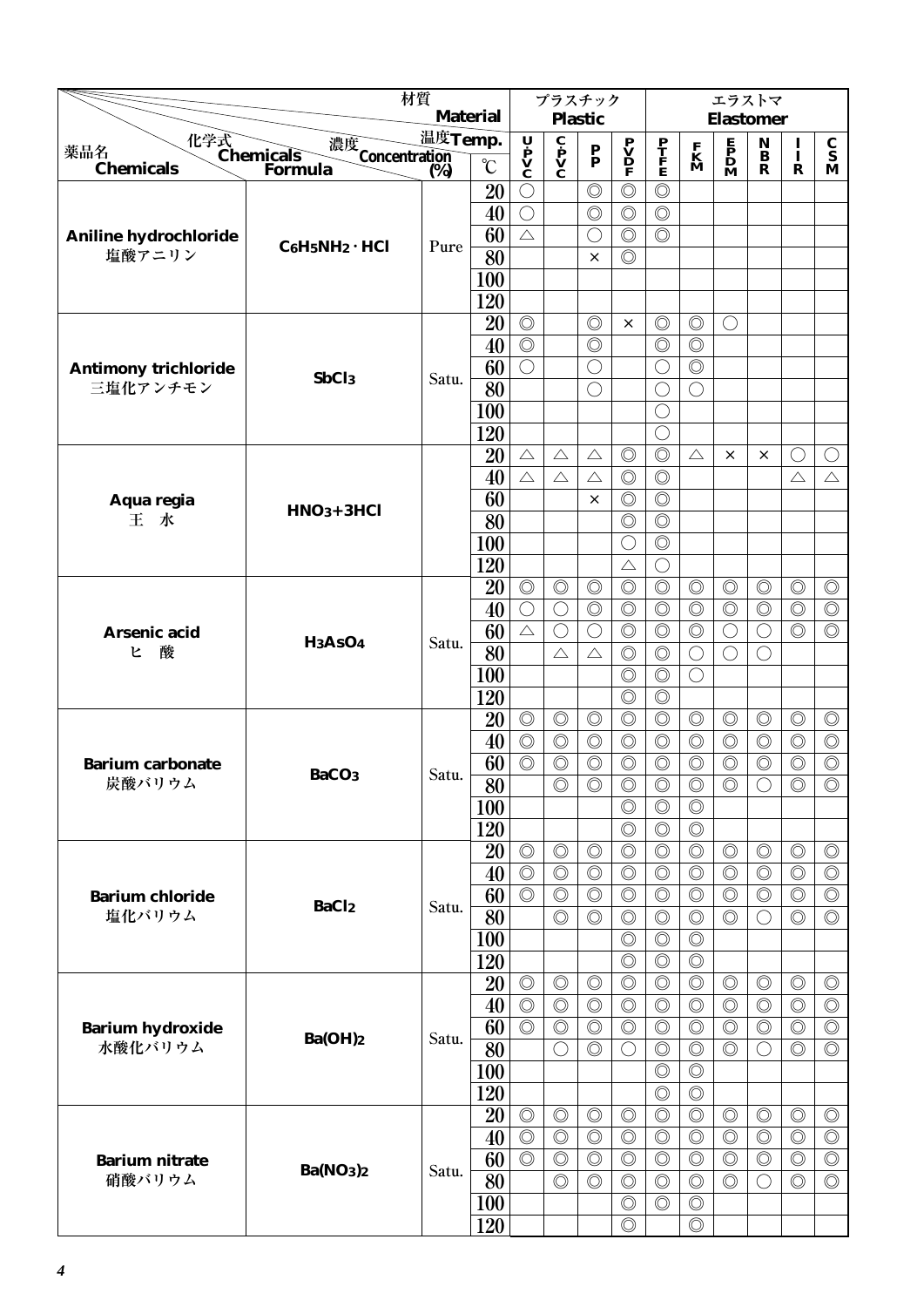|                                   | 材質                                    |         |                       | プラスチック                                       |                                                     |                                  |                                                |                                  | エラストマ                                |                           |                              |                |                                      |
|-----------------------------------|---------------------------------------|---------|-----------------------|----------------------------------------------|-----------------------------------------------------|----------------------------------|------------------------------------------------|----------------------------------|--------------------------------------|---------------------------|------------------------------|----------------|--------------------------------------|
|                                   |                                       |         | <b>Material</b>       |                                              |                                                     | <b>Plastic</b>                   |                                                |                                  |                                      | <b>Elastomer</b>          |                              |                |                                      |
| 化学式<br>Chemicals<br>薬品名           |                                       | 温度Temp. |                       | Ų                                            |                                                     |                                  | $\overset{\textbf{P}}{\underline{\mathbf{V}}}$ |                                  |                                      | $\mathbf{P}_{\mathbf{D}}$ | $\mathbf{N}$<br>$\mathbf{B}$ | $\mathbf{I}$   | $\frac{\mathbf{C}}{\mathbf{S}}$      |
| <b>Chemicals</b>                  | 濃度<br>Concentration<br>(%)<br>Formula | (%)     | $\rm ^{\circ}\!C$     | $\check{\mathbf{P}}$<br>$\check{\mathbf{V}}$ | $\mathbf{c}$ $\mathbf{p}$ $\mathbf{V}$ $\mathbf{C}$ | $\frac{\mathbf{P}}{\mathbf{P}}$  | F                                              | $\frac{\mathbf{P}}{\mathbf{F}}$  | $\mathbf{K}$<br>$\mathbf{M}$         | M                         | $\mathbf R$                  | $\mathbf R$    | M                                    |
|                                   |                                       |         | 20                    | $\bigcirc$                                   |                                                     | $\circledcirc$                   | $\circledcirc$                                 | $\circledcirc$                   |                                      |                           |                              |                |                                      |
|                                   |                                       |         | 40                    | $\bigcirc$                                   |                                                     | $\circledcirc$                   | $\circledcirc$                                 | $\circledcirc$                   |                                      |                           |                              |                |                                      |
| Aniline hydrochloride             |                                       |         | 60                    | $\triangle$                                  |                                                     | ◯                                | $\circledcirc$                                 | $\circledcirc$                   |                                      |                           |                              |                |                                      |
| 塩酸アニリン                            | $C_6H_5NH_2 \cdot HCl$                | Pure    | $\overline{80}$       |                                              |                                                     | $\times$                         | $\circledcirc$                                 |                                  |                                      |                           |                              |                |                                      |
|                                   |                                       |         | 100                   |                                              |                                                     |                                  |                                                |                                  |                                      |                           |                              |                |                                      |
|                                   |                                       |         | 120                   |                                              |                                                     |                                  |                                                |                                  |                                      |                           |                              |                |                                      |
|                                   |                                       |         | 20                    | $\circledcirc$                               |                                                     | $\circledcirc$                   | $\times$                                       | $\circledcirc$                   | $\circledcirc$                       | O                         |                              |                |                                      |
|                                   |                                       |         | 40                    | $\circledcirc$                               |                                                     | $\circledcirc$                   |                                                | $\circledcirc$                   | $\circledcirc$                       |                           |                              |                |                                      |
| <b>Antimony trichloride</b>       | SbCl <sub>3</sub>                     | Satu.   | 60                    | $\bigcirc$                                   |                                                     | $\bigcirc$                       |                                                | $\bigcirc$                       | $\circledcirc$                       |                           |                              |                |                                      |
| 三塩化アンチモン                          |                                       |         | 80                    |                                              |                                                     | ◯                                |                                                | О                                | $\bigcirc$                           |                           |                              |                |                                      |
|                                   |                                       |         | 100                   |                                              |                                                     |                                  |                                                | О                                |                                      |                           |                              |                |                                      |
|                                   |                                       |         | 120                   |                                              |                                                     |                                  |                                                | 0                                |                                      |                           |                              |                |                                      |
|                                   |                                       |         | 20                    | $\triangle$                                  | $\triangle$                                         | $\triangle$                      | $\circledcirc$                                 | $\circledcirc$                   | $\triangle$                          | $\times$                  | $\times$                     | $\bigcirc$     | ◯                                    |
|                                   |                                       |         | 40                    | $\triangle$                                  | $\triangle$                                         | $\triangle$                      | $\circledcirc$                                 | $\circledcirc$                   |                                      |                           |                              | $\triangle$    | $\triangle$                          |
| Aqua regia                        | $HNO3+3HCl$                           |         | 60                    |                                              |                                                     | $\times$                         | $\circledcirc$                                 | $\circledcirc$                   |                                      |                           |                              |                |                                      |
| 王水                                |                                       |         | 80                    |                                              |                                                     |                                  | $\circledcirc$                                 | $\circledcirc$                   |                                      |                           |                              |                |                                      |
|                                   |                                       |         | 100                   |                                              |                                                     |                                  | $\bigcirc$                                     | $\circledcirc$                   |                                      |                           |                              |                |                                      |
|                                   |                                       |         | 120                   |                                              |                                                     |                                  | $\triangle$                                    | $\bigcirc$                       |                                      |                           |                              |                |                                      |
|                                   |                                       |         | 20                    | $\circledcirc$                               | $\circledcirc$                                      | $\circledcirc$                   | $\circledcirc$                                 | $\circledcirc$                   | $\circledcirc$                       | $\circledcirc$            | $\circledcirc$               | $\circledcirc$ | $\circledcirc$                       |
|                                   |                                       |         | 40                    | $\bigcirc$                                   | $\bigcirc$                                          | $\circledcirc$                   | $\circledcirc$                                 | $\circledcirc$                   | $\circledcirc$                       | $\circledcirc$            | $\circledcirc$               | $\circledcirc$ | $\circledcirc$                       |
| Arsenic acid                      | H <sub>3</sub> AsO <sub>4</sub>       | Satu.   | 60                    | $\triangle$                                  | $\bigcirc$                                          | $\bigcirc$                       | $\circledcirc$                                 | $\circledcirc$                   | $\circledcirc$                       | $\bigcirc$                | $\bigcirc$                   | $\circledcirc$ | $\circledcirc$                       |
| 酸<br>ヒ                            |                                       |         | 80                    |                                              | $\triangle$                                         | $\triangle$                      | $\circledcirc$                                 | $\circledcirc$                   | $\bigcirc$                           | $\bigcirc$                | $( \ )$                      |                |                                      |
|                                   |                                       |         | 100                   |                                              |                                                     |                                  | $\circledcirc$                                 | $\circledcirc$                   | $\bigcirc$                           |                           |                              |                |                                      |
|                                   |                                       |         | 120                   |                                              |                                                     |                                  | $\circledcirc$                                 | $\circledcirc$                   |                                      |                           |                              |                |                                      |
|                                   |                                       |         | 20                    | $\circledcirc$                               | $\circledcirc$                                      | $\circledcirc$                   | $\circledcirc$                                 | $\circledcirc$                   | $\circledcirc$                       | $\circledcirc$            | $\circledcirc$               | $\circledcirc$ | $\circledcirc$                       |
|                                   |                                       |         | 40                    | $\circledcirc$                               | $\circledcirc$                                      | $\circledcirc$                   | $\circledcirc$                                 | $\circledcirc$                   | $\circledcirc$                       | $\circledcirc$            | $\circledcirc$               | $\circledcirc$ | $\circledcirc$                       |
| <b>Barium carbonate</b><br>炭酸バリウム | BaCO <sub>3</sub>                     | Satu.   | 60<br>$\overline{80}$ | $\circledcirc$                               | $\circledcirc$                                      | $\circledcirc$<br>$\circledcirc$ | $\circledcirc$<br>$\circledcirc$               | $\circledcirc$                   | $\circledcirc$<br>$\overline{\circ}$ | $\circledcirc$            | $\circledcirc$<br>$\bigcirc$ | $\circledcirc$ | $\circledcirc$<br>$\overline{\circ}$ |
|                                   |                                       |         |                       |                                              | $\circledcirc$                                      |                                  | $\circledcirc$                                 | $\circledcirc$<br>$\circledcirc$ | $\circledcirc$                       | $\circledcirc$            |                              | $\circledcirc$ |                                      |
|                                   |                                       |         | 100<br>120            |                                              |                                                     |                                  | $\circledcirc$                                 | $\circledcirc$                   | $\circledcirc$                       |                           |                              |                |                                      |
|                                   |                                       |         |                       | $\circledcirc$                               | $\circledcirc$                                      | $\circledcirc$                   | $\circledcirc$                                 | $\circledcirc$                   | $\circledcirc$                       | $\circledcirc$            | $\circledcirc$               | $\circledcirc$ | $\circledcirc$                       |
|                                   |                                       |         | 20<br>40              | $\circledcirc$                               | $\circledcirc$                                      | $\circledcirc$                   | $\circledcirc$                                 | $\circledcirc$                   | $\circledcirc$                       | $\circledcirc$            | $\circledcirc$               | $\circledcirc$ | $\circledcirc$                       |
| <b>Barium chloride</b>            |                                       |         | 60                    | $\circledcirc$                               | $\circledcirc$                                      | $\circledcirc$                   | $\circledcirc$                                 | $\circledcirc$                   | $\circledcirc$                       | $\circledcirc$            | $\circledcirc$               | $\circledcirc$ | $\circledcirc$                       |
| 塩化バリウム                            | <b>BaCl2</b>                          | Satu.   | 80                    |                                              | $\circledcirc$                                      | $\circledcirc$                   | $\circledcirc$                                 | $\circledcirc$                   | $\circledcirc$                       | $\circledcirc$            | ○                            | $\circledcirc$ | $\circledcirc$                       |
|                                   |                                       |         | 100                   |                                              |                                                     |                                  | $\circledcirc$                                 | $\circledcirc$                   | $\circledcirc$                       |                           |                              |                |                                      |
|                                   |                                       |         | 120                   |                                              |                                                     |                                  | $\circledcirc$                                 | $\circledcirc$                   | $\circledcirc$                       |                           |                              |                |                                      |
|                                   |                                       |         | 20                    | $\circledcirc$                               | $\circledcirc$                                      | $\circledcirc$                   | $\circledcirc$                                 | $\circledcirc$                   | $\circledcirc$                       | $\circledcirc$            | $\circledcirc$               | $\circledcirc$ | $\circledcirc$                       |
|                                   |                                       |         | 40                    | $\circledcirc$                               | $\circledcirc$                                      | $\circledcirc$                   | $\circledcirc$                                 | $\circledcirc$                   | $\circledcirc$                       | $\circledcirc$            | $\circledcirc$               | $\circledcirc$ | $\circledcirc$                       |
| <b>Barium hydroxide</b>           |                                       |         | 60                    | $\circledcirc$                               | $\circledcirc$                                      | $\circledcirc$                   | $\circledcirc$                                 | $\circledcirc$                   | $\circledcirc$                       | $\circledcirc$            | $\circledcirc$               | $\circledcirc$ | $\circledcirc$                       |
| 水酸化バリウム                           | Ba(OH)2                               | Satu.   | 80                    |                                              | $\bigcirc$                                          | $\circledcirc$                   | $\bigcirc$                                     | $\circledcirc$                   | $\circledcirc$                       | $\circledcirc$            | $\left(\right)$              | $\circledcirc$ | $\circledcirc$                       |
|                                   |                                       |         | 100                   |                                              |                                                     |                                  |                                                | $\circledcirc$                   | $\circledcirc$                       |                           |                              |                |                                      |
|                                   |                                       |         | 120                   |                                              |                                                     |                                  |                                                | $\circledcirc$                   | $\circledcirc$                       |                           |                              |                |                                      |
|                                   |                                       |         | 20                    | $\circledcirc$                               | $\circledcirc$                                      | $\circledcirc$                   | $\circledcirc$                                 | $\circledcirc$                   | $\circledcirc$                       | $\circledcirc$            | $\circledcirc$               | $\circledcirc$ | $\circledcirc$                       |
|                                   |                                       |         | 40                    | $\circledcirc$                               | $\circledcirc$                                      | $\circledcirc$                   | $\circledcirc$                                 | $\circledcirc$                   | $\circledcirc$                       | $\circledcirc$            | $\circledcirc$               | $\circledcirc$ | $\circledcirc$                       |
| <b>Barium nitrate</b>             |                                       |         | 60                    | $\circledcirc$                               | $\circledcirc$                                      | $\circledcirc$                   | $\circledcirc$                                 | $\circledcirc$                   | $\circledcirc$                       | $\circledcirc$            | $\circledcirc$               | $\circledcirc$ | $\circledcirc$                       |
| 硝酸バリウム                            | Ba(NO <sub>3</sub> ) <sub>2</sub>     | Satu.   | 80                    |                                              | $\circledcirc$                                      | $\circledcirc$                   | $\circledcirc$                                 | $\circledcirc$                   | $\circledcirc$                       | $\circledcirc$            | ◯                            | $\circledcirc$ | $\circledcirc$                       |
|                                   |                                       |         | <b>100</b>            |                                              |                                                     |                                  | $\circledcirc$                                 | $\circledcirc$                   | $\circledcirc$                       |                           |                              |                |                                      |
|                                   |                                       |         | 120                   |                                              |                                                     |                                  | $\circledcirc$                                 |                                  | $\circledcirc$                       |                           |                              |                |                                      |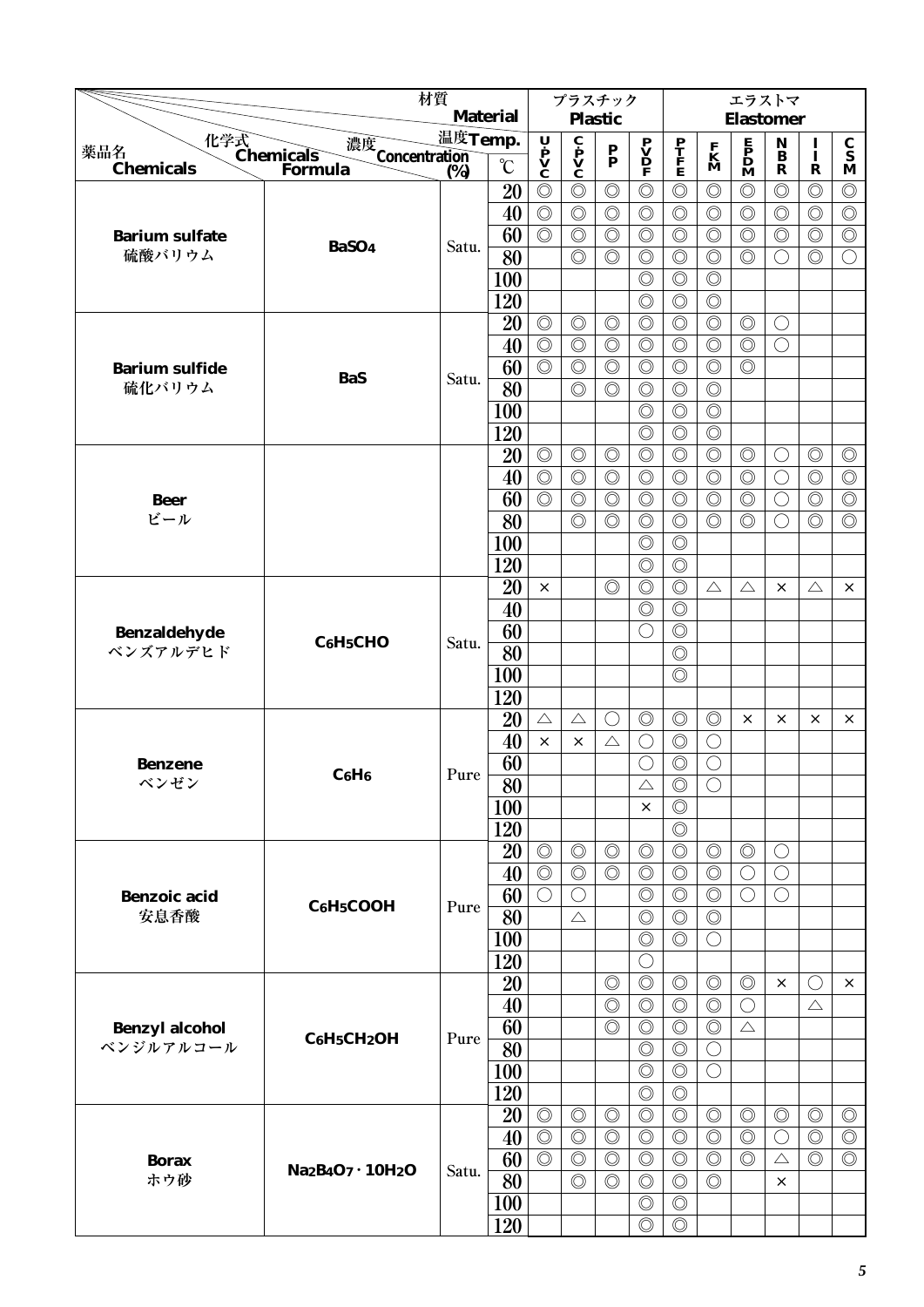|                                 |                                                | 材質      | <b>Material</b> |                                                                                       | プラスチック                                                  |                                  |                                  |                                  |                                  | エラストマ                                        |                              |                                  |                                  |
|---------------------------------|------------------------------------------------|---------|-----------------|---------------------------------------------------------------------------------------|---------------------------------------------------------|----------------------------------|----------------------------------|----------------------------------|----------------------------------|----------------------------------------------|------------------------------|----------------------------------|----------------------------------|
|                                 |                                                | 温度Temp. |                 |                                                                                       |                                                         | <b>Plastic</b>                   |                                  |                                  |                                  | <b>Elastomer</b>                             |                              |                                  |                                  |
| 薬品名                             | 化学式<br>Chemicals<br>濃度<br>Concentration<br>(%) |         |                 | $\begin{array}{c}\n\mathbf{U} \\ \mathbf{P} \\ \mathbf{V} \\ \mathbf{C}\n\end{array}$ | $\overline{\mathbf{c}}$<br>$\mathbf{v}$<br>$\mathbf{c}$ | $\frac{\mathbf{P}}{\mathbf{P}}$  | $\mathbf{P} \mathbf{V}$          | P<br>T<br>F<br>E                 | $\frac{\mathbf{F}}{\mathbf{K}}$  | $\mathbf{P}$<br>$\mathbf{D}$<br>$\mathbf{M}$ | $\mathbf{N}$<br>$\mathbf{B}$ | I<br>Ī                           | $\frac{\mathbf{C}}{\mathbf{S}}$  |
| <b>Chemicals</b>                | Formula                                        | (%)     | $\rm ^{\circ}C$ |                                                                                       |                                                         |                                  |                                  |                                  |                                  |                                              | $\mathbf R$                  | $\mathbf R$                      | M                                |
|                                 |                                                |         | 20              | $\circledcirc$                                                                        | $\circledcirc$                                          | $\circledcirc$                   | $\circledcirc$                   | $\circledcirc$                   | $\circledcirc$                   | $\circledcirc$                               | $\circledcirc$               | $\circledcirc$                   | $\circledcirc$                   |
|                                 |                                                |         | 40              | $\circledcirc$                                                                        | $\circledcirc$                                          | $\circledcirc$                   | $\circledcirc$                   | $\circledcirc$                   | $\circledcirc$                   | $\circledcirc$                               | $\circledcirc$               | $\circledcirc$                   | $\circledcirc$                   |
| <b>Barium sulfate</b>           | BaSO <sub>4</sub>                              | Satu.   | 60              | $\circledcirc$                                                                        | $\circledcirc$                                          | $\circledcirc$                   | $\circledcirc$                   | $\circledcirc$                   | $\circledcirc$                   | $\circledcirc$                               | $\circledcirc$               | $\circledcirc$                   | $\circledcirc$                   |
| 硫酸バリウム                          |                                                |         | 80              |                                                                                       | $\circledcirc$                                          | $\circledcirc$                   | $\circledcirc$                   | $\circledcirc$                   | $\circledcirc$                   | $\circledcirc$                               | $\bigcirc$                   | $\circledcirc$                   | $\bigcirc$                       |
|                                 |                                                |         | 100             |                                                                                       |                                                         |                                  | $\circledcirc$                   | $\circledcirc$                   | $\circledcirc$                   |                                              |                              |                                  |                                  |
|                                 |                                                |         | 120             |                                                                                       |                                                         |                                  | $\circledcirc$                   | $\circledcirc$                   | $\circledcirc$                   |                                              |                              |                                  |                                  |
|                                 |                                                |         | 20              | $\circledcirc$                                                                        | $\circledcirc$                                          | $\circledcirc$                   | $\circledcirc$                   | $\circledcirc$                   | $\circledcirc$                   | $\circledcirc$                               | $\bigcirc$                   |                                  |                                  |
|                                 |                                                |         | 40              | $\circledcirc$                                                                        | $\circledcirc$                                          | $\circledcirc$                   | $\circledcirc$                   | $\circledcirc$                   | $\circledcirc$                   | $\circledcirc$                               | $\bigcirc$                   |                                  |                                  |
| <b>Barium sulfide</b><br>硫化バリウム | <b>BaS</b>                                     | Satu.   | 60              | $\circledcirc$                                                                        | $\circledcirc$<br>$\circledcirc$                        | $\circledcirc$<br>$\circledcirc$ | $\circledcirc$                   | $\circledcirc$<br>$\circledcirc$ | $\circledcirc$                   | $\circledcirc$                               |                              |                                  |                                  |
|                                 |                                                |         | 80              |                                                                                       |                                                         |                                  | $\circledcirc$                   |                                  | $\circledcirc$                   |                                              |                              |                                  |                                  |
|                                 |                                                |         | 100             |                                                                                       |                                                         |                                  | $\circledcirc$                   | $\circledcirc$                   | $\circledcirc$                   |                                              |                              |                                  |                                  |
|                                 |                                                |         | 120             |                                                                                       |                                                         | $\circledcirc$                   | $\circledcirc$                   | $\circledcirc$                   | $\circledcirc$                   |                                              |                              |                                  |                                  |
|                                 |                                                |         | 20              | $\circledcirc$<br>$\circledcirc$                                                      | $\circledcirc$<br>$\circledcirc$                        | $\circledcirc$                   | $\circledcirc$                   | $\circledcirc$<br>$\circledcirc$ | $\circledcirc$<br>$\circledcirc$ | $\circledcirc$<br>$\circledcirc$             | $\bigcirc$                   | $\circledcirc$<br>$\circledcirc$ | $\circledcirc$<br>$\circledcirc$ |
|                                 |                                                |         | 40<br>60        | $\circledcirc$                                                                        | $\circledcirc$                                          | $\circledcirc$                   | $\circledcirc$<br>$\circledcirc$ | $\circledcirc$                   | $\circledcirc$                   | $\circledcirc$                               | $\bigcirc$<br>$\bigcirc$     | $\circledcirc$                   | $\circledcirc$                   |
| <b>Beer</b><br>ビール              |                                                |         | 80              |                                                                                       | $\circledcirc$                                          | $\circledcirc$                   | $\circledcirc$                   | $\circledcirc$                   | $\circledcirc$                   | $\circledcirc$                               | $\bigcirc$                   | $\circledcirc$                   | $\circledcirc$                   |
|                                 |                                                |         | 100             |                                                                                       |                                                         |                                  | $\circledcirc$                   | $\circledcirc$                   |                                  |                                              |                              |                                  |                                  |
|                                 |                                                |         | 120             |                                                                                       |                                                         |                                  | $\circledcirc$                   | $\circledcirc$                   |                                  |                                              |                              |                                  |                                  |
|                                 |                                                |         | 20              | $\times$                                                                              |                                                         | $\circledcirc$                   | $\circledcirc$                   | $\circledcirc$                   | $\triangle$                      | $\triangle$                                  | X                            | $\triangle$                      | $\times$                         |
|                                 |                                                |         | 40              |                                                                                       |                                                         |                                  | $\circledcirc$                   | $\circledcirc$                   |                                  |                                              |                              |                                  |                                  |
| Benzaldehyde                    |                                                |         | 60              |                                                                                       |                                                         |                                  | $\bigcirc$                       | $\circledcirc$                   |                                  |                                              |                              |                                  |                                  |
| ベンズアルデヒド                        | C <sub>6</sub> H <sub>5</sub> CHO              | Satu.   | 80              |                                                                                       |                                                         |                                  |                                  | $\circledcirc$                   |                                  |                                              |                              |                                  |                                  |
|                                 |                                                |         | 100             |                                                                                       |                                                         |                                  |                                  | $\circledcirc$                   |                                  |                                              |                              |                                  |                                  |
|                                 |                                                |         | 120             |                                                                                       |                                                         |                                  |                                  |                                  |                                  |                                              |                              |                                  |                                  |
|                                 |                                                |         | 20              | $\triangle$                                                                           | $\triangle$                                             | O                                | $\circledcirc$                   | $\circledcirc$                   | $\circledcirc$                   | $\times$                                     | ×                            | ×                                | $\times$                         |
|                                 |                                                |         | 40              | $\times$                                                                              | $\times$                                                | $\triangle$                      | $\bigcirc$                       | $\circledcirc$                   | $\bigcirc$                       |                                              |                              |                                  |                                  |
| <b>Benzene</b>                  |                                                |         | 60              |                                                                                       |                                                         |                                  | $\bigcirc$                       | $\circledcirc$                   | $\bigcirc$                       |                                              |                              |                                  |                                  |
| ベンゼン                            | $C_6H_6$                                       | Pure    | $\overline{80}$ |                                                                                       |                                                         |                                  | $\triangle$                      | $\overline{\circ}$               | $\overline{\bigcirc}$            |                                              |                              |                                  |                                  |
|                                 |                                                |         | 100             |                                                                                       |                                                         |                                  | $\times$                         | $\circledcirc$                   |                                  |                                              |                              |                                  |                                  |
|                                 |                                                |         | 120             |                                                                                       |                                                         |                                  |                                  | $\circledcirc$                   |                                  |                                              |                              |                                  |                                  |
|                                 |                                                |         | 20              | $\circledcirc$                                                                        | $\circledcirc$                                          | $\circledcirc$                   | $\circledcirc$                   | $\circledcirc$                   | $\circledcirc$                   | $\circledcirc$                               | $\bigcirc$                   |                                  |                                  |
|                                 |                                                |         | 40              | $\circledcirc$                                                                        | $\circledcirc$                                          | $\circledcirc$                   | $\circledcirc$                   | $\circledcirc$                   | $\circledcirc$                   | $\bigcirc$                                   | $\bigcirc$                   |                                  |                                  |
| <b>Benzoic</b> acid             |                                                |         | 60              | $\bigcirc$                                                                            | O                                                       |                                  | $\circledcirc$                   | $\circledcirc$                   | $\circledcirc$                   | O                                            | $\bigcirc$                   |                                  |                                  |
| 安息香酸                            | $C_6H_5COOH$                                   | Pure    | 80              |                                                                                       | $\triangle$                                             |                                  | $\circledcirc$                   | $\circledcirc$                   | $\circledcirc$                   |                                              |                              |                                  |                                  |
|                                 |                                                |         | 100             |                                                                                       |                                                         |                                  | $\circledcirc$                   | $\circledcirc$                   | $\bigcirc$                       |                                              |                              |                                  |                                  |
|                                 |                                                |         | 120             |                                                                                       |                                                         |                                  | O                                |                                  |                                  |                                              |                              |                                  |                                  |
|                                 |                                                |         | 20              |                                                                                       |                                                         | $\circledcirc$                   | $\circledcirc$                   | $\circledcirc$                   | $\circledcirc$                   | $\circledcirc$                               | $\times$                     | O                                | ×                                |
|                                 |                                                |         | 40              |                                                                                       |                                                         | $\circledcirc$                   | $\circledcirc$                   | $\circledcirc$                   | $\circledcirc$                   | $\bigcirc$                                   |                              | $\triangle$                      |                                  |
| <b>Benzyl alcohol</b>           | C6H5CH2OH                                      | Pure    | 60              |                                                                                       |                                                         | $\circledcirc$                   | $\circledcirc$                   | $\circledcirc$                   | $\circledcirc$                   | $\triangle$                                  |                              |                                  |                                  |
| ベンジルアルコール                       |                                                |         | 80              |                                                                                       |                                                         |                                  | $\circledcirc$                   | $\circledcirc$                   | $\bigcirc$                       |                                              |                              |                                  |                                  |
|                                 |                                                |         | 100             |                                                                                       |                                                         |                                  | $\circledcirc$                   | $\circledcirc$                   | $\bigcirc$                       |                                              |                              |                                  |                                  |
|                                 |                                                |         | 120             |                                                                                       |                                                         |                                  | $\circledcirc$                   | $\circledcirc$                   |                                  |                                              |                              |                                  |                                  |
|                                 |                                                |         | 20              | $\circledcirc$                                                                        | $\circledcirc$                                          | $\circledcirc$                   | $\circledcirc$                   | $\circledcirc$                   | $\circledcirc$                   | $\circledcirc$                               | $\circledcirc$               | $\circledcirc$                   | $\circledcirc$                   |
|                                 |                                                |         | 40              | $\circledcirc$                                                                        | $\circledcirc$                                          | $\circledcirc$                   | $\circledcirc$                   | $\circledcirc$                   | $\circledcirc$                   | $\circledcirc$                               | $\bigcirc$                   | $\circledcirc$                   | $\circledcirc$                   |
| <b>Borax</b>                    | $Na2B4O7 \cdot 10H2O$                          | Satu.   | 60              | $\circledcirc$                                                                        | $\circledcirc$                                          | $\circledcirc$                   | $\circledcirc$                   | $\circledcirc$                   | $\circledcirc$                   | $\circledcirc$                               | $\triangle$                  | $\circledcirc$                   | $\circledcirc$                   |
| ホウ砂                             |                                                |         | 80              |                                                                                       | $\circledcirc$                                          | $\circledcirc$                   | $\circledcirc$                   | $\circledcirc$                   | $\circledcirc$                   |                                              | $\times$                     |                                  |                                  |
|                                 |                                                |         | 100             |                                                                                       |                                                         |                                  | $\circledcirc$                   | $\circledcirc$                   |                                  |                                              |                              |                                  |                                  |
|                                 |                                                |         | 120             |                                                                                       |                                                         |                                  | $\circledcirc$                   | $\circledcirc$                   |                                  |                                              |                              |                                  |                                  |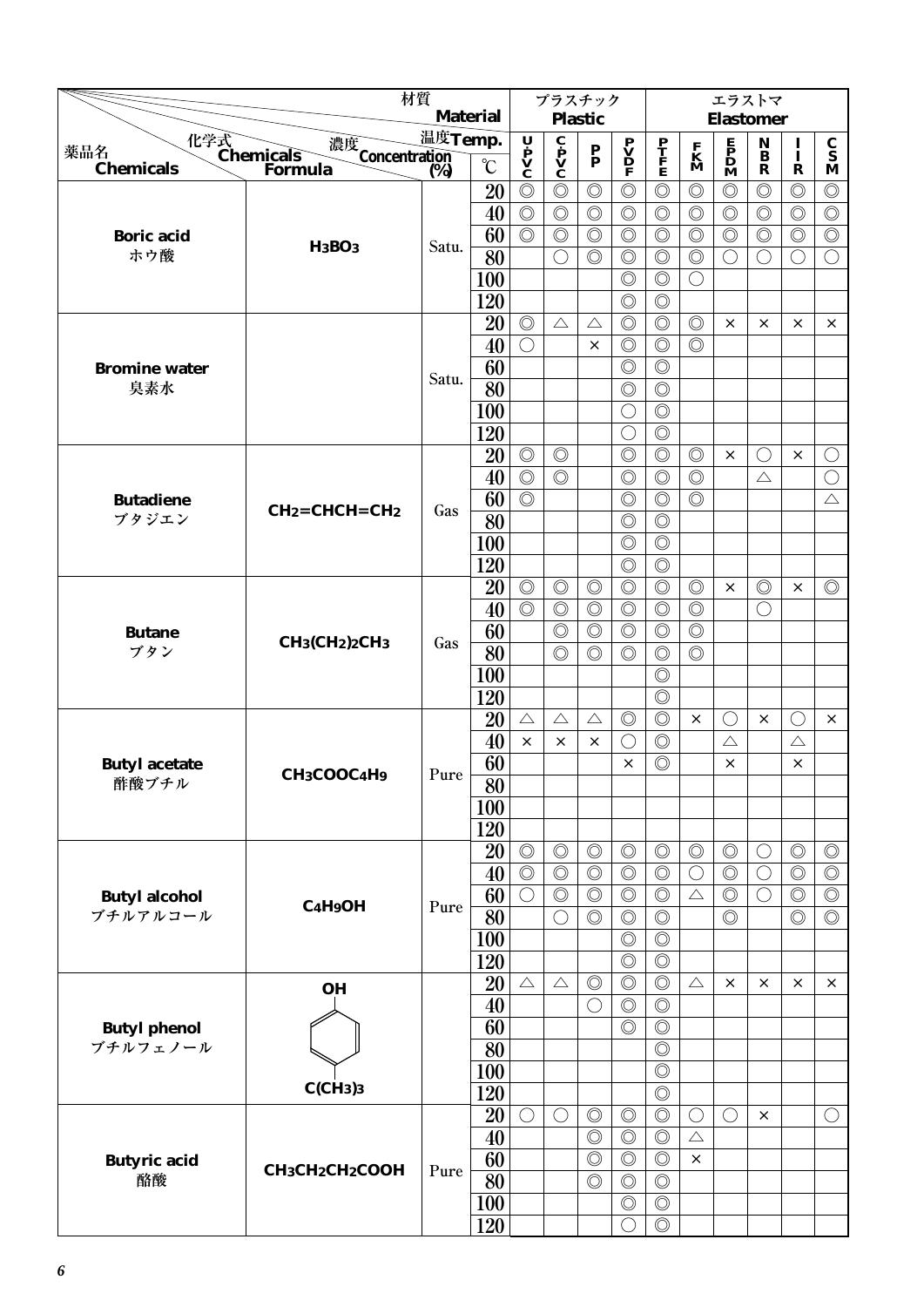|                           | 材質                                               | <b>Material</b> |                 | プラスチック                                                                                |                                              |                           |                                                                                     |                                  | エラストマ                            |                                              |                                |                |                                 |
|---------------------------|--------------------------------------------------|-----------------|-----------------|---------------------------------------------------------------------------------------|----------------------------------------------|---------------------------|-------------------------------------------------------------------------------------|----------------------------------|----------------------------------|----------------------------------------------|--------------------------------|----------------|---------------------------------|
|                           |                                                  | 温度Temp.         |                 |                                                                                       |                                              | <b>Plastic</b>            |                                                                                     |                                  |                                  | <b>Elastomer</b>                             |                                |                |                                 |
| 薬品名                       | 化学式<br>Chemicals<br>濃度<br>Concentration<br>(%)   |                 |                 | $\begin{array}{c}\n\mathbf{U} \\ \mathbf{P} \\ \mathbf{V} \\ \mathbf{C}\n\end{array}$ | $\mathbf{c}$<br>$\mathbf{v}$<br>$\mathbf{c}$ | $\mathbf{P}_{\mathbf{P}}$ | $\begin{array}{c} \mathbf{P} \\ \mathbf{V} \\ \mathbf{D} \\ \mathbf{F} \end{array}$ | P<br>T<br>F<br>E                 | $\mathbf{K}$<br>$\mathbf{M}$     | $\mathbf{P}$<br>$\mathbf{D}$<br>$\mathbf{M}$ | $\bf N$<br>$\bf{B}$            | $\mathbf{I}$   | $\frac{\mathbf{C}}{\mathbf{S}}$ |
| <b>Chemicals</b>          | <b>Formula</b>                                   | (%)             | $\rm ^{\circ}C$ |                                                                                       |                                              |                           |                                                                                     |                                  |                                  |                                              | $\mathbf R$                    | $\mathbf R$    | M                               |
|                           |                                                  |                 | 20              | $\circledcirc$                                                                        | $\circledcirc$                               | $\circledcirc$            | $\circledcirc$                                                                      | $\circledcirc$                   | $\circledcirc$                   | $\circledcirc$                               | $\circledcirc$                 | $\circledcirc$ | $\circledcirc$                  |
|                           |                                                  |                 | 40              | $\circledcirc$                                                                        | $\circledcirc$                               | $\circledcirc$            | $\circledcirc$                                                                      | $\circledcirc$                   | $\circledcirc$                   | $\circledcirc$                               | $\circledcirc$                 | $\circledcirc$ | $\circledcirc$                  |
| <b>Boric</b> acid         | <b>H<sub>3</sub>BO<sub>3</sub></b>               | Satu.           | 60              | $\circledcirc$                                                                        | $\circledcirc$                               | $\circledcirc$            | $\circledcirc$                                                                      | $\circledcirc$                   | $\circledcirc$                   | $\circledcirc$                               | $\circledcirc$                 | $\circledcirc$ | $\circledcirc$                  |
| ホウ酸                       |                                                  |                 | 80              |                                                                                       | $\bigcirc$                                   | $\circledcirc$            | $\circledcirc$                                                                      | $\circledcirc$                   | $\circledcirc$                   | $\bigcirc$                                   | $\bigcirc$                     | $\bigcirc$     | $\bigcirc$                      |
|                           |                                                  |                 | 100             |                                                                                       |                                              |                           | $\circledcirc$                                                                      | $\circledcirc$                   | $\bigcirc$                       |                                              |                                |                |                                 |
|                           |                                                  |                 | 120             |                                                                                       |                                              |                           | $\circledcirc$                                                                      | $\circledcirc$                   |                                  |                                              |                                |                |                                 |
|                           |                                                  |                 | 20              | $\circledcirc$                                                                        | $\triangle$                                  | $\triangle$               | $\circledcirc$                                                                      | $\circledcirc$                   | $\circledcirc$                   | ×                                            | $\times$                       | ×              | $\times$                        |
|                           |                                                  |                 | 40              | $\bigcirc$                                                                            |                                              | $\times$                  | $\circledcirc$                                                                      | $\circledcirc$                   | $\circledcirc$                   |                                              |                                |                |                                 |
| <b>Bromine</b> water      |                                                  | Satu.           | 60              |                                                                                       |                                              |                           | $\circledcirc$                                                                      | $\circledcirc$                   |                                  |                                              |                                |                |                                 |
| 臭素水                       |                                                  |                 | 80              |                                                                                       |                                              |                           | $\circledcirc$                                                                      | $\circledcirc$                   |                                  |                                              |                                |                |                                 |
|                           |                                                  |                 | 100             |                                                                                       |                                              |                           | $\bigcirc$                                                                          | $\circledcirc$                   |                                  |                                              |                                |                |                                 |
|                           |                                                  |                 | 120             |                                                                                       |                                              |                           | $\bigcirc$                                                                          | $\circledcirc$                   |                                  |                                              |                                |                |                                 |
|                           |                                                  |                 | 20              | $\circledcirc$<br>$\circledcirc$                                                      | $\circledcirc$<br>$\circledcirc$             |                           | $\circledcirc$<br>$\circledcirc$                                                    | $\circledcirc$                   | $\circledcirc$<br>$\circledcirc$ | $\times$                                     | $\left(\right)$<br>$\triangle$ | $\times$       | O<br>$\bigcirc$                 |
|                           |                                                  |                 | 40<br>60        | $\circledcirc$                                                                        |                                              |                           | $\circledcirc$                                                                      | $\circledcirc$<br>$\circledcirc$ | $\circledcirc$                   |                                              |                                |                | $\triangle$                     |
| <b>Butadiene</b><br>ブタジエン | $CH2=CHCH=CH2$                                   | Gas             | 80              |                                                                                       |                                              |                           | $\circledcirc$                                                                      | $\circledcirc$                   |                                  |                                              |                                |                |                                 |
|                           |                                                  |                 | 100             |                                                                                       |                                              |                           | $\circledcirc$                                                                      | $\circledcirc$                   |                                  |                                              |                                |                |                                 |
|                           |                                                  |                 | 120             |                                                                                       |                                              |                           | $\circledcirc$                                                                      | $\circledcirc$                   |                                  |                                              |                                |                |                                 |
|                           |                                                  |                 | 20              | $\circledcirc$                                                                        | $\circledcirc$                               | $\circledcirc$            | $\circledcirc$                                                                      | $\circledcirc$                   | $\circledcirc$                   | $\times$                                     | $\circledcirc$                 | ×              | $\circledcirc$                  |
|                           |                                                  |                 | 40              | $\circledcirc$                                                                        | $\circledcirc$                               | $\circledcirc$            | $\circledcirc$                                                                      | $\circledcirc$                   | $\circledcirc$                   |                                              | $\left(\right)$                |                |                                 |
| <b>Butane</b>             |                                                  |                 | 60              |                                                                                       | $\circledcirc$                               | $\circledcirc$            | $\circledcirc$                                                                      | $\circledcirc$                   | $\circledcirc$                   |                                              |                                |                |                                 |
| ブタン                       | $CH_3(CH_2)_2CH_3$                               | Gas             | 80              |                                                                                       | $\circledcirc$                               | $\circledcirc$            | $\circledcirc$                                                                      | $\circledcirc$                   | $\circledcirc$                   |                                              |                                |                |                                 |
|                           |                                                  |                 | 100             |                                                                                       |                                              |                           |                                                                                     | $\circledcirc$                   |                                  |                                              |                                |                |                                 |
|                           |                                                  |                 | 120             |                                                                                       |                                              |                           |                                                                                     | $\circledcirc$                   |                                  |                                              |                                |                |                                 |
|                           |                                                  |                 | 20              | $\triangle$                                                                           | $\triangle$                                  | $\triangle$               | $\circledcirc$                                                                      | $\circledcirc$                   | ×                                | $\bigcirc$                                   | $\times$                       | $(\ )$         | $\times$                        |
|                           |                                                  |                 | 40              | $\times$                                                                              | $\times$                                     | $\times$                  | $\bigcirc$                                                                          | $\circledcirc$                   |                                  | $\triangle$                                  |                                | $\triangle$    |                                 |
| <b>Butyl acetate</b>      |                                                  |                 | 60              |                                                                                       |                                              |                           | $\times$                                                                            | $\circledcirc$                   |                                  | $\times$                                     |                                | $\times$       |                                 |
| 酢酸ブチル                     | CH <sub>3</sub> COOC <sub>4</sub> H <sub>9</sub> | Pure            | $\overline{80}$ |                                                                                       |                                              |                           |                                                                                     |                                  |                                  |                                              |                                |                |                                 |
|                           |                                                  |                 | 100             |                                                                                       |                                              |                           |                                                                                     |                                  |                                  |                                              |                                |                |                                 |
|                           |                                                  |                 | 120             |                                                                                       |                                              |                           |                                                                                     |                                  |                                  |                                              |                                |                |                                 |
|                           |                                                  |                 | 20              | $\circledcirc$                                                                        | $\circledcirc$                               | $\circledcirc$            | $\circledcirc$                                                                      | $\circledcirc$                   | $\circledcirc$                   | $\circledcirc$                               | $\bigcirc$                     | $\circledcirc$ | $\circledcirc$                  |
|                           |                                                  |                 | 40              | $\circledcirc$                                                                        | $\circledcirc$                               | $\circledcirc$            | $\circledcirc$                                                                      | $\circledcirc$                   | $\bigcirc$                       | $\circledcirc$                               | $\bigcirc$                     | $\circledcirc$ | $\circledcirc$                  |
| <b>Butyl alcohol</b>      |                                                  |                 | 60              | $\bigcirc$                                                                            | $\circledcirc$                               | $\circledcirc$            | $\circledcirc$                                                                      | $\circledcirc$                   | $\triangle$                      | $\circledcirc$                               | $\bigcirc$                     | $\circledcirc$ | $\circledcirc$                  |
| ブチルアルコール                  | $C_4H_9OH$                                       | Pure            | 80              |                                                                                       | $\bigcirc$                                   | $\circledcirc$            | $\circledcirc$                                                                      | $\circledcirc$                   |                                  | $\circledcirc$                               |                                | $\circledcirc$ | $\circledcirc$                  |
|                           |                                                  |                 | 100             |                                                                                       |                                              |                           | $\circledcirc$                                                                      | $\circledcirc$                   |                                  |                                              |                                |                |                                 |
|                           |                                                  |                 | 120             |                                                                                       |                                              |                           | $\circledcirc$                                                                      | $\circledcirc$                   |                                  |                                              |                                |                |                                 |
|                           | <b>OH</b>                                        |                 | 20              | $\triangle$                                                                           | $\triangle$                                  | $\circledcirc$            | $\circledcirc$                                                                      | $\circledcirc$                   | $\triangle$                      | $\times$                                     | $\times$                       | ×              | $\times$                        |
|                           |                                                  |                 | 40              |                                                                                       |                                              | $\bigcirc$                | $\circledcirc$                                                                      | $\circledcirc$                   |                                  |                                              |                                |                |                                 |
| <b>Butyl phenol</b>       |                                                  |                 | 60              |                                                                                       |                                              |                           | $\circledcirc$                                                                      | $\circledcirc$                   |                                  |                                              |                                |                |                                 |
|                           | ブチルフェノール                                         |                 | 80              |                                                                                       |                                              |                           |                                                                                     | $\circledcirc$                   |                                  |                                              |                                |                |                                 |
|                           |                                                  |                 | 100             |                                                                                       |                                              |                           |                                                                                     | $\circledcirc$                   |                                  |                                              |                                |                |                                 |
|                           | C(CH <sub>3</sub> ) <sub>3</sub>                 |                 | 120             |                                                                                       |                                              |                           |                                                                                     | $\circledcirc$                   |                                  |                                              |                                |                |                                 |
|                           |                                                  |                 | 20              | $\bigcirc$                                                                            | $\bigcirc$                                   | $\circledcirc$            | $\circledcirc$                                                                      | $\circledcirc$                   | $\bigcirc$                       | $\bigcirc$                                   | $\times$                       |                | $\bigcirc$                      |
|                           |                                                  |                 | 40              |                                                                                       |                                              | $\circledcirc$            | $\circledcirc$                                                                      | $\circledcirc$                   | $\triangle$                      |                                              |                                |                |                                 |
| <b>Butyric</b> acid       | CH3CH2CH2COOH                                    | Pure            | 60              |                                                                                       |                                              | $\circledcirc$            | $\circledcirc$                                                                      | $\circledcirc$                   | $\times$                         |                                              |                                |                |                                 |
| 酪酸                        |                                                  |                 | 80              |                                                                                       |                                              | $\circledcirc$            | $\circledcirc$                                                                      | $\circledcirc$                   |                                  |                                              |                                |                |                                 |
|                           |                                                  |                 | 100             |                                                                                       |                                              |                           | $\circledcirc$                                                                      | $\circledcirc$                   |                                  |                                              |                                |                |                                 |
|                           |                                                  |                 | 120             |                                                                                       |                                              |                           | $\bigcirc$                                                                          | $\circledcirc$                   |                                  |                                              |                                |                |                                 |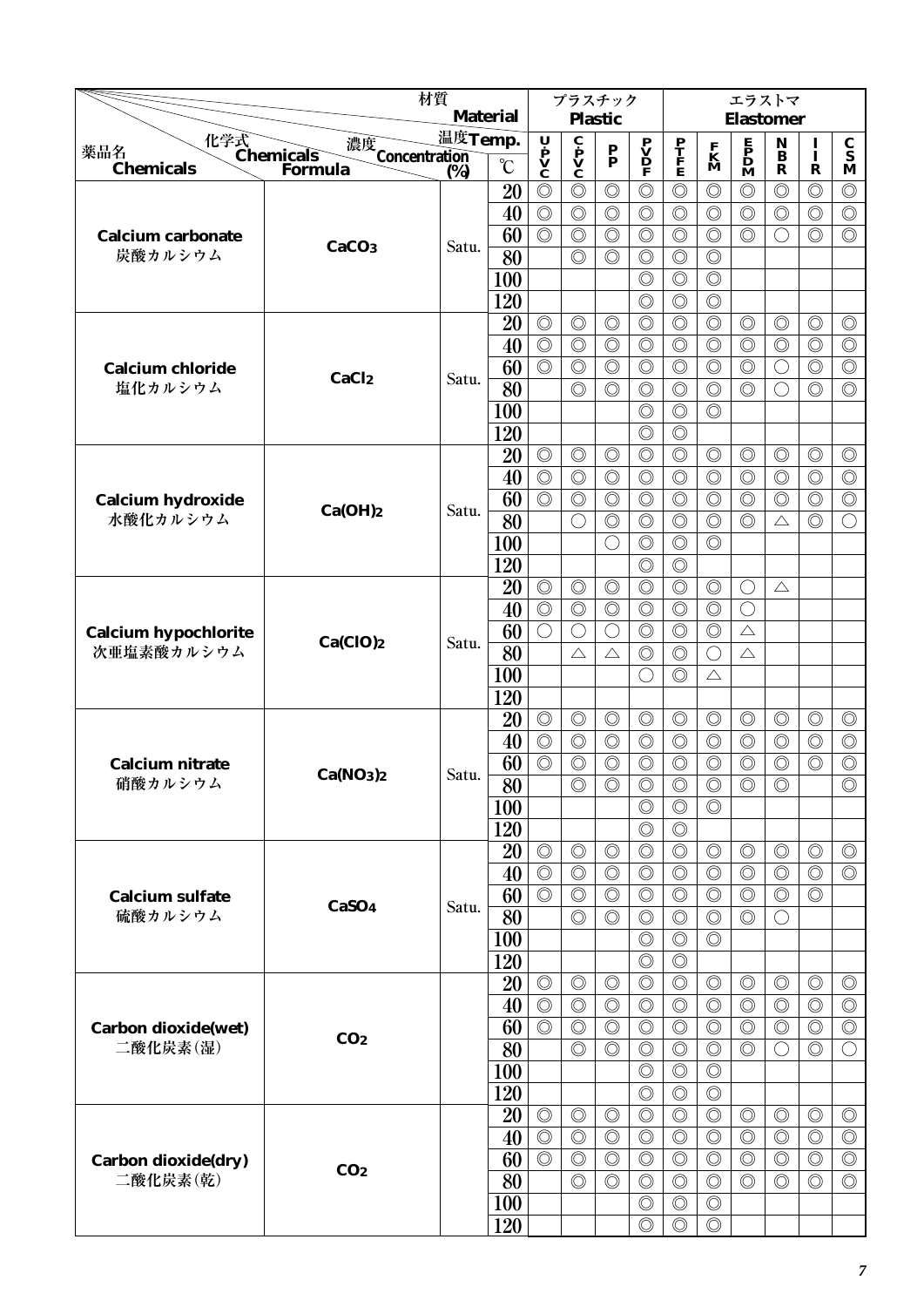|                                    |                                   | 材質                        |                 |                                                                                       | プラスチック                                                                  |                                  |                                                                                     |                                  |                                  | エラストマ                                                                               |                                  |                                  |                                  |
|------------------------------------|-----------------------------------|---------------------------|-----------------|---------------------------------------------------------------------------------------|-------------------------------------------------------------------------|----------------------------------|-------------------------------------------------------------------------------------|----------------------------------|----------------------------------|-------------------------------------------------------------------------------------|----------------------------------|----------------------------------|----------------------------------|
|                                    |                                   |                           | <b>Material</b> |                                                                                       |                                                                         | <b>Plastic</b>                   |                                                                                     |                                  |                                  | <b>Elastomer</b>                                                                    |                                  |                                  |                                  |
| 化学式<br>Chemicals<br>Forn<br>薬品名    | 濃度<br>Concentration<br>(%)        | 温度Temp.                   |                 |                                                                                       | $\overline{\mathbf{c}}$<br>$\mathbf{p}$<br>$\mathbf{v}$<br>$\mathbf{c}$ | $\frac{\mathbf{P}}{\mathbf{P}}$  | $\begin{array}{c} \mathbf{P} \\ \mathbf{V} \\ \mathbf{D} \\ \mathbf{F} \end{array}$ | $\frac{\mathbf{P}}{\mathbf{F}}$  | $\frac{\mathbf{F}}{\mathbf{M}}$  | $\begin{array}{c} \mathbf{E} \\ \mathbf{P} \\ \mathbf{D} \\ \mathbf{M} \end{array}$ | $\mathbf N$<br>$\bf{B}$          | $\mathbf{I}$                     | $\frac{\mathbf{C}}{\mathbf{S}}$  |
| <b>Chemicals</b>                   | <b>Formula</b>                    | $\overline{\binom{0}{6}}$ | $\rm ^{\circ}C$ | $\begin{array}{c}\n\mathbf{U} \\ \mathbf{P} \\ \mathbf{V} \\ \mathbf{C}\n\end{array}$ |                                                                         |                                  |                                                                                     |                                  |                                  |                                                                                     | $\mathbf R$                      | R                                | M                                |
|                                    |                                   |                           | 20              | $\circledcirc$                                                                        | $\circledcirc$                                                          | $\circledcirc$                   | $\circledcirc$                                                                      | $\circledcirc$                   | $\circledcirc$                   | $\circledcirc$                                                                      | $\circledcirc$                   | $\circledcirc$                   | $\circledcirc$                   |
|                                    |                                   |                           | 40              | $\circledcirc$                                                                        | $\circledcirc$                                                          | $\circledcirc$                   | $\circledcirc$                                                                      | $\circledcirc$                   | $\circledcirc$                   | $\circledcirc$                                                                      | $\circledcirc$                   | $\circledcirc$                   | $\circledcirc$                   |
| <b>Calcium carbonate</b>           | CaCO <sub>3</sub>                 | Satu.                     | 60              | $\circledcirc$                                                                        | $\circledcirc$                                                          | $\circledcirc$                   | $\circledcirc$                                                                      | $\circledcirc$                   | $\circledcirc$                   | $\circledcirc$                                                                      | ( )                              | $\circledcirc$                   | $\circledcirc$                   |
| 炭酸カルシウム                            |                                   |                           | 80              |                                                                                       | $\circledcirc$                                                          | $\circledcirc$                   | $\circledcirc$                                                                      | $\circledcirc$                   | $\circledcirc$                   |                                                                                     |                                  |                                  |                                  |
|                                    |                                   |                           | 100             |                                                                                       |                                                                         |                                  | $\circledcirc$                                                                      | $\circledcirc$                   | $\circledcirc$                   |                                                                                     |                                  |                                  |                                  |
|                                    |                                   |                           | 120             |                                                                                       |                                                                         |                                  | $\circledcirc$                                                                      | $\circledcirc$                   | $\circledcirc$                   |                                                                                     |                                  |                                  |                                  |
|                                    |                                   |                           | 20              | $\circledcirc$                                                                        | $\circledcirc$                                                          | $\circledcirc$                   | $\circledcirc$                                                                      | $\circledcirc$                   | $\circledcirc$                   | $\circledcirc$                                                                      | $\circledcirc$                   | $\circledcirc$                   | $\circledcirc$                   |
|                                    |                                   |                           | 40              | $\circledcirc$<br>$\overline{\circlearrowright}$                                      | $\circledcirc$                                                          | $\circledcirc$                   | $\circledcirc$                                                                      | $\circledcirc$                   | $\circledcirc$                   | $\circledcirc$                                                                      | $\circledcirc$                   | $\circledcirc$                   | $\circledcirc$                   |
| <b>Calcium chloride</b><br>塩化カルシウム | CaCl <sub>2</sub>                 | Satu.                     | 60              |                                                                                       | $\circledcirc$                                                          | $\circledcirc$<br>$\circledcirc$ | $\circledcirc$                                                                      | $\circledcirc$                   | $\circledcirc$                   | $\circledcirc$                                                                      | $\bigcirc$                       | $\circledcirc$                   | $\circledcirc$                   |
|                                    |                                   |                           | 80              |                                                                                       | $\circledcirc$                                                          |                                  | $\circledcirc$                                                                      | $\circledcirc$                   | $\circledcirc$                   | $\circledcirc$                                                                      | ◯                                | $\circledcirc$                   | $\circledcirc$                   |
|                                    |                                   |                           | 100             |                                                                                       |                                                                         |                                  | $\circledcirc$<br>$\circledcirc$                                                    | $\circledcirc$<br>$\circledcirc$ | $\circledcirc$                   |                                                                                     |                                  |                                  |                                  |
|                                    |                                   |                           | 120             | $\circledcirc$                                                                        | $\circledcirc$                                                          | $\circledcirc$                   | $\circledcirc$                                                                      | $\circledcirc$                   | $\circledcirc$                   | $\circledcirc$                                                                      | $\circledcirc$                   | $\circledcirc$                   | $\circledcirc$                   |
|                                    |                                   |                           | 20<br>40        | $\circledcirc$                                                                        | $\circledcirc$                                                          | $\circledcirc$                   | $\circledcirc$                                                                      | $\circledcirc$                   | $\circledcirc$                   | $\circledcirc$                                                                      | $\circledcirc$                   | $\circledcirc$                   | $\circledcirc$                   |
|                                    |                                   |                           | 60              | $\circledcirc$                                                                        | $\circledcirc$                                                          | $\circledcirc$                   | $\circledcirc$                                                                      | $\circledcirc$                   | $\circledcirc$                   | $\circledcirc$                                                                      | $\circledcirc$                   | $\circledcirc$                   | $\circledcirc$                   |
| Calcium hydroxide<br>水酸化カルシウム      | Ca(OH)2                           | Satu.                     | 80              |                                                                                       | $\bigcirc$                                                              | $\circledcirc$                   | $\circledcirc$                                                                      | $\circledcirc$                   | $\circledcirc$                   | $\circledcirc$                                                                      | $\triangle$                      | $\circledcirc$                   | $\bigcirc$                       |
|                                    |                                   |                           | 100             |                                                                                       |                                                                         | ∩                                | $\circledcirc$                                                                      | $\circledcirc$                   | $\circledcirc$                   |                                                                                     |                                  |                                  |                                  |
|                                    |                                   |                           | 120             |                                                                                       |                                                                         |                                  | $\circledcirc$                                                                      | $\circledcirc$                   |                                  |                                                                                     |                                  |                                  |                                  |
|                                    |                                   |                           | 20              | $\circledcirc$                                                                        | $\circledcirc$                                                          | $\circledcirc$                   | $\circledcirc$                                                                      | $\circledcirc$                   | $\circledcirc$                   | $\bigcirc$                                                                          | $\triangle$                      |                                  |                                  |
|                                    |                                   |                           | 40              | $\overline{\circlearrowright}$                                                        | $\circledcirc$                                                          | $\circledcirc$                   | $\circledcirc$                                                                      | $\circledcirc$                   | $\circledcirc$                   | O                                                                                   |                                  |                                  |                                  |
| <b>Calcium hypochlorite</b>        |                                   |                           | 60              | $\bigcirc$                                                                            | $\bigcirc$                                                              | ◯                                | $\circledcirc$                                                                      | $\circledcirc$                   | $\circledcirc$                   | $\triangle$                                                                         |                                  |                                  |                                  |
| 次亜塩素酸カルシウム                         | Ca(CIO)2                          | Satu.                     | 80              |                                                                                       | $\triangle$                                                             | $\triangle$                      | $\circledcirc$                                                                      | $\circledcirc$                   | $\bigcirc$                       | $\triangle$                                                                         |                                  |                                  |                                  |
|                                    |                                   |                           | 100             |                                                                                       |                                                                         |                                  | $\bigcirc$                                                                          | $\circledcirc$                   | $\triangle$                      |                                                                                     |                                  |                                  |                                  |
|                                    |                                   |                           | 120             |                                                                                       |                                                                         |                                  |                                                                                     |                                  |                                  |                                                                                     |                                  |                                  |                                  |
|                                    |                                   |                           | 20              | $\circledcirc$                                                                        | $\circledcirc$                                                          | $\circledcirc$                   | $\circledcirc$                                                                      | $\circledcirc$                   | $\circledcirc$                   | $\circledcirc$                                                                      | $\circledcirc$                   | $\circledcirc$                   | $\circledcirc$                   |
|                                    |                                   |                           | 40              | $\circledcirc$                                                                        | $\circledcirc$                                                          | $\circledcirc$                   | $\circledcirc$                                                                      | $\circledcirc$                   | $\circledcirc$                   | $\circledcirc$                                                                      | $\circledcirc$                   | $\circledcirc$                   | $\circledcirc$                   |
| Calcium nitrate                    | Ca(NO <sub>3</sub> ) <sub>2</sub> |                           | 60              | $\circledcirc$                                                                        | $\circledcirc$                                                          | $\circledcirc$                   | $\circledcirc$                                                                      | $\circledcirc$                   | $\circledcirc$                   | $\circledcirc$                                                                      | $\circledcirc$                   | $\circledcirc$                   | $\circledcirc$                   |
| 硝酸カルシウム                            |                                   | Satu.                     | $\overline{80}$ |                                                                                       | $\circledcirc$                                                          | $\circledcirc$                   | $\circledcirc$                                                                      | $\circledcirc$                   | $\circledcirc$                   | $\circledcirc$                                                                      | $\circledcirc$                   |                                  | $\overline{\circ}$               |
|                                    |                                   |                           | 100             |                                                                                       |                                                                         |                                  | $\circledcirc$                                                                      | $\circledcirc$                   | $\circledcirc$                   |                                                                                     |                                  |                                  |                                  |
|                                    |                                   |                           | 120             |                                                                                       |                                                                         |                                  | $\circledcirc$                                                                      | $\circledcirc$                   |                                  |                                                                                     |                                  |                                  |                                  |
|                                    |                                   |                           | 20              | $\circledcirc$                                                                        | $\circledcirc$                                                          | $\circledcirc$                   | $\circledcirc$                                                                      | $\circledcirc$                   | $\circledcirc$                   | $\circledcirc$                                                                      | $\circledcirc$                   | $\circledcirc$                   | $\circledcirc$                   |
|                                    |                                   |                           | 40              | $\circledcirc$                                                                        | $\circledcirc$                                                          | $\circledcirc$                   | $\circledcirc$                                                                      | $\circledcirc$                   | $\circledcirc$                   | $\circledcirc$                                                                      | $\circledcirc$                   | $\circledcirc$                   | $\circledcirc$                   |
| <b>Calcium sulfate</b>             | CaSO <sub>4</sub>                 | Satu.                     | 60              | $\circledcirc$                                                                        | $\circledcirc$                                                          | $\circledcirc$                   | $\circledcirc$                                                                      | $\circledcirc$                   | $\circledcirc$                   | $\circledcirc$                                                                      | $\circledcirc$                   | $\circledcirc$                   |                                  |
| 硫酸カルシウム                            |                                   |                           | 80              |                                                                                       | $\circledcirc$                                                          | $\circledcirc$                   | $\circledcirc$                                                                      | $\circledcirc$                   | $\circledcirc$                   | $\circledcirc$                                                                      | $\left(\right)$                  |                                  |                                  |
|                                    |                                   |                           | <b>100</b>      |                                                                                       |                                                                         |                                  | $\circledcirc$                                                                      | $\circledcirc$                   | $\circledcirc$                   |                                                                                     |                                  |                                  |                                  |
|                                    |                                   |                           | 120             |                                                                                       |                                                                         |                                  | $\circledcirc$                                                                      | $\circledcirc$                   |                                  |                                                                                     |                                  |                                  |                                  |
|                                    |                                   |                           | 20<br>40        | $\circledcirc$<br>$\circledcirc$                                                      | $\circledcirc$<br>$\circledcirc$                                        | $\circledcirc$<br>$\circledcirc$ | $\circledcirc$<br>$\circledcirc$                                                    | $\circledcirc$<br>$\circledcirc$ | $\circledcirc$<br>$\circledcirc$ | $\circledcirc$<br>$\circledcirc$                                                    | $\circledcirc$<br>$\circledcirc$ | $\circledcirc$<br>$\circledcirc$ | $\circledcirc$<br>$\circledcirc$ |
|                                    |                                   |                           | 60              | $\circledcirc$                                                                        | $\circledcirc$                                                          | $\circledcirc$                   | $\circledcirc$                                                                      | $\circledcirc$                   | $\circledcirc$                   | $\circledcirc$                                                                      | $\circledcirc$                   | $\circledcirc$                   | $\circledcirc$                   |
| Carbon dioxide(wet)<br>二酸化炭素(湿)    | CO <sub>2</sub>                   |                           | 80              |                                                                                       | $\circledcirc$                                                          | $\circledcirc$                   | $\circledcirc$                                                                      | $\circledcirc$                   | $\circledcirc$                   | $\circledcirc$                                                                      | ◯                                | $\circledcirc$                   | $\bigcirc$                       |
|                                    |                                   |                           | <b>100</b>      |                                                                                       |                                                                         |                                  | $\circledcirc$                                                                      | $\circledcirc$                   | $\circledcirc$                   |                                                                                     |                                  |                                  |                                  |
|                                    |                                   |                           | 120             |                                                                                       |                                                                         |                                  | $\circledcirc$                                                                      | $\circledcirc$                   | $\circledcirc$                   |                                                                                     |                                  |                                  |                                  |
|                                    |                                   |                           | 20              | $\circledcirc$                                                                        | $\circledcirc$                                                          | $\circledcirc$                   | $\circledcirc$                                                                      | $\circledcirc$                   | $\circledcirc$                   | $\circledcirc$                                                                      | $\circledcirc$                   | $\circledcirc$                   | $\circledcirc$                   |
|                                    |                                   |                           | 40              | $\circledcirc$                                                                        | $\circledcirc$                                                          | $\circledcirc$                   | $\circledcirc$                                                                      | $\circledcirc$                   | $\circledcirc$                   | $\circledcirc$                                                                      | $\circledcirc$                   | $\circledcirc$                   | $\circledcirc$                   |
| Carbon dioxide(dry)                |                                   |                           | 60              | $\circledcirc$                                                                        | $\circledcirc$                                                          | $\circledcirc$                   | $\circledcirc$                                                                      | $\circledcirc$                   | $\circledcirc$                   | $\circledcirc$                                                                      | $\circledcirc$                   | $\circledcirc$                   | $\circledcirc$                   |
| 二酸化炭素(乾)                           | CO <sub>2</sub>                   |                           | 80              |                                                                                       | $\circledcirc$                                                          | $\circledcirc$                   | $\circledcirc$                                                                      | $\circledcirc$                   | $\circledcirc$                   | $\circledcirc$                                                                      | $\circledcirc$                   | $\circledcirc$                   | $\circledcirc$                   |
|                                    |                                   |                           | <b>100</b>      |                                                                                       |                                                                         |                                  | $\circledcirc$                                                                      | $\circledcirc$                   | $\circledcirc$                   |                                                                                     |                                  |                                  |                                  |
|                                    |                                   |                           | 120             |                                                                                       |                                                                         |                                  | $\circledcirc$                                                                      | $\circledcirc$                   | $\circledcirc$                   |                                                                                     |                                  |                                  |                                  |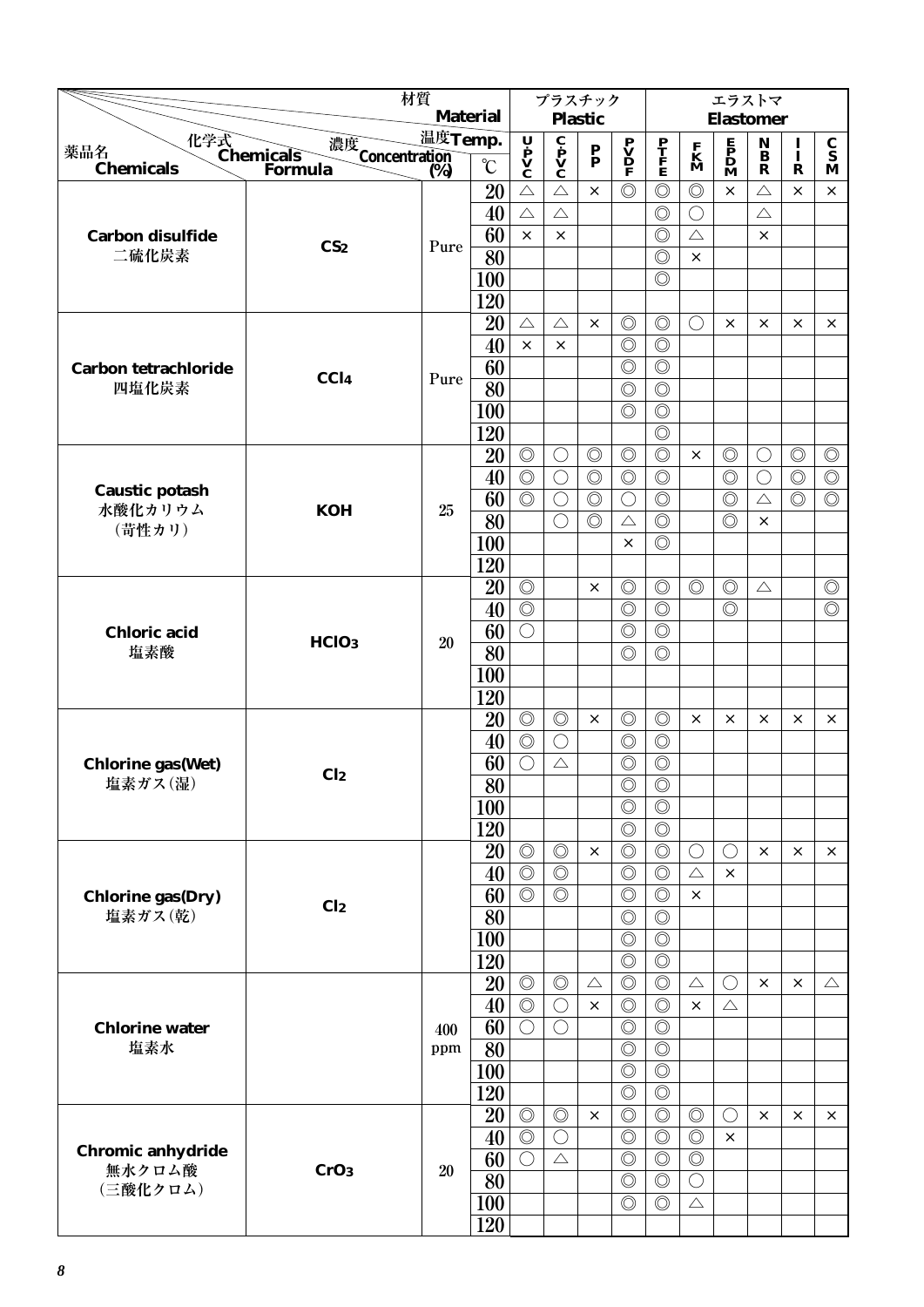|                                      | 材質                                     |           |                 |                                  | プラスチック                                       |                                 |                                                                                     |                                  |                                  | エラストマ                                        |                              |                |                                 |
|--------------------------------------|----------------------------------------|-----------|-----------------|----------------------------------|----------------------------------------------|---------------------------------|-------------------------------------------------------------------------------------|----------------------------------|----------------------------------|----------------------------------------------|------------------------------|----------------|---------------------------------|
|                                      |                                        |           | <b>Material</b> |                                  |                                              | <b>Plastic</b>                  |                                                                                     |                                  |                                  | <b>Elastomer</b>                             |                              |                |                                 |
| 薬品名                                  | 濃度                                     | 温度Temp.   |                 |                                  |                                              |                                 |                                                                                     |                                  |                                  |                                              | $\mathbf{N}$<br>$\mathbf{B}$ | $\mathbf{I}$   | $\frac{\mathbf{C}}{\mathbf{S}}$ |
| 化学式<br>Chemicals<br><b>Chemicals</b> | <b>Concentration</b><br><b>Formula</b> | (%)       | $\rm ^{\circ}C$ | U P<br>V<br>C                    | $\mathbf{c}$<br>$\mathbf{v}$<br>$\mathbf{c}$ | $\frac{\mathbf{P}}{\mathbf{P}}$ | $\begin{array}{c} \mathbf{P} \\ \mathbf{V} \\ \mathbf{D} \\ \mathbf{F} \end{array}$ | $\frac{\mathbf{P}}{\mathbf{F}}$  | $\mathbf{K}$<br>$\mathbf{M}$     | $\mathbf{F}$<br>$\mathbf{D}$<br>$\mathbf{M}$ | $\mathbf R$                  | $\mathbf R$    | M                               |
|                                      |                                        |           | 20              | $\triangle$                      | $\triangle$                                  | $\times$                        | $\circledcirc$                                                                      | $\circledcirc$                   | $\circledcirc$                   | $\times$                                     | $\triangle$                  | $\times$       | $\times$                        |
|                                      |                                        |           | 40              | $\triangle$                      | $\triangle$                                  |                                 |                                                                                     | $\circledcirc$                   | $\bigcirc$                       |                                              | $\triangle$                  |                |                                 |
| <b>Carbon disulfide</b>              |                                        |           | 60              | $\times$                         | X                                            |                                 |                                                                                     | $\circledcirc$                   | $\triangle$                      |                                              | $\times$                     |                |                                 |
| 二硫化炭素                                | CS <sub>2</sub>                        | Pure      | $\overline{80}$ |                                  |                                              |                                 |                                                                                     | $\circledcirc$                   | $\times$                         |                                              |                              |                |                                 |
|                                      |                                        |           | 100             |                                  |                                              |                                 |                                                                                     | $\circledcirc$                   |                                  |                                              |                              |                |                                 |
|                                      |                                        |           | 120             |                                  |                                              |                                 |                                                                                     |                                  |                                  |                                              |                              |                |                                 |
|                                      |                                        |           | 20              | $\triangle$                      | $\triangle$                                  | $\times$                        | $\circledcirc$                                                                      | $\circledcirc$                   | $\bigcirc$                       | $\times$                                     | $\times$                     | $\times$       | $\times$                        |
|                                      |                                        |           | 40              | $\times$                         | $\times$                                     |                                 | $\circledcirc$                                                                      | $\circledcirc$                   |                                  |                                              |                              |                |                                 |
| <b>Carbon tetrachloride</b>          |                                        |           | 60              |                                  |                                              |                                 | $\circledcirc$                                                                      | $\circledcirc$                   |                                  |                                              |                              |                |                                 |
| 四塩化炭素                                | CCI <sub>4</sub>                       | Pure      | 80              |                                  |                                              |                                 | $\circledcirc$                                                                      | $\circledcirc$                   |                                  |                                              |                              |                |                                 |
|                                      |                                        |           | <b>100</b>      |                                  |                                              |                                 | $\circledcirc$                                                                      | $\circledcirc$                   |                                  |                                              |                              |                |                                 |
|                                      |                                        |           | 120             |                                  |                                              |                                 |                                                                                     | $\circledcirc$                   |                                  |                                              |                              |                |                                 |
|                                      |                                        |           | 20              | $\circledcirc$                   | $\bigcirc$                                   | $\circledcirc$                  | $\circledcirc$                                                                      | $\circledcirc$                   | $\times$                         | $\circledcirc$                               | O                            | $\circledcirc$ | $\circledcirc$                  |
|                                      |                                        |           | 40              | $\circledcirc$                   | $\bigcirc$                                   | $\circledcirc$                  | $\circledcirc$                                                                      | $\circledcirc$                   |                                  | $\circledcirc$                               | $\bigcirc$                   | $\circledcirc$ | $\circledcirc$                  |
| <b>Caustic potash</b>                |                                        |           | 60              | $\circledcirc$                   | $\bigcirc$                                   | $\circledcirc$                  | $\bigcirc$                                                                          | $\circledcirc$                   |                                  | $\circledcirc$                               | $\triangle$                  | $\circledcirc$ | $\circledcirc$                  |
| 水酸化カリウム<br>(苛性カリ)                    | <b>KOH</b>                             | 25        | 80              |                                  | $\bigcirc$                                   | $\circledcirc$                  | $\triangle$                                                                         | $\circledcirc$                   |                                  | $\circledcirc$                               | $\times$                     |                |                                 |
|                                      |                                        |           | 100             |                                  |                                              |                                 | $\times$                                                                            | $\circledcirc$                   |                                  |                                              |                              |                |                                 |
|                                      |                                        |           | 120             |                                  |                                              |                                 |                                                                                     |                                  |                                  |                                              |                              |                |                                 |
|                                      |                                        |           | 20              | $\circledcirc$                   |                                              | $\times$                        | $\circledcirc$                                                                      | $\circledcirc$                   | $\circledcirc$                   | $\circledcirc$                               | $\triangle$                  |                | $\circledcirc$                  |
|                                      |                                        |           | 40              | $\circledcirc$                   |                                              |                                 | $\circledcirc$                                                                      | $\circledcirc$                   |                                  | $\circledcirc$                               |                              |                | $\circledcirc$                  |
| <b>Chloric</b> acid                  | HClO <sub>3</sub>                      | <b>20</b> | 60              | $\bigcirc$                       |                                              |                                 | $\circledcirc$                                                                      | $\circledcirc$                   |                                  |                                              |                              |                |                                 |
| 塩素酸                                  |                                        |           | 80              |                                  |                                              |                                 | $\circledcirc$                                                                      | $\circledcirc$                   |                                  |                                              |                              |                |                                 |
|                                      |                                        |           | 100             |                                  |                                              |                                 |                                                                                     |                                  |                                  |                                              |                              |                |                                 |
|                                      |                                        |           | 120             |                                  |                                              |                                 |                                                                                     |                                  |                                  |                                              |                              |                |                                 |
|                                      |                                        |           | 20              | $\circledcirc$                   | $\circledcirc$                               | $\times$                        | $\circledcirc$                                                                      | $\circledcirc$                   | $\times$                         | $\times$                                     | $\times$                     | $\times$       | $\times$                        |
|                                      |                                        |           | 40              | $\circledcirc$                   | $\bigcirc$                                   |                                 | $\circledcirc$                                                                      | $\circledcirc$                   |                                  |                                              |                              |                |                                 |
| <b>Chlorine gas(Wet)</b>             | Cl <sub>2</sub>                        |           | 60              | $\bigcirc$                       | $\triangle$                                  |                                 | $\circledcirc$                                                                      | $\circledcirc$                   |                                  |                                              |                              |                |                                 |
| 塩素ガス(湿)                              |                                        |           | $\overline{80}$ |                                  |                                              |                                 | $\circledcirc$                                                                      | $\overline{\circledcirc}$        |                                  |                                              |                              |                |                                 |
|                                      |                                        |           | 100             |                                  |                                              |                                 | $\circledcirc$                                                                      | $\circledcirc$                   |                                  |                                              |                              |                |                                 |
|                                      |                                        |           | 120             |                                  |                                              |                                 | $\circledcirc$                                                                      | $\circledcirc$                   |                                  |                                              |                              |                |                                 |
|                                      |                                        |           | 20              | $\circledcirc$                   | $\circledcirc$                               | $\times$                        | $\circledcirc$                                                                      | $\circledcirc$                   | $\bigcirc$                       | $\bigcirc$                                   | $\times$                     | $\times$       | $\times$                        |
|                                      |                                        |           | 40              | $\circledcirc$                   | $\circledcirc$                               |                                 | $\circledcirc$                                                                      | $\circledcirc$                   | $\triangle$                      | $\times$                                     |                              |                |                                 |
| <b>Chlorine gas(Dry)</b>             | Cl <sub>2</sub>                        |           | 60              | $\circledcirc$                   | $\circledcirc$                               |                                 | $\circledcirc$                                                                      | $\circledcirc$                   | $\times$                         |                                              |                              |                |                                 |
| 塩素ガス(乾)                              |                                        |           | 80              |                                  |                                              |                                 | $\circledcirc$                                                                      | $\circledcirc$                   |                                  |                                              |                              |                |                                 |
|                                      |                                        |           | 100             |                                  |                                              |                                 | $\circledcirc$                                                                      | $\circledcirc$                   |                                  |                                              |                              |                |                                 |
|                                      |                                        |           | 120             |                                  |                                              |                                 | $\circledcirc$                                                                      | $\circledcirc$                   |                                  |                                              |                              |                |                                 |
|                                      |                                        |           | 20              | $\circledcirc$                   | $\circledcirc$                               | $\triangle$                     | $\circledcirc$                                                                      | $\circledcirc$                   | $\triangle$                      | $\bigcirc$                                   | $\times$                     | $\times$       | $\triangle$                     |
|                                      |                                        |           | 40              | $\circledcirc$                   | $\bigcirc$                                   | $\times$                        | $\circledcirc$                                                                      | $\circledcirc$                   | $\times$                         | $\triangle$                                  |                              |                |                                 |
| <b>Chlorine water</b>                |                                        | 400       | 60              | $\bigcirc$                       | $\bigcirc$                                   |                                 | $\circledcirc$                                                                      | $\circledcirc$                   |                                  |                                              |                              |                |                                 |
| 塩素水                                  |                                        | ppm       | 80              |                                  |                                              |                                 | $\circledcirc$                                                                      | $\circledcirc$                   |                                  |                                              |                              |                |                                 |
|                                      |                                        |           | <b>100</b>      |                                  |                                              |                                 | $\circledcirc$                                                                      | $\circledcirc$                   |                                  |                                              |                              |                |                                 |
|                                      |                                        |           | 120             |                                  |                                              | $\times$                        | $\circledcirc$<br>$\circledcirc$                                                    | $\circledcirc$<br>$\circledcirc$ |                                  |                                              |                              |                |                                 |
|                                      |                                        |           | 20              | $\circledcirc$<br>$\circledcirc$ | $\circledcirc$<br>$\bigcirc$                 |                                 | $\circledcirc$                                                                      | $\circledcirc$                   | $\circledcirc$<br>$\circledcirc$ | $\bigcirc$<br>$\times$                       | $\times$                     | $\times$       | $\times$                        |
| Chromic anhydride                    |                                        |           | 40<br>60        | $\bigcirc$                       | $\triangle$                                  |                                 | $\circledcirc$                                                                      | $\circledcirc$                   | $\circledcirc$                   |                                              |                              |                |                                 |
| 無水クロム酸                               | CrO <sub>3</sub>                       | 20        | 80              |                                  |                                              |                                 | $\circledcirc$                                                                      | $\circledcirc$                   | $\bigcirc$                       |                                              |                              |                |                                 |
| (三酸化クロム)                             |                                        |           | 100             |                                  |                                              |                                 | $\circledcirc$                                                                      | $\circledcirc$                   | $\triangle$                      |                                              |                              |                |                                 |
|                                      |                                        |           |                 |                                  |                                              |                                 |                                                                                     |                                  |                                  |                                              |                              |                |                                 |
|                                      |                                        |           | 120             |                                  |                                              |                                 |                                                                                     |                                  |                                  |                                              |                              |                |                                 |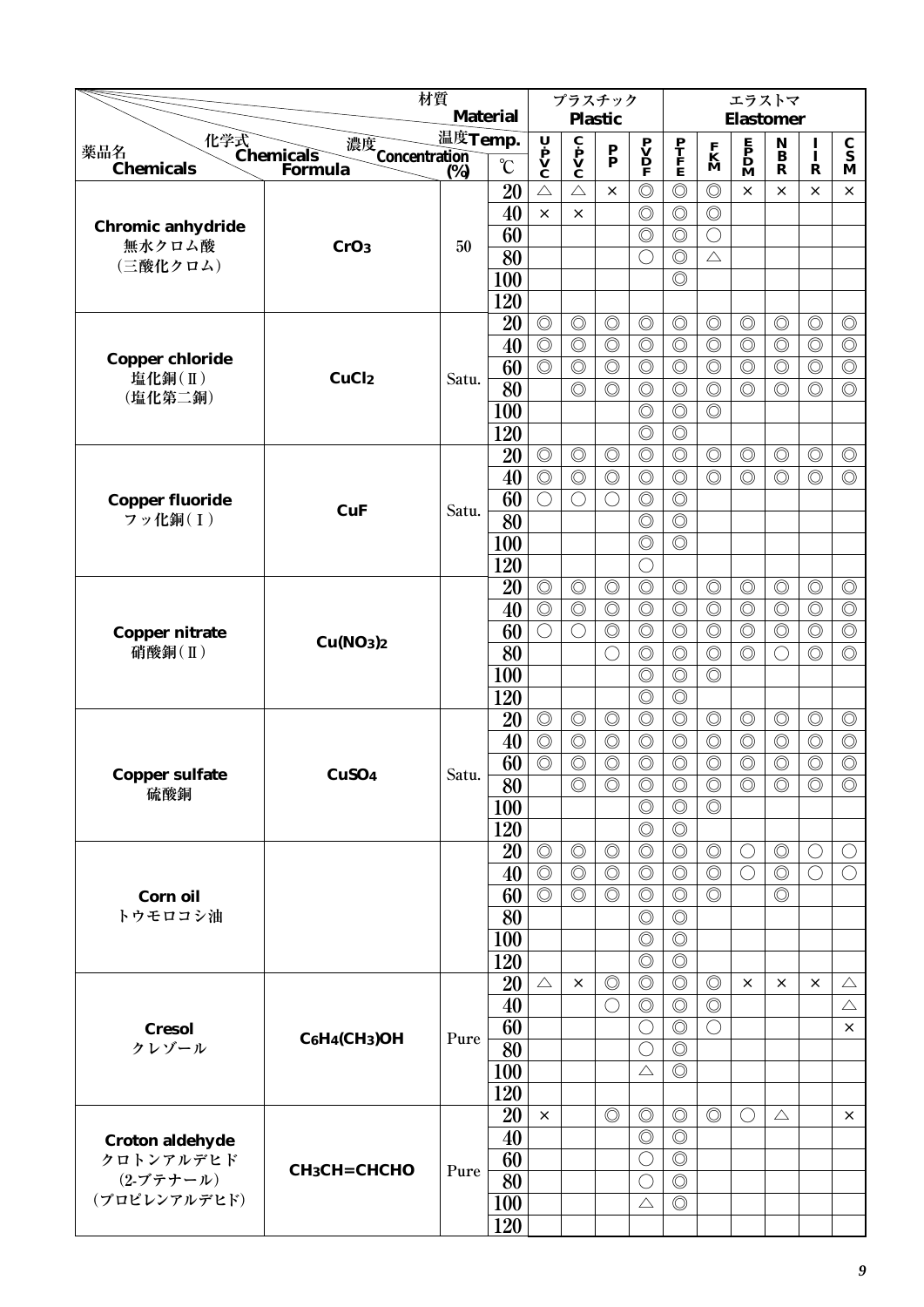|                                               | 材質                                             |                  |                       | プラスチック                                                                                |                                                                         |                                  |                                                                                     |                                      | エラストマ                                |                                                                                     |                                  |                                  |                                         |
|-----------------------------------------------|------------------------------------------------|------------------|-----------------------|---------------------------------------------------------------------------------------|-------------------------------------------------------------------------|----------------------------------|-------------------------------------------------------------------------------------|--------------------------------------|--------------------------------------|-------------------------------------------------------------------------------------|----------------------------------|----------------------------------|-----------------------------------------|
|                                               |                                                |                  | <b>Material</b>       |                                                                                       |                                                                         | <b>Plastic</b>                   |                                                                                     |                                      |                                      | <b>Elastomer</b>                                                                    |                                  |                                  |                                         |
| 薬品名                                           | 化学式<br>Chemicals<br>濃度<br>Concentration<br>(%) | 温度Temp.          |                       | $\begin{array}{c}\n\mathbf{U} \\ \mathbf{P} \\ \mathbf{V} \\ \mathbf{C}\n\end{array}$ | $\overline{\mathbf{c}}$<br>$\mathbf{p}$<br>$\mathbf{v}$<br>$\mathbf{c}$ | $\frac{\mathbf{P}}{\mathbf{P}}$  | $\begin{array}{c} \mathbf{P} \\ \mathbf{V} \\ \mathbf{D} \\ \mathbf{F} \end{array}$ | $\frac{\mathbf{P}}{\mathbf{F}}$      | $\mathbf{K}$<br>$\mathbf{M}$         | $\begin{array}{c} \mathbf{E} \\ \mathbf{P} \\ \mathbf{D} \\ \mathbf{M} \end{array}$ | ${\bf N}$<br>$\, {\bf B}$        | $\frac{1}{1}$                    | $\frac{\mathbf{C}}{\mathbf{S}}$         |
| <b>Chemicals</b>                              | Formula                                        | $\overline{(}\%$ | $\rm ^{\circ}C$       |                                                                                       |                                                                         |                                  |                                                                                     |                                      |                                      |                                                                                     | $\mathbf R$                      | $\mathbf R$                      | M                                       |
|                                               |                                                |                  | 20                    | $\triangle$                                                                           | $\triangle$                                                             | $\times$                         | $\circledcirc$                                                                      | $\circledcirc$                       | $\circledcirc$                       | $\times$                                                                            | $\times$                         | $\times$                         | $\times$                                |
| <b>Chromic anhydride</b>                      |                                                |                  | 40                    | $\times$                                                                              | $\times$                                                                |                                  | $\circledcirc$                                                                      | $\circledcirc$                       | $\circledcirc$                       |                                                                                     |                                  |                                  |                                         |
| 無水クロム酸                                        | CrO <sub>3</sub>                               | 50               | 60                    |                                                                                       |                                                                         |                                  | $\circledcirc$                                                                      | $\circledcirc$                       | $\bigcirc$                           |                                                                                     |                                  |                                  |                                         |
| (三酸化クロム)                                      |                                                |                  | 80                    |                                                                                       |                                                                         |                                  | $\bigcirc$                                                                          | $\circledcirc$                       | $\triangle$                          |                                                                                     |                                  |                                  |                                         |
|                                               |                                                |                  | 100                   |                                                                                       |                                                                         |                                  |                                                                                     | $\circledcirc$                       |                                      |                                                                                     |                                  |                                  |                                         |
|                                               |                                                |                  | 120<br>20             | $\circledcirc$                                                                        | $\circledcirc$                                                          | $\circledcirc$                   | $\circledcirc$                                                                      | $\circledcirc$                       | $\circledcirc$                       | $\circledcirc$                                                                      | $\circledcirc$                   | $\circledcirc$                   | $\circledcirc$                          |
|                                               |                                                |                  | 40                    | $\circledcirc$                                                                        | $\circledcirc$                                                          | $\circledcirc$                   | $\circledcirc$                                                                      | $\circledcirc$                       | $\circledcirc$                       | $\circledcirc$                                                                      | $\circledcirc$                   | $\circledcirc$                   | $\circledcirc$                          |
| <b>Copper chloride</b>                        |                                                |                  | 60                    | $\overline{\circlearrowright}$                                                        | $\circledcirc$                                                          | $\circledcirc$                   | $\circledcirc$                                                                      | $\circledcirc$                       | $\circledcirc$                       | $\circledcirc$                                                                      | $\circledcirc$                   | $\circledcirc$                   | $\circledcirc$                          |
| 塩化銅(II)                                       | CuCl <sub>2</sub>                              | Satu.            | 80                    |                                                                                       | $\circledcirc$                                                          | $\circledcirc$                   | $\circledcirc$                                                                      | $\circledcirc$                       | $\circledcirc$                       | $\circledcirc$                                                                      | $\circledcirc$                   | $\circledcirc$                   | $\circledcirc$                          |
| (塩化第二銅)                                       |                                                |                  | 100                   |                                                                                       |                                                                         |                                  | $\circledcirc$                                                                      | $\circledcirc$                       | $\circledcirc$                       |                                                                                     |                                  |                                  |                                         |
|                                               |                                                |                  | 120                   |                                                                                       |                                                                         |                                  | $\circledcirc$                                                                      | $\circledcirc$                       |                                      |                                                                                     |                                  |                                  |                                         |
|                                               |                                                |                  | 20                    | $\circledcirc$                                                                        | $\circledcirc$                                                          | $\circledcirc$                   | $\circledcirc$                                                                      | $\circledcirc$                       | $\circledcirc$                       | $\circledcirc$                                                                      | $\circledcirc$                   | $\circledcirc$                   | $\circledcirc$                          |
|                                               |                                                |                  | 40                    | $\circledcirc$                                                                        | $\circledcirc$                                                          | $\circledcirc$                   | $\circledcirc$                                                                      | $\circledcirc$                       | $\circledcirc$                       | $\circledcirc$                                                                      | $\circledcirc$                   | $\circledcirc$                   | $\circledcirc$                          |
| <b>Copper fluoride</b>                        |                                                |                  | 60                    | $\bigcirc$                                                                            | $\bigcirc$                                                              | $\bigcirc$                       | $\circledcirc$                                                                      | $\circledcirc$                       |                                      |                                                                                     |                                  |                                  |                                         |
| フッ化銅(I)                                       | <b>CuF</b>                                     | Satu.            | 80                    |                                                                                       |                                                                         |                                  | $\circledcirc$                                                                      | $\circledcirc$                       |                                      |                                                                                     |                                  |                                  |                                         |
|                                               |                                                |                  | 100                   |                                                                                       |                                                                         |                                  | $\circledcirc$                                                                      | $\circledcirc$                       |                                      |                                                                                     |                                  |                                  |                                         |
|                                               |                                                |                  | 120                   |                                                                                       |                                                                         |                                  | $\bigcirc$                                                                          |                                      |                                      |                                                                                     |                                  |                                  |                                         |
|                                               |                                                |                  | 20                    | $\circledcirc$                                                                        | $\circledcirc$                                                          | $\circledcirc$                   | $\circledcirc$                                                                      | $\circledcirc$                       | $\circledcirc$                       | $\circledcirc$                                                                      | $\circledcirc$                   | $\circledcirc$                   | $\circledcirc$                          |
|                                               |                                                |                  | 40                    | $\overline{\circlearrowright}$                                                        | $\circledcirc$                                                          | $\circledcirc$                   | $\circledcirc$                                                                      | $\circledcirc$                       | $\circledcirc$                       | $\circledcirc$                                                                      | $\circledcirc$                   | $\circledcirc$                   | $\overline{\circlearrowright}$          |
| <b>Copper nitrate</b>                         | Cu(NO <sub>3</sub> ) <sub>2</sub>              |                  | 60                    | $\bigcirc$                                                                            | $\bigcirc$                                                              | $\circledcirc$                   | $\circledcirc$                                                                      | $\circledcirc$                       | $\circledcirc$                       | $\circledcirc$                                                                      | $\circledcirc$                   | $\circledcirc$                   | $\circledcirc$                          |
| 硝酸銅(II)                                       |                                                |                  | 80                    |                                                                                       |                                                                         | ◯                                | $\circledcirc$                                                                      | $\circledcirc$                       | $\circledcirc$                       | $\circledcirc$                                                                      |                                  | $\circledcirc$                   | $\circledcirc$                          |
|                                               |                                                |                  | <b>100</b>            |                                                                                       |                                                                         |                                  | $\circledcirc$                                                                      | $\circledcirc$                       | $\circledcirc$                       |                                                                                     |                                  |                                  |                                         |
|                                               |                                                |                  | 120                   |                                                                                       |                                                                         |                                  | $\circledcirc$                                                                      | $\circledcirc$                       |                                      |                                                                                     |                                  |                                  |                                         |
|                                               |                                                |                  | 20                    | $\circledcirc$                                                                        | $\circledcirc$                                                          | $\circledcirc$                   | $\circledcirc$                                                                      | $\circledcirc$                       | $\circledcirc$                       | $\circledcirc$                                                                      | $\circledcirc$                   | $\circledcirc$                   | $\circledcirc$                          |
|                                               |                                                |                  | 40                    | $\circledcirc$                                                                        | $\circledcirc$                                                          | $\circledcirc$                   | $\circledcirc$                                                                      | $\circledcirc$                       | $\circledcirc$                       | $\circledcirc$                                                                      | $\circledcirc$                   | $\circledcirc$                   | $\circledcirc$                          |
| <b>Copper sulfate</b>                         | CuSO <sub>4</sub>                              | Satu.            | 60<br>$\overline{80}$ | $\circledcirc$                                                                        | $\circledcirc$<br>$\circledcirc$                                        | $\circledcirc$<br>$\circledcirc$ | $\circledcirc$<br>$\overline{\circ}$                                                | $\circledcirc$<br>$\overline{\circ}$ | $\circledcirc$<br>$\overline{\circ}$ | $\circledcirc$<br>$\circledcirc$                                                    | $\circledcirc$<br>$\circledcirc$ | $\circledcirc$<br>$\circledcirc$ | $\circledcirc$<br>$\overline{\bigcirc}$ |
| 硫酸銅                                           |                                                |                  | <b>100</b>            |                                                                                       |                                                                         |                                  | $\circledcirc$                                                                      | $\circledcirc$                       | $\circledcirc$                       |                                                                                     |                                  |                                  |                                         |
|                                               |                                                |                  | 120                   |                                                                                       |                                                                         |                                  | $\circledcirc$                                                                      | $\circledcirc$                       |                                      |                                                                                     |                                  |                                  |                                         |
|                                               |                                                |                  | 20                    | $\circledcirc$                                                                        | $\circledcirc$                                                          | $\circledcirc$                   | $\circledcirc$                                                                      | $\circledcirc$                       | $\circledcirc$                       | $\bigcirc$                                                                          | $\circledcirc$                   | $\bigcirc$                       | $\bigcirc$                              |
|                                               |                                                |                  | 40                    | $\circledcirc$                                                                        | $\circledcirc$                                                          | $\circledcirc$                   | $\circledcirc$                                                                      | $\circledcirc$                       | $\circledcirc$                       | $\bigcirc$                                                                          | $\circledcirc$                   | $\bigcirc$                       | $\bigcirc$                              |
| Corn oil                                      |                                                |                  | 60                    | $\circledcirc$                                                                        | $\circledcirc$                                                          | $\circledcirc$                   | $\circledcirc$                                                                      | $\circledcirc$                       | $\circledcirc$                       |                                                                                     | $\circledcirc$                   |                                  |                                         |
| トウモロコシ油                                       |                                                |                  | 80                    |                                                                                       |                                                                         |                                  | $\circledcirc$                                                                      | $\circledcirc$                       |                                      |                                                                                     |                                  |                                  |                                         |
|                                               |                                                |                  | 100                   |                                                                                       |                                                                         |                                  | $\circledcirc$                                                                      | $\circledcirc$                       |                                      |                                                                                     |                                  |                                  |                                         |
|                                               |                                                |                  | 120                   |                                                                                       |                                                                         |                                  | $\circledcirc$                                                                      | $\circledcirc$                       |                                      |                                                                                     |                                  |                                  |                                         |
|                                               |                                                |                  | 20                    | $\triangle$                                                                           | $\times$                                                                | $\circledcirc$                   | $\circledcirc$                                                                      | $\circledcirc$                       | $\circledcirc$                       | $\times$                                                                            | $\times$                         | $\times$                         | $\triangle$                             |
|                                               |                                                |                  | 40                    |                                                                                       |                                                                         | $\bigcirc$                       | $\circledcirc$                                                                      | $\circledcirc$                       | $\circledcirc$                       |                                                                                     |                                  |                                  | $\triangle$                             |
| <b>Cresol</b>                                 | $C_6H_4CH_3)OH$                                | Pure             | 60                    |                                                                                       |                                                                         |                                  | $\bigcirc$                                                                          | $\circledcirc$                       | $\bigcirc$                           |                                                                                     |                                  |                                  | $\times$                                |
| クレゾール                                         |                                                |                  | 80                    |                                                                                       |                                                                         |                                  | $\bigcirc$                                                                          | $\circledcirc$                       |                                      |                                                                                     |                                  |                                  |                                         |
|                                               |                                                |                  | 100                   |                                                                                       |                                                                         |                                  | $\triangle$                                                                         | $\circledcirc$                       |                                      |                                                                                     |                                  |                                  |                                         |
|                                               |                                                |                  | 120                   |                                                                                       |                                                                         |                                  |                                                                                     |                                      |                                      |                                                                                     |                                  |                                  |                                         |
|                                               |                                                |                  | 20                    | $\times$                                                                              |                                                                         | $\circledcirc$                   | $\circledcirc$                                                                      | $\circledcirc$                       | $\circledcirc$                       | $\bigcirc$                                                                          | $\triangle$                      |                                  | $\times$                                |
| <b>Croton aldehyde</b>                        |                                                |                  | 40                    |                                                                                       |                                                                         |                                  | $\circledcirc$                                                                      | $\circledcirc$                       |                                      |                                                                                     |                                  |                                  |                                         |
| クロトンアルデヒド<br>$(2 - 7)$ $\tau$ $+ - 1$ $\nu$ ) | СН3СН=СНСНО                                    | Pure             | 60                    |                                                                                       |                                                                         |                                  | $\bigcirc$                                                                          | $\circledcirc$<br>$\circledcirc$     |                                      |                                                                                     |                                  |                                  |                                         |
| (プロピレンアルデヒド)                                  |                                                |                  | 80<br>100             |                                                                                       |                                                                         |                                  | $\bigcirc$<br>$\triangle$                                                           | $\circledcirc$                       |                                      |                                                                                     |                                  |                                  |                                         |
|                                               |                                                |                  | 120                   |                                                                                       |                                                                         |                                  |                                                                                     |                                      |                                      |                                                                                     |                                  |                                  |                                         |
|                                               |                                                |                  |                       |                                                                                       |                                                                         |                                  |                                                                                     |                                      |                                      |                                                                                     |                                  |                                  |                                         |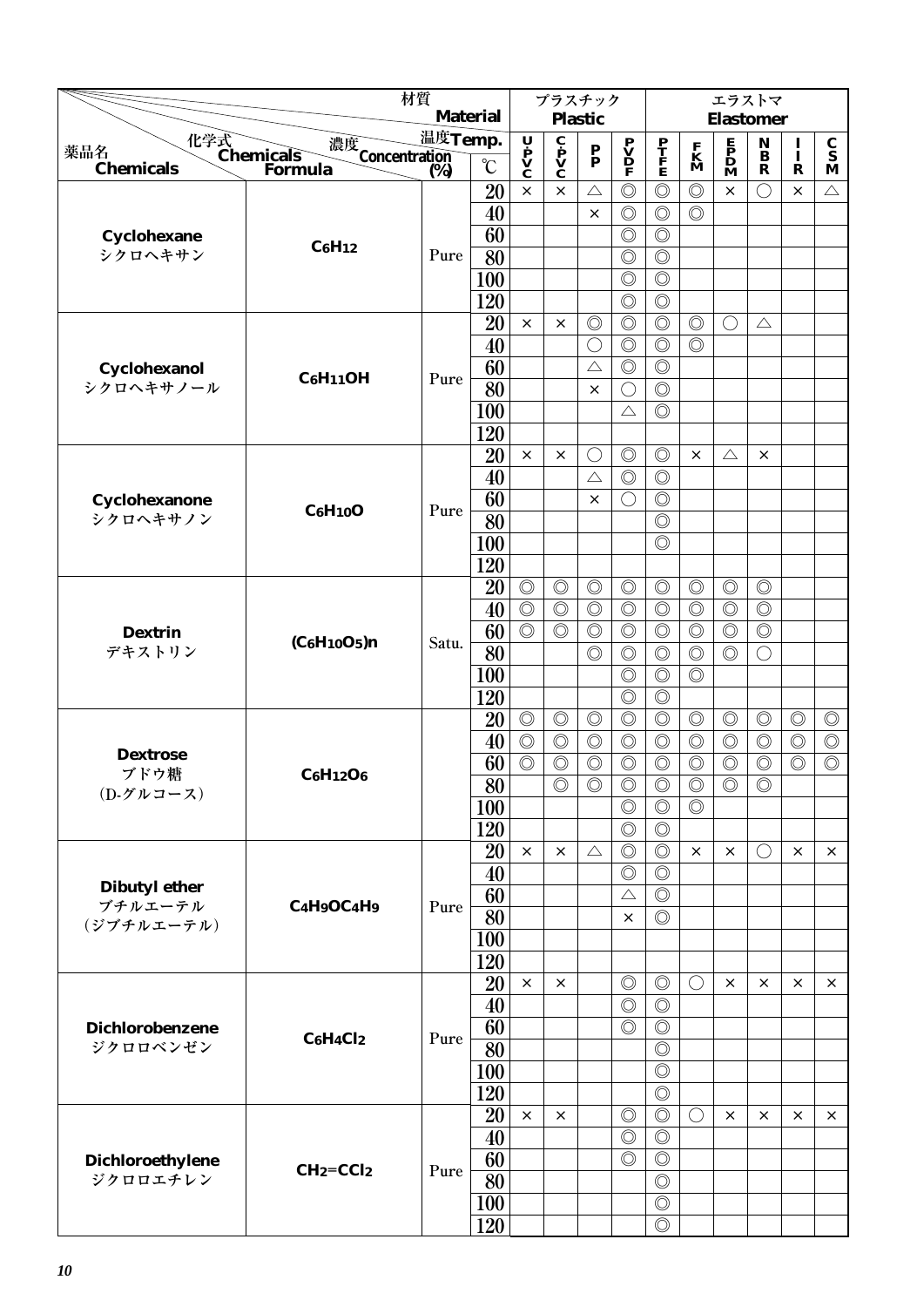|                              | 材質                                                           |         |                 | プラスチック                                                                                |                                                         |                           |                                                                                     |                                  | エラストマ                        |                                                                                     |                                                         |                |                                 |
|------------------------------|--------------------------------------------------------------|---------|-----------------|---------------------------------------------------------------------------------------|---------------------------------------------------------|---------------------------|-------------------------------------------------------------------------------------|----------------------------------|------------------------------|-------------------------------------------------------------------------------------|---------------------------------------------------------|----------------|---------------------------------|
|                              |                                                              |         | <b>Material</b> |                                                                                       |                                                         | <b>Plastic</b>            |                                                                                     |                                  |                              | <b>Elastomer</b>                                                                    |                                                         |                |                                 |
| 薬品名                          | 化学式<br>Chemicals<br>濃度<br>Concentration<br>(%)               | 温度Temp. |                 |                                                                                       |                                                         | $\mathbf{P}_{\mathbf{P}}$ |                                                                                     |                                  |                              |                                                                                     | $\begin{array}{c} \mathbf{N} \\ \mathbf{B} \end{array}$ | $\mathbf{I}$   | $\frac{\mathbf{C}}{\mathbf{S}}$ |
| <b>Chemicals</b>             | Formula                                                      | (%)     | $\rm ^{\circ}C$ | $\begin{array}{c}\n\mathbf{U} \\ \mathbf{P} \\ \mathbf{V} \\ \mathbf{C}\n\end{array}$ | $\overline{\mathbf{c}}$<br>$\mathbf{v}$<br>$\mathbf{v}$ |                           | $\begin{array}{c} \mathbf{P} \\ \mathbf{V} \\ \mathbf{D} \\ \mathbf{F} \end{array}$ | P<br>T<br>F<br>E                 | $\mathbf{K}$<br>$\mathbf{M}$ | $\begin{array}{c} \mathbf{E} \\ \mathbf{P} \\ \mathbf{D} \\ \mathbf{M} \end{array}$ | $\mathbf R$                                             | $\mathbf R$    | M                               |
|                              |                                                              |         | 20              | $\times$                                                                              | $\times$                                                | $\triangle$               | $\circledcirc$                                                                      | $\circledcirc$                   | $\circledcirc$               | $\times$                                                                            | ∩                                                       | $\times$       | $\triangle$                     |
|                              |                                                              |         | 40              |                                                                                       |                                                         | $\times$                  | $\circledcirc$                                                                      | $\circledcirc$                   | $\circledcirc$               |                                                                                     |                                                         |                |                                 |
| Cyclohexane                  | $C_6H_{12}$                                                  |         | 60              |                                                                                       |                                                         |                           | $\circledcirc$                                                                      | $\circledcirc$                   |                              |                                                                                     |                                                         |                |                                 |
| シクロヘキサン                      |                                                              | Pure    | 80              |                                                                                       |                                                         |                           | $\circledcirc$                                                                      | $\circledcirc$                   |                              |                                                                                     |                                                         |                |                                 |
|                              |                                                              |         | 100             |                                                                                       |                                                         |                           | $\circledcirc$                                                                      | $\circledcirc$                   |                              |                                                                                     |                                                         |                |                                 |
|                              |                                                              |         | 120             |                                                                                       |                                                         |                           | $\circledcirc$                                                                      | $\circledcirc$                   |                              |                                                                                     |                                                         |                |                                 |
|                              |                                                              |         | 20              | $\times$                                                                              | $\times$                                                | $\circledcirc$            | $\circledcirc$                                                                      | $\circledcirc$                   | $\circledcirc$               | O                                                                                   | $\triangle$                                             |                |                                 |
|                              |                                                              |         | 40              |                                                                                       |                                                         | $\bigcirc$                | $\circledcirc$                                                                      | $\circledcirc$                   | $\circledcirc$               |                                                                                     |                                                         |                |                                 |
| Cyclohexanol                 | C <sub>6</sub> H <sub>11</sub> OH                            | Pure    | 60              |                                                                                       |                                                         | $\triangle$               | $\circledcirc$                                                                      | $\circledcirc$                   |                              |                                                                                     |                                                         |                |                                 |
| シクロヘキサノール                    |                                                              |         | 80              |                                                                                       |                                                         | $\times$                  | $\bigcirc$                                                                          | $\circledcirc$                   |                              |                                                                                     |                                                         |                |                                 |
|                              |                                                              |         | 100             |                                                                                       |                                                         |                           | $\triangle$                                                                         | $\circledcirc$                   |                              |                                                                                     |                                                         |                |                                 |
|                              |                                                              |         | 120             |                                                                                       |                                                         |                           |                                                                                     |                                  |                              |                                                                                     |                                                         |                |                                 |
|                              |                                                              |         | 20              | $\times$                                                                              | $\times$                                                | $\bigcirc$                | $\circledcirc$                                                                      | $\circledcirc$                   | $\times$                     | $\triangle$                                                                         | $\times$                                                |                |                                 |
|                              |                                                              |         | 40              |                                                                                       |                                                         | $\triangle$               | $\circledcirc$                                                                      | $\circledcirc$                   |                              |                                                                                     |                                                         |                |                                 |
| Cyclohexanone                | C <sub>6</sub> H <sub>10</sub> O                             | Pure    | 60              |                                                                                       |                                                         | $\times$                  | $\bigcirc$                                                                          | $\circledcirc$                   |                              |                                                                                     |                                                         |                |                                 |
| シクロヘキサノン                     |                                                              |         | 80              |                                                                                       |                                                         |                           |                                                                                     | $\circledcirc$                   |                              |                                                                                     |                                                         |                |                                 |
|                              |                                                              |         | 100             |                                                                                       |                                                         |                           |                                                                                     | $\circledcirc$                   |                              |                                                                                     |                                                         |                |                                 |
|                              |                                                              |         | 120             |                                                                                       |                                                         |                           |                                                                                     |                                  |                              |                                                                                     |                                                         |                |                                 |
|                              |                                                              |         | 20              | $\circledcirc$                                                                        | $\circledcirc$                                          | $\circledcirc$            | $\circledcirc$                                                                      | $\circledcirc$                   | $\circledcirc$               | $\circledcirc$                                                                      | $\circledcirc$                                          |                |                                 |
|                              |                                                              |         | 40              | $\circledcirc$                                                                        | $\circledcirc$                                          | $\circledcirc$            | $\circledcirc$                                                                      | $\circledcirc$                   | $\circledcirc$               | $\circledcirc$                                                                      | $\circledcirc$                                          |                |                                 |
| <b>Dextrin</b>               | (C6H10O5)n                                                   | Satu.   | 60              | $\circledcirc$                                                                        | $\circledcirc$                                          | $\circledcirc$            | $\circledcirc$                                                                      | $\circledcirc$                   | $\circledcirc$               | $\circledcirc$                                                                      | $\circledcirc$                                          |                |                                 |
| デキストリン                       |                                                              |         | 80              |                                                                                       |                                                         | $\circledcirc$            | $\circledcirc$                                                                      | $\circledcirc$                   | $\circledcirc$               | $\circledcirc$                                                                      | ( )                                                     |                |                                 |
|                              |                                                              |         | 100             |                                                                                       |                                                         |                           | $\circledcirc$                                                                      | $\circledcirc$                   | $\circledcirc$               |                                                                                     |                                                         |                |                                 |
|                              |                                                              |         | 120             |                                                                                       |                                                         |                           | $\circledcirc$                                                                      | $\circledcirc$                   |                              |                                                                                     |                                                         |                |                                 |
|                              |                                                              |         | 20              | $\circledcirc$                                                                        | $\circledcirc$                                          | $\circledcirc$            | $\circledcirc$                                                                      | $\circledcirc$                   | $\circledcirc$               | $\circledcirc$                                                                      | $\circledcirc$                                          | $\circledcirc$ | $\circledcirc$                  |
| <b>Dextrose</b>              |                                                              |         | 40              | $\circledcirc$                                                                        | $\circledcirc$                                          | $\circledcirc$            | $\circledcirc$                                                                      | $\circledcirc$                   | $\circledcirc$               | $\circledcirc$                                                                      | $\circledcirc$                                          | $\circledcirc$ | $\circledcirc$                  |
| ブドウ糖                         | $C_6H_{12}O_6$                                               |         | 60              | $\circledcirc$                                                                        | $\circledcirc$                                          | $\circledcirc$            | $\circledcirc$                                                                      | $\circledcirc$                   | $\circledcirc$               | $\circledcirc$                                                                      | $\circledcirc$                                          | $\circledcirc$ | $\circledcirc$                  |
| (D-グルコース)                    |                                                              |         | $\overline{80}$ |                                                                                       | $\circledcirc$                                          | $\circledcirc$            | $\circledcirc$                                                                      | $\circledcirc$                   | $\circledcirc$               | $\circledcirc$                                                                      | $\circledcirc$                                          |                |                                 |
|                              |                                                              |         | 100             |                                                                                       |                                                         |                           | $\circledcirc$                                                                      | $\circledcirc$                   | $\circledcirc$               |                                                                                     |                                                         |                |                                 |
|                              |                                                              |         | 120             |                                                                                       |                                                         |                           | $\circledcirc$                                                                      | $\circledcirc$                   |                              |                                                                                     |                                                         |                |                                 |
|                              |                                                              |         | 20              | $\times$                                                                              | $\times$                                                | $\triangle$               | $\circledcirc$                                                                      | $\circledcirc$                   | $\times$                     | $\times$                                                                            | $\left(\right)$                                         | ×              | $\times$                        |
| <b>Dibutyl ether</b>         |                                                              |         | 40              |                                                                                       |                                                         |                           | $\circledcirc$                                                                      | $\circledcirc$                   |                              |                                                                                     |                                                         |                |                                 |
| ブチルエーテル                      | C <sub>4</sub> H <sub>9</sub> OC <sub>4</sub> H <sub>9</sub> | Pure    | 60              |                                                                                       |                                                         |                           | $\triangle$                                                                         | $\circledcirc$                   |                              |                                                                                     |                                                         |                |                                 |
| (ジブチルエーテル)                   |                                                              |         | 80              |                                                                                       |                                                         |                           | $\times$                                                                            | $\circledcirc$                   |                              |                                                                                     |                                                         |                |                                 |
|                              |                                                              |         | 100             |                                                                                       |                                                         |                           |                                                                                     |                                  |                              |                                                                                     |                                                         |                |                                 |
|                              |                                                              |         | 120             |                                                                                       |                                                         |                           |                                                                                     |                                  |                              |                                                                                     |                                                         |                |                                 |
|                              |                                                              |         | 20              | $\times$                                                                              | $\times$                                                |                           | $\circledcirc$                                                                      | $\circledcirc$                   | $\bigcirc$                   | $\times$                                                                            | $\times$                                                | ×              | $\times$                        |
|                              |                                                              |         | 40              |                                                                                       |                                                         |                           | $\circledcirc$                                                                      | $\circledcirc$                   |                              |                                                                                     |                                                         |                |                                 |
| Dichlorobenzene<br>ジクロロベンゼン  | $C_6H_4Cl_2$                                                 | Pure    | 60              |                                                                                       |                                                         |                           | $\circledcirc$                                                                      | $\circledcirc$                   |                              |                                                                                     |                                                         |                |                                 |
|                              |                                                              |         | 80              |                                                                                       |                                                         |                           |                                                                                     | $\circledcirc$                   |                              |                                                                                     |                                                         |                |                                 |
|                              |                                                              |         | 100             |                                                                                       |                                                         |                           |                                                                                     | $\circledcirc$<br>$\circledcirc$ |                              |                                                                                     |                                                         |                |                                 |
|                              |                                                              |         | 120             | $\times$                                                                              |                                                         |                           |                                                                                     | $\circledcirc$                   |                              |                                                                                     |                                                         | $\times$       |                                 |
|                              |                                                              |         | 20              |                                                                                       | $\times$                                                |                           | $\circledcirc$<br>$\circledcirc$                                                    | $\circledcirc$                   | O                            | $\times$                                                                            | $\times$                                                |                | $\times$                        |
|                              |                                                              |         | 40<br>60        |                                                                                       |                                                         |                           | $\circledcirc$                                                                      | $\circledcirc$                   |                              |                                                                                     |                                                         |                |                                 |
| Dichloroethylene<br>ジクロロエチレン | $CH2=CCl2$                                                   | Pure    | 80              |                                                                                       |                                                         |                           |                                                                                     | $\circledcirc$                   |                              |                                                                                     |                                                         |                |                                 |
|                              |                                                              |         | <b>100</b>      |                                                                                       |                                                         |                           |                                                                                     | $\circledcirc$                   |                              |                                                                                     |                                                         |                |                                 |
|                              |                                                              |         | 120             |                                                                                       |                                                         |                           |                                                                                     | $\circledcirc$                   |                              |                                                                                     |                                                         |                |                                 |
|                              |                                                              |         |                 |                                                                                       |                                                         |                           |                                                                                     |                                  |                              |                                                                                     |                                                         |                |                                 |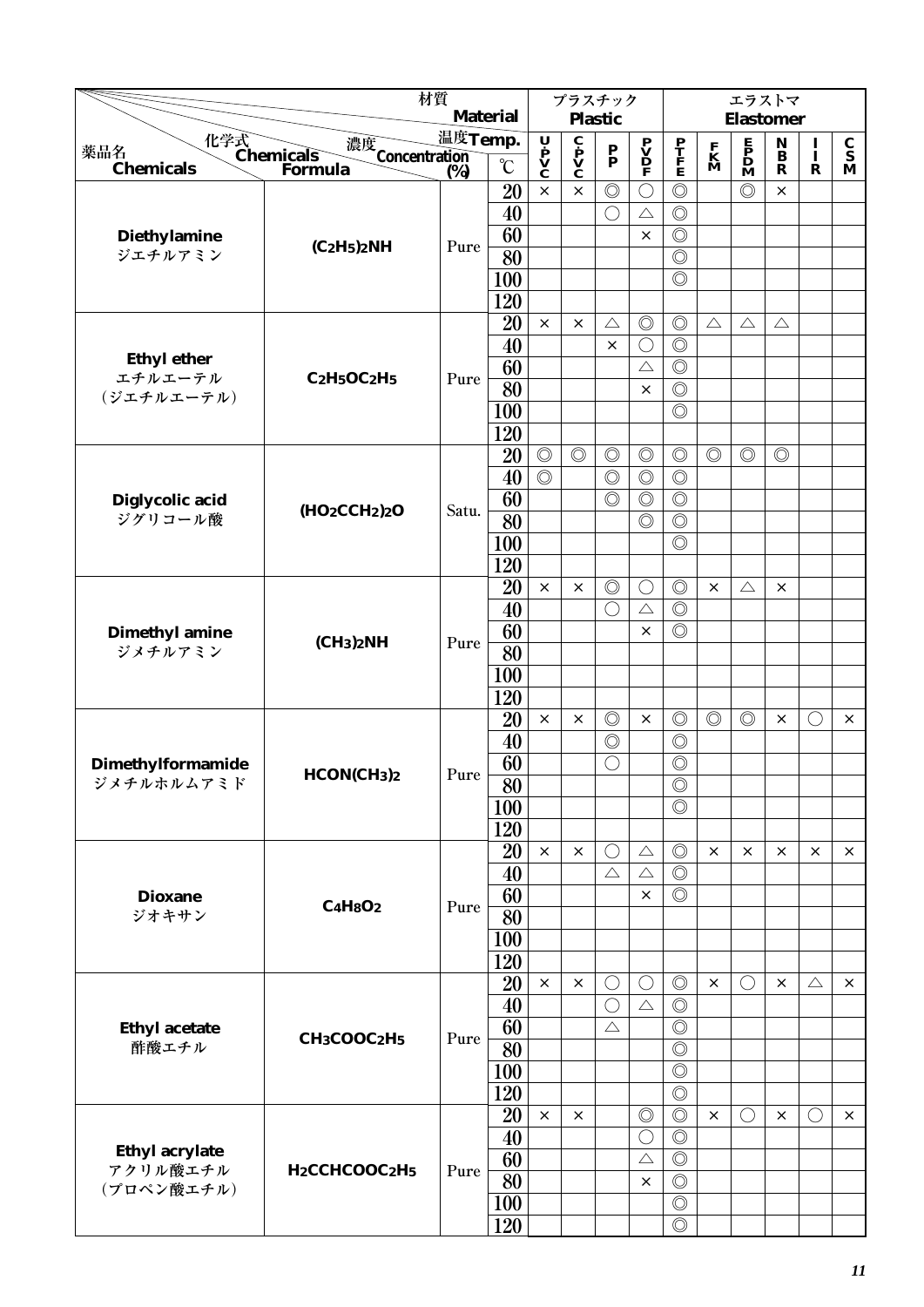|                       |                                                    | 材質                                  | <b>Material</b> |                                                                                       | プラスチック                                                  |                                 |                         |                                 |                              | エラストマ                                        |                                 |               |                                 |
|-----------------------|----------------------------------------------------|-------------------------------------|-----------------|---------------------------------------------------------------------------------------|---------------------------------------------------------|---------------------------------|-------------------------|---------------------------------|------------------------------|----------------------------------------------|---------------------------------|---------------|---------------------------------|
|                       |                                                    | 温度Temp.                             |                 |                                                                                       |                                                         | <b>Plastic</b>                  |                         |                                 |                              | <b>Elastomer</b>                             |                                 |               |                                 |
| 薬品名                   | 化学式<br>Chemicals<br>濃度<br>Concentration<br>(%)     |                                     |                 | $\begin{array}{c}\n\mathbf{U} \\ \mathbf{P} \\ \mathbf{V} \\ \mathbf{C}\n\end{array}$ | $\overline{\mathbf{c}}$<br>$\mathbf{v}$<br>$\mathbf{c}$ | $\frac{\mathbf{P}}{\mathbf{P}}$ | $\mathbf{P} \mathbf{V}$ | $\frac{\mathbf{P}}{\mathbf{F}}$ | $\mathbf{K}$<br>$\mathbf{M}$ | $\mathbf{P}$<br>$\mathbf{D}$<br>$\mathbf{M}$ | $\mathop{\bf B}\limits^{\bf N}$ | $\frac{I}{I}$ | $\frac{\mathbf{C}}{\mathbf{S}}$ |
| <b>Chemicals</b>      | Formula                                            | $\overline{\text{(*)}}$             | $\rm ^{\circ}C$ |                                                                                       |                                                         |                                 |                         |                                 |                              |                                              | $\mathbf R$                     | $\mathbf R$   | M                               |
|                       |                                                    |                                     | 20              | $\times$                                                                              | $\times$                                                | $\circledcirc$                  | $\bigcirc$              | $\circledcirc$                  |                              | $\circledcirc$                               | ×                               |               |                                 |
|                       |                                                    |                                     | 40              |                                                                                       |                                                         | $\bigcirc$                      | $\triangle$             | $\circledcirc$                  |                              |                                              |                                 |               |                                 |
| <b>Diethylamine</b>   | $(C_2H_5)_2NH$                                     | Pure                                | 60              |                                                                                       |                                                         |                                 | $\times$                | $\circledcirc$                  |                              |                                              |                                 |               |                                 |
| ジエチルアミン               |                                                    |                                     | 80              |                                                                                       |                                                         |                                 |                         | $\circledcirc$                  |                              |                                              |                                 |               |                                 |
|                       |                                                    |                                     | 100             |                                                                                       |                                                         |                                 |                         | $\circledcirc$                  |                              |                                              |                                 |               |                                 |
|                       |                                                    |                                     | 120             |                                                                                       |                                                         |                                 |                         |                                 |                              |                                              |                                 |               |                                 |
|                       |                                                    |                                     | 20              | $\times$                                                                              | $\times$                                                | $\triangle$                     | $\circledcirc$          | $\circledcirc$                  | $\triangle$                  | $\triangle$                                  | $\triangle$                     |               |                                 |
| <b>Ethyl ether</b>    |                                                    |                                     | 40              |                                                                                       |                                                         | $\times$                        | $\bigcirc$              | $\circledcirc$                  |                              |                                              |                                 |               |                                 |
| エチルエーテル               | $C_2H_5OC_2H_5$                                    | Pure                                | 60              |                                                                                       |                                                         |                                 | $\triangle$             | $\circledcirc$                  |                              |                                              |                                 |               |                                 |
| (ジエチルエーテル)            |                                                    |                                     | 80              |                                                                                       |                                                         |                                 | $\times$                | $\circledcirc$                  |                              |                                              |                                 |               |                                 |
|                       |                                                    |                                     | 100             |                                                                                       |                                                         |                                 |                         | $\circledcirc$                  |                              |                                              |                                 |               |                                 |
|                       |                                                    |                                     | 120             |                                                                                       |                                                         |                                 |                         |                                 |                              |                                              |                                 |               |                                 |
|                       |                                                    |                                     | 20              | $\circledcirc$                                                                        | $\circledcirc$                                          | $\circledcirc$                  | $\circledcirc$          | $\circledcirc$                  | $\circledcirc$               | $\circledcirc$                               | $\circledcirc$                  |               |                                 |
|                       |                                                    |                                     | 40              | $\circledcirc$                                                                        |                                                         | $\circledcirc$                  | $\circledcirc$          | $\circledcirc$                  |                              |                                              |                                 |               |                                 |
| Diglycolic acid       | (HO2CCH2)2O                                        | Satu.                               | 60              |                                                                                       |                                                         | $\circledcirc$                  | $\circledcirc$          | $\circledcirc$                  |                              |                                              |                                 |               |                                 |
| ジグリコール酸               |                                                    |                                     | 80              |                                                                                       |                                                         |                                 | $\circledcirc$          | $\circledcirc$                  |                              |                                              |                                 |               |                                 |
|                       |                                                    |                                     | 100             |                                                                                       |                                                         |                                 |                         | $\circledcirc$                  |                              |                                              |                                 |               |                                 |
|                       |                                                    |                                     | 120             |                                                                                       |                                                         |                                 |                         |                                 |                              |                                              |                                 |               |                                 |
|                       |                                                    |                                     | 20              | $\times$                                                                              | $\times$                                                | $\circledcirc$                  | $\bigcirc$              | $\circledcirc$                  | $\times$                     | $\triangle$                                  | $\times$                        |               |                                 |
|                       |                                                    |                                     | 40              |                                                                                       |                                                         | $\bigcirc$                      | $\triangle$             | $\circledcirc$                  |                              |                                              |                                 |               |                                 |
| <b>Dimethyl amine</b> | (CH <sub>3</sub> ) <sub>2</sub> NH                 | Pure                                | 60              |                                                                                       |                                                         |                                 | $\times$                | $\circledcirc$                  |                              |                                              |                                 |               |                                 |
| ジメチルアミン               |                                                    |                                     | 80              |                                                                                       |                                                         |                                 |                         |                                 |                              |                                              |                                 |               |                                 |
|                       |                                                    |                                     | 100             |                                                                                       |                                                         |                                 |                         |                                 |                              |                                              |                                 |               |                                 |
|                       |                                                    |                                     | 120             |                                                                                       |                                                         |                                 |                         |                                 |                              |                                              |                                 |               |                                 |
|                       |                                                    |                                     | 20              | $\times$                                                                              | ×                                                       | $\circledcirc$                  | $\times$                | $\circledcirc$                  | $\circledcirc$               | $\circledcirc$                               | ×                               | $\bigcirc$    | $\times$                        |
|                       |                                                    |                                     | 40              |                                                                                       |                                                         | $\circledcirc$                  |                         | $\circledcirc$                  |                              |                                              |                                 |               |                                 |
| Dimethylformamide     | HCONCH <sub>3</sub> ) <sub>2</sub>                 | $\ensuremath{\text{\textit{Pure}}}$ | 60              |                                                                                       |                                                         | $\bigcirc$                      |                         | $\circledcirc$                  |                              |                                              |                                 |               |                                 |
| ジメチルホルムアミド            |                                                    |                                     | $\overline{80}$ |                                                                                       |                                                         |                                 |                         | $\circledcirc$                  |                              |                                              |                                 |               |                                 |
|                       |                                                    |                                     | 100             |                                                                                       |                                                         |                                 |                         | $\circledcirc$                  |                              |                                              |                                 |               |                                 |
|                       |                                                    |                                     | 120             |                                                                                       |                                                         |                                 |                         |                                 |                              |                                              |                                 |               |                                 |
|                       |                                                    |                                     | 20              | $\times$                                                                              | ×                                                       | $\bigcirc$                      | $\triangle$             | $\circledcirc$                  | $\times$                     | ×                                            | ×                               | ×             | $\times$                        |
|                       |                                                    |                                     | 40              |                                                                                       |                                                         | $\triangle$                     | $\triangle$             | $\circledcirc$                  |                              |                                              |                                 |               |                                 |
| <b>Dioxane</b>        | $C_4H_8O_2$                                        | Pure                                | 60              |                                                                                       |                                                         |                                 | $\times$                | $\circledcirc$                  |                              |                                              |                                 |               |                                 |
| ジオキサン                 |                                                    |                                     | 80              |                                                                                       |                                                         |                                 |                         |                                 |                              |                                              |                                 |               |                                 |
|                       |                                                    |                                     | 100             |                                                                                       |                                                         |                                 |                         |                                 |                              |                                              |                                 |               |                                 |
|                       |                                                    |                                     | 120             |                                                                                       |                                                         |                                 |                         |                                 |                              |                                              |                                 |               |                                 |
|                       |                                                    |                                     | 20              | $\times$                                                                              | $\times$                                                | $\bigcirc$                      | $\bigcirc$              | $\circledcirc$                  | $\times$                     | $\left(\right)$                              | $\times$                        | $\triangle$   | $\times$                        |
|                       |                                                    |                                     | 40              |                                                                                       |                                                         | $\bigcirc$                      | $\triangle$             | $\circledcirc$                  |                              |                                              |                                 |               |                                 |
| <b>Ethyl acetate</b>  | CH <sub>3</sub> COOC <sub>2</sub> H <sub>5</sub>   | Pure                                | 60              |                                                                                       |                                                         | $\triangle$                     |                         | $\circledcirc$                  |                              |                                              |                                 |               |                                 |
| 酢酸エチル                 |                                                    |                                     | 80              |                                                                                       |                                                         |                                 |                         | $\circledcirc$                  |                              |                                              |                                 |               |                                 |
|                       |                                                    |                                     | 100             |                                                                                       |                                                         |                                 |                         | $\circledcirc$                  |                              |                                              |                                 |               |                                 |
|                       |                                                    |                                     | 120             |                                                                                       |                                                         |                                 |                         | $\circledcirc$                  |                              |                                              |                                 |               |                                 |
|                       |                                                    |                                     | 20              | $\times$                                                                              | $\times$                                                |                                 | $\circledcirc$          | $\circledcirc$                  | $\times$                     | $\left(\right)$                              | $\times$                        | $\bigcirc$    | $\times$                        |
| <b>Ethyl acrylate</b> |                                                    |                                     | 40              |                                                                                       |                                                         |                                 | $\bigcirc$              | $\circledcirc$                  |                              |                                              |                                 |               |                                 |
| アクリル酸エチル              | H <sub>2</sub> CCHCOOC <sub>2</sub> H <sub>5</sub> | Pure                                | 60              |                                                                                       |                                                         |                                 | $\triangle$             | $\circledcirc$                  |                              |                                              |                                 |               |                                 |
| (プロペン酸エチル)            |                                                    |                                     | 80              |                                                                                       |                                                         |                                 | $\times$                | $\circledcirc$                  |                              |                                              |                                 |               |                                 |
|                       |                                                    |                                     | 100             |                                                                                       |                                                         |                                 |                         | $\circledcirc$                  |                              |                                              |                                 |               |                                 |
|                       |                                                    |                                     | 120             |                                                                                       |                                                         |                                 |                         | $\circledcirc$                  |                              |                                              |                                 |               |                                 |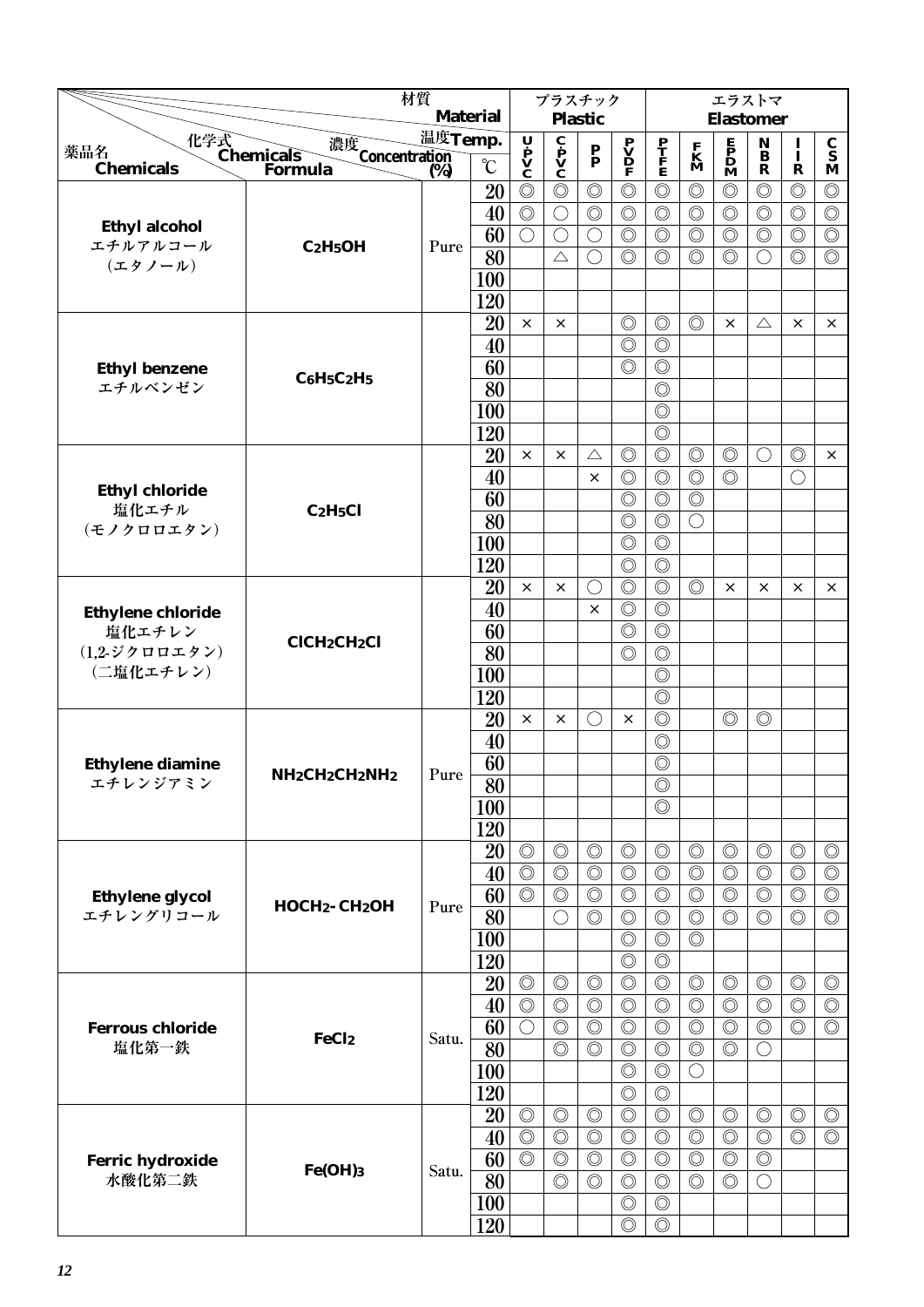|                                   | 材質                                                              |         |                 |                                                                                       | プラスチック                                       |                           |                                                                                     |                                  |                                  | エラストマ                                        |                     |                                  |                                  |
|-----------------------------------|-----------------------------------------------------------------|---------|-----------------|---------------------------------------------------------------------------------------|----------------------------------------------|---------------------------|-------------------------------------------------------------------------------------|----------------------------------|----------------------------------|----------------------------------------------|---------------------|----------------------------------|----------------------------------|
|                                   |                                                                 |         | <b>Material</b> |                                                                                       |                                              | <b>Plastic</b>            |                                                                                     |                                  |                                  | <b>Elastomer</b>                             |                     |                                  |                                  |
| 薬品名                               | 濃度<br>Concentration<br>(%)                                      | 温度Temp. |                 |                                                                                       |                                              | $\mathbf{P}_{\mathbf{P}}$ |                                                                                     |                                  |                                  |                                              | $\bf N$<br>$\bf{B}$ | $\mathbf{I}$                     | $\frac{\mathbf{C}}{\mathbf{S}}$  |
| <b>Chemicals</b>                  | 化学式<br>Chemicals<br>Forn<br>Formula                             | (%)     | $\rm ^{\circ}C$ | $\begin{array}{c}\n\mathbf{U} \\ \mathbf{P} \\ \mathbf{V} \\ \mathbf{C}\n\end{array}$ | $\mathbf{c}$<br>$\mathbf{v}$<br>$\mathbf{c}$ |                           | $\begin{array}{c} \mathbf{P} \\ \mathbf{V} \\ \mathbf{D} \\ \mathbf{F} \end{array}$ | P<br>T<br>F<br>E                 | $\mathbf{K}$<br>$\mathbf{M}$     | $\mathbf{P}$<br>$\mathbf{D}$<br>$\mathbf{M}$ | $\mathbf R$         | $\mathbf R$                      | M                                |
|                                   |                                                                 |         | 20              | $\circledcirc$                                                                        | $\circledcirc$                               | $\circledcirc$            | $\circledcirc$                                                                      | $\circledcirc$                   | $\circledcirc$                   | $\circledcirc$                               | $\circledcirc$      | $\circledcirc$                   | $\circledcirc$                   |
|                                   |                                                                 |         | 40              | $\circledcirc$                                                                        | $\bigcirc$                                   | $\circledcirc$            | $\circledcirc$                                                                      | $\circledcirc$                   | $\circledcirc$                   | $\circledcirc$                               | $\circledcirc$      | $\circledcirc$                   | $\circledcirc$                   |
| <b>Ethyl alcohol</b>              |                                                                 |         | 60              | $\bigcirc$                                                                            | $\bigcirc$                                   | $\left(\right)$           | $\circledcirc$                                                                      | $\circledcirc$                   | $\circledcirc$                   | $\circledcirc$                               | $\circledcirc$      | $\circledcirc$                   | $\circledcirc$                   |
| エチルアルコール<br>(エタノール)               | $C_2H_5OH$                                                      | Pure    | 80              |                                                                                       | $\triangle$                                  | $\bigcirc$                | $\circledcirc$                                                                      | $\circledcirc$                   | $\circledcirc$                   | $\circledcirc$                               | $\bigcirc$          | $\circledcirc$                   | $\circledcirc$                   |
|                                   |                                                                 |         | 100             |                                                                                       |                                              |                           |                                                                                     |                                  |                                  |                                              |                     |                                  |                                  |
|                                   |                                                                 |         | 120             |                                                                                       |                                              |                           |                                                                                     |                                  |                                  |                                              |                     |                                  |                                  |
|                                   |                                                                 |         | 20              | $\times$                                                                              | $\times$                                     |                           | $\circledcirc$                                                                      | $\circledcirc$                   | $\circledcirc$                   | ×                                            | $\triangle$         | ×                                | $\times$                         |
|                                   |                                                                 |         | 40              |                                                                                       |                                              |                           | $\circledcirc$                                                                      | $\circledcirc$                   |                                  |                                              |                     |                                  |                                  |
| <b>Ethyl benzene</b>              | $C_6H_5C_2H_5$                                                  |         | 60              |                                                                                       |                                              |                           | $\circledcirc$                                                                      | $\circledcirc$                   |                                  |                                              |                     |                                  |                                  |
| エチルベンゼン                           |                                                                 |         | 80              |                                                                                       |                                              |                           |                                                                                     | $\circledcirc$                   |                                  |                                              |                     |                                  |                                  |
|                                   |                                                                 |         | 100             |                                                                                       |                                              |                           |                                                                                     | $\circledcirc$                   |                                  |                                              |                     |                                  |                                  |
|                                   |                                                                 |         | 120             |                                                                                       |                                              |                           |                                                                                     | $\circledcirc$                   |                                  |                                              |                     |                                  |                                  |
|                                   |                                                                 |         | 20              | $\times$                                                                              | $\times$                                     | $\triangle$               | $\circledcirc$                                                                      | $\circledcirc$                   | $\circledcirc$                   | $\circledcirc$                               | $\bigcirc$          | $\circledcirc$                   | $\times$                         |
|                                   |                                                                 |         | 40              |                                                                                       |                                              | $\times$                  | $\circledcirc$                                                                      | $\circledcirc$                   | $\circledcirc$                   | $\circledcirc$                               |                     | $\bigcirc$                       |                                  |
| <b>Ethyl chloride</b><br>塩化エチル    | C <sub>2</sub> H <sub>5</sub> Cl                                |         | 60              |                                                                                       |                                              |                           | $\circledcirc$                                                                      | $\circledcirc$                   | $\circledcirc$                   |                                              |                     |                                  |                                  |
| (モノクロロエタン)                        |                                                                 |         | 80              |                                                                                       |                                              |                           | $\circledcirc$                                                                      | $\circledcirc$                   | $\bigcirc$                       |                                              |                     |                                  |                                  |
|                                   |                                                                 |         | 100             |                                                                                       |                                              |                           | $\circledcirc$                                                                      | $\circledcirc$                   |                                  |                                              |                     |                                  |                                  |
|                                   |                                                                 |         | 120             |                                                                                       |                                              |                           | $\circledcirc$                                                                      | $\circledcirc$                   |                                  |                                              |                     |                                  |                                  |
|                                   |                                                                 |         | 20              | ×                                                                                     | $\times$                                     | ◯                         | $\circledcirc$                                                                      | $\circledcirc$                   | $\circledcirc$                   | $\times$                                     | ×                   | $\times$                         | $\times$                         |
| <b>Ethylene chloride</b>          |                                                                 |         | 40              |                                                                                       |                                              | $\times$                  | $\circledcirc$                                                                      | $\circledcirc$                   |                                  |                                              |                     |                                  |                                  |
| 塩化エチレン                            | <b>CICH2CH2Cl</b>                                               |         | 60              |                                                                                       |                                              |                           | $\circledcirc$                                                                      | $\circledcirc$                   |                                  |                                              |                     |                                  |                                  |
| $(1,2-\frac{1}{2})$ クロロエタン)       |                                                                 |         | 80              |                                                                                       |                                              |                           | $\circledcirc$                                                                      | $\circledcirc$                   |                                  |                                              |                     |                                  |                                  |
| (二塩化エチレン)                         |                                                                 |         | 100             |                                                                                       |                                              |                           |                                                                                     | $\circledcirc$                   |                                  |                                              |                     |                                  |                                  |
|                                   |                                                                 |         | 120             |                                                                                       |                                              |                           |                                                                                     | $\circledcirc$                   |                                  |                                              |                     |                                  |                                  |
|                                   |                                                                 |         | 20              | $\times$                                                                              | ×                                            | $($ )                     | $\times$                                                                            | $\circledcirc$                   |                                  | $\circledcirc$                               | $\circledcirc$      |                                  |                                  |
|                                   |                                                                 |         | 40              |                                                                                       |                                              |                           |                                                                                     | $\circledcirc$                   |                                  |                                              |                     |                                  |                                  |
| <b>Ethylene diamine</b>           | NH <sub>2</sub> CH <sub>2</sub> CH <sub>2</sub> NH <sub>2</sub> | Pure    | 60              |                                                                                       |                                              |                           |                                                                                     | $\circledcirc$                   |                                  |                                              |                     |                                  |                                  |
| エチレンジアミン                          |                                                                 |         | $\overline{80}$ |                                                                                       |                                              |                           |                                                                                     | $\circledcirc$                   |                                  |                                              |                     |                                  |                                  |
|                                   |                                                                 |         | 100             |                                                                                       |                                              |                           |                                                                                     | $\circledcirc$                   |                                  |                                              |                     |                                  |                                  |
|                                   |                                                                 |         | 120             |                                                                                       |                                              |                           |                                                                                     |                                  |                                  |                                              |                     |                                  |                                  |
|                                   |                                                                 |         | 20              | $\circledcirc$                                                                        | $\circledcirc$                               | $\circledcirc$            | $\circledcirc$                                                                      | $\circledcirc$                   | $\circledcirc$                   | $\circledcirc$                               | $\circledcirc$      | $\circledcirc$                   | $\circledcirc$                   |
|                                   |                                                                 |         | 40              | $\circledcirc$                                                                        | $\circledcirc$                               | $\circledcirc$            | $\circledcirc$                                                                      | $\circledcirc$                   | $\circledcirc$                   | $\circledcirc$                               | $\circledcirc$      | $\circledcirc$                   | $\circledcirc$                   |
| <b>Ethylene glycol</b>            | $H OCH2$ - $CH2OH$                                              | Pure    | 60              | $\circledcirc$                                                                        | $\circledcirc$                               | $\circledcirc$            | $\circledcirc$                                                                      | $\circledcirc$                   | $\circledcirc$                   | $\circledcirc$                               | $\circledcirc$      | $\circledcirc$                   | $\circledcirc$                   |
| エチレングリコール                         |                                                                 |         | 80              |                                                                                       | $\bigcirc$                                   | $\circledcirc$            | $\circledcirc$                                                                      | $\circledcirc$                   | $\circledcirc$                   | $\circledcirc$                               | $\circledcirc$      | $\circledcirc$                   | $\circledcirc$                   |
|                                   |                                                                 |         | 100             |                                                                                       |                                              |                           | $\circledcirc$                                                                      | $\circledcirc$                   | $\circledcirc$                   |                                              |                     |                                  |                                  |
|                                   |                                                                 |         | 120             |                                                                                       |                                              |                           | $\circledcirc$                                                                      | $\circledcirc$                   |                                  |                                              |                     |                                  |                                  |
|                                   |                                                                 |         | 20              | $\circledcirc$                                                                        | $\circledcirc$                               | $\circledcirc$            | $\circledcirc$                                                                      | $\circledcirc$                   | $\circledcirc$                   | $\circledcirc$                               | $\circledcirc$      | $\circledcirc$                   | $\circledcirc$                   |
|                                   |                                                                 |         | 40              | $\circledcirc$                                                                        | $\circledcirc$                               | $\circledcirc$            | $\circledcirc$                                                                      | $\circledcirc$                   | $\circledcirc$                   | $\circledcirc$                               | $\circledcirc$      | $\circledcirc$                   | $\circledcirc$                   |
| <b>Ferrous chloride</b>           | FeCl <sub>2</sub>                                               | Satu.   | 60              | $\bigcirc$                                                                            | $\circledcirc$                               | $\circledcirc$            | $\circledcirc$                                                                      | $\circledcirc$                   | $\circledcirc$                   | $\circledcirc$                               | $\circledcirc$      | $\circledcirc$                   | $\circledcirc$                   |
| 塩化第一鉄                             |                                                                 |         | 80              |                                                                                       | $\circledcirc$                               | $\circledcirc$            | $\circledcirc$                                                                      | $\circledcirc$                   | $\circledcirc$                   | $\circledcirc$                               | $\bigcirc$          |                                  |                                  |
|                                   |                                                                 |         | 100             |                                                                                       |                                              |                           | $\circledcirc$<br>$\circledcirc$                                                    | $\circledcirc$<br>$\circledcirc$ | $\bigcirc$                       |                                              |                     |                                  |                                  |
|                                   |                                                                 |         | 120             | $\circledcirc$                                                                        |                                              | $\circledcirc$            | $\circledcirc$                                                                      | $\circledcirc$                   |                                  |                                              | $\circledcirc$      |                                  |                                  |
|                                   |                                                                 |         | 20              | $\circledcirc$                                                                        | $\circledcirc$<br>$\circledcirc$             | $\circledcirc$            | $\circledcirc$                                                                      | $\circledcirc$                   | $\circledcirc$<br>$\circledcirc$ | $\circledcirc$<br>$\circledcirc$             | $\circledcirc$      | $\circledcirc$<br>$\circledcirc$ | $\circledcirc$<br>$\circledcirc$ |
|                                   |                                                                 |         | 40<br>60        | $\overline{\circlearrowright}$                                                        | $\circledcirc$                               | $\circledcirc$            | $\circledcirc$                                                                      | $\circledcirc$                   | $\circledcirc$                   | $\circledcirc$                               | $\circledcirc$      |                                  |                                  |
| <b>Ferric hydroxide</b><br>水酸化第二鉄 | Fe(OH)3                                                         | Satu.   | 80              |                                                                                       | $\circledcirc$                               | $\circledcirc$            | $\circledcirc$                                                                      | $\circledcirc$                   | $\circledcirc$                   | $\circledcirc$                               | $\bigcirc$          |                                  |                                  |
|                                   |                                                                 |         | <b>100</b>      |                                                                                       |                                              |                           | $\circledcirc$                                                                      | $\circledcirc$                   |                                  |                                              |                     |                                  |                                  |
|                                   |                                                                 |         | 120             |                                                                                       |                                              |                           | $\circledcirc$                                                                      | $\circledcirc$                   |                                  |                                              |                     |                                  |                                  |
|                                   |                                                                 |         |                 |                                                                                       |                                              |                           |                                                                                     |                                  |                                  |                                              |                     |                                  |                                  |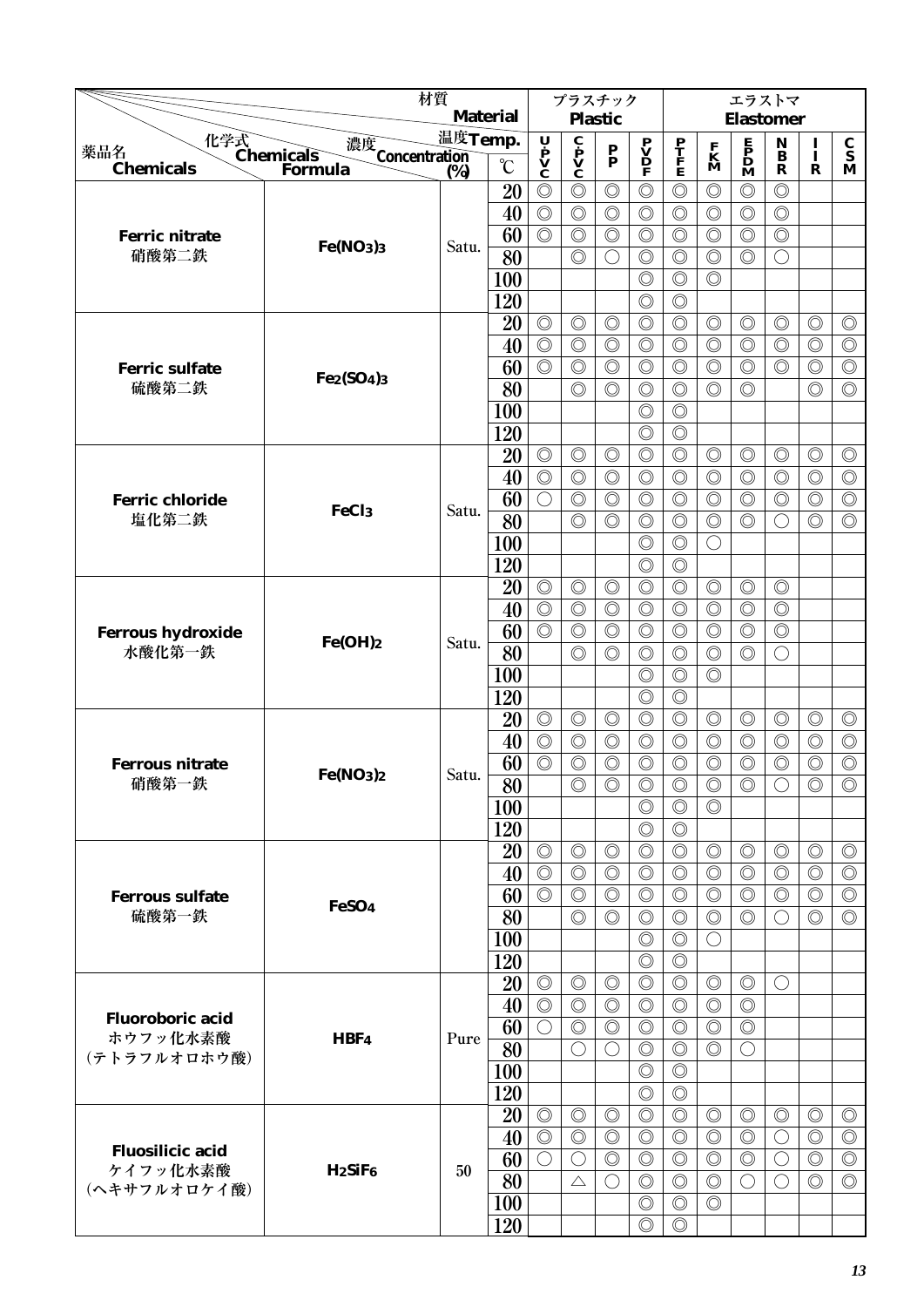|                                |                                                | 材質      |                 |                                  | プラスチック                                                  |                                  |                                              |                                  |                                  | エラストマ                                        |                                      |                                  |                                  |
|--------------------------------|------------------------------------------------|---------|-----------------|----------------------------------|---------------------------------------------------------|----------------------------------|----------------------------------------------|----------------------------------|----------------------------------|----------------------------------------------|--------------------------------------|----------------------------------|----------------------------------|
|                                |                                                | 温度Temp. | <b>Material</b> |                                  |                                                         | <b>Plastic</b>                   |                                              |                                  |                                  | <b>Elastomer</b>                             |                                      |                                  |                                  |
| 薬品名                            | 化学式<br>Chemicals<br>濃度<br>Concentration<br>(%) |         | $\rm ^{\circ}C$ | Ų<br>$\dot{\mathbf{v}}$          | $\overline{\mathbf{c}}$<br>$\mathbf{v}$<br>$\mathbf{v}$ | $\frac{\mathbf{P}}{\mathbf{P}}$  | $\mathbf{P}$<br>$\mathbf{D}$<br>$\mathbf{P}$ | P<br>T<br>F<br>E                 | $\mathbf{K}$<br>M                | $\mathbf{P}$<br>$\mathbf{D}$<br>$\mathbf{M}$ | ${\bf N}$<br>$\overline{\mathbf{B}}$ | $\frac{I}{I}$                    | $\frac{\mathbf{C}}{\mathbf{S}}$  |
| <b>Chemicals</b>               | Formula                                        | (%)     |                 |                                  |                                                         |                                  |                                              |                                  |                                  |                                              | $\mathbf R$                          | $\mathbf R$                      | M                                |
|                                |                                                |         | 20              | $\circledcirc$<br>$\circledcirc$ | $\circledcirc$                                          | $\circledcirc$<br>$\circledcirc$ | $\circledcirc$                               | $\circledcirc$                   | $\circledcirc$                   | $\circledcirc$                               | $\circledcirc$                       |                                  |                                  |
|                                |                                                |         | 40<br>60        | $\circledcirc$                   | $\circledcirc$<br>$\circledcirc$                        | $\circledcirc$                   | $\circledcirc$<br>$\circledcirc$             | $\circledcirc$<br>$\circledcirc$ | $\circledcirc$<br>$\circledcirc$ | $\circledcirc$<br>$\circledcirc$             | $\circledcirc$<br>$\circledcirc$     |                                  |                                  |
| <b>Ferric nitrate</b><br>硝酸第二鉄 | Fe(NO <sub>3</sub> ) <sub>3</sub>              | Satu.   | 80              |                                  | $\circledcirc$                                          | ◯                                | $\circledcirc$                               | $\circledcirc$                   | $\circledcirc$                   | $\circledcirc$                               | $\bigcirc$                           |                                  |                                  |
|                                |                                                |         | <b>100</b>      |                                  |                                                         |                                  | $\circledcirc$                               | $\circledcirc$                   | $\circledcirc$                   |                                              |                                      |                                  |                                  |
|                                |                                                |         | 120             |                                  |                                                         |                                  | $\circledcirc$                               | $\circledcirc$                   |                                  |                                              |                                      |                                  |                                  |
|                                |                                                |         | 20              | $\circledcirc$                   | $\circledcirc$                                          | $\circledcirc$                   | $\circledcirc$                               | $\circledcirc$                   | $\circledcirc$                   | $\circledcirc$                               | $\circledcirc$                       | $\circledcirc$                   | $\circledcirc$                   |
|                                |                                                |         | 40              | $\circledcirc$                   | $\circledcirc$                                          | $\circledcirc$                   | $\circledcirc$                               | $\circledcirc$                   | $\circledcirc$                   | $\circledcirc$                               | $\circledcirc$                       | $\circledcirc$                   | $\circledcirc$                   |
| <b>Ferric sulfate</b>          |                                                |         | 60              | $\circledcirc$                   | $\circledcirc$                                          | $\circledcirc$                   | $\circledcirc$                               | $\circledcirc$                   | $\circledcirc$                   | $\circledcirc$                               | $\circledcirc$                       | $\circledcirc$                   | $\circledcirc$                   |
| 硫酸第二鉄                          | Fe2(SO4)3                                      |         | 80              |                                  | $\circledcirc$                                          | $\circledcirc$                   | $\circledcirc$                               | $\circledcirc$                   | $\circledcirc$                   | $\circledcirc$                               |                                      | $\circledcirc$                   | $\circledcirc$                   |
|                                |                                                |         | 100             |                                  |                                                         |                                  | $\circledcirc$                               | $\circledcirc$                   |                                  |                                              |                                      |                                  |                                  |
|                                |                                                |         | 120             |                                  |                                                         |                                  | $\circledcirc$                               | $\circledcirc$                   |                                  |                                              |                                      |                                  |                                  |
|                                |                                                |         | 20              | $\circledcirc$                   | $\circledcirc$                                          | $\circledcirc$                   | $\circledcirc$                               | $\circledcirc$                   | $\circledcirc$                   | $\circledcirc$                               | $\circledcirc$                       | $\circledcirc$                   | $\circledcirc$                   |
|                                |                                                |         | 40              | $\circledcirc$                   | $\circledcirc$                                          | $\circledcirc$                   | $\circledcirc$                               | $\circledcirc$                   | $\circledcirc$                   | $\circledcirc$                               | $\circledcirc$                       | $\circledcirc$                   | $\circledcirc$                   |
| <b>Ferric chloride</b>         |                                                |         | 60              | $\bigcirc$                       | $\circledcirc$                                          | $\circledcirc$                   | $\circledcirc$                               | $\circledcirc$                   | $\circledcirc$                   | $\circledcirc$                               | $\circledcirc$                       | $\circledcirc$                   | $\circledcirc$                   |
| 塩化第二鉄                          | FeCl <sub>3</sub>                              | Satu.   | 80              |                                  | $\circledcirc$                                          | $\circledcirc$                   | $\circledcirc$                               | $\circledcirc$                   | $\circledcirc$                   | $\circledcirc$                               |                                      | $\circledcirc$                   | $\circledcirc$                   |
|                                |                                                |         | <b>100</b>      |                                  |                                                         |                                  | $\circledcirc$                               | $\circledcirc$                   | $\bigcirc$                       |                                              |                                      |                                  |                                  |
|                                |                                                |         | 120             |                                  |                                                         |                                  | $\circledcirc$                               | $\circledcirc$                   |                                  |                                              |                                      |                                  |                                  |
|                                |                                                |         | 20              | $\circledcirc$                   | $\circledcirc$                                          | $\circledcirc$                   | $\circledcirc$                               | $\circledcirc$                   | $\circledcirc$                   | $\circledcirc$                               | $\circledcirc$                       |                                  |                                  |
|                                |                                                |         | 40              | $\circledcirc$                   | $\circledcirc$                                          | $\circledcirc$                   | $\circledcirc$                               | $\circledcirc$                   | $\circledcirc$                   | $\circledcirc$                               | $\circledcirc$                       |                                  |                                  |
| <b>Ferrous hydroxide</b>       | Fe(OH)2                                        | Satu.   | 60              | $\circledcirc$                   | $\circledcirc$                                          | $\circledcirc$                   | $\circledcirc$                               | $\circledcirc$                   | $\circledcirc$                   | $\circledcirc$                               | $\circledcirc$                       |                                  |                                  |
| 水酸化第一鉄                         |                                                |         | 80              |                                  | $\circledcirc$                                          | $\circledcirc$                   | $\circledcirc$                               | $\circledcirc$                   | $\circledcirc$                   | $\circledcirc$                               | $($ )                                |                                  |                                  |
|                                |                                                |         | <b>100</b>      |                                  |                                                         |                                  | $\circledcirc$                               | $\circledcirc$                   | $\circledcirc$                   |                                              |                                      |                                  |                                  |
|                                |                                                |         | 120             |                                  |                                                         |                                  | $\circledcirc$                               | $\circledcirc$                   |                                  |                                              |                                      |                                  |                                  |
|                                |                                                |         | 20              | $\circledcirc$                   | $\circledcirc$                                          | $\circledcirc$                   | $\circledcirc$                               | $\circledcirc$                   | $\circledcirc$                   | $\circledcirc$                               | $\circledcirc$                       | $\circledcirc$                   | $\circledcirc$                   |
|                                |                                                |         | 40              | $\circledcirc$                   | $\circledcirc$                                          | $\circledcirc$                   | $\circledcirc$                               | $\circledcirc$                   | $\circledcirc$                   | $\circledcirc$                               | $\circledcirc$                       | $\circledcirc$                   | $\circledcirc$                   |
| <b>Ferrous nitrate</b>         | Fe(NO <sub>3</sub> ) <sub>2</sub>              | Satu.   | 60              | $\circledcirc$                   | $\circledcirc$                                          | $\circledcirc$                   | $\circledcirc$                               | $\circledcirc$                   | $\circledcirc$                   | $\circledcirc$                               | $\circledcirc$                       | $\circledcirc$                   | $\circledcirc$                   |
| 硝酸第一鉄                          |                                                |         | $\overline{80}$ |                                  | $\circledcirc$                                          | $\circledcirc$                   | $\circledcirc$                               | $\circledcirc$                   | $\circledcirc$                   | $\circledcirc$                               |                                      | $\overline{\circ}$               | $\overline{\circ}$               |
|                                |                                                |         | 100             |                                  |                                                         |                                  | $\circledcirc$                               | $\circledcirc$                   | $\circledcirc$                   |                                              |                                      |                                  |                                  |
|                                |                                                |         | 120             |                                  |                                                         |                                  | $\circledcirc$                               | $\circledcirc$                   |                                  |                                              |                                      |                                  |                                  |
|                                |                                                |         | 20              | $\circledcirc$<br>$\circledcirc$ | $\circledcirc$                                          | $\circledcirc$                   | $\circledcirc$                               | $\circledcirc$                   | $\circledcirc$                   | $\circledcirc$                               | $\circledcirc$                       | $\circledcirc$                   | $\circledcirc$                   |
| <b>Ferrous sulfate</b>         |                                                |         | 40<br>60        | $\circledcirc$                   | $\circledcirc$<br>$\circledcirc$                        | $\circledcirc$<br>$\circledcirc$ | $\circledcirc$<br>$\circledcirc$             | $\circledcirc$<br>$\circledcirc$ | $\circledcirc$<br>$\circledcirc$ | $\circledcirc$<br>$\circledcirc$             | $\circledcirc$<br>$\circledcirc$     | $\circledcirc$<br>$\circledcirc$ | $\circledcirc$<br>$\circledcirc$ |
| 硫酸第一鉄                          | FeSO <sub>4</sub>                              |         | 80              |                                  | $\circledcirc$                                          | $\circledcirc$                   | $\circledcirc$                               | $\circledcirc$                   | $\circledcirc$                   | $\circledcirc$                               | ( )                                  | $\circledcirc$                   | $\circledcirc$                   |
|                                |                                                |         | <b>100</b>      |                                  |                                                         |                                  | $\circledcirc$                               | $\circledcirc$                   | $\bigcirc$                       |                                              |                                      |                                  |                                  |
|                                |                                                |         | 120             |                                  |                                                         |                                  | $\circledcirc$                               | $\circledcirc$                   |                                  |                                              |                                      |                                  |                                  |
|                                |                                                |         | 20              | $\circledcirc$                   | $\circledcirc$                                          | $\circledcirc$                   | $\circledcirc$                               | $\circledcirc$                   | $\circledcirc$                   | $\circledcirc$                               | ( )                                  |                                  |                                  |
|                                |                                                |         | 40              | $\circledcirc$                   | $\circledcirc$                                          | $\circledcirc$                   | $\circledcirc$                               | $\circledcirc$                   | $\circledcirc$                   | $\circledcirc$                               |                                      |                                  |                                  |
| <b>Fluoroboric</b> acid        |                                                |         | 60              | $\bigcirc$                       | $\circledcirc$                                          | $\circledcirc$                   | $\circledcirc$                               | $\circledcirc$                   | $\circledcirc$                   | $\circledcirc$                               |                                      |                                  |                                  |
| ホウフッ化水素酸                       | HBF <sub>4</sub>                               | Pure    | 80              |                                  | $\bigcirc$                                              | $\left(\right)$                  | $\circledcirc$                               | $\circledcirc$                   | $\circledcirc$                   | $\bigcirc$                                   |                                      |                                  |                                  |
| (テトラフルオロホウ酸)                   |                                                |         | <b>100</b>      |                                  |                                                         |                                  | $\circledcirc$                               | $\circledcirc$                   |                                  |                                              |                                      |                                  |                                  |
|                                |                                                |         | 120             |                                  |                                                         |                                  | $\circledcirc$                               | $\circledcirc$                   |                                  |                                              |                                      |                                  |                                  |
|                                |                                                |         | 20              | $\circledcirc$                   | $\circledcirc$                                          | $\circledcirc$                   | $\circledcirc$                               | $\circledcirc$                   | $\circledcirc$                   | $\circledcirc$                               | $\circledcirc$                       | $\circledcirc$                   | $\circledcirc$                   |
|                                |                                                |         | 40              | $\circledcirc$                   | $\circledcirc$                                          | $\circledcirc$                   | $\circledcirc$                               | $\circledcirc$                   | $\circledcirc$                   | $\circledcirc$                               | $\bigcirc$                           | $\circledcirc$                   | $\circledcirc$                   |
| <b>Fluosilicic</b> acid        |                                                |         | 60              | $\bigcirc$                       | $\bigcirc$                                              | $\circledcirc$                   | $\circledcirc$                               | $\circledcirc$                   | $\circledcirc$                   | $\circledcirc$                               | O                                    | $\circledcirc$                   | $\circledcirc$                   |
| ケイフッ化水素酸<br>(ヘキサフルオロケイ酸)       | H <sub>2</sub> SiF <sub>6</sub>                | 50      | 80              |                                  | $\triangle$                                             | $\bigcirc$                       | $\circledcirc$                               | $\circledcirc$                   | $\circledcirc$                   | $\bigcirc$                                   | $\left(\right)$                      | $\circledcirc$                   | $\circledcirc$                   |
|                                |                                                |         | <b>100</b>      |                                  |                                                         |                                  | $\circledcirc$                               | $\circledcirc$                   | $\circledcirc$                   |                                              |                                      |                                  |                                  |
|                                |                                                |         | 120             |                                  |                                                         |                                  | $\circledcirc$                               | $\circledcirc$                   |                                  |                                              |                                      |                                  |                                  |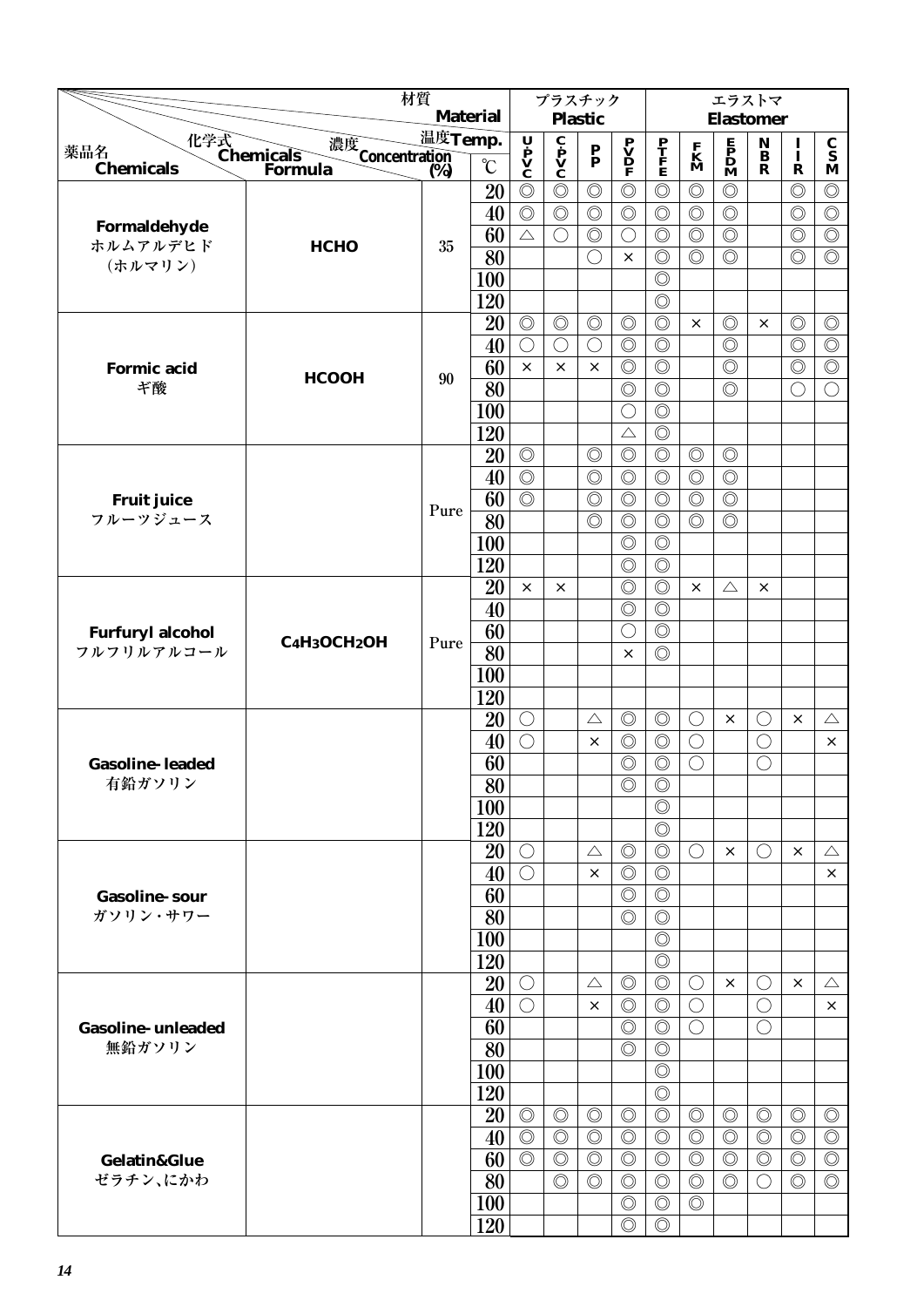|                                  | 材質                                                                |         |                 |                                                                                       | プラスチック                                       |                                 |                                                                                       |                                  |                              | エラストマ                                        |                                             |                |                |
|----------------------------------|-------------------------------------------------------------------|---------|-----------------|---------------------------------------------------------------------------------------|----------------------------------------------|---------------------------------|---------------------------------------------------------------------------------------|----------------------------------|------------------------------|----------------------------------------------|---------------------------------------------|----------------|----------------|
|                                  |                                                                   |         | <b>Material</b> |                                                                                       |                                              | <b>Plastic</b>                  |                                                                                       |                                  |                              | <b>Elastomer</b>                             |                                             |                |                |
| 薬品名                              |                                                                   | 温度Temp. |                 |                                                                                       |                                              |                                 |                                                                                       |                                  |                              |                                              | $\mathop{\bf {}^N}\limits_B$                | $\frac{1}{1}$  | $\frac{c}{s}$  |
| <b>Chemicals</b>                 | 化学式<br>Chemicals<br>Forn<br>濃度<br>Concentration<br>(%)<br>Formula | (%)     | $\rm ^{\circ}C$ | $\begin{array}{c}\n\mathbf{U} \\ \mathbf{P} \\ \mathbf{V} \\ \mathbf{C}\n\end{array}$ | $\mathbf{c}$<br>$\mathbf{v}$<br>$\mathbf{c}$ | $\frac{\mathbf{P}}{\mathbf{P}}$ | $\begin{array}{c}\n\mathbf{P} \\ \mathbf{V} \\ \mathbf{D} \\ \mathbf{F}\n\end{array}$ | $\frac{\mathbf{P}}{\mathbf{F}}$  | $\mathbf{K}$<br>$\mathbf{M}$ | $\mathbf{F}$<br>$\mathbf{D}$<br>$\mathbf{M}$ | $\mathbf R$                                 | $\mathbf R$    | M              |
|                                  |                                                                   |         | 20              | $\circledcirc$                                                                        | $\circledcirc$                               | $\circledcirc$                  | $\circledcirc$                                                                        | $\circledcirc$                   | $\circledcirc$               | $\circledcirc$                               |                                             | $\circledcirc$ | $\circledcirc$ |
|                                  |                                                                   |         | 40              | $\circledcirc$                                                                        | $\circledcirc$                               | $\circledcirc$                  | $\circledcirc$                                                                        | $\circledcirc$                   | $\circledcirc$               | $\circledcirc$                               |                                             | $\circledcirc$ | $\circledcirc$ |
| Formaldehyde                     |                                                                   |         | 60              | $\triangle$                                                                           | $\bigcirc$                                   | $\circledcirc$                  | $\bigcirc$                                                                            | $\circledcirc$                   | $\circledcirc$               | $\circledcirc$                               |                                             | $\circledcirc$ | $\circledcirc$ |
| ホルムアルデヒド<br>(ホルマリン)              | <b>НСНО</b>                                                       | $35\,$  | 80              |                                                                                       |                                              | $\bigcirc$                      | $\times$                                                                              | $\circledcirc$                   | $\circledcirc$               | $\circledcirc$                               |                                             | $\circledcirc$ | $\circledcirc$ |
|                                  |                                                                   |         | 100             |                                                                                       |                                              |                                 |                                                                                       | $\circledcirc$                   |                              |                                              |                                             |                |                |
|                                  |                                                                   |         | 120             |                                                                                       |                                              |                                 |                                                                                       | $\circledcirc$                   |                              |                                              |                                             |                |                |
|                                  |                                                                   |         | 20              | $\circledcirc$                                                                        | $\circledcirc$                               | $\circledcirc$                  | $\circledcirc$                                                                        | $\circledcirc$                   | $\times$                     | $\circledcirc$                               | $\times$                                    | $\circledcirc$ | $\circledcirc$ |
|                                  |                                                                   |         | 40              | $\bigcirc$                                                                            | $\bigcirc$                                   | $\bigcirc$                      | $\circledcirc$                                                                        | $\circledcirc$                   |                              | $\circledcirc$                               |                                             | $\circledcirc$ | $\circledcirc$ |
| <b>Formic acid</b>               | <b>HCOOH</b>                                                      | 90      | 60              | $\times$                                                                              | $\times$                                     | $\times$                        | $\circledcirc$                                                                        | $\circledcirc$                   |                              | $\circledcirc$                               |                                             | $\circledcirc$ | $\circledcirc$ |
| ギ酸                               |                                                                   |         | 80              |                                                                                       |                                              |                                 | $\circledcirc$                                                                        | $\circledcirc$                   |                              | $\circledcirc$                               |                                             | $\bigcirc$     | $\bigcirc$     |
|                                  |                                                                   |         | <b>100</b>      |                                                                                       |                                              |                                 | $\bigcirc$                                                                            | $\circledcirc$                   |                              |                                              |                                             |                |                |
|                                  |                                                                   |         | 120             |                                                                                       |                                              |                                 | $\triangle$                                                                           | $\circledcirc$                   |                              |                                              |                                             |                |                |
|                                  |                                                                   |         | 20              | $\circledcirc$                                                                        |                                              | $\circledcirc$                  | $\circledcirc$                                                                        | $\circledcirc$                   | $\circledcirc$               | $\circledcirc$                               |                                             |                |                |
|                                  |                                                                   |         | 40              | $\circledcirc$                                                                        |                                              | $\circledcirc$                  | $\circledcirc$                                                                        | $\circledcirc$                   | $\circledcirc$               | $\circledcirc$                               |                                             |                |                |
| <b>Fruit juice</b>               |                                                                   | Pure    | 60              | $\circledcirc$                                                                        |                                              | $\circledcirc$                  | $\circledcirc$                                                                        | $\circledcirc$                   | $\circledcirc$               | $\circledcirc$                               |                                             |                |                |
| フルーツジュース                         |                                                                   |         | 80              |                                                                                       |                                              | $\circledcirc$                  | $\circledcirc$                                                                        | $\circledcirc$                   | $\circledcirc$               | $\circledcirc$                               |                                             |                |                |
|                                  |                                                                   |         | 100             |                                                                                       |                                              |                                 | $\circledcirc$                                                                        | $\circledcirc$                   |                              |                                              |                                             |                |                |
|                                  |                                                                   |         | 120             |                                                                                       |                                              |                                 | $\circledcirc$                                                                        | $\circledcirc$                   |                              |                                              |                                             |                |                |
|                                  |                                                                   |         | 20              | $\times$                                                                              | $\times$                                     |                                 | $\circledcirc$                                                                        | $\circledcirc$                   | $\times$                     | $\triangle$                                  | $\times$                                    |                |                |
|                                  |                                                                   |         | 40              |                                                                                       |                                              |                                 | $\circledcirc$                                                                        | $\circledcirc$                   |                              |                                              |                                             |                |                |
| <b>Furfuryl alcohol</b>          | C <sub>4</sub> H <sub>3</sub> OCH <sub>2</sub> OH                 | Pure    | 60              |                                                                                       |                                              |                                 | $\bigcirc$                                                                            | $\circledcirc$                   |                              |                                              |                                             |                |                |
| フルフリルアルコール                       |                                                                   |         | 80              |                                                                                       |                                              |                                 | $\times$                                                                              | $\circledcirc$                   |                              |                                              |                                             |                |                |
|                                  |                                                                   |         | 100             |                                                                                       |                                              |                                 |                                                                                       |                                  |                              |                                              |                                             |                |                |
|                                  |                                                                   |         | 120             |                                                                                       |                                              |                                 |                                                                                       |                                  |                              |                                              |                                             |                |                |
|                                  |                                                                   |         | 20<br>40        | $\bigcirc$<br>$\bigcirc$                                                              |                                              | $\triangle$<br>$\times$         | $\circledcirc$<br>$\circledcirc$                                                      | $\circledcirc$                   | O<br>$\bigcirc$              | $\times$                                     | ()<br>$\bigcirc$                            | ×              | $\triangle$    |
|                                  |                                                                   |         | 60              |                                                                                       |                                              |                                 | $\circledcirc$                                                                        | $\circledcirc$<br>$\circledcirc$ | $\bigcirc$                   |                                              | $\bigcirc$                                  |                | $\times$       |
| <b>Gasoline-leaded</b><br>有鉛ガソリン |                                                                   |         | $\overline{80}$ |                                                                                       |                                              |                                 | $\circledcirc$                                                                        | $\circledcirc$                   |                              |                                              |                                             |                |                |
|                                  |                                                                   |         | <b>100</b>      |                                                                                       |                                              |                                 |                                                                                       | $\circledcirc$                   |                              |                                              |                                             |                |                |
|                                  |                                                                   |         | 120             |                                                                                       |                                              |                                 |                                                                                       | $\circledcirc$                   |                              |                                              |                                             |                |                |
|                                  |                                                                   |         | 20              | $\bigcirc$                                                                            |                                              | $\triangle$                     | $\circledcirc$                                                                        | $\circledcirc$                   | $\bigcirc$                   | $\times$                                     | $\left(\begin{array}{c} \end{array}\right)$ | $\times$       | $\triangle$    |
|                                  |                                                                   |         | 40              | $\bigcirc$                                                                            |                                              | $\times$                        | $\circledcirc$                                                                        | $\circledcirc$                   |                              |                                              |                                             |                | $\times$       |
| <b>Gasoline-sour</b>             |                                                                   |         | 60              |                                                                                       |                                              |                                 | $\circledcirc$                                                                        | $\circledcirc$                   |                              |                                              |                                             |                |                |
| ガソリン・サワー                         |                                                                   |         | 80              |                                                                                       |                                              |                                 | $\circledcirc$                                                                        | $\circledcirc$                   |                              |                                              |                                             |                |                |
|                                  |                                                                   |         | 100             |                                                                                       |                                              |                                 |                                                                                       | $\circledcirc$                   |                              |                                              |                                             |                |                |
|                                  |                                                                   |         | 120             |                                                                                       |                                              |                                 |                                                                                       | $\circledcirc$                   |                              |                                              |                                             |                |                |
|                                  |                                                                   |         | 20              | $\bigcirc$                                                                            |                                              | $\triangle$                     | $\circledcirc$                                                                        | $\circledcirc$                   | $\bigcirc$                   | $\times$                                     | O                                           | $\times$       | $\triangle$    |
|                                  |                                                                   |         | 40              | $\bigcirc$                                                                            |                                              | $\times$                        | $\circledcirc$                                                                        | $\circledcirc$                   | $\bigcirc$                   |                                              | $\bigcirc$                                  |                | $\times$       |
| <b>Gasoline-unleaded</b>         |                                                                   |         | 60              |                                                                                       |                                              |                                 | $\circledcirc$                                                                        | $\circledcirc$                   | $\bigcirc$                   |                                              | $\bigcirc$                                  |                |                |
| 無鉛ガソリン                           |                                                                   |         | 80              |                                                                                       |                                              |                                 | $\circledcirc$                                                                        | $\circledcirc$                   |                              |                                              |                                             |                |                |
|                                  |                                                                   |         | 100             |                                                                                       |                                              |                                 |                                                                                       | $\circledcirc$                   |                              |                                              |                                             |                |                |
|                                  |                                                                   |         | 120             |                                                                                       |                                              |                                 |                                                                                       | $\circledcirc$                   |                              |                                              |                                             |                |                |
|                                  |                                                                   |         | 20              | $\circledcirc$                                                                        | $\circledcirc$                               | $\circledcirc$                  | $\circledcirc$                                                                        | $\circledcirc$                   | $\circledcirc$               | $\circledcirc$                               | $\circledcirc$                              | $\circledcirc$ | $\circledcirc$ |
|                                  |                                                                   |         | 40              | $\circledcirc$                                                                        | $\circledcirc$                               | $\circledcirc$                  | $\circledcirc$                                                                        | $\circledcirc$                   | $\circledcirc$               | $\circledcirc$                               | $\circledcirc$                              | $\circledcirc$ | $\circledcirc$ |
| <b>Gelatin&amp;Glue</b>          |                                                                   |         | 60              | $\overline{\circlearrowright}$                                                        | $\circledcirc$                               | $\circledcirc$                  | $\circledcirc$                                                                        | $\circledcirc$                   | $\circledcirc$               | $\circledcirc$                               | $\circledcirc$                              | $\circledcirc$ | $\circledcirc$ |
| ゼラチン、にかわ                         |                                                                   |         | 80              |                                                                                       | $\circledcirc$                               | $\circledcirc$                  | $\circledcirc$                                                                        | $\circledcirc$                   | $\circledcirc$               | $\circledcirc$                               | $\left(\begin{array}{c} \end{array}\right)$ | $\circledcirc$ | $\circledcirc$ |
|                                  |                                                                   |         | <b>100</b>      |                                                                                       |                                              |                                 | $\circledcirc$                                                                        | $\circledcirc$                   | $\circledcirc$               |                                              |                                             |                |                |
|                                  |                                                                   |         | 120             |                                                                                       |                                              |                                 | $\circledcirc$                                                                        | $\circledcirc$                   |                              |                                              |                                             |                |                |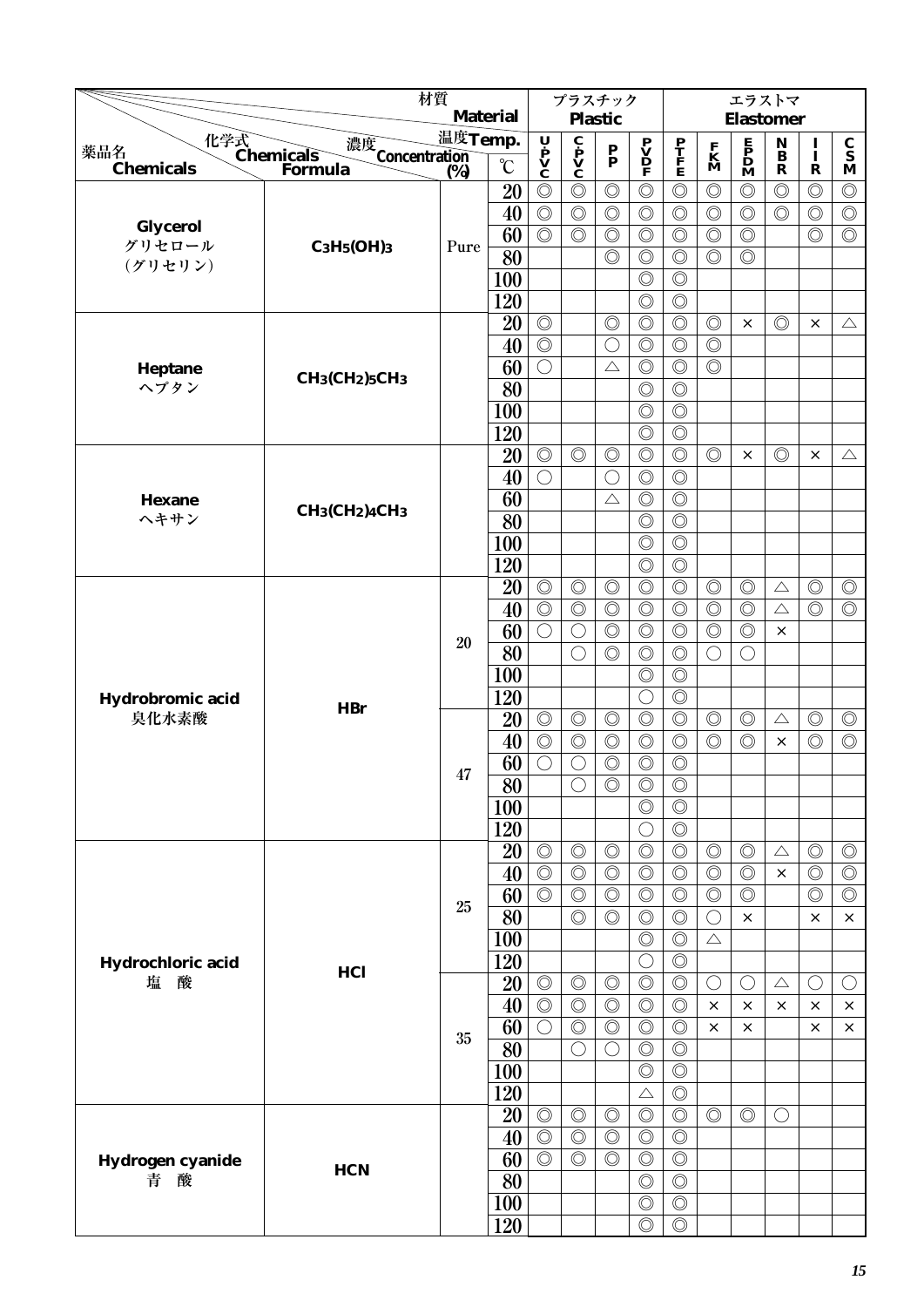|                         |                                                                 | 材質      | <b>Material</b> |                                                                                       |                                              | プラスチック<br><b>Plastic</b>         |                                               |                                  |                                  | エラストマ<br><b>Elastomer</b>                                                           |                                                |                                  |                                          |
|-------------------------|-----------------------------------------------------------------|---------|-----------------|---------------------------------------------------------------------------------------|----------------------------------------------|----------------------------------|-----------------------------------------------|----------------------------------|----------------------------------|-------------------------------------------------------------------------------------|------------------------------------------------|----------------------------------|------------------------------------------|
|                         |                                                                 | 温度Temp. |                 |                                                                                       |                                              |                                  |                                               |                                  |                                  |                                                                                     |                                                |                                  |                                          |
| 薬品名<br><b>Chemicals</b> | 化学式<br>Chemicals<br>濃度<br>Concentration<br>(%)<br>Formula       | (%)     | $\rm ^{\circ}C$ | $\begin{array}{c}\n\mathbf{U} \\ \mathbf{P} \\ \mathbf{V} \\ \mathbf{C}\n\end{array}$ | $\mathbf{c}$<br>$\mathbf{v}$<br>$\mathbf{c}$ | $\mathbf{P}_{\mathbf{P}}$        | $\mathbf{P} \mathbf{V} \mathbf{D} \mathbf{F}$ | P<br>T<br>F<br>E                 | $\mathbf{K}$<br>$\mathbf{M}$     | $\begin{array}{c} \mathbf{E} \\ \mathbf{P} \\ \mathbf{D} \\ \mathbf{M} \end{array}$ | $\mathop{\bf B}\limits^{\bf N}$<br>$\mathbf R$ | $\frac{I}{I}$<br>$\mathbf R$     | $\frac{c}{s}$<br>$\overline{\mathbf{M}}$ |
|                         |                                                                 |         | 20              | $\circledcirc$                                                                        | $\circledcirc$                               | $\circledcirc$                   | $\circledcirc$                                | $\circledcirc$                   | $\circledcirc$                   | $\circledcirc$                                                                      | $\circledcirc$                                 | $\circledcirc$                   | $\circledcirc$                           |
|                         |                                                                 |         | 40              | $\circledcirc$                                                                        | $\circledcirc$                               | $\circledcirc$                   | $\circledcirc$                                | $\circledcirc$                   | $\circledcirc$                   | $\circledcirc$                                                                      | $\circledcirc$                                 | $\circledcirc$                   | $\circledcirc$                           |
| Glycerol<br>グリセロール      |                                                                 |         | 60              | $\circledcirc$                                                                        | $\circledcirc$                               | $\circledcirc$                   | $\circledcirc$                                | $\circledcirc$                   | $\circledcirc$                   | $\circledcirc$                                                                      |                                                | $\circledcirc$                   | $\circledcirc$                           |
| (グリセリン)                 | $C_3H_5(OH)3$                                                   | Pure    | 80              |                                                                                       |                                              | $\circledcirc$                   | $\circledcirc$                                | $\circledcirc$                   | $\circledcirc$                   | $\circledcirc$                                                                      |                                                |                                  |                                          |
|                         |                                                                 |         | 100             |                                                                                       |                                              |                                  | $\circledcirc$                                | $\circledcirc$                   |                                  |                                                                                     |                                                |                                  |                                          |
|                         |                                                                 |         | 120             |                                                                                       |                                              |                                  | $\circledcirc$                                | $\circledcirc$                   |                                  |                                                                                     |                                                |                                  |                                          |
|                         |                                                                 |         | 20              | $\circledcirc$                                                                        |                                              | $\circledcirc$                   | $\circledcirc$                                | $\circledcirc$                   | $\circledcirc$                   | $\times$                                                                            | $\circledcirc$                                 | ×                                | $\triangle$                              |
|                         |                                                                 |         | 40              | $\circledcirc$                                                                        |                                              | $\bigcirc$                       | $\circledcirc$                                | $\circledcirc$                   | $\circledcirc$                   |                                                                                     |                                                |                                  |                                          |
| Heptane                 | CH <sub>3</sub> (CH <sub>2</sub> ) <sub>5</sub> CH <sub>3</sub> |         | 60              | $\bigcirc$                                                                            |                                              | $\triangle$                      | $\circledcirc$                                | $\circledcirc$                   | $\circledcirc$                   |                                                                                     |                                                |                                  |                                          |
| ヘプタン                    |                                                                 |         | 80              |                                                                                       |                                              |                                  | $\circledcirc$                                | $\circledcirc$                   |                                  |                                                                                     |                                                |                                  |                                          |
|                         |                                                                 |         | 100             |                                                                                       |                                              |                                  | $\circledcirc$                                | $\circledcirc$                   |                                  |                                                                                     |                                                |                                  |                                          |
|                         |                                                                 |         | 120             |                                                                                       |                                              |                                  | $\circledcirc$                                | $\circledcirc$                   | $\circledcirc$                   |                                                                                     | $\circledcirc$                                 |                                  |                                          |
|                         |                                                                 |         | 20<br>40        | $\circledcirc$<br>$\bigcirc$                                                          | $\circledcirc$                               | $\circledcirc$<br>$\bigcirc$     | $\circledcirc$<br>$\circledcirc$              | $\circledcirc$<br>$\circledcirc$ |                                  | $\times$                                                                            |                                                | $\times$                         | $\triangle$                              |
| <b>Hexane</b>           |                                                                 |         | 60              |                                                                                       |                                              | $\triangle$                      | $\circledcirc$                                | $\circledcirc$                   |                                  |                                                                                     |                                                |                                  |                                          |
| ヘキサン                    | $CH_3CH_2)4CH_3$                                                |         | 80              |                                                                                       |                                              |                                  | $\circledcirc$                                | $\circledcirc$                   |                                  |                                                                                     |                                                |                                  |                                          |
|                         |                                                                 |         | 100             |                                                                                       |                                              |                                  | $\circledcirc$                                | $\circledcirc$                   |                                  |                                                                                     |                                                |                                  |                                          |
|                         |                                                                 |         | 120             |                                                                                       |                                              |                                  | $\circledcirc$                                | $\circledcirc$                   |                                  |                                                                                     |                                                |                                  |                                          |
|                         |                                                                 |         | 20              | $\circledcirc$                                                                        | $\circledcirc$                               | $\circledcirc$                   | $\circledcirc$                                | $\circledcirc$                   | $\circledcirc$                   | $\circledcirc$                                                                      | $\triangle$                                    | $\circledcirc$                   | $\circledcirc$                           |
|                         |                                                                 |         | 40              | $\circledcirc$                                                                        | $\circledcirc$                               | $\circledcirc$                   | $\circledcirc$                                | $\circledcirc$                   | $\circledcirc$                   | $\circledcirc$                                                                      | $\triangle$                                    | $\circledcirc$                   | $\circledcirc$                           |
|                         |                                                                 |         | 60              | $\bigcirc$                                                                            | $\bigcirc$                                   | $\circledcirc$                   | $\circledcirc$                                | $\circledcirc$                   | $\circledcirc$                   | $\circledcirc$                                                                      | $\times$                                       |                                  |                                          |
|                         |                                                                 | 20      | 80              |                                                                                       | ◯                                            | $\circledcirc$                   | $\circledcirc$                                | $\circledcirc$                   | $\bigcirc$                       | O                                                                                   |                                                |                                  |                                          |
|                         |                                                                 |         | 100             |                                                                                       |                                              |                                  | $\circledcirc$                                | $\circledcirc$                   |                                  |                                                                                     |                                                |                                  |                                          |
| Hydrobromic acid        | <b>HBr</b>                                                      |         | 120             |                                                                                       |                                              |                                  | $\bigcirc$                                    | $\circledcirc$                   |                                  |                                                                                     |                                                |                                  |                                          |
| 臭化水素酸                   |                                                                 |         | 20              | $\circledcirc$                                                                        | $\circledcirc$                               | $\circledcirc$                   | $\circledcirc$                                | $\circledcirc$                   | $\circledcirc$                   | $\circledcirc$                                                                      | $\triangle$                                    | $\circledcirc$                   | $\circledcirc$                           |
|                         |                                                                 |         | 40              | $\circledcirc$                                                                        | $\circledcirc$                               | $\circledcirc$                   | $\circledcirc$                                | $\circledcirc$                   | $\circledcirc$                   | $\circledcirc$                                                                      | X                                              | $\circledcirc$                   | $\circledcirc$                           |
|                         |                                                                 | 47      | 60              | $\bigcirc$                                                                            | $\bigcirc$                                   | $\circledcirc$                   | $\circledcirc$                                | $\circledcirc$                   |                                  |                                                                                     |                                                |                                  |                                          |
|                         |                                                                 |         | $\overline{80}$ |                                                                                       | $\bigcirc$                                   | $\circledcirc$                   | $\overline{\circ}$                            | $\overline{\circ}$               |                                  |                                                                                     |                                                |                                  |                                          |
|                         |                                                                 |         | 100             |                                                                                       |                                              |                                  | $\circledcirc$                                | $\circledcirc$                   |                                  |                                                                                     |                                                |                                  |                                          |
|                         |                                                                 |         | 120             |                                                                                       |                                              |                                  | $\bigcirc$                                    | $\circledcirc$                   |                                  |                                                                                     |                                                |                                  |                                          |
|                         |                                                                 |         | 20              | $\circledcirc$                                                                        | $\circledcirc$                               | $\circledcirc$                   | $\circledcirc$                                | $\circledcirc$                   | $\circledcirc$                   | $\circledcirc$                                                                      | $\triangle$<br>$\times$                        | $\circledcirc$                   | $\circledcirc$                           |
|                         |                                                                 |         | 40<br>60        | $\circledcirc$<br>$\circledcirc$                                                      | $\circledcirc$<br>$\circledcirc$             | $\circledcirc$<br>$\circledcirc$ | $\circledcirc$<br>$\circledcirc$              | $\circledcirc$<br>$\circledcirc$ | $\circledcirc$<br>$\circledcirc$ | $\circledcirc$<br>$\circledcirc$                                                    |                                                | $\circledcirc$<br>$\circledcirc$ | $\circledcirc$<br>$\circledcirc$         |
|                         |                                                                 | 25      | 80              |                                                                                       | $\circledcirc$                               | $\circledcirc$                   | $\circledcirc$                                | $\circledcirc$                   | $\bigcirc$                       | $\times$                                                                            |                                                | $\times$                         | $\times$                                 |
|                         |                                                                 |         | 100             |                                                                                       |                                              |                                  | $\circledcirc$                                | $\overline{\circlearrowright}$   | $\triangle$                      |                                                                                     |                                                |                                  |                                          |
| Hydrochloric acid       |                                                                 |         | 120             |                                                                                       |                                              |                                  | $\bigcirc$                                    | $\circledcirc$                   |                                  |                                                                                     |                                                |                                  |                                          |
| 塩<br>酸                  | HCl                                                             |         | 20              | $\circledcirc$                                                                        | $\circledcirc$                               | $\circledcirc$                   | $\circledcirc$                                | $\circledcirc$                   | $\bigcirc$                       | $\left(\right)$                                                                     | $\triangle$                                    | $\bigcirc$                       | $\bigcirc$                               |
|                         |                                                                 |         | 40              | $\circledcirc$                                                                        | $\circledcirc$                               | $\circledcirc$                   | $\circledcirc$                                | $\circledcirc$                   | $\times$                         | $\times$                                                                            | $\times$                                       | $\times$                         | $\times$                                 |
|                         |                                                                 |         | 60              | $\bigcirc$                                                                            | $\circledcirc$                               | $\circledcirc$                   | $\circledcirc$                                | $\circledcirc$                   | $\times$                         | ×                                                                                   |                                                | $\times$                         | ×                                        |
|                         |                                                                 | 35      | $\overline{80}$ |                                                                                       | $\bigcirc$                                   | $\bigcirc$                       | $\circledcirc$                                | $\circledcirc$                   |                                  |                                                                                     |                                                |                                  |                                          |
|                         |                                                                 |         | 100             |                                                                                       |                                              |                                  | $\circledcirc$                                | $\circledcirc$                   |                                  |                                                                                     |                                                |                                  |                                          |
|                         |                                                                 |         | 120             |                                                                                       |                                              |                                  | $\triangle$                                   | $\circledcirc$                   |                                  |                                                                                     |                                                |                                  |                                          |
|                         |                                                                 |         | 20              | $\circledcirc$                                                                        | $\circledcirc$                               | $\circledcirc$                   | $\circledcirc$                                | $\circledcirc$                   | $\circledcirc$                   | $\circledcirc$                                                                      | $\bigcirc$                                     |                                  |                                          |
|                         |                                                                 |         | 40              | $\circledcirc$                                                                        | $\circledcirc$                               | $\circledcirc$                   | $\circledcirc$                                | $\circledcirc$                   |                                  |                                                                                     |                                                |                                  |                                          |
| Hydrogen cyanide        | <b>HCN</b>                                                      |         | 60              | $\circledcirc$                                                                        | $\circledcirc$                               | $\circledcirc$                   | $\circledcirc$                                | $\circledcirc$                   |                                  |                                                                                     |                                                |                                  |                                          |
| 酸<br>青                  |                                                                 |         | 80              |                                                                                       |                                              |                                  | $\circledcirc$                                | $\circledcirc$                   |                                  |                                                                                     |                                                |                                  |                                          |
|                         |                                                                 |         | 100             |                                                                                       |                                              |                                  | $\circledcirc$                                | $\circledcirc$                   |                                  |                                                                                     |                                                |                                  |                                          |
|                         |                                                                 |         | 120             |                                                                                       |                                              |                                  | $\circledcirc$                                | $\circledcirc$                   |                                  |                                                                                     |                                                |                                  |                                          |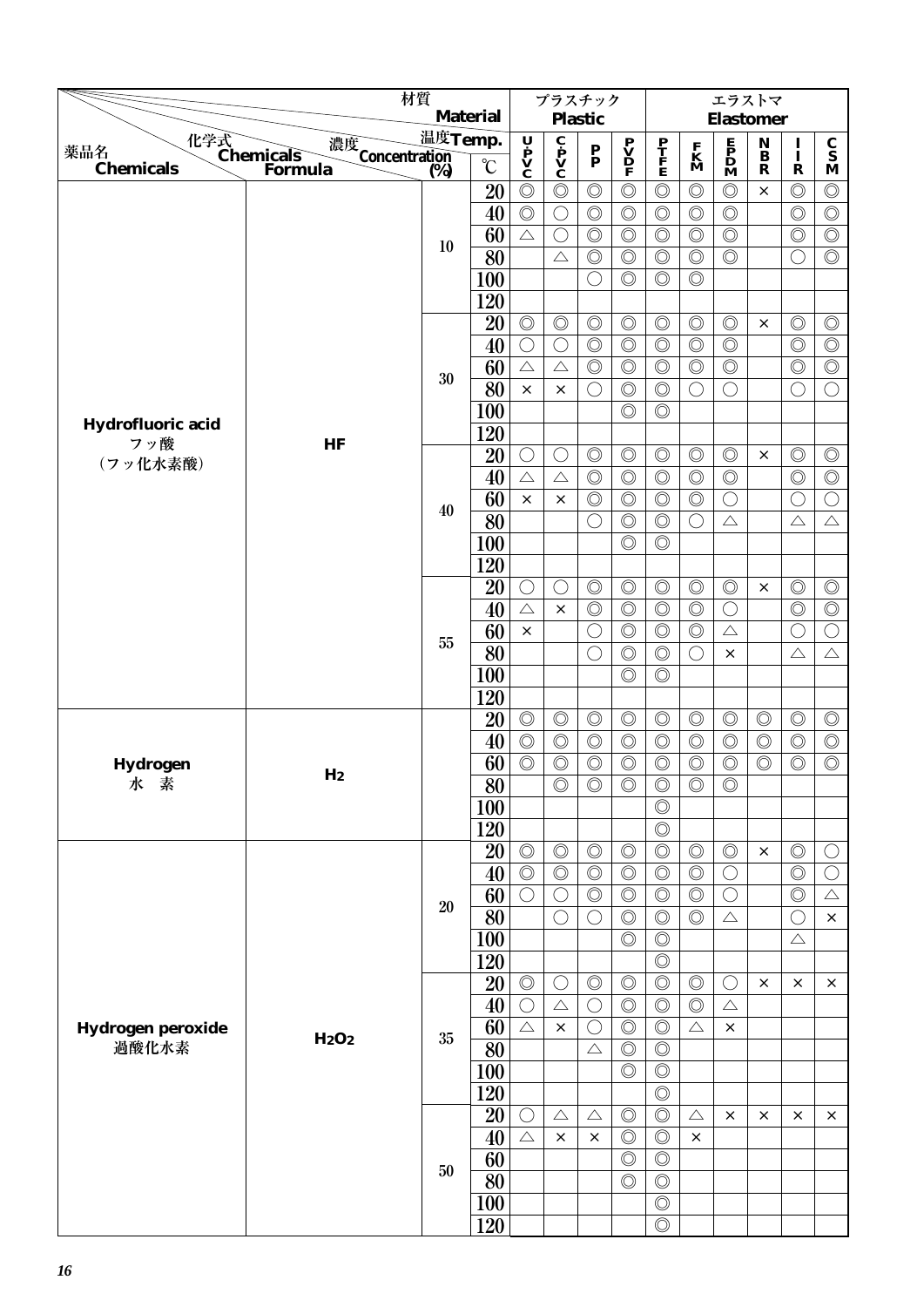|                                                                                                                                                                                                                                                                                                                                                                                                                                                                                                                                                                                                                                                                                                                                                                                                                                                                                                                                                                                                                                                                                                                                                                                                                                                                                                                                                                                                                                                                                                                                                                                                                                                                                                                                                                                                                                                                                                                                                                                                                                                                                                                                                                                                                                                                                                                                                                                                                                                                                                                                                                                                                                                                                                                                                                                                                                                                                                                                                                                                                                                                                                                                                                                                                                                                                                                                                                                                                                                                                                                                                                                                                                                                                                                                                                                                    | 材質                                                                                                                                                                                                                                                                                                                                                                                                                                                                                                                                                                                                                                                                                                                                                                                                                                           |                                        |                 |                | プラスチック         |                    |  |                |  | エラストマ            |                                    |                |                                 |
|----------------------------------------------------------------------------------------------------------------------------------------------------------------------------------------------------------------------------------------------------------------------------------------------------------------------------------------------------------------------------------------------------------------------------------------------------------------------------------------------------------------------------------------------------------------------------------------------------------------------------------------------------------------------------------------------------------------------------------------------------------------------------------------------------------------------------------------------------------------------------------------------------------------------------------------------------------------------------------------------------------------------------------------------------------------------------------------------------------------------------------------------------------------------------------------------------------------------------------------------------------------------------------------------------------------------------------------------------------------------------------------------------------------------------------------------------------------------------------------------------------------------------------------------------------------------------------------------------------------------------------------------------------------------------------------------------------------------------------------------------------------------------------------------------------------------------------------------------------------------------------------------------------------------------------------------------------------------------------------------------------------------------------------------------------------------------------------------------------------------------------------------------------------------------------------------------------------------------------------------------------------------------------------------------------------------------------------------------------------------------------------------------------------------------------------------------------------------------------------------------------------------------------------------------------------------------------------------------------------------------------------------------------------------------------------------------------------------------------------------------------------------------------------------------------------------------------------------------------------------------------------------------------------------------------------------------------------------------------------------------------------------------------------------------------------------------------------------------------------------------------------------------------------------------------------------------------------------------------------------------------------------------------------------------------------------------------------------------------------------------------------------------------------------------------------------------------------------------------------------------------------------------------------------------------------------------------------------------------------------------------------------------------------------------------------------------------------------------------------------------------------------------------------------------|----------------------------------------------------------------------------------------------------------------------------------------------------------------------------------------------------------------------------------------------------------------------------------------------------------------------------------------------------------------------------------------------------------------------------------------------------------------------------------------------------------------------------------------------------------------------------------------------------------------------------------------------------------------------------------------------------------------------------------------------------------------------------------------------------------------------------------------------|----------------------------------------|-----------------|----------------|----------------|--------------------|--|----------------|--|------------------|------------------------------------|----------------|---------------------------------|
|                                                                                                                                                                                                                                                                                                                                                                                                                                                                                                                                                                                                                                                                                                                                                                                                                                                                                                                                                                                                                                                                                                                                                                                                                                                                                                                                                                                                                                                                                                                                                                                                                                                                                                                                                                                                                                                                                                                                                                                                                                                                                                                                                                                                                                                                                                                                                                                                                                                                                                                                                                                                                                                                                                                                                                                                                                                                                                                                                                                                                                                                                                                                                                                                                                                                                                                                                                                                                                                                                                                                                                                                                                                                                                                                                                                                    |                                                                                                                                                                                                                                                                                                                                                                                                                                                                                                                                                                                                                                                                                                                                                                                                                                              |                                        | <b>Material</b> |                |                | <b>Plastic</b>     |  |                |  | <b>Elastomer</b> |                                    |                |                                 |
| 薬品名                                                                                                                                                                                                                                                                                                                                                                                                                                                                                                                                                                                                                                                                                                                                                                                                                                                                                                                                                                                                                                                                                                                                                                                                                                                                                                                                                                                                                                                                                                                                                                                                                                                                                                                                                                                                                                                                                                                                                                                                                                                                                                                                                                                                                                                                                                                                                                                                                                                                                                                                                                                                                                                                                                                                                                                                                                                                                                                                                                                                                                                                                                                                                                                                                                                                                                                                                                                                                                                                                                                                                                                                                                                                                                                                                                                                |                                                                                                                                                                                                                                                                                                                                                                                                                                                                                                                                                                                                                                                                                                                                                                                                                                              |                                        |                 |                |                |                    |  |                |  |                  | $\mathop{\bf B}\limits^{}_{\bf B}$ | $\frac{I}{I}$  | $\frac{\mathbf{C}}{\mathbf{S}}$ |
| <b>Chemicals</b>                                                                                                                                                                                                                                                                                                                                                                                                                                                                                                                                                                                                                                                                                                                                                                                                                                                                                                                                                                                                                                                                                                                                                                                                                                                                                                                                                                                                                                                                                                                                                                                                                                                                                                                                                                                                                                                                                                                                                                                                                                                                                                                                                                                                                                                                                                                                                                                                                                                                                                                                                                                                                                                                                                                                                                                                                                                                                                                                                                                                                                                                                                                                                                                                                                                                                                                                                                                                                                                                                                                                                                                                                                                                                                                                                                                   | Formula                                                                                                                                                                                                                                                                                                                                                                                                                                                                                                                                                                                                                                                                                                                                                                                                                                      |                                        | $\rm ^{\circ}C$ |                |                |                    |  |                |  |                  | $\mathbf R$                        | $\mathbf R$    | $\mathbf M$                     |
|                                                                                                                                                                                                                                                                                                                                                                                                                                                                                                                                                                                                                                                                                                                                                                                                                                                                                                                                                                                                                                                                                                                                                                                                                                                                                                                                                                                                                                                                                                                                                                                                                                                                                                                                                                                                                                                                                                                                                                                                                                                                                                                                                                                                                                                                                                                                                                                                                                                                                                                                                                                                                                                                                                                                                                                                                                                                                                                                                                                                                                                                                                                                                                                                                                                                                                                                                                                                                                                                                                                                                                                                                                                                                                                                                                                                    |                                                                                                                                                                                                                                                                                                                                                                                                                                                                                                                                                                                                                                                                                                                                                                                                                                              |                                        |                 | $\circledcirc$ |                |                    |  | $\circledcirc$ |  | $\circledcirc$   | $\times$                           | $\circledcirc$ | $\circledcirc$                  |
| $\circledcirc$<br>40<br>$\circledcirc$<br>$\circledcirc$<br>$\circledcirc$<br>$\circledcirc$<br>$\bigcirc$<br>$\circledcirc$<br>$\circledcirc$<br>$\circledcirc$<br>$\circledcirc$<br>60<br>$\bigcirc$<br>$\triangle$<br>10<br>$\overline{80}$<br>$\circledcirc$<br>$\circledcirc$<br>$\circledcirc$<br>$\circledcirc$<br>$\triangle$<br>100<br>$\circledcirc$<br>$\circledcirc$<br>$\circledcirc$<br>$\bigcirc$<br>120<br>20<br>$\circledcirc$<br>$\circledcirc$<br>$\circledcirc$<br>$\circledcirc$<br>$\circledcirc$<br>$\circledcirc$<br>$\circledcirc$<br>$\circledcirc$<br>$\circledcirc$<br>$\circledcirc$<br>40<br>$\bigcirc$<br>$\bigcirc$<br>60<br>$\circledcirc$<br>$\circledcirc$<br>$\circledcirc$<br>$\circledcirc$<br>$\triangle$<br>$\triangle$<br>30<br>80<br>$\circledcirc$<br>$\circledcirc$<br>$\bigcirc$<br>$\bigcirc$<br>$\times$<br>$\times$<br>$\circledcirc$<br>100<br>$\circledcirc$<br>Hydrofluoric acid<br>120<br>フッ酸<br>HF<br>20<br>$\circledcirc$<br>$\circledcirc$<br>$\circledcirc$<br>$\bigcirc$<br>$\circledcirc$<br>$\bigcirc$<br>(フッ化水素酸)<br>40<br>$\circledcirc$<br>$\circledcirc$<br>$\circledcirc$<br>$\circledcirc$<br>$\triangle$<br>$\triangle$<br>60<br>$\circledcirc$<br>$\circledcirc$<br>$\circledcirc$<br>$\circledcirc$<br>$\times$<br>$\times$<br>40<br>80<br>$\circledcirc$<br>$\circledcirc$<br>$\bigcirc$<br>$\bigcirc$<br>100<br>$\circledcirc$<br>$\circledcirc$<br>120<br>$\circledcirc$<br>$\circledcirc$<br>$\circledcirc$<br>$\circledcirc$<br>20<br>$\bigcirc$<br>$\bigcirc$<br>40<br>$\circledcirc$<br>$\circledcirc$<br>$\circledcirc$<br>$\circledcirc$<br>$\triangle$<br>$\times$<br>60<br>$\circledcirc$<br>$\bigcirc$<br>$\circledcirc$<br>$\circledcirc$<br>$\times$<br>55<br>80<br>$\circledcirc$<br>$\bigcirc$<br>$\circledcirc$<br>$\bigcirc$<br>$\circledcirc$<br>100<br>$\circledcirc$<br>120<br>20<br>$\circledcirc$<br>$\circledcirc$<br>$\circledcirc$<br>$\circledcirc$<br>$\circledcirc$<br>$\circledcirc$<br>40<br>$\circledcirc$<br>$\circledcirc$<br>$\circledcirc$<br>$\circledcirc$<br>$\circledcirc$<br>$\circledcirc$<br>60<br>$\circledcirc$<br>$\circledcirc$<br>$\circledcirc$<br>$\circledcirc$<br>$\circledcirc$<br>$\circledcirc$<br>Hydrogen<br>H <sub>2</sub><br>$\overline{80}$<br>$\overline{\bigcirc}$<br>水素<br>$\circledcirc$<br>$\circledcirc$<br>$\circledcirc$<br>$\circledcirc$<br>$\circledcirc$<br>100<br>120<br>$\circledcirc$<br>$\circledcirc$<br>$\circledcirc$<br>20<br>$\circledcirc$<br>$\circledcirc$<br>$\circledcirc$<br>$\circledcirc$<br>40<br>$\circledcirc$<br>$\circledcirc$<br>$\circledcirc$<br>$\circledcirc$<br>$\circledcirc$<br>$\circledcirc$<br>$\circledcirc$<br>60<br>$\circledcirc$<br>$\circledcirc$<br>$\circledcirc$<br>$\bigcirc$<br>C<br>20<br>80<br>$\circledcirc$<br>$\circledcirc$<br>$\circledcirc$<br>$\bigcirc$<br>$\bigcirc$<br>100<br>$\circledcirc$<br>$\circledcirc$<br>120<br>$\circledcirc$<br>$\circledcirc$<br>$\circledcirc$<br>20<br>$\circledcirc$<br>$\circledcirc$<br>$\circledcirc$<br>$\bigcirc$<br>40<br>$\circledcirc$<br>$\circledcirc$<br>$\circledcirc$<br>$\bigcirc$<br>$\bigcirc$<br>$\triangle$<br>60<br>$\circledcirc$<br>$\circledcirc$<br>$\triangle$<br>$\bigcirc$<br>$\triangle$<br>Hydrogen peroxide<br>×<br>H <sub>2</sub> O <sub>2</sub><br>35<br>過酸化水素<br>80<br>$\circledcirc$<br>$\circledcirc$<br>$\triangle$<br>100<br>$\circledcirc$<br>$\circledcirc$<br>120<br>$\circledcirc$<br>20<br>$\circledcirc$<br>$\circledcirc$<br>$\triangle$<br>$\triangle$<br>$\triangle$<br>O<br>$\circledcirc$<br>$\circledcirc$<br>$\triangle$<br>40<br>$\times$<br>$\times$<br>$\times$<br>60<br>$\circledcirc$<br>$\circledcirc$<br>50<br>80<br>$\circledcirc$<br>$\circledcirc$<br>$\circledcirc$<br>100<br>120<br>$\circledcirc$ | $\circledcirc$                                                                                                                                                                                                                                                                                                                                                                                                                                                                                                                                                                                                                                                                                                                                                                                                                               |                                        | $\circledcirc$  | $\circledcirc$ |                |                    |  |                |  |                  |                                    |                |                                 |
|                                                                                                                                                                                                                                                                                                                                                                                                                                                                                                                                                                                                                                                                                                                                                                                                                                                                                                                                                                                                                                                                                                                                                                                                                                                                                                                                                                                                                                                                                                                                                                                                                                                                                                                                                                                                                                                                                                                                                                                                                                                                                                                                                                                                                                                                                                                                                                                                                                                                                                                                                                                                                                                                                                                                                                                                                                                                                                                                                                                                                                                                                                                                                                                                                                                                                                                                                                                                                                                                                                                                                                                                                                                                                                                                                                                                    |                                                                                                                                                                                                                                                                                                                                                                                                                                                                                                                                                                                                                                                                                                                                                                                                                                              |                                        | $\circledcirc$  |                | $\circledcirc$ | $\overline{\circ}$ |  |                |  |                  |                                    |                |                                 |
|                                                                                                                                                                                                                                                                                                                                                                                                                                                                                                                                                                                                                                                                                                                                                                                                                                                                                                                                                                                                                                                                                                                                                                                                                                                                                                                                                                                                                                                                                                                                                                                                                                                                                                                                                                                                                                                                                                                                                                                                                                                                                                                                                                                                                                                                                                                                                                                                                                                                                                                                                                                                                                                                                                                                                                                                                                                                                                                                                                                                                                                                                                                                                                                                                                                                                                                                                                                                                                                                                                                                                                                                                                                                                                                                                                                                    |                                                                                                                                                                                                                                                                                                                                                                                                                                                                                                                                                                                                                                                                                                                                                                                                                                              |                                        |                 |                |                |                    |  |                |  | $\circledcirc$   |                                    | $\bigcirc$     | $\circledcirc$                  |
|                                                                                                                                                                                                                                                                                                                                                                                                                                                                                                                                                                                                                                                                                                                                                                                                                                                                                                                                                                                                                                                                                                                                                                                                                                                                                                                                                                                                                                                                                                                                                                                                                                                                                                                                                                                                                                                                                                                                                                                                                                                                                                                                                                                                                                                                                                                                                                                                                                                                                                                                                                                                                                                                                                                                                                                                                                                                                                                                                                                                                                                                                                                                                                                                                                                                                                                                                                                                                                                                                                                                                                                                                                                                                                                                                                                                    |                                                                                                                                                                                                                                                                                                                                                                                                                                                                                                                                                                                                                                                                                                                                                                                                                                              |                                        |                 |                |                |                    |  |                |  |                  |                                    |                |                                 |
|                                                                                                                                                                                                                                                                                                                                                                                                                                                                                                                                                                                                                                                                                                                                                                                                                                                                                                                                                                                                                                                                                                                                                                                                                                                                                                                                                                                                                                                                                                                                                                                                                                                                                                                                                                                                                                                                                                                                                                                                                                                                                                                                                                                                                                                                                                                                                                                                                                                                                                                                                                                                                                                                                                                                                                                                                                                                                                                                                                                                                                                                                                                                                                                                                                                                                                                                                                                                                                                                                                                                                                                                                                                                                                                                                                                                    |                                                                                                                                                                                                                                                                                                                                                                                                                                                                                                                                                                                                                                                                                                                                                                                                                                              |                                        |                 |                |                |                    |  |                |  |                  |                                    |                |                                 |
|                                                                                                                                                                                                                                                                                                                                                                                                                                                                                                                                                                                                                                                                                                                                                                                                                                                                                                                                                                                                                                                                                                                                                                                                                                                                                                                                                                                                                                                                                                                                                                                                                                                                                                                                                                                                                                                                                                                                                                                                                                                                                                                                                                                                                                                                                                                                                                                                                                                                                                                                                                                                                                                                                                                                                                                                                                                                                                                                                                                                                                                                                                                                                                                                                                                                                                                                                                                                                                                                                                                                                                                                                                                                                                                                                                                                    |                                                                                                                                                                                                                                                                                                                                                                                                                                                                                                                                                                                                                                                                                                                                                                                                                                              |                                        |                 |                |                |                    |  |                |  | $\circledcirc$   | $\times$                           | $\circledcirc$ | $\circledcirc$                  |
|                                                                                                                                                                                                                                                                                                                                                                                                                                                                                                                                                                                                                                                                                                                                                                                                                                                                                                                                                                                                                                                                                                                                                                                                                                                                                                                                                                                                                                                                                                                                                                                                                                                                                                                                                                                                                                                                                                                                                                                                                                                                                                                                                                                                                                                                                                                                                                                                                                                                                                                                                                                                                                                                                                                                                                                                                                                                                                                                                                                                                                                                                                                                                                                                                                                                                                                                                                                                                                                                                                                                                                                                                                                                                                                                                                                                    |                                                                                                                                                                                                                                                                                                                                                                                                                                                                                                                                                                                                                                                                                                                                                                                                                                              |                                        |                 |                |                |                    |  |                |  | $\circledcirc$   |                                    | $\circledcirc$ | $\circledcirc$                  |
|                                                                                                                                                                                                                                                                                                                                                                                                                                                                                                                                                                                                                                                                                                                                                                                                                                                                                                                                                                                                                                                                                                                                                                                                                                                                                                                                                                                                                                                                                                                                                                                                                                                                                                                                                                                                                                                                                                                                                                                                                                                                                                                                                                                                                                                                                                                                                                                                                                                                                                                                                                                                                                                                                                                                                                                                                                                                                                                                                                                                                                                                                                                                                                                                                                                                                                                                                                                                                                                                                                                                                                                                                                                                                                                                                                                                    |                                                                                                                                                                                                                                                                                                                                                                                                                                                                                                                                                                                                                                                                                                                                                                                                                                              |                                        |                 |                |                |                    |  |                |  | $\circledcirc$   |                                    | $\circledcirc$ | $\circledcirc$                  |
|                                                                                                                                                                                                                                                                                                                                                                                                                                                                                                                                                                                                                                                                                                                                                                                                                                                                                                                                                                                                                                                                                                                                                                                                                                                                                                                                                                                                                                                                                                                                                                                                                                                                                                                                                                                                                                                                                                                                                                                                                                                                                                                                                                                                                                                                                                                                                                                                                                                                                                                                                                                                                                                                                                                                                                                                                                                                                                                                                                                                                                                                                                                                                                                                                                                                                                                                                                                                                                                                                                                                                                                                                                                                                                                                                                                                    |                                                                                                                                                                                                                                                                                                                                                                                                                                                                                                                                                                                                                                                                                                                                                                                                                                              |                                        |                 |                |                |                    |  |                |  | $\bigcirc$       |                                    | $\bigcirc$     | $\bigcirc$                      |
|                                                                                                                                                                                                                                                                                                                                                                                                                                                                                                                                                                                                                                                                                                                                                                                                                                                                                                                                                                                                                                                                                                                                                                                                                                                                                                                                                                                                                                                                                                                                                                                                                                                                                                                                                                                                                                                                                                                                                                                                                                                                                                                                                                                                                                                                                                                                                                                                                                                                                                                                                                                                                                                                                                                                                                                                                                                                                                                                                                                                                                                                                                                                                                                                                                                                                                                                                                                                                                                                                                                                                                                                                                                                                                                                                                                                    |                                                                                                                                                                                                                                                                                                                                                                                                                                                                                                                                                                                                                                                                                                                                                                                                                                              |                                        |                 |                |                |                    |  |                |  |                  |                                    |                |                                 |
|                                                                                                                                                                                                                                                                                                                                                                                                                                                                                                                                                                                                                                                                                                                                                                                                                                                                                                                                                                                                                                                                                                                                                                                                                                                                                                                                                                                                                                                                                                                                                                                                                                                                                                                                                                                                                                                                                                                                                                                                                                                                                                                                                                                                                                                                                                                                                                                                                                                                                                                                                                                                                                                                                                                                                                                                                                                                                                                                                                                                                                                                                                                                                                                                                                                                                                                                                                                                                                                                                                                                                                                                                                                                                                                                                                                                    |                                                                                                                                                                                                                                                                                                                                                                                                                                                                                                                                                                                                                                                                                                                                                                                                                                              |                                        |                 |                |                |                    |  |                |  |                  |                                    |                |                                 |
|                                                                                                                                                                                                                                                                                                                                                                                                                                                                                                                                                                                                                                                                                                                                                                                                                                                                                                                                                                                                                                                                                                                                                                                                                                                                                                                                                                                                                                                                                                                                                                                                                                                                                                                                                                                                                                                                                                                                                                                                                                                                                                                                                                                                                                                                                                                                                                                                                                                                                                                                                                                                                                                                                                                                                                                                                                                                                                                                                                                                                                                                                                                                                                                                                                                                                                                                                                                                                                                                                                                                                                                                                                                                                                                                                                                                    |                                                                                                                                                                                                                                                                                                                                                                                                                                                                                                                                                                                                                                                                                                                                                                                                                                              |                                        |                 |                |                |                    |  |                |  | $\circledcirc$   | $\times$                           | $\circledcirc$ | $\circledcirc$                  |
|                                                                                                                                                                                                                                                                                                                                                                                                                                                                                                                                                                                                                                                                                                                                                                                                                                                                                                                                                                                                                                                                                                                                                                                                                                                                                                                                                                                                                                                                                                                                                                                                                                                                                                                                                                                                                                                                                                                                                                                                                                                                                                                                                                                                                                                                                                                                                                                                                                                                                                                                                                                                                                                                                                                                                                                                                                                                                                                                                                                                                                                                                                                                                                                                                                                                                                                                                                                                                                                                                                                                                                                                                                                                                                                                                                                                    |                                                                                                                                                                                                                                                                                                                                                                                                                                                                                                                                                                                                                                                                                                                                                                                                                                              |                                        |                 |                |                |                    |  |                |  | $\circledcirc$   |                                    | $\circledcirc$ | $\overline{\circlearrowright}$  |
|                                                                                                                                                                                                                                                                                                                                                                                                                                                                                                                                                                                                                                                                                                                                                                                                                                                                                                                                                                                                                                                                                                                                                                                                                                                                                                                                                                                                                                                                                                                                                                                                                                                                                                                                                                                                                                                                                                                                                                                                                                                                                                                                                                                                                                                                                                                                                                                                                                                                                                                                                                                                                                                                                                                                                                                                                                                                                                                                                                                                                                                                                                                                                                                                                                                                                                                                                                                                                                                                                                                                                                                                                                                                                                                                                                                                    |                                                                                                                                                                                                                                                                                                                                                                                                                                                                                                                                                                                                                                                                                                                                                                                                                                              |                                        |                 |                |                |                    |  |                |  | $\bigcirc$       |                                    | $\bigcirc$     | $\bigcirc$                      |
|                                                                                                                                                                                                                                                                                                                                                                                                                                                                                                                                                                                                                                                                                                                                                                                                                                                                                                                                                                                                                                                                                                                                                                                                                                                                                                                                                                                                                                                                                                                                                                                                                                                                                                                                                                                                                                                                                                                                                                                                                                                                                                                                                                                                                                                                                                                                                                                                                                                                                                                                                                                                                                                                                                                                                                                                                                                                                                                                                                                                                                                                                                                                                                                                                                                                                                                                                                                                                                                                                                                                                                                                                                                                                                                                                                                                    |                                                                                                                                                                                                                                                                                                                                                                                                                                                                                                                                                                                                                                                                                                                                                                                                                                              |                                        |                 |                |                |                    |  |                |  | $\triangle$      |                                    | $\triangle$    | $\triangle$                     |
|                                                                                                                                                                                                                                                                                                                                                                                                                                                                                                                                                                                                                                                                                                                                                                                                                                                                                                                                                                                                                                                                                                                                                                                                                                                                                                                                                                                                                                                                                                                                                                                                                                                                                                                                                                                                                                                                                                                                                                                                                                                                                                                                                                                                                                                                                                                                                                                                                                                                                                                                                                                                                                                                                                                                                                                                                                                                                                                                                                                                                                                                                                                                                                                                                                                                                                                                                                                                                                                                                                                                                                                                                                                                                                                                                                                                    |                                                                                                                                                                                                                                                                                                                                                                                                                                                                                                                                                                                                                                                                                                                                                                                                                                              |                                        |                 |                |                |                    |  |                |  |                  |                                    |                |                                 |
|                                                                                                                                                                                                                                                                                                                                                                                                                                                                                                                                                                                                                                                                                                                                                                                                                                                                                                                                                                                                                                                                                                                                                                                                                                                                                                                                                                                                                                                                                                                                                                                                                                                                                                                                                                                                                                                                                                                                                                                                                                                                                                                                                                                                                                                                                                                                                                                                                                                                                                                                                                                                                                                                                                                                                                                                                                                                                                                                                                                                                                                                                                                                                                                                                                                                                                                                                                                                                                                                                                                                                                                                                                                                                                                                                                                                    |                                                                                                                                                                                                                                                                                                                                                                                                                                                                                                                                                                                                                                                                                                                                                                                                                                              |                                        |                 |                |                |                    |  |                |  |                  |                                    |                |                                 |
|                                                                                                                                                                                                                                                                                                                                                                                                                                                                                                                                                                                                                                                                                                                                                                                                                                                                                                                                                                                                                                                                                                                                                                                                                                                                                                                                                                                                                                                                                                                                                                                                                                                                                                                                                                                                                                                                                                                                                                                                                                                                                                                                                                                                                                                                                                                                                                                                                                                                                                                                                                                                                                                                                                                                                                                                                                                                                                                                                                                                                                                                                                                                                                                                                                                                                                                                                                                                                                                                                                                                                                                                                                                                                                                                                                                                    | 温度Temp.<br>化学式<br>Chemicals<br>濃度<br>Concentration<br>(%)<br>$\overline{\mathbf{c}}$<br>$\mathbf{p}$<br>$\mathbf{v}$<br>$\mathbf{c}$<br>$\begin{array}{c}\n\mathbf{U} \\ \mathbf{P} \\ \mathbf{V} \\ \mathbf{C}\n\end{array}$<br>$\begin{array}{c} \mathbf{E} \\ \mathbf{P} \\ \mathbf{D} \\ \mathbf{M} \end{array}$<br>$\begin{array}{c} \mathbf{P} \\ \mathbf{V} \\ \mathbf{D} \\ \mathbf{F} \end{array}$<br>P<br>T<br>F<br>E<br>$\mathbf{K}$<br>$\mathbf{M}$<br>$\frac{\mathbf{P}}{\mathbf{P}}$<br>(%)<br>$\circledcirc$<br>$\circledcirc$<br>20<br>$\circledcirc$<br>$\circledcirc$<br>$\circledcirc$<br>$\bigcirc$<br>$\triangle$<br>$\times$<br>$\circledcirc$<br>$\circledcirc$<br>$\circledcirc$<br>$\circledcirc$<br>$\circledcirc$<br>$\bigcirc$<br>$\bigcirc$<br>$\triangle$<br>$\bigcirc$<br>$\triangle$<br>$\times$<br>$\times$ | $\times$                               | $\circledcirc$  | $\circledcirc$ |                |                    |  |                |  |                  |                                    |                |                                 |
|                                                                                                                                                                                                                                                                                                                                                                                                                                                                                                                                                                                                                                                                                                                                                                                                                                                                                                                                                                                                                                                                                                                                                                                                                                                                                                                                                                                                                                                                                                                                                                                                                                                                                                                                                                                                                                                                                                                                                                                                                                                                                                                                                                                                                                                                                                                                                                                                                                                                                                                                                                                                                                                                                                                                                                                                                                                                                                                                                                                                                                                                                                                                                                                                                                                                                                                                                                                                                                                                                                                                                                                                                                                                                                                                                                                                    |                                                                                                                                                                                                                                                                                                                                                                                                                                                                                                                                                                                                                                                                                                                                                                                                                                              |                                        | $\circledcirc$  | $\circledcirc$ |                |                    |  |                |  |                  |                                    |                |                                 |
|                                                                                                                                                                                                                                                                                                                                                                                                                                                                                                                                                                                                                                                                                                                                                                                                                                                                                                                                                                                                                                                                                                                                                                                                                                                                                                                                                                                                                                                                                                                                                                                                                                                                                                                                                                                                                                                                                                                                                                                                                                                                                                                                                                                                                                                                                                                                                                                                                                                                                                                                                                                                                                                                                                                                                                                                                                                                                                                                                                                                                                                                                                                                                                                                                                                                                                                                                                                                                                                                                                                                                                                                                                                                                                                                                                                                    |                                                                                                                                                                                                                                                                                                                                                                                                                                                                                                                                                                                                                                                                                                                                                                                                                                              |                                        |                 |                |                |                    |  |                |  |                  |                                    | O              | $\bigcirc$                      |
|                                                                                                                                                                                                                                                                                                                                                                                                                                                                                                                                                                                                                                                                                                                                                                                                                                                                                                                                                                                                                                                                                                                                                                                                                                                                                                                                                                                                                                                                                                                                                                                                                                                                                                                                                                                                                                                                                                                                                                                                                                                                                                                                                                                                                                                                                                                                                                                                                                                                                                                                                                                                                                                                                                                                                                                                                                                                                                                                                                                                                                                                                                                                                                                                                                                                                                                                                                                                                                                                                                                                                                                                                                                                                                                                                                                                    |                                                                                                                                                                                                                                                                                                                                                                                                                                                                                                                                                                                                                                                                                                                                                                                                                                              |                                        |                 |                |                |                    |  |                |  |                  |                                    | $\triangle$    | $\triangle$                     |
|                                                                                                                                                                                                                                                                                                                                                                                                                                                                                                                                                                                                                                                                                                                                                                                                                                                                                                                                                                                                                                                                                                                                                                                                                                                                                                                                                                                                                                                                                                                                                                                                                                                                                                                                                                                                                                                                                                                                                                                                                                                                                                                                                                                                                                                                                                                                                                                                                                                                                                                                                                                                                                                                                                                                                                                                                                                                                                                                                                                                                                                                                                                                                                                                                                                                                                                                                                                                                                                                                                                                                                                                                                                                                                                                                                                                    |                                                                                                                                                                                                                                                                                                                                                                                                                                                                                                                                                                                                                                                                                                                                                                                                                                              |                                        |                 |                |                |                    |  |                |  |                  |                                    |                |                                 |
|                                                                                                                                                                                                                                                                                                                                                                                                                                                                                                                                                                                                                                                                                                                                                                                                                                                                                                                                                                                                                                                                                                                                                                                                                                                                                                                                                                                                                                                                                                                                                                                                                                                                                                                                                                                                                                                                                                                                                                                                                                                                                                                                                                                                                                                                                                                                                                                                                                                                                                                                                                                                                                                                                                                                                                                                                                                                                                                                                                                                                                                                                                                                                                                                                                                                                                                                                                                                                                                                                                                                                                                                                                                                                                                                                                                                    |                                                                                                                                                                                                                                                                                                                                                                                                                                                                                                                                                                                                                                                                                                                                                                                                                                              |                                        |                 |                |                |                    |  |                |  |                  |                                    |                |                                 |
|                                                                                                                                                                                                                                                                                                                                                                                                                                                                                                                                                                                                                                                                                                                                                                                                                                                                                                                                                                                                                                                                                                                                                                                                                                                                                                                                                                                                                                                                                                                                                                                                                                                                                                                                                                                                                                                                                                                                                                                                                                                                                                                                                                                                                                                                                                                                                                                                                                                                                                                                                                                                                                                                                                                                                                                                                                                                                                                                                                                                                                                                                                                                                                                                                                                                                                                                                                                                                                                                                                                                                                                                                                                                                                                                                                                                    |                                                                                                                                                                                                                                                                                                                                                                                                                                                                                                                                                                                                                                                                                                                                                                                                                                              |                                        |                 |                |                |                    |  |                |  |                  | $\circledcirc$                     | $\circledcirc$ | $\circledcirc$                  |
|                                                                                                                                                                                                                                                                                                                                                                                                                                                                                                                                                                                                                                                                                                                                                                                                                                                                                                                                                                                                                                                                                                                                                                                                                                                                                                                                                                                                                                                                                                                                                                                                                                                                                                                                                                                                                                                                                                                                                                                                                                                                                                                                                                                                                                                                                                                                                                                                                                                                                                                                                                                                                                                                                                                                                                                                                                                                                                                                                                                                                                                                                                                                                                                                                                                                                                                                                                                                                                                                                                                                                                                                                                                                                                                                                                                                    |                                                                                                                                                                                                                                                                                                                                                                                                                                                                                                                                                                                                                                                                                                                                                                                                                                              |                                        |                 |                |                |                    |  |                |  |                  | $\circledcirc$                     | $\circledcirc$ | $\circledcirc$                  |
|                                                                                                                                                                                                                                                                                                                                                                                                                                                                                                                                                                                                                                                                                                                                                                                                                                                                                                                                                                                                                                                                                                                                                                                                                                                                                                                                                                                                                                                                                                                                                                                                                                                                                                                                                                                                                                                                                                                                                                                                                                                                                                                                                                                                                                                                                                                                                                                                                                                                                                                                                                                                                                                                                                                                                                                                                                                                                                                                                                                                                                                                                                                                                                                                                                                                                                                                                                                                                                                                                                                                                                                                                                                                                                                                                                                                    |                                                                                                                                                                                                                                                                                                                                                                                                                                                                                                                                                                                                                                                                                                                                                                                                                                              |                                        |                 |                |                |                    |  |                |  |                  |                                    | $\circledcirc$ | $\circledcirc$                  |
|                                                                                                                                                                                                                                                                                                                                                                                                                                                                                                                                                                                                                                                                                                                                                                                                                                                                                                                                                                                                                                                                                                                                                                                                                                                                                                                                                                                                                                                                                                                                                                                                                                                                                                                                                                                                                                                                                                                                                                                                                                                                                                                                                                                                                                                                                                                                                                                                                                                                                                                                                                                                                                                                                                                                                                                                                                                                                                                                                                                                                                                                                                                                                                                                                                                                                                                                                                                                                                                                                                                                                                                                                                                                                                                                                                                                    |                                                                                                                                                                                                                                                                                                                                                                                                                                                                                                                                                                                                                                                                                                                                                                                                                                              |                                        |                 |                |                |                    |  |                |  |                  |                                    |                |                                 |
|                                                                                                                                                                                                                                                                                                                                                                                                                                                                                                                                                                                                                                                                                                                                                                                                                                                                                                                                                                                                                                                                                                                                                                                                                                                                                                                                                                                                                                                                                                                                                                                                                                                                                                                                                                                                                                                                                                                                                                                                                                                                                                                                                                                                                                                                                                                                                                                                                                                                                                                                                                                                                                                                                                                                                                                                                                                                                                                                                                                                                                                                                                                                                                                                                                                                                                                                                                                                                                                                                                                                                                                                                                                                                                                                                                                                    |                                                                                                                                                                                                                                                                                                                                                                                                                                                                                                                                                                                                                                                                                                                                                                                                                                              |                                        |                 |                |                |                    |  |                |  |                  |                                    |                |                                 |
|                                                                                                                                                                                                                                                                                                                                                                                                                                                                                                                                                                                                                                                                                                                                                                                                                                                                                                                                                                                                                                                                                                                                                                                                                                                                                                                                                                                                                                                                                                                                                                                                                                                                                                                                                                                                                                                                                                                                                                                                                                                                                                                                                                                                                                                                                                                                                                                                                                                                                                                                                                                                                                                                                                                                                                                                                                                                                                                                                                                                                                                                                                                                                                                                                                                                                                                                                                                                                                                                                                                                                                                                                                                                                                                                                                                                    |                                                                                                                                                                                                                                                                                                                                                                                                                                                                                                                                                                                                                                                                                                                                                                                                                                              |                                        |                 |                |                |                    |  |                |  |                  |                                    |                |                                 |
|                                                                                                                                                                                                                                                                                                                                                                                                                                                                                                                                                                                                                                                                                                                                                                                                                                                                                                                                                                                                                                                                                                                                                                                                                                                                                                                                                                                                                                                                                                                                                                                                                                                                                                                                                                                                                                                                                                                                                                                                                                                                                                                                                                                                                                                                                                                                                                                                                                                                                                                                                                                                                                                                                                                                                                                                                                                                                                                                                                                                                                                                                                                                                                                                                                                                                                                                                                                                                                                                                                                                                                                                                                                                                                                                                                                                    |                                                                                                                                                                                                                                                                                                                                                                                                                                                                                                                                                                                                                                                                                                                                                                                                                                              |                                        |                 |                |                |                    |  |                |  |                  | $\times$                           | $\circledcirc$ | $\bigcirc$                      |
|                                                                                                                                                                                                                                                                                                                                                                                                                                                                                                                                                                                                                                                                                                                                                                                                                                                                                                                                                                                                                                                                                                                                                                                                                                                                                                                                                                                                                                                                                                                                                                                                                                                                                                                                                                                                                                                                                                                                                                                                                                                                                                                                                                                                                                                                                                                                                                                                                                                                                                                                                                                                                                                                                                                                                                                                                                                                                                                                                                                                                                                                                                                                                                                                                                                                                                                                                                                                                                                                                                                                                                                                                                                                                                                                                                                                    |                                                                                                                                                                                                                                                                                                                                                                                                                                                                                                                                                                                                                                                                                                                                                                                                                                              |                                        |                 |                |                |                    |  |                |  |                  |                                    | $\circledcirc$ | $\bigcirc$                      |
|                                                                                                                                                                                                                                                                                                                                                                                                                                                                                                                                                                                                                                                                                                                                                                                                                                                                                                                                                                                                                                                                                                                                                                                                                                                                                                                                                                                                                                                                                                                                                                                                                                                                                                                                                                                                                                                                                                                                                                                                                                                                                                                                                                                                                                                                                                                                                                                                                                                                                                                                                                                                                                                                                                                                                                                                                                                                                                                                                                                                                                                                                                                                                                                                                                                                                                                                                                                                                                                                                                                                                                                                                                                                                                                                                                                                    |                                                                                                                                                                                                                                                                                                                                                                                                                                                                                                                                                                                                                                                                                                                                                                                                                                              |                                        |                 |                |                |                    |  |                |  |                  |                                    | $\circledcirc$ | $\triangle$                     |
|                                                                                                                                                                                                                                                                                                                                                                                                                                                                                                                                                                                                                                                                                                                                                                                                                                                                                                                                                                                                                                                                                                                                                                                                                                                                                                                                                                                                                                                                                                                                                                                                                                                                                                                                                                                                                                                                                                                                                                                                                                                                                                                                                                                                                                                                                                                                                                                                                                                                                                                                                                                                                                                                                                                                                                                                                                                                                                                                                                                                                                                                                                                                                                                                                                                                                                                                                                                                                                                                                                                                                                                                                                                                                                                                                                                                    |                                                                                                                                                                                                                                                                                                                                                                                                                                                                                                                                                                                                                                                                                                                                                                                                                                              | $\circledcirc$<br>$\times$<br>$\times$ | ◯               | $\times$       |                |                    |  |                |  |                  |                                    |                |                                 |
|                                                                                                                                                                                                                                                                                                                                                                                                                                                                                                                                                                                                                                                                                                                                                                                                                                                                                                                                                                                                                                                                                                                                                                                                                                                                                                                                                                                                                                                                                                                                                                                                                                                                                                                                                                                                                                                                                                                                                                                                                                                                                                                                                                                                                                                                                                                                                                                                                                                                                                                                                                                                                                                                                                                                                                                                                                                                                                                                                                                                                                                                                                                                                                                                                                                                                                                                                                                                                                                                                                                                                                                                                                                                                                                                                                                                    |                                                                                                                                                                                                                                                                                                                                                                                                                                                                                                                                                                                                                                                                                                                                                                                                                                              |                                        |                 |                |                |                    |  |                |  |                  |                                    | $\triangle$    |                                 |
|                                                                                                                                                                                                                                                                                                                                                                                                                                                                                                                                                                                                                                                                                                                                                                                                                                                                                                                                                                                                                                                                                                                                                                                                                                                                                                                                                                                                                                                                                                                                                                                                                                                                                                                                                                                                                                                                                                                                                                                                                                                                                                                                                                                                                                                                                                                                                                                                                                                                                                                                                                                                                                                                                                                                                                                                                                                                                                                                                                                                                                                                                                                                                                                                                                                                                                                                                                                                                                                                                                                                                                                                                                                                                                                                                                                                    |                                                                                                                                                                                                                                                                                                                                                                                                                                                                                                                                                                                                                                                                                                                                                                                                                                              |                                        |                 |                |                |                    |  |                |  |                  |                                    |                |                                 |
|                                                                                                                                                                                                                                                                                                                                                                                                                                                                                                                                                                                                                                                                                                                                                                                                                                                                                                                                                                                                                                                                                                                                                                                                                                                                                                                                                                                                                                                                                                                                                                                                                                                                                                                                                                                                                                                                                                                                                                                                                                                                                                                                                                                                                                                                                                                                                                                                                                                                                                                                                                                                                                                                                                                                                                                                                                                                                                                                                                                                                                                                                                                                                                                                                                                                                                                                                                                                                                                                                                                                                                                                                                                                                                                                                                                                    |                                                                                                                                                                                                                                                                                                                                                                                                                                                                                                                                                                                                                                                                                                                                                                                                                                              |                                        |                 |                |                |                    |  |                |  |                  |                                    | $\times$       | ×                               |
|                                                                                                                                                                                                                                                                                                                                                                                                                                                                                                                                                                                                                                                                                                                                                                                                                                                                                                                                                                                                                                                                                                                                                                                                                                                                                                                                                                                                                                                                                                                                                                                                                                                                                                                                                                                                                                                                                                                                                                                                                                                                                                                                                                                                                                                                                                                                                                                                                                                                                                                                                                                                                                                                                                                                                                                                                                                                                                                                                                                                                                                                                                                                                                                                                                                                                                                                                                                                                                                                                                                                                                                                                                                                                                                                                                                                    |                                                                                                                                                                                                                                                                                                                                                                                                                                                                                                                                                                                                                                                                                                                                                                                                                                              |                                        |                 |                |                |                    |  |                |  |                  |                                    |                |                                 |
|                                                                                                                                                                                                                                                                                                                                                                                                                                                                                                                                                                                                                                                                                                                                                                                                                                                                                                                                                                                                                                                                                                                                                                                                                                                                                                                                                                                                                                                                                                                                                                                                                                                                                                                                                                                                                                                                                                                                                                                                                                                                                                                                                                                                                                                                                                                                                                                                                                                                                                                                                                                                                                                                                                                                                                                                                                                                                                                                                                                                                                                                                                                                                                                                                                                                                                                                                                                                                                                                                                                                                                                                                                                                                                                                                                                                    |                                                                                                                                                                                                                                                                                                                                                                                                                                                                                                                                                                                                                                                                                                                                                                                                                                              |                                        |                 |                |                |                    |  |                |  |                  |                                    |                |                                 |
|                                                                                                                                                                                                                                                                                                                                                                                                                                                                                                                                                                                                                                                                                                                                                                                                                                                                                                                                                                                                                                                                                                                                                                                                                                                                                                                                                                                                                                                                                                                                                                                                                                                                                                                                                                                                                                                                                                                                                                                                                                                                                                                                                                                                                                                                                                                                                                                                                                                                                                                                                                                                                                                                                                                                                                                                                                                                                                                                                                                                                                                                                                                                                                                                                                                                                                                                                                                                                                                                                                                                                                                                                                                                                                                                                                                                    |                                                                                                                                                                                                                                                                                                                                                                                                                                                                                                                                                                                                                                                                                                                                                                                                                                              |                                        |                 |                |                |                    |  |                |  |                  |                                    |                |                                 |
|                                                                                                                                                                                                                                                                                                                                                                                                                                                                                                                                                                                                                                                                                                                                                                                                                                                                                                                                                                                                                                                                                                                                                                                                                                                                                                                                                                                                                                                                                                                                                                                                                                                                                                                                                                                                                                                                                                                                                                                                                                                                                                                                                                                                                                                                                                                                                                                                                                                                                                                                                                                                                                                                                                                                                                                                                                                                                                                                                                                                                                                                                                                                                                                                                                                                                                                                                                                                                                                                                                                                                                                                                                                                                                                                                                                                    |                                                                                                                                                                                                                                                                                                                                                                                                                                                                                                                                                                                                                                                                                                                                                                                                                                              |                                        |                 |                |                |                    |  |                |  |                  |                                    |                |                                 |
|                                                                                                                                                                                                                                                                                                                                                                                                                                                                                                                                                                                                                                                                                                                                                                                                                                                                                                                                                                                                                                                                                                                                                                                                                                                                                                                                                                                                                                                                                                                                                                                                                                                                                                                                                                                                                                                                                                                                                                                                                                                                                                                                                                                                                                                                                                                                                                                                                                                                                                                                                                                                                                                                                                                                                                                                                                                                                                                                                                                                                                                                                                                                                                                                                                                                                                                                                                                                                                                                                                                                                                                                                                                                                                                                                                                                    |                                                                                                                                                                                                                                                                                                                                                                                                                                                                                                                                                                                                                                                                                                                                                                                                                                              |                                        |                 |                |                |                    |  |                |  |                  |                                    |                |                                 |
|                                                                                                                                                                                                                                                                                                                                                                                                                                                                                                                                                                                                                                                                                                                                                                                                                                                                                                                                                                                                                                                                                                                                                                                                                                                                                                                                                                                                                                                                                                                                                                                                                                                                                                                                                                                                                                                                                                                                                                                                                                                                                                                                                                                                                                                                                                                                                                                                                                                                                                                                                                                                                                                                                                                                                                                                                                                                                                                                                                                                                                                                                                                                                                                                                                                                                                                                                                                                                                                                                                                                                                                                                                                                                                                                                                                                    |                                                                                                                                                                                                                                                                                                                                                                                                                                                                                                                                                                                                                                                                                                                                                                                                                                              |                                        |                 |                |                |                    |  |                |  |                  |                                    | $\times$       | $\times$                        |
|                                                                                                                                                                                                                                                                                                                                                                                                                                                                                                                                                                                                                                                                                                                                                                                                                                                                                                                                                                                                                                                                                                                                                                                                                                                                                                                                                                                                                                                                                                                                                                                                                                                                                                                                                                                                                                                                                                                                                                                                                                                                                                                                                                                                                                                                                                                                                                                                                                                                                                                                                                                                                                                                                                                                                                                                                                                                                                                                                                                                                                                                                                                                                                                                                                                                                                                                                                                                                                                                                                                                                                                                                                                                                                                                                                                                    |                                                                                                                                                                                                                                                                                                                                                                                                                                                                                                                                                                                                                                                                                                                                                                                                                                              |                                        |                 |                |                |                    |  |                |  |                  |                                    |                |                                 |
|                                                                                                                                                                                                                                                                                                                                                                                                                                                                                                                                                                                                                                                                                                                                                                                                                                                                                                                                                                                                                                                                                                                                                                                                                                                                                                                                                                                                                                                                                                                                                                                                                                                                                                                                                                                                                                                                                                                                                                                                                                                                                                                                                                                                                                                                                                                                                                                                                                                                                                                                                                                                                                                                                                                                                                                                                                                                                                                                                                                                                                                                                                                                                                                                                                                                                                                                                                                                                                                                                                                                                                                                                                                                                                                                                                                                    |                                                                                                                                                                                                                                                                                                                                                                                                                                                                                                                                                                                                                                                                                                                                                                                                                                              |                                        |                 |                |                |                    |  |                |  |                  |                                    |                |                                 |
|                                                                                                                                                                                                                                                                                                                                                                                                                                                                                                                                                                                                                                                                                                                                                                                                                                                                                                                                                                                                                                                                                                                                                                                                                                                                                                                                                                                                                                                                                                                                                                                                                                                                                                                                                                                                                                                                                                                                                                                                                                                                                                                                                                                                                                                                                                                                                                                                                                                                                                                                                                                                                                                                                                                                                                                                                                                                                                                                                                                                                                                                                                                                                                                                                                                                                                                                                                                                                                                                                                                                                                                                                                                                                                                                                                                                    |                                                                                                                                                                                                                                                                                                                                                                                                                                                                                                                                                                                                                                                                                                                                                                                                                                              |                                        |                 |                |                |                    |  |                |  |                  |                                    |                |                                 |
|                                                                                                                                                                                                                                                                                                                                                                                                                                                                                                                                                                                                                                                                                                                                                                                                                                                                                                                                                                                                                                                                                                                                                                                                                                                                                                                                                                                                                                                                                                                                                                                                                                                                                                                                                                                                                                                                                                                                                                                                                                                                                                                                                                                                                                                                                                                                                                                                                                                                                                                                                                                                                                                                                                                                                                                                                                                                                                                                                                                                                                                                                                                                                                                                                                                                                                                                                                                                                                                                                                                                                                                                                                                                                                                                                                                                    |                                                                                                                                                                                                                                                                                                                                                                                                                                                                                                                                                                                                                                                                                                                                                                                                                                              |                                        |                 |                |                |                    |  |                |  |                  |                                    |                |                                 |
|                                                                                                                                                                                                                                                                                                                                                                                                                                                                                                                                                                                                                                                                                                                                                                                                                                                                                                                                                                                                                                                                                                                                                                                                                                                                                                                                                                                                                                                                                                                                                                                                                                                                                                                                                                                                                                                                                                                                                                                                                                                                                                                                                                                                                                                                                                                                                                                                                                                                                                                                                                                                                                                                                                                                                                                                                                                                                                                                                                                                                                                                                                                                                                                                                                                                                                                                                                                                                                                                                                                                                                                                                                                                                                                                                                                                    |                                                                                                                                                                                                                                                                                                                                                                                                                                                                                                                                                                                                                                                                                                                                                                                                                                              |                                        |                 |                |                |                    |  |                |  |                  |                                    |                |                                 |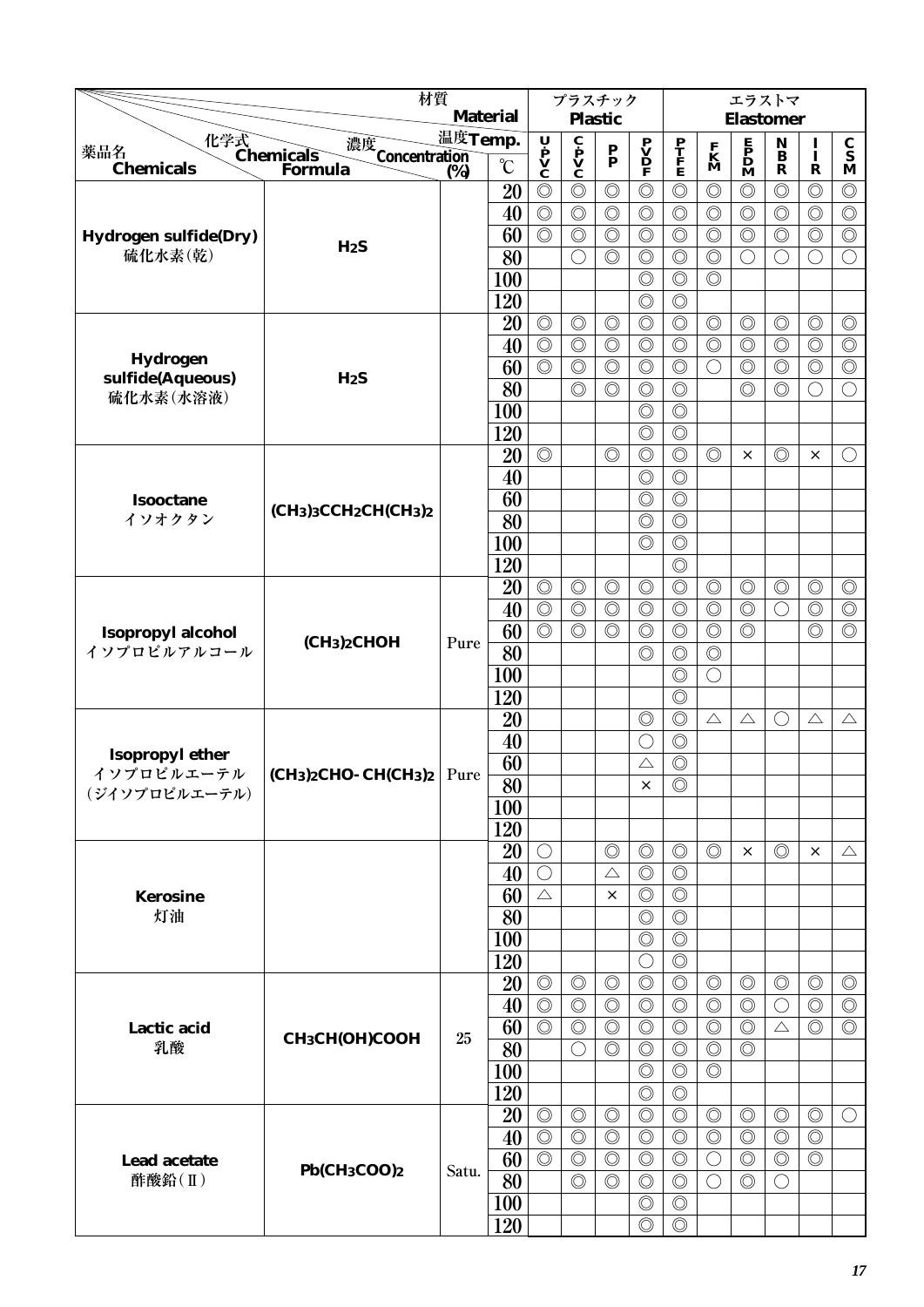|                                  | 材質                                                    |                  |                 |                                                                                       | プラスチック                                   |                                  |                                              |                                  |                   | エラストマ                                        |                                             |                                  |                                  |
|----------------------------------|-------------------------------------------------------|------------------|-----------------|---------------------------------------------------------------------------------------|------------------------------------------|----------------------------------|----------------------------------------------|----------------------------------|-------------------|----------------------------------------------|---------------------------------------------|----------------------------------|----------------------------------|
|                                  |                                                       |                  | <b>Material</b> |                                                                                       |                                          | <b>Plastic</b>                   |                                              |                                  |                   | <b>Elastomer</b>                             |                                             |                                  |                                  |
| 薬品名                              | 化学式<br>Chemicals<br>濃度<br>Concentration<br>(%)        | 温度Temp.          | $\rm ^{\circ}C$ | $\begin{array}{c}\n\mathbf{U} \\ \mathbf{P} \\ \mathbf{V} \\ \mathbf{C}\n\end{array}$ | $\dot{\mathbf{C}}$<br>$\dot{\mathbf{v}}$ | $\frac{\mathbf{P}}{\mathbf{P}}$  | $\mathbf{P}$<br>$\mathbf{D}$<br>$\mathbf{P}$ | $\frac{\mathbf{P}}{\mathbf{F}}$  | $\mathbf{K}$<br>M | $\mathbf{P}$<br>$\mathbf{D}$<br>$\mathbf{M}$ | N<br>$\overline{\mathbf{B}}$                | $\frac{I}{I}$                    | $\frac{\mathbf{C}}{\mathbf{S}}$  |
| <b>Chemicals</b>                 | Formula                                               | $\overline{(}\%$ |                 |                                                                                       |                                          |                                  | $\circledcirc$                               |                                  | $\circledcirc$    |                                              | $\mathbf R$<br>$\circledcirc$               | $\mathbf R$                      | $\mathbf M$                      |
|                                  |                                                       |                  | 20<br>40        | $\circledcirc$<br>$\circledcirc$                                                      | $\circledcirc$<br>$\circledcirc$         | $\circledcirc$<br>$\circledcirc$ | $\circledcirc$                               | $\circledcirc$<br>$\circledcirc$ | $\circledcirc$    | $\circledcirc$<br>$\circledcirc$             | $\circledcirc$                              | $\circledcirc$<br>$\circledcirc$ | $\circledcirc$<br>$\circledcirc$ |
|                                  |                                                       |                  | 60              | $\circledcirc$                                                                        | $\circledcirc$                           | $\circledcirc$                   | $\circledcirc$                               | $\circledcirc$                   | $\circledcirc$    | $\circledcirc$                               | $\circledcirc$                              | $\circledcirc$                   | $\circledcirc$                   |
| Hydrogen sulfide(Dry)<br>硫化水素(乾) | HzS                                                   |                  | 80              |                                                                                       | $\bigcirc$                               | $\circledcirc$                   | $\circledcirc$                               | $\circledcirc$                   | $\circledcirc$    | $\bigcirc$                                   | $\bigcirc$                                  | $\bigcirc$                       | $\bigcirc$                       |
|                                  |                                                       |                  | 100             |                                                                                       |                                          |                                  | $\circledcirc$                               | $\circledcirc$                   | $\circledcirc$    |                                              |                                             |                                  |                                  |
|                                  |                                                       |                  | 120             |                                                                                       |                                          |                                  | $\circledcirc$                               | $\circledcirc$                   |                   |                                              |                                             |                                  |                                  |
|                                  |                                                       |                  | 20              | $\circledcirc$                                                                        | $\circledcirc$                           | $\circledcirc$                   | $\circledcirc$                               | $\circledcirc$                   | $\circledcirc$    | $\circledcirc$                               | $\circledcirc$                              | $\circledcirc$                   | $\circledcirc$                   |
|                                  |                                                       |                  | 40              | $\circledcirc$                                                                        | $\circledcirc$                           | $\circledcirc$                   | $\circledcirc$                               | $\circledcirc$                   | $\circledcirc$    | $\circledcirc$                               | $\circledcirc$                              | $\circledcirc$                   | $\circledcirc$                   |
| Hydrogen                         |                                                       |                  | 60              | $\circledcirc$                                                                        | $\circledcirc$                           | $\circledcirc$                   | $\circledcirc$                               | $\circledcirc$                   | $\bigcirc$        | $\circledcirc$                               | $\circledcirc$                              | $\circledcirc$                   | $\circledcirc$                   |
| sulfide(Aqueous)                 | H <sub>2</sub> S                                      |                  | 80              |                                                                                       | $\circledcirc$                           | $\circledcirc$                   | $\circledcirc$                               | $\circledcirc$                   |                   | $\circledcirc$                               | $\circledcirc$                              | $\bigcirc$                       | $\bigcirc$                       |
| 硫化水素(水溶液)                        |                                                       |                  | 100             |                                                                                       |                                          |                                  | $\circledcirc$                               | $\circledcirc$                   |                   |                                              |                                             |                                  |                                  |
|                                  |                                                       |                  | 120             |                                                                                       |                                          |                                  | $\circledcirc$                               | $\circledcirc$                   |                   |                                              |                                             |                                  |                                  |
|                                  |                                                       |                  | 20              | $\circledcirc$                                                                        |                                          | $\circledcirc$                   | $\circledcirc$                               | $\circledcirc$                   | $\circledcirc$    | $\times$                                     | $\circledcirc$                              | $\times$                         | $\bigcirc$                       |
|                                  |                                                       |                  | 40              |                                                                                       |                                          |                                  | $\circledcirc$                               | $\circledcirc$                   |                   |                                              |                                             |                                  |                                  |
| <b>Isooctane</b>                 |                                                       |                  | 60              |                                                                                       |                                          |                                  | $\circledcirc$                               | $\circledcirc$                   |                   |                                              |                                             |                                  |                                  |
| イソオクタン                           | $(CH3)3CCH2CH(CH3)2$                                  |                  | 80              |                                                                                       |                                          |                                  | $\circledcirc$                               | $\circledcirc$                   |                   |                                              |                                             |                                  |                                  |
|                                  |                                                       |                  | 100             |                                                                                       |                                          |                                  | $\circledcirc$                               | $\circledcirc$                   |                   |                                              |                                             |                                  |                                  |
|                                  |                                                       |                  | 120             |                                                                                       |                                          |                                  |                                              | $\circledcirc$                   |                   |                                              |                                             |                                  |                                  |
|                                  |                                                       |                  | 20              | $\circledcirc$                                                                        | $\circledcirc$                           | $\circledcirc$                   | $\circledcirc$                               | $\circledcirc$                   | $\circledcirc$    | $\circledcirc$                               | $\circledcirc$                              | $\circledcirc$                   | $\circledcirc$                   |
|                                  |                                                       |                  | 40              | $\circledcirc$                                                                        | $\circledcirc$                           | $\circledcirc$                   | $\circledcirc$                               | $\circledcirc$                   | $\circledcirc$    | $\circledcirc$                               | $\bigcirc$                                  | $\circledcirc$                   | $\circledcirc$                   |
| Isopropyl alcohol                |                                                       |                  | 60              | $\circledcirc$                                                                        | $\circledcirc$                           | $\circledcirc$                   | $\circledcirc$                               | $\circledcirc$                   | $\circledcirc$    | $\circledcirc$                               |                                             | $\circledcirc$                   | $\circledcirc$                   |
| イソプロピルアルコール                      | (CH <sub>3</sub> ) <sub>2</sub> CHOH                  | Pure             | 80              |                                                                                       |                                          |                                  | $\circledcirc$                               | $\circledcirc$                   | $\circledcirc$    |                                              |                                             |                                  |                                  |
|                                  |                                                       |                  | 100             |                                                                                       |                                          |                                  |                                              | $\circledcirc$                   | $\bigcirc$        |                                              |                                             |                                  |                                  |
|                                  |                                                       |                  | 120             |                                                                                       |                                          |                                  |                                              | $\circledcirc$                   |                   |                                              |                                             |                                  |                                  |
|                                  |                                                       |                  | 20              |                                                                                       |                                          |                                  | $\circledcirc$                               | $\circledcirc$                   | $\triangle$       | $\triangle$                                  | $\left(\begin{array}{c} \end{array}\right)$ | $\triangle$                      | $\triangle$                      |
| <b>Isopropyl ether</b>           |                                                       |                  | 40              |                                                                                       |                                          |                                  | 0                                            | $\circledcirc$                   |                   |                                              |                                             |                                  |                                  |
| イソプロピルエーテル                       | $ CH_3)_2CHO$ -CH(CH <sub>3</sub> ) <sub>2</sub> Pure |                  | 60              |                                                                                       |                                          |                                  | $\triangle$                                  | $\circledcirc$                   |                   |                                              |                                             |                                  |                                  |
| (ジイソプロピルエーテル)                    |                                                       |                  | $\overline{80}$ |                                                                                       |                                          |                                  | ×                                            | $\overline{\circ}$               |                   |                                              |                                             |                                  |                                  |
|                                  |                                                       |                  | 100             |                                                                                       |                                          |                                  |                                              |                                  |                   |                                              |                                             |                                  |                                  |
|                                  |                                                       |                  | 120             |                                                                                       |                                          |                                  |                                              |                                  |                   |                                              |                                             |                                  |                                  |
|                                  |                                                       |                  | 20              | $\bigcirc$                                                                            |                                          | $\circledcirc$                   | $\circledcirc$                               | $\circledcirc$                   | $\circledcirc$    | $\times$                                     | $\circledcirc$                              | ×                                | $\triangle$                      |
|                                  |                                                       |                  | 40              | $\bigcirc$                                                                            |                                          | $\triangle$                      | $\circledcirc$                               | $\circledcirc$                   |                   |                                              |                                             |                                  |                                  |
| <b>Kerosine</b>                  |                                                       |                  | 60              | $\triangle$                                                                           |                                          | ×                                | $\circledcirc$                               | $\circledcirc$                   |                   |                                              |                                             |                                  |                                  |
| 灯油                               |                                                       |                  | 80              |                                                                                       |                                          |                                  | $\circledcirc$<br>$\circledcirc$             | $\circledcirc$<br>$\circledcirc$ |                   |                                              |                                             |                                  |                                  |
|                                  |                                                       |                  | 100<br>120      |                                                                                       |                                          |                                  | $\bigcirc$                                   | $\circledcirc$                   |                   |                                              |                                             |                                  |                                  |
|                                  |                                                       |                  | 20              | $\circledcirc$                                                                        | $\circledcirc$                           | $\circledcirc$                   | $\circledcirc$                               | $\circledcirc$                   | $\circledcirc$    | $\circledcirc$                               | $\circledcirc$                              | $\circledcirc$                   | $\circledcirc$                   |
|                                  |                                                       |                  | 40              | $\circledcirc$                                                                        | $\circledcirc$                           | $\circledcirc$                   | $\circledcirc$                               | $\circledcirc$                   | $\circledcirc$    | $\circledcirc$                               | $\bigcirc$                                  | $\circledcirc$                   | $\circledcirc$                   |
| Lactic acid                      |                                                       |                  | 60              | $\circledcirc$                                                                        | $\circledcirc$                           | $\circledcirc$                   | $\circledcirc$                               | $\circledcirc$                   | $\circledcirc$    | $\circledcirc$                               | $\triangle$                                 | $\circledcirc$                   | $\circledcirc$                   |
| 乳酸                               | CH <sub>3</sub> CH(OH)COOH                            | 25               | 80              |                                                                                       | $\bigcirc$                               | $\circledcirc$                   | $\circledcirc$                               | $\circledcirc$                   | $\circledcirc$    | $\circledcirc$                               |                                             |                                  |                                  |
|                                  |                                                       |                  | 100             |                                                                                       |                                          |                                  | $\circledcirc$                               | $\circledcirc$                   | $\circledcirc$    |                                              |                                             |                                  |                                  |
|                                  |                                                       |                  | 120             |                                                                                       |                                          |                                  | $\circledcirc$                               | $\circledcirc$                   |                   |                                              |                                             |                                  |                                  |
|                                  |                                                       |                  | 20              | $\circledcirc$                                                                        | $\circledcirc$                           | $\circledcirc$                   | $\circledcirc$                               | $\circledcirc$                   | $\circledcirc$    | $\circledcirc$                               | $\circledcirc$                              | $\circledcirc$                   | $\bigcirc$                       |
|                                  |                                                       |                  | 40              | $\circledcirc$                                                                        | $\circledcirc$                           | $\circledcirc$                   | $\circledcirc$                               | $\circledcirc$                   | $\circledcirc$    | $\circledcirc$                               | $\circledcirc$                              | $\circledcirc$                   |                                  |
| Lead acetate                     |                                                       |                  | 60              | $\circledcirc$                                                                        | $\circledcirc$                           | $\circledcirc$                   | $\circledcirc$                               | $\circledcirc$                   | $\bigcirc$        | $\circledcirc$                               | $\circledcirc$                              | $\circledcirc$                   |                                  |
| 酢酸鉛(II)                          | Pb(CH <sub>3</sub> COO) <sub>2</sub>                  | Satu.            | 80              |                                                                                       | $\circledcirc$                           | $\circledcirc$                   | $\circledcirc$                               | $\circledcirc$                   | $\bigcirc$        | $\circledcirc$                               | $\bigcirc$                                  |                                  |                                  |
|                                  |                                                       |                  | <b>100</b>      |                                                                                       |                                          |                                  | $\circledcirc$                               | $\circledcirc$                   |                   |                                              |                                             |                                  |                                  |
|                                  |                                                       |                  | 120             |                                                                                       |                                          |                                  | $\circledcirc$                               | $\circledcirc$                   |                   |                                              |                                             |                                  |                                  |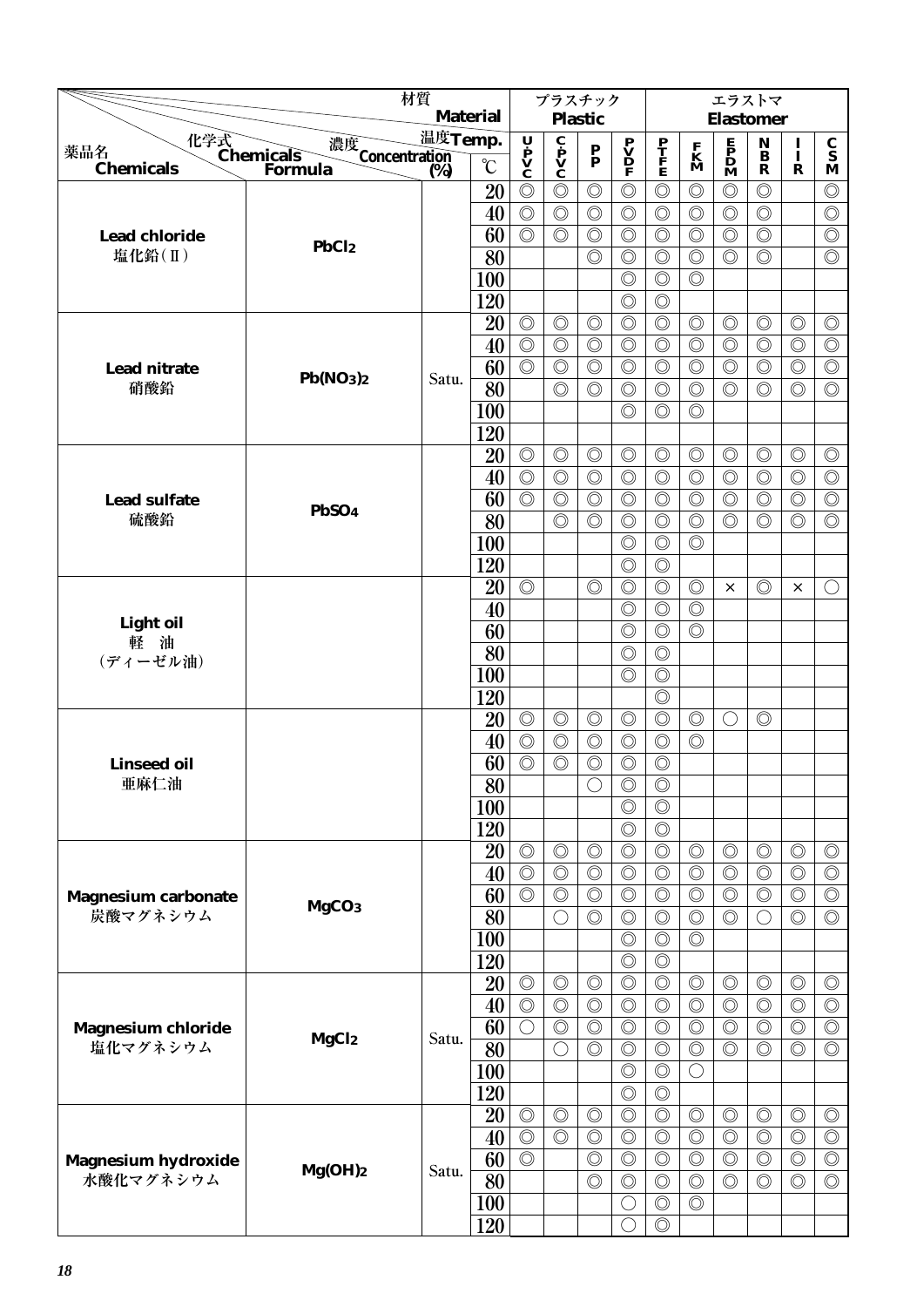|                                              | 材質                         |         |                 |                | プラスチック                                       |                                 |                                    |                                  |                                  | エラストマ                                                                               |                                 |                |                                 |
|----------------------------------------------|----------------------------|---------|-----------------|----------------|----------------------------------------------|---------------------------------|------------------------------------|----------------------------------|----------------------------------|-------------------------------------------------------------------------------------|---------------------------------|----------------|---------------------------------|
|                                              |                            |         | <b>Material</b> |                |                                              | <b>Plastic</b>                  |                                    |                                  |                                  | <b>Elastomer</b>                                                                    |                                 |                |                                 |
| 薬品名                                          | 濃度<br>Concentration<br>(%) | 温度Temp. |                 | U              | $\mathbf{c}$<br>$\mathbf{v}$<br>$\mathbf{c}$ | $\frac{\mathbf{P}}{\mathbf{P}}$ | $\overset{\mathbf{P}}{\mathbf{V}}$ | $\frac{\mathbf{P}}{\mathbf{F}}$  | $\frac{\mathbf{F}}{\mathbf{M}}$  | $\begin{array}{c} \mathbf{E} \\ \mathbf{P} \\ \mathbf{D} \\ \mathbf{M} \end{array}$ | $\mathop{\bf N}\limits_{\bf B}$ | I<br>$\bf{I}$  | $\frac{\mathbf{C}}{\mathbf{S}}$ |
| 化学式<br>Chemicals<br>Forn<br><b>Chemicals</b> | Formula                    | (%)     | $\rm ^{\circ}C$ | P<br>V<br>C    |                                              |                                 | F                                  |                                  |                                  |                                                                                     | $\mathbf R$                     | $\mathbf R$    | M                               |
|                                              |                            |         | 20              | $\circledcirc$ | $\circledcirc$                               | $\circledcirc$                  | $\circledcirc$                     | $\circledcirc$                   | $\circledcirc$                   | $\circledcirc$                                                                      | $\circledcirc$                  |                | $\circledcirc$                  |
|                                              |                            |         | 40              | $\circledcirc$ | $\circledcirc$                               | $\circledcirc$                  | $\circledcirc$                     | $\circledcirc$                   | $\circledcirc$                   | $\circledcirc$                                                                      | $\circledcirc$                  |                | $\circledcirc$                  |
| <b>Lead chloride</b>                         | PbCl <sub>2</sub>          |         | 60              | $\circledcirc$ | $\circledcirc$                               | $\circledcirc$                  | $\circledcirc$                     | $\circledcirc$                   | $\circledcirc$                   | $\circledcirc$                                                                      | $\circledcirc$                  |                | $\circledcirc$                  |
| 塩化鉛(II)                                      |                            |         | 80              |                |                                              | $\circledcirc$                  | $\circledcirc$                     | $\circledcirc$                   | $\circledcirc$                   | $\circledcirc$                                                                      | $\circledcirc$                  |                | $\circledcirc$                  |
|                                              |                            |         | 100             |                |                                              |                                 | $\circledcirc$                     | $\circledcirc$                   | $\circledcirc$                   |                                                                                     |                                 |                |                                 |
|                                              |                            |         | 120             |                |                                              |                                 | $\circledcirc$                     | $\circledcirc$                   |                                  |                                                                                     |                                 |                |                                 |
|                                              |                            |         | 20              | $\circledcirc$ | $\circledcirc$                               | $\circledcirc$                  | $\circledcirc$                     | $\circledcirc$                   | $\circledcirc$                   | $\circledcirc$                                                                      | $\circledcirc$                  | $\circledcirc$ | $\circledcirc$                  |
|                                              |                            |         | 40              | $\circledcirc$ | $\circledcirc$                               | $\circledcirc$                  | $\circledcirc$                     | $\circledcirc$                   | $\circledcirc$                   | $\circledcirc$                                                                      | $\circledcirc$                  | $\circledcirc$ | $\circledcirc$                  |
| <b>Lead nitrate</b><br>硝酸鉛                   | Pb(NO3)2                   | Satu.   | 60              | $\circledcirc$ | $\circledcirc$                               | $\circledcirc$                  | $\circledcirc$                     | $\circledcirc$                   | $\circledcirc$                   | $\circledcirc$                                                                      | $\circledcirc$                  | $\circledcirc$ | $\circledcirc$                  |
|                                              |                            |         | 80              |                | $\circledcirc$                               | $\circledcirc$                  | $\circledcirc$                     | $\circledcirc$                   | $\circledcirc$                   | $\circledcirc$                                                                      | $\circledcirc$                  | $\circledcirc$ | $\circledcirc$                  |
|                                              |                            |         | 100<br>120      |                |                                              |                                 | $\circledcirc$                     | $\circledcirc$                   | $\circledcirc$                   |                                                                                     |                                 |                |                                 |
|                                              |                            |         | 20              | $\circledcirc$ | $\circledcirc$                               | $\circledcirc$                  | $\circledcirc$                     | $\circledcirc$                   | $\circledcirc$                   | $\circledcirc$                                                                      | $\circledcirc$                  | $\circledcirc$ | $\circledcirc$                  |
|                                              |                            |         | 40              | $\circledcirc$ | $\circledcirc$                               | $\circledcirc$                  | $\circledcirc$                     | $\circledcirc$                   | $\circledcirc$                   | $\circledcirc$                                                                      | $\circledcirc$                  | $\circledcirc$ | $\circledcirc$                  |
| <b>Lead sulfate</b>                          |                            |         | 60              | $\circledcirc$ | $\circledcirc$                               | $\circledcirc$                  | $\circledcirc$                     | $\circledcirc$                   | $\circledcirc$                   | $\circledcirc$                                                                      | $\circledcirc$                  | $\circledcirc$ | $\circledcirc$                  |
| 硫酸鉛                                          | PbSO <sub>4</sub>          |         | 80              |                | $\circledcirc$                               | $\circledcirc$                  | $\circledcirc$                     | $\circledcirc$                   | $\circledcirc$                   | $\circledcirc$                                                                      | $\circledcirc$                  | $\circledcirc$ | $\circledcirc$                  |
|                                              |                            |         | 100             |                |                                              |                                 | $\circledcirc$                     | $\circledcirc$                   | $\circledcirc$                   |                                                                                     |                                 |                |                                 |
|                                              |                            |         | 120             |                |                                              |                                 | $\circledcirc$                     | $\circledcirc$                   |                                  |                                                                                     |                                 |                |                                 |
|                                              |                            |         | 20              | $\circledcirc$ |                                              | $\circledcirc$                  | $\circledcirc$                     | $\circledcirc$                   | $\circledcirc$                   | ×                                                                                   | $\circledcirc$                  | ×              | $\bigcirc$                      |
|                                              |                            |         | 40              |                |                                              |                                 | $\circledcirc$                     | $\circledcirc$                   | $\circledcirc$                   |                                                                                     |                                 |                |                                 |
| <b>Light oil</b>                             |                            |         | 60              |                |                                              |                                 | $\circledcirc$                     | $\circledcirc$                   | $\circledcirc$                   |                                                                                     |                                 |                |                                 |
| 軽油<br>(ディーゼル油)                               |                            |         | 80              |                |                                              |                                 | $\circledcirc$                     | $\circledcirc$                   |                                  |                                                                                     |                                 |                |                                 |
|                                              |                            |         | 100             |                |                                              |                                 | $\circledcirc$                     | $\circledcirc$                   |                                  |                                                                                     |                                 |                |                                 |
|                                              |                            |         | 120             |                |                                              |                                 |                                    | $\circledcirc$                   |                                  |                                                                                     |                                 |                |                                 |
|                                              |                            |         | 20              | $\circledcirc$ | $\circledcirc$                               | $\circledcirc$                  | $\circledcirc$                     | $\circledcirc$                   | $\circledcirc$                   | $\bigcirc$                                                                          | $\circledcirc$                  |                |                                 |
|                                              |                            |         | 40              | $\circledcirc$ | $\circledcirc$                               | $\circledcirc$                  | $\circledcirc$                     | $\circledcirc$                   | $\circledcirc$                   |                                                                                     |                                 |                |                                 |
| <b>Linseed oil</b>                           |                            |         | 60              | $\circledcirc$ | $\circledcirc$                               | $\circledcirc$                  | $\circledcirc$                     | $\circledcirc$                   |                                  |                                                                                     |                                 |                |                                 |
| 亜麻仁油                                         |                            |         | $\overline{80}$ |                |                                              | $\bigcirc$                      | $\circledcirc$                     | $\circledcirc$                   |                                  |                                                                                     |                                 |                |                                 |
|                                              |                            |         | 100             |                |                                              |                                 | $\circledcirc$                     | $\circledcirc$                   |                                  |                                                                                     |                                 |                |                                 |
|                                              |                            |         | 120             |                |                                              |                                 | $\circledcirc$                     | $\circledcirc$                   |                                  |                                                                                     |                                 |                |                                 |
|                                              |                            |         | 20              | $\circledcirc$ | $\circledcirc$                               | $\circledcirc$                  | $\circledcirc$                     | $\circledcirc$                   | $\circledcirc$                   | $\circledcirc$                                                                      | $\circledcirc$                  | $\circledcirc$ | $\circledcirc$                  |
|                                              |                            |         | 40              | $\circledcirc$ | $\circledcirc$                               | $\circledcirc$                  | $\circledcirc$                     | $\circledcirc$                   | $\circledcirc$                   | $\circledcirc$                                                                      | $\circledcirc$                  | $\circledcirc$ | $\circledcirc$                  |
| <b>Magnesium carbonate</b>                   | MgCO <sub>3</sub>          |         | 60              | $\circledcirc$ | $\circledcirc$                               | $\circledcirc$                  | $\circledcirc$                     | $\circledcirc$                   | $\circledcirc$                   | $\circledcirc$                                                                      | $\circledcirc$                  | $\circledcirc$ | $\circledcirc$                  |
| 炭酸マグネシウム                                     |                            |         | 80              |                | $\bigcirc$                                   | $\circledcirc$                  | $\circledcirc$                     | $\circledcirc$                   | $\circledcirc$<br>$\circledcirc$ | $\circledcirc$                                                                      | ○                               | $\circledcirc$ | $\circledcirc$                  |
|                                              |                            |         | 100             |                |                                              |                                 | $\circledcirc$                     | $\circledcirc$                   |                                  |                                                                                     |                                 |                |                                 |
|                                              |                            |         | 120<br>20       | $\circledcirc$ | $\circledcirc$                               | $\circledcirc$                  | $\circledcirc$<br>$\circledcirc$   | $\circledcirc$<br>$\circledcirc$ | $\circledcirc$                   | $\circledcirc$                                                                      | $\circledcirc$                  | $\circledcirc$ | $\circledcirc$                  |
|                                              |                            |         | 40              | $\circledcirc$ | $\circledcirc$                               | $\circledcirc$                  | $\circledcirc$                     | $\circledcirc$                   | $\circledcirc$                   | $\circledcirc$                                                                      | $\circledcirc$                  | $\circledcirc$ | $\circledcirc$                  |
| <b>Magnesium chloride</b>                    |                            |         | 60              | $\bigcirc$     | $\circledcirc$                               | $\circledcirc$                  | $\circledcirc$                     | $\circledcirc$                   | $\circledcirc$                   | $\circledcirc$                                                                      | $\circledcirc$                  | $\circledcirc$ | $\circledcirc$                  |
| 塩化マグネシウム                                     | MgCl <sub>2</sub>          | Satu.   | 80              |                | $\bigcirc$                                   | $\circledcirc$                  | $\circledcirc$                     | $\circledcirc$                   | $\circledcirc$                   | $\circledcirc$                                                                      | $\circledcirc$                  | $\circledcirc$ | $\circledcirc$                  |
|                                              |                            |         | 100             |                |                                              |                                 | $\circledcirc$                     | $\circledcirc$                   | $\bigcirc$                       |                                                                                     |                                 |                |                                 |
|                                              |                            |         | 120             |                |                                              |                                 | $\circledcirc$                     | $\circledcirc$                   |                                  |                                                                                     |                                 |                |                                 |
|                                              |                            |         | 20              | $\circledcirc$ | $\circledcirc$                               | $\circledcirc$                  | $\circledcirc$                     | $\circledcirc$                   | $\circledcirc$                   | $\circledcirc$                                                                      | $\circledcirc$                  | $\circledcirc$ | $\circledcirc$                  |
|                                              |                            |         | 40              | $\circledcirc$ | $\circledcirc$                               | $\circledcirc$                  | $\circledcirc$                     | $\circledcirc$                   | $\circledcirc$                   | $\circledcirc$                                                                      | $\circledcirc$                  | $\circledcirc$ | $\circledcirc$                  |
| <b>Magnesium hydroxide</b>                   |                            |         | 60              | $\circledcirc$ |                                              | $\circledcirc$                  | $\circledcirc$                     | $\circledcirc$                   | $\circledcirc$                   | $\circledcirc$                                                                      | $\circledcirc$                  | $\circledcirc$ | $\circledcirc$                  |
| 水酸化マグネシウム                                    | Mg(OH)2                    | Satu.   | 80              |                |                                              | $\circledcirc$                  | $\circledcirc$                     | $\circledcirc$                   | $\circledcirc$                   | $\circledcirc$                                                                      | $\circledcirc$                  | $\circledcirc$ | $\circledcirc$                  |
|                                              |                            |         | <b>100</b>      |                |                                              |                                 | O                                  | $\circledcirc$                   | $\circledcirc$                   |                                                                                     |                                 |                |                                 |
|                                              |                            |         | 120             |                |                                              |                                 |                                    | $\circledcirc$                   |                                  |                                                                                     |                                 |                |                                 |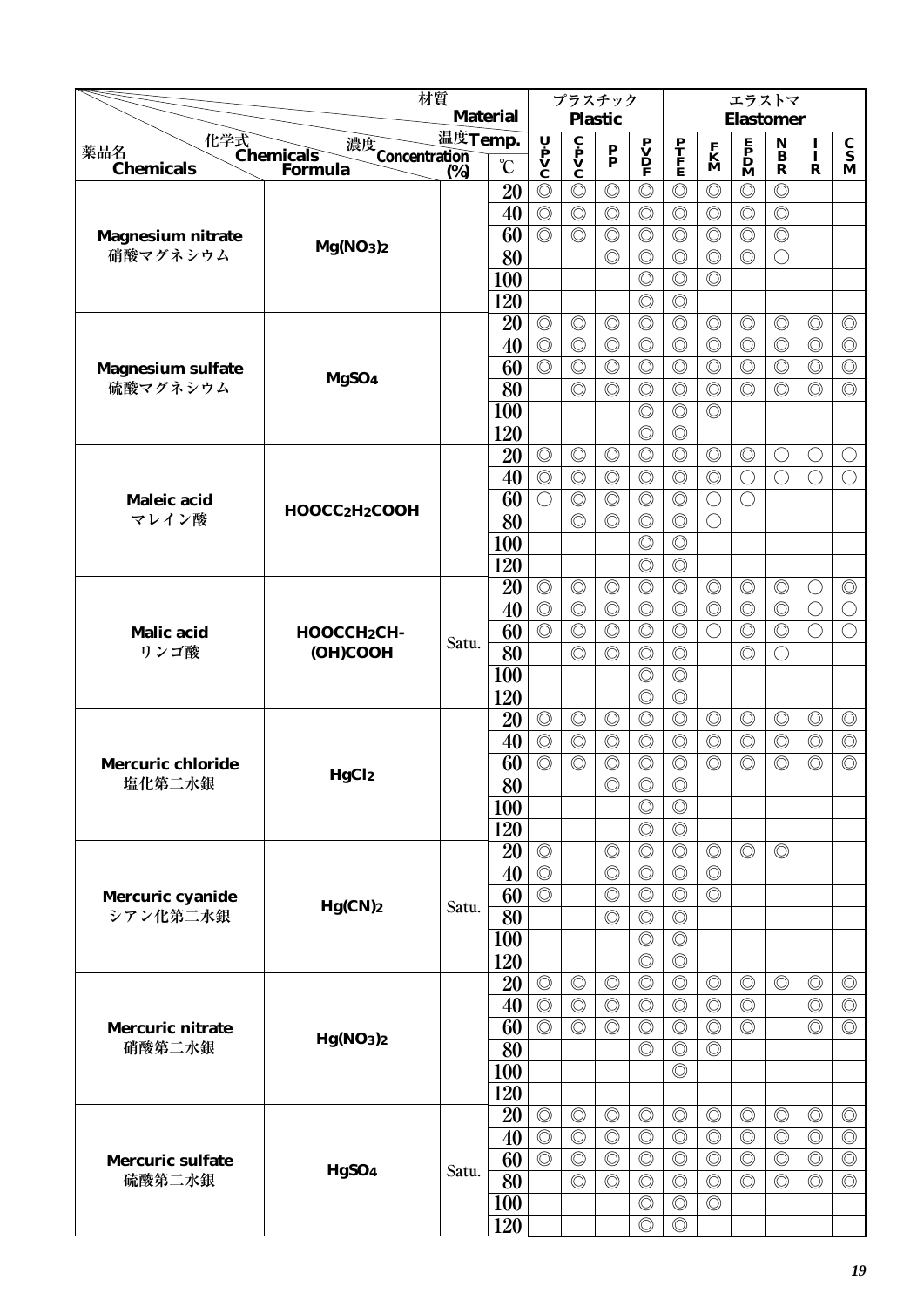|                                    |                                                           | 材質      | <b>Material</b>       |                                    |                                              | プラスチック                           |                                                                                     |                                  |                                  | エラストマ                                        |                                                     |                              |                                      |
|------------------------------------|-----------------------------------------------------------|---------|-----------------------|------------------------------------|----------------------------------------------|----------------------------------|-------------------------------------------------------------------------------------|----------------------------------|----------------------------------|----------------------------------------------|-----------------------------------------------------|------------------------------|--------------------------------------|
|                                    |                                                           | 温度Temp. |                       | $\mathbf U$                        |                                              | <b>Plastic</b>                   |                                                                                     |                                  |                                  | <b>Elastomer</b>                             |                                                     |                              |                                      |
| 薬品名<br><b>Chemicals</b>            | 化学式<br>Chemicals<br>濃度<br>Concentration<br>(%)<br>Formula | (%)     | $\rm ^{\circ}C$       | $\dot{\mathbf{v}}$<br>$\mathbf{v}$ | $\mathbf{c}$<br>$\mathbf{v}$<br>$\mathbf{c}$ | $\frac{P}{P}$                    | $\begin{array}{c} \mathbf{P} \\ \mathbf{V} \\ \mathbf{D} \\ \mathbf{F} \end{array}$ | P<br>T<br>F<br>E                 | $\mathbf{K}$<br>M                | $\mathbf{P}$<br>$\mathbf{D}$<br>$\mathbf{M}$ | ${\bf N}$<br>$\overline{\mathbf{B}}$<br>$\mathbf R$ | $\frac{I}{I}$<br>$\mathbf R$ | $\frac{\mathbf{C}}{\mathbf{S}}$<br>M |
|                                    |                                                           |         | 20                    | $\circledcirc$                     | $\circledcirc$                               | $\circledcirc$                   | $\circledcirc$                                                                      | $\circledcirc$                   | $\circledcirc$                   | $\circledcirc$                               | $\circledcirc$                                      |                              |                                      |
|                                    |                                                           |         | 40                    | $\circledcirc$                     | $\circledcirc$                               | $\circledcirc$                   | $\circledcirc$                                                                      | $\circledcirc$                   | $\circledcirc$                   | $\circledcirc$                               | $\circledcirc$                                      |                              |                                      |
| <b>Magnesium nitrate</b>           |                                                           |         | 60                    | $\circledcirc$                     | $\circledcirc$                               | $\circledcirc$                   | $\circledcirc$                                                                      | $\circledcirc$                   | $\circledcirc$                   | $\circledcirc$                               | $\circledcirc$                                      |                              |                                      |
| 硝酸マグネシウム                           | Mg(NO3)2                                                  |         | 80                    |                                    |                                              | $\circledcirc$                   | $\circledcirc$                                                                      | $\circledcirc$                   | $\circledcirc$                   | $\circledcirc$                               | ∩                                                   |                              |                                      |
|                                    |                                                           |         | 100                   |                                    |                                              |                                  | $\circledcirc$                                                                      | $\circledcirc$                   | $\circledcirc$                   |                                              |                                                     |                              |                                      |
|                                    |                                                           |         | 120                   |                                    |                                              |                                  | $\circledcirc$                                                                      | $\circledcirc$                   |                                  |                                              |                                                     |                              |                                      |
|                                    |                                                           |         | 20                    | $\circledcirc$                     | $\circledcirc$                               | $\circledcirc$                   | $\circledcirc$                                                                      | $\circledcirc$                   | $\circledcirc$                   | $\circledcirc$                               | $\circledcirc$                                      | $\circledcirc$               | $\circledcirc$                       |
|                                    |                                                           |         | 40                    | $\circledcirc$                     | $\circledcirc$                               | $\circledcirc$                   | $\circledcirc$                                                                      | $\circledcirc$                   | $\circledcirc$                   | $\circledcirc$                               | $\circledcirc$                                      | $\circledcirc$               | $\circledcirc$                       |
| <b>Magnesium sulfate</b>           |                                                           |         | 60                    | $\circledcirc$                     | $\circledcirc$                               | $\circledcirc$                   | $\circledcirc$                                                                      | $\circledcirc$                   | $\circledcirc$                   | $\circledcirc$                               | $\circledcirc$                                      | $\circledcirc$               | $\circledcirc$                       |
| 硫酸マグネシウム                           | MgSO <sub>4</sub>                                         |         | 80                    |                                    | $\circledcirc$                               | $\circledcirc$                   | $\circledcirc$                                                                      | $\circledcirc$                   | $\circledcirc$                   | $\circledcirc$                               | $\circledcirc$                                      | $\circledcirc$               | $\circledcirc$                       |
|                                    |                                                           |         | 100                   |                                    |                                              |                                  | $\circledcirc$                                                                      | $\circledcirc$                   | $\circledcirc$                   |                                              |                                                     |                              |                                      |
|                                    |                                                           |         | 120                   |                                    |                                              |                                  | $\circledcirc$                                                                      | $\circledcirc$                   |                                  |                                              |                                                     |                              |                                      |
|                                    |                                                           |         | 20                    | $\circledcirc$                     | $\circledcirc$                               | $\circledcirc$                   | $\circledcirc$                                                                      | $\circledcirc$                   | $\circledcirc$                   | $\circledcirc$                               | O                                                   | $\bigcirc$                   | O                                    |
|                                    |                                                           |         | 40                    | $\circledcirc$                     | $\circledcirc$                               | $\circledcirc$                   | $\circledcirc$                                                                      | $\circledcirc$                   | $\circledcirc$                   | $\bigcirc$                                   | $\bigcirc$                                          | $\bigcirc$                   | $\bigcirc$                           |
| Maleic acid                        | HOOCC2H2COOH                                              |         | 60                    | $\bigcirc$                         | $\circledcirc$                               | $\circledcirc$                   | $\circledcirc$                                                                      | $\circledcirc$                   | $\bigcirc$                       | $\bigcirc$                                   |                                                     |                              |                                      |
| マレイン酸                              |                                                           |         | 80                    |                                    | $\circledcirc$                               | $\circledcirc$                   | $\circledcirc$                                                                      | $\circledcirc$                   | $\bigcirc$                       |                                              |                                                     |                              |                                      |
|                                    |                                                           |         | 100                   |                                    |                                              |                                  | $\circledcirc$                                                                      | $\circledcirc$                   |                                  |                                              |                                                     |                              |                                      |
|                                    |                                                           |         | 120                   |                                    |                                              |                                  | $\circledcirc$                                                                      | $\circledcirc$                   |                                  |                                              |                                                     |                              |                                      |
|                                    |                                                           |         | 20                    | $\circledcirc$                     | $\circledcirc$                               | $\circledcirc$                   | $\circledcirc$                                                                      | $\circledcirc$                   | $\circledcirc$                   | $\circledcirc$                               | $\circledcirc$                                      | $\bigcirc$                   | $\circledcirc$                       |
|                                    |                                                           |         | 40                    | $\circledcirc$                     | $\circledcirc$                               | $\circledcirc$                   | $\circledcirc$                                                                      | $\circledcirc$                   | $\circledcirc$                   | $\circledcirc$                               | $\circledcirc$                                      | $\bigcirc$                   | $\bigcirc$                           |
| <b>Malic</b> acid                  | HOOCCH <sub>2</sub> CH-                                   | Satu.   | 60                    | $\circledcirc$                     | $\circledcirc$                               | $\circledcirc$                   | $\circledcirc$                                                                      | $\circledcirc$                   | $\bigcirc$                       | $\circledcirc$                               | $\circledcirc$                                      | $\bigcirc$                   | $\bigcirc$                           |
| リンゴ酸                               | (OH)COOH                                                  |         | 80                    |                                    | $\circledcirc$                               | $\circledcirc$                   | $\circledcirc$                                                                      | $\circledcirc$                   |                                  | $\circledcirc$                               | $( \ )$                                             |                              |                                      |
|                                    |                                                           |         | 100                   |                                    |                                              |                                  | $\circledcirc$                                                                      | $\circledcirc$                   |                                  |                                              |                                                     |                              |                                      |
|                                    |                                                           |         | 120                   |                                    |                                              |                                  | $\circledcirc$                                                                      | $\circledcirc$                   |                                  |                                              |                                                     |                              |                                      |
|                                    |                                                           |         | 20                    | $\circledcirc$                     | $\circledcirc$                               | $\circledcirc$                   | $\circledcirc$                                                                      | $\circledcirc$                   | $\circledcirc$                   | $\circledcirc$                               | $\circledcirc$                                      | $\circledcirc$               | $\circledcirc$                       |
|                                    |                                                           |         | 40                    | $\circledcirc$<br>$\circledcirc$   | $\circledcirc$                               | $\circledcirc$                   | $\circledcirc$                                                                      | $\circledcirc$                   | $\circledcirc$<br>$\circledcirc$ | $\circledcirc$                               | $\circledcirc$                                      | $\circledcirc$               | $\circledcirc$<br>$\circledcirc$     |
| <b>Mercuric chloride</b><br>塩化第二水銀 | <b>HgCl2</b>                                              |         | 60<br>$\overline{80}$ |                                    | $\circledcirc$                               | $\circledcirc$<br>$\circledcirc$ | $\circledcirc$<br>$\circledcirc$                                                    | $\circledcirc$<br>$\circledcirc$ |                                  | $\circledcirc$                               | $\circledcirc$                                      | $\circledcirc$               |                                      |
|                                    |                                                           |         | 100                   |                                    |                                              |                                  | $\circledcirc$                                                                      | $\circledcirc$                   |                                  |                                              |                                                     |                              |                                      |
|                                    |                                                           |         | 120                   |                                    |                                              |                                  | $\circledcirc$                                                                      | $\circledcirc$                   |                                  |                                              |                                                     |                              |                                      |
|                                    |                                                           |         | 20                    | $\circledcirc$                     |                                              | $\circledcirc$                   | $\circledcirc$                                                                      | $\circledcirc$                   | $\circledcirc$                   | $\circledcirc$                               | $\circledcirc$                                      |                              |                                      |
|                                    |                                                           |         | 40                    | $\circledcirc$                     |                                              | $\circledcirc$                   | $\circledcirc$                                                                      | $\circledcirc$                   | $\circledcirc$                   |                                              |                                                     |                              |                                      |
| Mercuric cyanide                   |                                                           |         | 60                    | $\circledcirc$                     |                                              | $\circledcirc$                   | $\circledcirc$                                                                      | $\circledcirc$                   | $\circledcirc$                   |                                              |                                                     |                              |                                      |
| シアン化第二水銀                           | $Hg(CN)$ <sub>2</sub>                                     | Satu.   | 80                    |                                    |                                              | $\circledcirc$                   | $\circledcirc$                                                                      | $\circledcirc$                   |                                  |                                              |                                                     |                              |                                      |
|                                    |                                                           |         | <b>100</b>            |                                    |                                              |                                  | $\circledcirc$                                                                      | $\circledcirc$                   |                                  |                                              |                                                     |                              |                                      |
|                                    |                                                           |         | 120                   |                                    |                                              |                                  | $\circledcirc$                                                                      | $\circledcirc$                   |                                  |                                              |                                                     |                              |                                      |
|                                    |                                                           |         | 20                    | $\circledcirc$                     | $\circledcirc$                               | $\circledcirc$                   | $\circledcirc$                                                                      | $\circledcirc$                   | $\circledcirc$                   | $\circledcirc$                               | $\circledcirc$                                      | $\circledcirc$               | $\circledcirc$                       |
|                                    |                                                           |         | 40                    | $\circledcirc$                     | $\circledcirc$                               | $\circledcirc$                   | $\circledcirc$                                                                      | $\circledcirc$                   | $\circledcirc$                   | $\circledcirc$                               |                                                     | $\circledcirc$               | $\circledcirc$                       |
| <b>Mercuric nitrate</b>            |                                                           |         | 60                    | $\overline{\circlearrowright}$     | $\circledcirc$                               | $\circledcirc$                   | $\circledcirc$                                                                      | $\circledcirc$                   | $\circledcirc$                   | $\circledcirc$                               |                                                     | $\circledcirc$               | $\circledcirc$                       |
| 硝酸第二水銀                             | Hg(NO <sub>3</sub> ) <sub>2</sub>                         |         | 80                    |                                    |                                              |                                  | $\circledcirc$                                                                      | $\circledcirc$                   | $\circledcirc$                   |                                              |                                                     |                              |                                      |
|                                    |                                                           |         | <b>100</b>            |                                    |                                              |                                  |                                                                                     | $\circledcirc$                   |                                  |                                              |                                                     |                              |                                      |
|                                    |                                                           |         | 120                   |                                    |                                              |                                  |                                                                                     |                                  |                                  |                                              |                                                     |                              |                                      |
|                                    |                                                           |         | 20                    | $\circledcirc$                     | $\circledcirc$                               | $\circledcirc$                   | $\circledcirc$                                                                      | $\circledcirc$                   | $\circledcirc$                   | $\circledcirc$                               | $\circledcirc$                                      | $\circledcirc$               | $\circledcirc$                       |
|                                    |                                                           |         | 40                    | $\circledcirc$                     | $\circledcirc$                               | $\circledcirc$                   | $\circledcirc$                                                                      | $\circledcirc$                   | $\circledcirc$                   | $\circledcirc$                               | $\circledcirc$                                      | $\circledcirc$               | $\circledcirc$                       |
| <b>Mercuric sulfate</b>            |                                                           |         | 60                    | $\circledcirc$                     | $\circledcirc$                               | $\circledcirc$                   | $\circledcirc$                                                                      | $\circledcirc$                   | $\circledcirc$                   | $\circledcirc$                               | $\circledcirc$                                      | $\circledcirc$               | $\circledcirc$                       |
| 硫酸第二水銀                             | HgSO <sub>4</sub>                                         | Satu.   | 80                    |                                    | $\circledcirc$                               | $\circledcirc$                   | $\circledcirc$                                                                      | $\circledcirc$                   | $\circledcirc$                   | $\circledcirc$                               | $\circledcirc$                                      | $\circledcirc$               | $\circledcirc$                       |
|                                    |                                                           |         | <b>100</b>            |                                    |                                              |                                  | $\circledcirc$                                                                      | $\circledcirc$                   | $\circledcirc$                   |                                              |                                                     |                              |                                      |
|                                    |                                                           |         | 120                   |                                    |                                              |                                  | $\circledcirc$                                                                      | $\circledcirc$                   |                                  |                                              |                                                     |                              |                                      |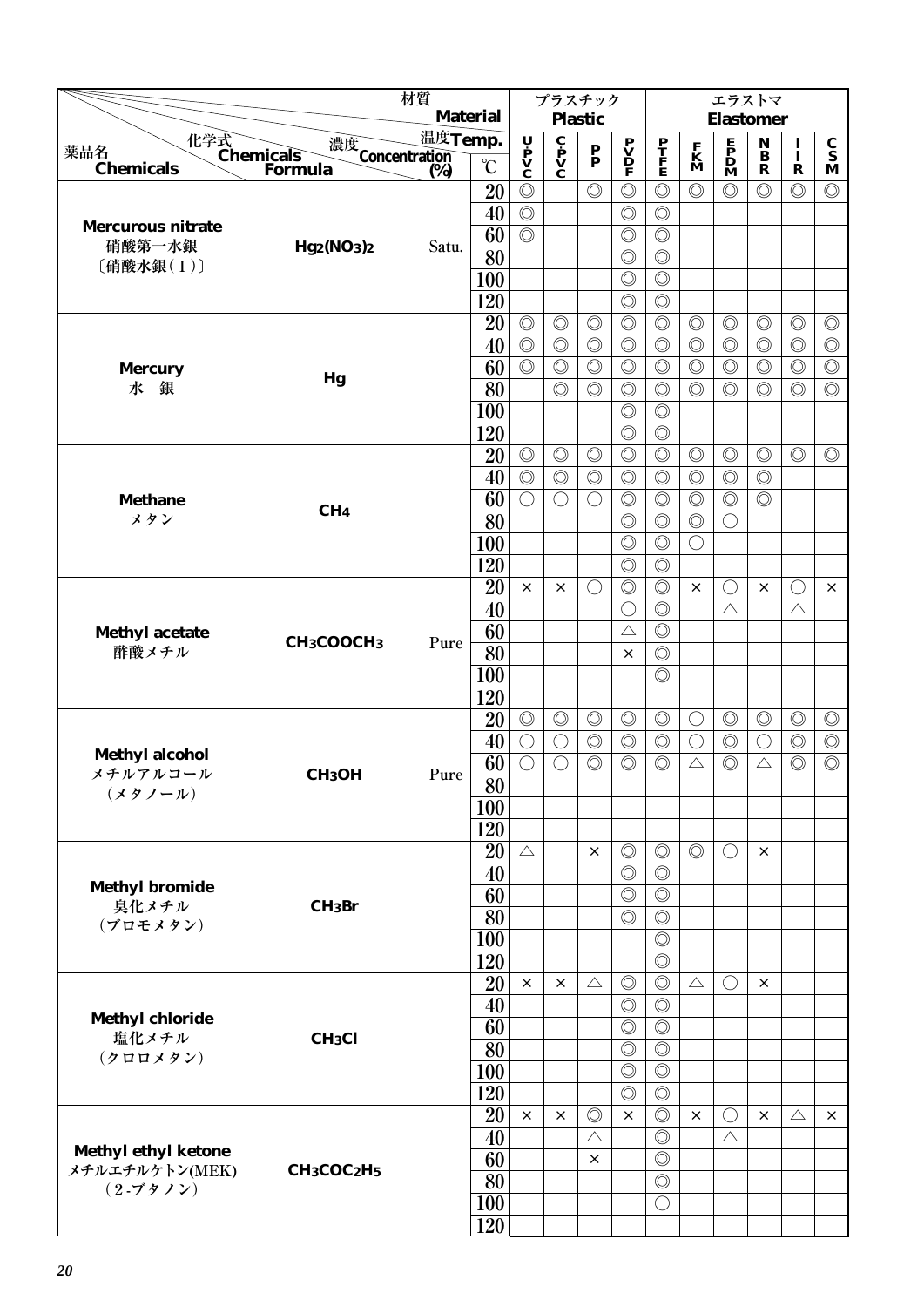|                                             |                                                 | 材質      |                 |                                |                                                     | プラスチック                          |                                              |                                  |                                  | エラストマ                                                                               |                                 |                              |                                      |
|---------------------------------------------|-------------------------------------------------|---------|-----------------|--------------------------------|-----------------------------------------------------|---------------------------------|----------------------------------------------|----------------------------------|----------------------------------|-------------------------------------------------------------------------------------|---------------------------------|------------------------------|--------------------------------------|
|                                             |                                                 |         | <b>Material</b> |                                |                                                     | <b>Plastic</b>                  |                                              |                                  |                                  | <b>Elastomer</b>                                                                    |                                 |                              |                                      |
|                                             |                                                 | 温度Temp. |                 |                                |                                                     |                                 |                                              |                                  |                                  |                                                                                     | $\mathop{\bf N}\limits_{\bf B}$ |                              |                                      |
| 化学式<br>Chemicals<br>薬品名<br><b>Chemicals</b> | 濃度<br>Concentration<br>(%)<br>Formula           | (%)     | $\rm ^{\circ}C$ | U P<br>V<br>C                  | $\mathbf{c}$ $\mathbf{p}$ $\mathbf{V}$ $\mathbf{C}$ | $\frac{\mathbf{P}}{\mathbf{P}}$ | $\mathbf{P}$<br>$\mathbf{D}$<br>$\mathbf{P}$ | $\frac{\mathbf{P}}{\mathbf{F}}$  | $\mathbf{K}$<br>$\mathbf{M}$     | $\begin{array}{c} \mathbf{E} \\ \mathbf{P} \\ \mathbf{D} \\ \mathbf{M} \end{array}$ | $\mathbf R$                     | $\frac{1}{1}$<br>$\mathbf R$ | $\frac{\mathbf{C}}{\mathbf{S}}$<br>M |
|                                             |                                                 |         | 20              | $\circledcirc$                 |                                                     | $\circledcirc$                  | $\circledcirc$                               | $\circledcirc$                   | $\circledcirc$                   | $\circledcirc$                                                                      | $\circledcirc$                  | $\circledcirc$               | $\circledcirc$                       |
|                                             |                                                 |         | 40              | $\circledcirc$                 |                                                     |                                 | $\circledcirc$                               | $\circledcirc$                   |                                  |                                                                                     |                                 |                              |                                      |
| <b>Mercurous nitrate</b>                    |                                                 |         | 60              | $\circledcirc$                 |                                                     |                                 | $\circledcirc$                               | $\circledcirc$                   |                                  |                                                                                     |                                 |                              |                                      |
| 硝酸第一水銀                                      | Hg2(NO3)2                                       | Satu.   | $\overline{80}$ |                                |                                                     |                                 | $\circledcirc$                               | $\circledcirc$                   |                                  |                                                                                     |                                 |                              |                                      |
| [硝酸水銀(I)]                                   |                                                 |         | 100             |                                |                                                     |                                 | $\circledcirc$                               | $\circledcirc$                   |                                  |                                                                                     |                                 |                              |                                      |
|                                             |                                                 |         | 120             |                                |                                                     |                                 | $\circledcirc$                               | $\circledcirc$                   |                                  |                                                                                     |                                 |                              |                                      |
|                                             |                                                 |         | 20              | $\circledcirc$                 | $\circledcirc$                                      | $\circledcirc$                  | $\circledcirc$                               | $\circledcirc$                   | $\circledcirc$                   | $\circledcirc$                                                                      | $\circledcirc$                  | $\circledcirc$               | $\circledcirc$                       |
|                                             |                                                 |         | 40              | $\overline{\circlearrowright}$ | $\circledcirc$                                      | $\circledcirc$                  | $\circledcirc$                               | $\circledcirc$                   | $\overline{\circ}$               | $\circledcirc$                                                                      | $\circledcirc$                  | $\circledcirc$               | $\circledcirc$                       |
|                                             |                                                 |         | 60              | $\circledcirc$                 | $\circledcirc$                                      | $\circledcirc$                  | $\circledcirc$                               | $\circledcirc$                   | $\circledcirc$                   | $\circledcirc$                                                                      | $\circledcirc$                  | $\circledcirc$               | $\circledcirc$                       |
| <b>Mercury</b><br>水<br>銀                    | Hg                                              |         | 80              |                                | $\circledcirc$                                      | $\circledcirc$                  | $\circledcirc$                               | $\circledcirc$                   | $\circledcirc$                   | $\circledcirc$                                                                      | $\circledcirc$                  | $\circledcirc$               | $\circledcirc$                       |
|                                             |                                                 |         | 100             |                                |                                                     |                                 | $\circledcirc$                               | $\circledcirc$                   |                                  |                                                                                     |                                 |                              |                                      |
|                                             |                                                 |         | 120             |                                |                                                     |                                 | $\circledcirc$                               | $\circledcirc$                   |                                  |                                                                                     |                                 |                              |                                      |
|                                             |                                                 |         | 20              | $\circledcirc$                 |                                                     | $\circledcirc$                  | $\circledcirc$                               | $\circledcirc$                   |                                  |                                                                                     | $\circledcirc$                  | $\circledcirc$               | $\circledcirc$                       |
|                                             |                                                 |         |                 | $\circledcirc$                 | $\circledcirc$<br>$\circledcirc$                    | $\circledcirc$                  |                                              | $\circledcirc$                   | $\circledcirc$<br>$\circledcirc$ | $\circledcirc$<br>$\circledcirc$                                                    | $\circledcirc$                  |                              |                                      |
|                                             |                                                 |         | 40              | $\bigcirc$                     | $\bigcirc$                                          | $\bigcirc$                      | $\circledcirc$<br>$\circledcirc$             | $\circledcirc$                   | $\circledcirc$                   | $\circledcirc$                                                                      | $\circledcirc$                  |                              |                                      |
| <b>Methane</b><br>メタン                       | CH <sub>4</sub>                                 |         | 60              |                                |                                                     |                                 |                                              |                                  |                                  |                                                                                     |                                 |                              |                                      |
|                                             |                                                 |         | 80              |                                |                                                     |                                 | $\circledcirc$                               | $\circledcirc$                   | $\circledcirc$                   | $\bigcirc$                                                                          |                                 |                              |                                      |
|                                             |                                                 |         | 100             |                                |                                                     |                                 | $\circledcirc$                               | $\circledcirc$                   | О                                |                                                                                     |                                 |                              |                                      |
|                                             |                                                 |         | 120             | $\times$                       |                                                     |                                 | $\circledcirc$                               | $\circledcirc$<br>$\circledcirc$ |                                  |                                                                                     |                                 |                              |                                      |
|                                             |                                                 |         | 20              |                                | $\times$                                            | $\bigcirc$                      | $\circledcirc$                               |                                  | $\times$                         | $\bigcirc$                                                                          | $\times$                        | $\bigcirc$                   | $\times$                             |
|                                             |                                                 |         | 40              |                                |                                                     |                                 | $\bigcirc$                                   | $\circledcirc$                   |                                  | $\triangle$                                                                         |                                 | $\triangle$                  |                                      |
| <b>Methyl acetate</b><br>酢酸メチル              | CH <sub>3</sub> COOCH <sub>3</sub>              | Pure    | 60              |                                |                                                     |                                 | $\triangle$                                  | $\circledcirc$                   |                                  |                                                                                     |                                 |                              |                                      |
|                                             |                                                 |         | 80              |                                |                                                     |                                 | $\times$                                     | $\circledcirc$                   |                                  |                                                                                     |                                 |                              |                                      |
|                                             |                                                 |         | 100             |                                |                                                     |                                 |                                              | $\circledcirc$                   |                                  |                                                                                     |                                 |                              |                                      |
|                                             |                                                 |         | 120             |                                |                                                     |                                 |                                              |                                  |                                  |                                                                                     |                                 |                              |                                      |
|                                             |                                                 |         | 20              | $\circledcirc$                 | $\circledcirc$                                      | $\circledcirc$                  | $\circledcirc$                               | $\circledcirc$                   | $\bigcirc$                       | $\circledcirc$                                                                      | $\circledcirc$                  | $\circledcirc$               | $\circledcirc$                       |
| <b>Methyl alcohol</b>                       |                                                 |         | 40              | $\bigcirc$                     | $\bigcirc$                                          | $\circledcirc$                  | $\circledcirc$                               | $\circledcirc$                   | $\bigcirc$                       | $\circledcirc$                                                                      | $\bigcirc$                      | $\circledcirc$               | $\circledcirc$                       |
| メチルアルコール                                    | CH <sub>3</sub> OH                              | Pure    | 60              | $\bigcirc$                     | $\bigcirc$                                          | $\circledcirc$                  | $\circledcirc$                               | $\circledcirc$                   | $\triangle$                      | $\circledcirc$                                                                      | $\triangle$                     | $\circledcirc$               | $\circledcirc$                       |
| (メタノール)                                     |                                                 |         | $\overline{80}$ |                                |                                                     |                                 |                                              |                                  |                                  |                                                                                     |                                 |                              |                                      |
|                                             |                                                 |         | 100             |                                |                                                     |                                 |                                              |                                  |                                  |                                                                                     |                                 |                              |                                      |
|                                             |                                                 |         | 120             |                                |                                                     |                                 |                                              |                                  |                                  |                                                                                     |                                 |                              |                                      |
|                                             |                                                 |         | 20              | $\triangle$                    |                                                     | ×                               | $\circledcirc$                               | $\circledcirc$                   | $\circledcirc$                   | $\bigcirc$                                                                          | $\times$                        |                              |                                      |
| <b>Methyl bromide</b>                       |                                                 |         | 40              |                                |                                                     |                                 | $\circledcirc$                               | $\circledcirc$                   |                                  |                                                                                     |                                 |                              |                                      |
| 臭化メチル                                       | $CH_3Br$                                        |         | 60              |                                |                                                     |                                 | $\circledcirc$<br>$\circledcirc$             | $\circledcirc$<br>$\circledcirc$ |                                  |                                                                                     |                                 |                              |                                      |
| (ブロモメタン)                                    |                                                 |         | 80              |                                |                                                     |                                 |                                              |                                  |                                  |                                                                                     |                                 |                              |                                      |
|                                             |                                                 |         | 100             |                                |                                                     |                                 |                                              | $\circledcirc$                   |                                  |                                                                                     |                                 |                              |                                      |
|                                             |                                                 |         | 120             | $\times$                       |                                                     |                                 |                                              | $\circledcirc$                   |                                  |                                                                                     |                                 |                              |                                      |
|                                             |                                                 |         | 20              |                                | $\times$                                            | $\triangle$                     | $\circledcirc$                               | $\circledcirc$                   | $\triangle$                      | $\bigcirc$                                                                          | $\times$                        |                              |                                      |
| <b>Methyl chloride</b>                      |                                                 |         | 40              |                                |                                                     |                                 | $\circledcirc$                               | $\circledcirc$                   |                                  |                                                                                     |                                 |                              |                                      |
| 塩化メチル                                       | CH <sub>3</sub> Cl                              |         | 60              |                                |                                                     |                                 | $\circledcirc$                               | $\circledcirc$<br>$\circledcirc$ |                                  |                                                                                     |                                 |                              |                                      |
| (クロロメタン)                                    |                                                 |         | 80              |                                |                                                     |                                 | $\circledcirc$                               |                                  |                                  |                                                                                     |                                 |                              |                                      |
|                                             |                                                 |         | 100             |                                |                                                     |                                 | $\circledcirc$                               | $\circledcirc$                   |                                  |                                                                                     |                                 |                              |                                      |
|                                             |                                                 |         | 120             |                                |                                                     |                                 | $\circledcirc$<br>$\times$                   | $\circledcirc$                   |                                  |                                                                                     |                                 |                              |                                      |
|                                             |                                                 |         | 20              | $\times$                       | ×                                                   | $\circledcirc$<br>$\triangle$   |                                              | $\circledcirc$                   | $\times$                         | $\bigcirc$<br>$\triangle$                                                           | $\times$                        | $\triangle$                  | $\times$                             |
| <b>Methyl ethyl ketone</b>                  |                                                 |         | 40              |                                |                                                     |                                 |                                              | $\circledcirc$                   |                                  |                                                                                     |                                 |                              |                                      |
| メチルエチルケトン(MEK)                              | CH <sub>3</sub> COC <sub>2</sub> H <sub>5</sub> |         | 60              |                                |                                                     | $\times$                        |                                              | $\circledcirc$                   |                                  |                                                                                     |                                 |                              |                                      |
| $(2 - 79)$                                  |                                                 |         | 80              |                                |                                                     |                                 |                                              | $\circledcirc$                   |                                  |                                                                                     |                                 |                              |                                      |
|                                             |                                                 |         | 100             |                                |                                                     |                                 |                                              | $\bigcirc$                       |                                  |                                                                                     |                                 |                              |                                      |
|                                             |                                                 |         | 120             |                                |                                                     |                                 |                                              |                                  |                                  |                                                                                     |                                 |                              |                                      |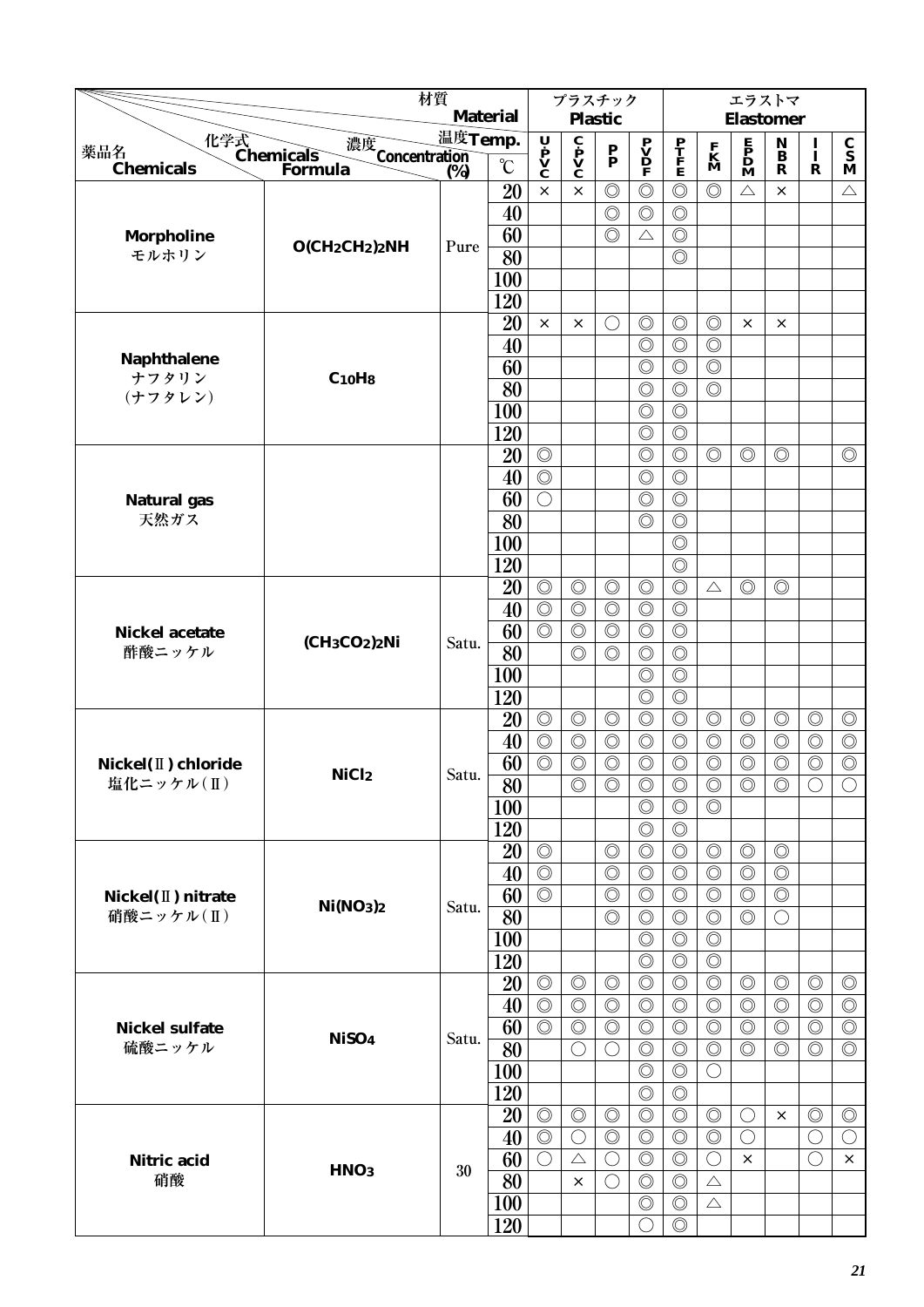|                                   |                                                | 材質                      | <b>Material</b>       |                                                  |                                                         | プラスチック                           |                                                                                     |                                  |                                  | エラストマ                                                                               |                                        |                              |                                  |
|-----------------------------------|------------------------------------------------|-------------------------|-----------------------|--------------------------------------------------|---------------------------------------------------------|----------------------------------|-------------------------------------------------------------------------------------|----------------------------------|----------------------------------|-------------------------------------------------------------------------------------|----------------------------------------|------------------------------|----------------------------------|
|                                   |                                                | 温度Temp.                 |                       |                                                  |                                                         | <b>Plastic</b>                   |                                                                                     |                                  |                                  | <b>Elastomer</b>                                                                    |                                        |                              |                                  |
| 薬品名                               | 化学式<br>Chemicals<br>濃度<br>Concentration<br>(%) |                         |                       | U P<br>V<br>C                                    | $\overline{\mathbf{c}}$<br>$\mathbf{v}$<br>$\mathbf{c}$ | $\mathbf{P}_{\mathbf{P}}$        | $\begin{array}{c} \mathbf{P} \\ \mathbf{V} \\ \mathbf{D} \\ \mathbf{F} \end{array}$ | $\frac{\mathbf{P}}{\mathbf{F}}$  | $\mathbf{K}$<br>$\mathbf{M}$     | $\begin{array}{c} \mathbf{E} \\ \mathbf{P} \\ \mathbf{D} \\ \mathbf{M} \end{array}$ | $\mathbf N$<br>$\overline{\mathbf{B}}$ | $\frac{I}{I}$                | $\frac{c}{s}$                    |
| <b>Chemicals</b>                  | Formula                                        | $\overline{\text{(*)}}$ | $\rm ^{\circ}C$       |                                                  |                                                         |                                  |                                                                                     |                                  |                                  |                                                                                     | $\mathbf R$                            | $\mathbf R$                  | M                                |
|                                   |                                                |                         | 20                    | $\times$                                         | $\times$                                                | $\circledcirc$                   | $\circledcirc$                                                                      | $\circledcirc$                   | $\circledcirc$                   | $\triangle$                                                                         | $\times$                               |                              | $\triangle$                      |
|                                   |                                                |                         | 40                    |                                                  |                                                         | $\circledcirc$                   | $\circledcirc$                                                                      | $\circledcirc$                   |                                  |                                                                                     |                                        |                              |                                  |
| <b>Morpholine</b>                 | $O(CH_2CH_2)_2NH$                              | Pure                    | 60                    |                                                  |                                                         | $\circledcirc$                   | $\triangle$                                                                         | $\circledcirc$                   |                                  |                                                                                     |                                        |                              |                                  |
| モルホリン                             |                                                |                         | 80                    |                                                  |                                                         |                                  |                                                                                     | $\circledcirc$                   |                                  |                                                                                     |                                        |                              |                                  |
|                                   |                                                |                         | 100                   |                                                  |                                                         |                                  |                                                                                     |                                  |                                  |                                                                                     |                                        |                              |                                  |
|                                   |                                                |                         | 120                   |                                                  |                                                         |                                  |                                                                                     |                                  |                                  |                                                                                     |                                        |                              |                                  |
|                                   |                                                |                         | 20                    | $\times$                                         | $\times$                                                | $\left(\right)$                  | $\circledcirc$                                                                      | $\circledcirc$                   | $\circledcirc$                   | $\times$                                                                            | $\times$                               |                              |                                  |
| Naphthalene                       |                                                |                         | 40                    |                                                  |                                                         |                                  | $\circledcirc$                                                                      | $\circledcirc$                   | $\circledcirc$                   |                                                                                     |                                        |                              |                                  |
| ナフタリン                             | $C_{10}$ H <sub>8</sub>                        |                         | 60                    |                                                  |                                                         |                                  | $\circledcirc$                                                                      | $\circledcirc$                   | $\circledcirc$                   |                                                                                     |                                        |                              |                                  |
| (ナフタレン)                           |                                                |                         | 80                    |                                                  |                                                         |                                  | $\circledcirc$                                                                      | $\circledcirc$                   | $\circledcirc$                   |                                                                                     |                                        |                              |                                  |
|                                   |                                                |                         | 100                   |                                                  |                                                         |                                  | $\circledcirc$                                                                      | $\circledcirc$                   |                                  |                                                                                     |                                        |                              |                                  |
|                                   |                                                |                         | 120                   |                                                  |                                                         |                                  | $\circledcirc$                                                                      | $\circledcirc$                   |                                  |                                                                                     |                                        |                              |                                  |
|                                   |                                                |                         | 20                    | $\circledcirc$                                   |                                                         |                                  | $\circledcirc$                                                                      | $\circledcirc$                   | $\circledcirc$                   | $\circledcirc$                                                                      | $\circledcirc$                         |                              | $\circledcirc$                   |
|                                   |                                                |                         | 40                    | $\circledcirc$                                   |                                                         |                                  | $\circledcirc$                                                                      | $\circledcirc$                   |                                  |                                                                                     |                                        |                              |                                  |
| <b>Natural</b> gas<br>天然ガス        |                                                |                         | 60                    | $\bigcirc$                                       |                                                         |                                  | $\circledcirc$                                                                      | $\circledcirc$                   |                                  |                                                                                     |                                        |                              |                                  |
|                                   |                                                |                         | 80                    |                                                  |                                                         |                                  | $\circledcirc$                                                                      | $\circledcirc$                   |                                  |                                                                                     |                                        |                              |                                  |
|                                   |                                                |                         | 100                   |                                                  |                                                         |                                  |                                                                                     | $\circledcirc$                   |                                  |                                                                                     |                                        |                              |                                  |
|                                   |                                                |                         | 120                   |                                                  |                                                         |                                  |                                                                                     | $\circledcirc$<br>$\circledcirc$ |                                  |                                                                                     |                                        |                              |                                  |
|                                   |                                                |                         | 20                    | $\circledcirc$                                   | $\circledcirc$                                          | $\circledcirc$                   | $\circledcirc$                                                                      |                                  | $\triangle$                      | $\circledcirc$                                                                      | $\circledcirc$                         |                              |                                  |
|                                   |                                                |                         | 40                    | $\overline{\circlearrowright}$<br>$\circledcirc$ | $\circledcirc$                                          | $\circledcirc$                   | $\circledcirc$                                                                      | $\circledcirc$                   |                                  |                                                                                     |                                        |                              |                                  |
| <b>Nickel acetate</b><br>酢酸ニッケル   | $(CH3CO2)2Ni$                                  | Satu.                   | 60                    |                                                  | $\circledcirc$                                          | $\circledcirc$                   | $\circledcirc$                                                                      | $\circledcirc$                   |                                  |                                                                                     |                                        |                              |                                  |
|                                   |                                                |                         | 80                    |                                                  | $\circledcirc$                                          | $\circledcirc$                   | $\circledcirc$                                                                      | $\circledcirc$                   |                                  |                                                                                     |                                        |                              |                                  |
|                                   |                                                |                         | 100                   |                                                  |                                                         |                                  | $\circledcirc$                                                                      | $\circledcirc$<br>$\circledcirc$ |                                  |                                                                                     |                                        |                              |                                  |
|                                   |                                                |                         | 120                   |                                                  |                                                         |                                  | $\circledcirc$                                                                      |                                  |                                  |                                                                                     |                                        |                              |                                  |
|                                   |                                                |                         | 20                    | $\circledcirc$<br>$\circledcirc$                 | $\circledcirc$                                          | $\circledcirc$                   | $\circledcirc$                                                                      | $\circledcirc$                   | $\circledcirc$                   | $\circledcirc$                                                                      | $\circledcirc$                         | $\circledcirc$               | $\circledcirc$                   |
|                                   |                                                |                         | 40                    | $\circledcirc$                                   | $\circledcirc$<br>$\circledcirc$                        | $\circledcirc$<br>$\circledcirc$ | $\circledcirc$                                                                      | $\circledcirc$<br>$\circledcirc$ | $\circledcirc$<br>$\circledcirc$ | $\circledcirc$<br>$\circledcirc$                                                    | $\circledcirc$<br>$\circledcirc$       | $\circledcirc$               | $\circledcirc$<br>$\circledcirc$ |
| Nickel(II) chloride<br>塩化ニッケル(II) | NiCl <sub>2</sub>                              | Satu.                   | 60<br>$\overline{80}$ |                                                  | $\circledcirc$                                          | $\circledcirc$                   | $\circledcirc$<br>$\overline{\circ}$                                                | $\overline{\circ}$               | $\circledcirc$                   | $\circledcirc$                                                                      | $\circledcirc$                         | $\circledcirc$<br>$\bigcirc$ | $\overline{\bigcirc}$            |
|                                   |                                                |                         |                       |                                                  |                                                         |                                  | $\circledcirc$                                                                      | $\circledcirc$                   | $\circledcirc$                   |                                                                                     |                                        |                              |                                  |
|                                   |                                                |                         | 100<br>120            |                                                  |                                                         |                                  | $\circledcirc$                                                                      | $\circledcirc$                   |                                  |                                                                                     |                                        |                              |                                  |
|                                   |                                                |                         |                       | $\circledcirc$                                   |                                                         | $\circledcirc$                   | $\circledcirc$                                                                      | $\circledcirc$                   | $\circledcirc$                   | $\circledcirc$                                                                      | $\circledcirc$                         |                              |                                  |
|                                   |                                                |                         | 20<br>40              | $\circledcirc$                                   |                                                         | $\circledcirc$                   | $\circledcirc$                                                                      | $\circledcirc$                   | $\circledcirc$                   | $\circledcirc$                                                                      | $\circledcirc$                         |                              |                                  |
| Nickel(II) nitrate                |                                                |                         | 60                    | $\circledcirc$                                   |                                                         | $\circledcirc$                   | $\circledcirc$                                                                      | $\circledcirc$                   | $\circledcirc$                   | $\circledcirc$                                                                      | $\circledcirc$                         |                              |                                  |
| 硝酸ニッケル $(II)$                     | Ni(NO <sub>3</sub> ) <sub>2</sub>              | Satu.                   | 80                    |                                                  |                                                         | $\circledcirc$                   | $\circledcirc$                                                                      | $\circledcirc$                   | $\circledcirc$                   | $\circledcirc$                                                                      | O                                      |                              |                                  |
|                                   |                                                |                         | 100                   |                                                  |                                                         |                                  | $\circledcirc$                                                                      | $\circledcirc$                   | $\circledcirc$                   |                                                                                     |                                        |                              |                                  |
|                                   |                                                |                         | 120                   |                                                  |                                                         |                                  | $\circledcirc$                                                                      | $\circledcirc$                   | $\circledcirc$                   |                                                                                     |                                        |                              |                                  |
|                                   |                                                |                         | 20                    | $\circledcirc$                                   | $\circledcirc$                                          | $\circledcirc$                   | $\circledcirc$                                                                      | $\circledcirc$                   | $\circledcirc$                   | $\circledcirc$                                                                      | $\circledcirc$                         | $\circledcirc$               | $\circledcirc$                   |
|                                   |                                                |                         | 40                    | $\circledcirc$                                   | $\circledcirc$                                          | $\circledcirc$                   | $\circledcirc$                                                                      | $\circledcirc$                   | $\circledcirc$                   | $\circledcirc$                                                                      | $\circledcirc$                         | $\circledcirc$               | $\circledcirc$                   |
| <b>Nickel sulfate</b>             |                                                |                         | 60                    | $\circledcirc$                                   | $\circledcirc$                                          | $\circledcirc$                   | $\circledcirc$                                                                      | $\circledcirc$                   | $\circledcirc$                   | $\circledcirc$                                                                      | $\circledcirc$                         | $\circledcirc$               | $\circledcirc$                   |
| 硫酸ニッケル                            | NiSO <sub>4</sub>                              | Satu.                   | 80                    |                                                  | $\bigcirc$                                              | $\bigcirc$                       | $\circledcirc$                                                                      | $\circledcirc$                   | $\circledcirc$                   | $\circledcirc$                                                                      | $\circledcirc$                         | $\circledcirc$               | $\circledcirc$                   |
|                                   |                                                |                         | <b>100</b>            |                                                  |                                                         |                                  | $\circledcirc$                                                                      | $\circledcirc$                   | $\bigcirc$                       |                                                                                     |                                        |                              |                                  |
|                                   |                                                |                         | 120                   |                                                  |                                                         |                                  | $\circledcirc$                                                                      | $\circledcirc$                   |                                  |                                                                                     |                                        |                              |                                  |
|                                   |                                                |                         | 20                    | $\circledcirc$                                   | $\circledcirc$                                          | $\circledcirc$                   | $\circledcirc$                                                                      | $\circledcirc$                   | $\circledcirc$                   | $\bigcirc$                                                                          | $\times$                               | $\circledcirc$               | $\circledcirc$                   |
|                                   |                                                |                         | 40                    | $\circledcirc$                                   | $\bigcirc$                                              | $\circledcirc$                   | $\circledcirc$                                                                      | $\circledcirc$                   | $\circledcirc$                   | $\bigcirc$                                                                          |                                        | $\bigcirc$                   | $\bigcirc$                       |
| <b>Nitric</b> acid                |                                                |                         | 60                    | $\bigcirc$                                       | $\triangle$                                             | $\bigcirc$                       | $\circledcirc$                                                                      | $\circledcirc$                   | $\bigcirc$                       | $\times$                                                                            |                                        | $\bigcirc$                   | $\times$                         |
| 硝酸                                | HNO <sub>3</sub>                               | 30                      | 80                    |                                                  | $\times$                                                | $\bigcirc$                       | $\circledcirc$                                                                      | $\circledcirc$                   | $\triangle$                      |                                                                                     |                                        |                              |                                  |
|                                   |                                                |                         | <b>100</b>            |                                                  |                                                         |                                  | $\circledcirc$                                                                      | $\circledcirc$                   | $\triangle$                      |                                                                                     |                                        |                              |                                  |
|                                   |                                                |                         | 120                   |                                                  |                                                         |                                  | $\bigcirc$                                                                          | $\circledcirc$                   |                                  |                                                                                     |                                        |                              |                                  |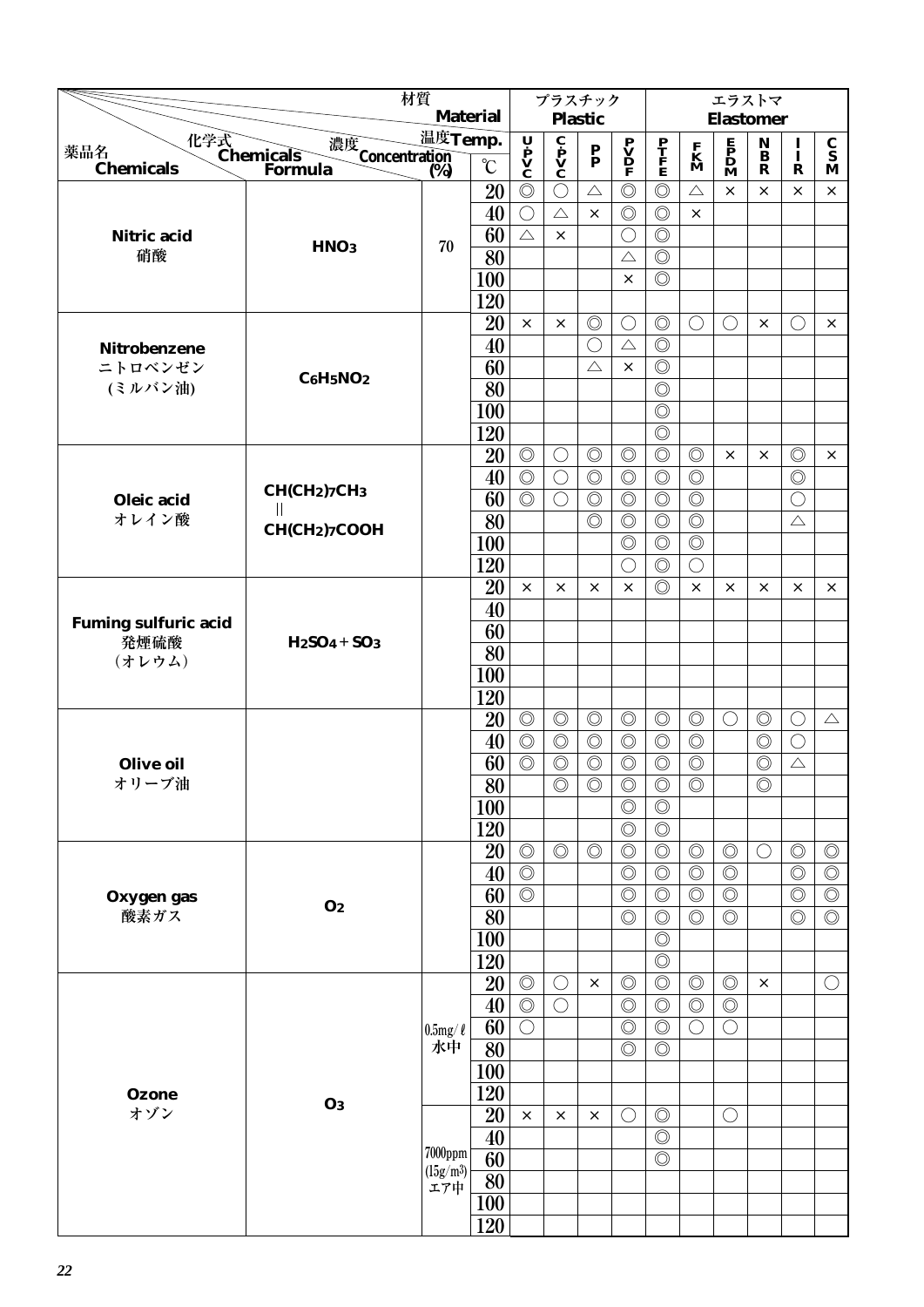|                             |                                                | 材質                     |                 |                | プラスチック                                                                  |                           |                                              |                                  |                              | エラストマ                                                                               |                                 |                |                                 |
|-----------------------------|------------------------------------------------|------------------------|-----------------|----------------|-------------------------------------------------------------------------|---------------------------|----------------------------------------------|----------------------------------|------------------------------|-------------------------------------------------------------------------------------|---------------------------------|----------------|---------------------------------|
|                             |                                                |                        | <b>Material</b> |                |                                                                         | <b>Plastic</b>            |                                              |                                  |                              | <b>Elastomer</b>                                                                    |                                 |                |                                 |
| 薬品名                         | 化学式<br>Chemicals<br>濃度<br>Concentration<br>(%) | 温度Temp.                |                 | Ų              | $\overline{\mathbf{c}}$<br>$\mathbf{p}$<br>$\mathbf{v}$<br>$\mathbf{c}$ | $\mathbf{P}_{\mathbf{P}}$ | $\mathbf{P}$<br>$\mathbf{D}$<br>$\mathbf{P}$ | $\frac{\mathbf{P}}{\mathbf{F}}$  | $\mathbf{K}$<br>$\mathbf{M}$ | $\begin{array}{c} \mathbf{E} \\ \mathbf{P} \\ \mathbf{D} \\ \mathbf{M} \end{array}$ | $\mathop{\bf B}\limits^{\bf N}$ | $\frac{1}{1}$  | $\frac{\mathbf{C}}{\mathbf{S}}$ |
| <b>Chemicals</b>            | Formula                                        | (%)                    | $\rm ^{\circ}C$ | P<br>V<br>C    |                                                                         |                           |                                              |                                  |                              |                                                                                     | $\mathbf R$                     | $\mathbf R$    | M                               |
|                             |                                                |                        | 20              | $\circledcirc$ | $\bigcirc$                                                              | $\triangle$               | $\circledcirc$                               | $\circledcirc$                   | $\triangle$                  | $\times$                                                                            | ×                               | X              | $\times$                        |
|                             |                                                |                        | 40              | $\bigcirc$     | $\triangle$                                                             | $\times$                  | $\circledcirc$                               | $\circledcirc$                   | $\times$                     |                                                                                     |                                 |                |                                 |
| <b>Nitric acid</b>          | HNO <sub>3</sub>                               | 70                     | 60              | $\triangle$    | $\times$                                                                |                           | $\bigcirc$                                   | $\circledcirc$                   |                              |                                                                                     |                                 |                |                                 |
| 硝酸                          |                                                |                        | 80              |                |                                                                         |                           | $\triangle$                                  | $\circledcirc$                   |                              |                                                                                     |                                 |                |                                 |
|                             |                                                |                        | 100             |                |                                                                         |                           | $\times$                                     | $\circledcirc$                   |                              |                                                                                     |                                 |                |                                 |
|                             |                                                |                        | 120             |                |                                                                         |                           |                                              |                                  |                              |                                                                                     |                                 |                |                                 |
|                             |                                                |                        | 20              | $\times$       | $\times$                                                                | $\circledcirc$            | $\bigcirc$                                   | $\circledcirc$                   | $\bigcirc$                   | $\bigcirc$                                                                          | $\times$                        | $\bigcirc$     | ×                               |
| Nitrobenzene                |                                                |                        | 40              |                |                                                                         | $\bigcirc$                | $\triangle$                                  | $\circledcirc$                   |                              |                                                                                     |                                 |                |                                 |
| ニトロベンゼン                     | $C6H5NO2$                                      |                        | 60              |                |                                                                         | $\triangle$               | $\times$                                     | $\circledcirc$                   |                              |                                                                                     |                                 |                |                                 |
| (ミルバン油)                     |                                                |                        | 80              |                |                                                                         |                           |                                              | $\circledcirc$                   |                              |                                                                                     |                                 |                |                                 |
|                             |                                                |                        | 100             |                |                                                                         |                           |                                              | $\circledcirc$                   |                              |                                                                                     |                                 |                |                                 |
|                             |                                                |                        | 120             |                |                                                                         |                           |                                              | $\circledcirc$                   |                              |                                                                                     |                                 |                |                                 |
|                             |                                                |                        | 20              | $\circledcirc$ | $\bigcirc$                                                              | $\circledcirc$            | $\circledcirc$                               | $\circledcirc$                   | $\circledcirc$               | $\times$                                                                            | X                               | $\circledcirc$ | $\times$                        |
|                             | CH(CH2)7CH3                                    |                        | 40              | $\circledcirc$ | $\bigcirc$                                                              | $\circledcirc$            | $\circledcirc$                               | $\circledcirc$                   | $\circledcirc$               |                                                                                     |                                 | $\circledcirc$ |                                 |
| Oleic acid<br>オレイン酸         | Ш                                              |                        | 60              | $\circledcirc$ | $\bigcirc$                                                              | $\circledcirc$            | $\circledcirc$                               | $\circledcirc$                   | $\circledcirc$               |                                                                                     |                                 | $\bigcirc$     |                                 |
|                             | CH(CH <sub>2</sub> )7COOH                      |                        | 80              |                |                                                                         | $\circledcirc$            | $\circledcirc$                               | $\circledcirc$                   | $\circledcirc$               |                                                                                     |                                 | $\triangle$    |                                 |
|                             |                                                |                        | 100             |                |                                                                         |                           | $\circledcirc$                               | $\circledcirc$                   | $\circledcirc$               |                                                                                     |                                 |                |                                 |
|                             |                                                |                        | 120             | $\times$       | $\times$                                                                | $\times$                  | $\bigcirc$<br>$\times$                       | $\circledcirc$<br>$\circledcirc$ | $\bigcirc$<br>$\times$       |                                                                                     | X                               | $\times$       |                                 |
|                             |                                                |                        | 20<br>40        |                |                                                                         |                           |                                              |                                  |                              | ×                                                                                   |                                 |                | ×                               |
| <b>Fuming sulfuric acid</b> |                                                |                        | 60              |                |                                                                         |                           |                                              |                                  |                              |                                                                                     |                                 |                |                                 |
| 発煙硫酸                        | $H2SO4+SO3$                                    |                        | 80              |                |                                                                         |                           |                                              |                                  |                              |                                                                                     |                                 |                |                                 |
| (オレウム)                      |                                                |                        | 100             |                |                                                                         |                           |                                              |                                  |                              |                                                                                     |                                 |                |                                 |
|                             |                                                |                        | 120             |                |                                                                         |                           |                                              |                                  |                              |                                                                                     |                                 |                |                                 |
|                             |                                                |                        | 20              | $\circledcirc$ | $\circledcirc$                                                          | $\circledcirc$            | $\circledcirc$                               | $\circledcirc$                   | $\circledcirc$               | $\bigcirc$                                                                          | $\circledcirc$                  | $\bigcirc$     | $\triangle$                     |
|                             |                                                |                        | 40              | $\circledcirc$ | $\circledcirc$                                                          | $\circledcirc$            | $\circledcirc$                               | $\circledcirc$                   | $\circledcirc$               |                                                                                     | $\circledcirc$                  | $\bigcirc$     |                                 |
| <b>Olive oil</b>            |                                                |                        | 60              | $\circledcirc$ | $\circledcirc$                                                          | $\circledcirc$            | $\circledcirc$                               | $\circledcirc$                   | $\circledcirc$               |                                                                                     | $\circledcirc$                  | $\triangle$    |                                 |
| オリーブ油                       |                                                |                        | $\overline{80}$ |                | $\circledcirc$                                                          | $\circledcirc$            | $\circledcirc$                               | $\circledcirc$                   | $\circledcirc$               |                                                                                     | $\circledcirc$                  |                |                                 |
|                             |                                                |                        | <b>100</b>      |                |                                                                         |                           | $\circledcirc$                               | $\circledcirc$                   |                              |                                                                                     |                                 |                |                                 |
|                             |                                                |                        | 120             |                |                                                                         |                           | $\circledcirc$                               | $\circledcirc$                   |                              |                                                                                     |                                 |                |                                 |
|                             |                                                |                        | 20              | $\circledcirc$ | $\circledcirc$                                                          | $\circledcirc$            | $\circledcirc$                               | $\circledcirc$                   | $\circledcirc$               | $\circledcirc$                                                                      | $\bigcirc$                      | $\circledcirc$ | $\circledcirc$                  |
|                             |                                                |                        | 40              | $\circledcirc$ |                                                                         |                           | $\circledcirc$                               | $\circledcirc$                   | $\circledcirc$               | $\circledcirc$                                                                      |                                 | $\circledcirc$ | $\circledcirc$                  |
| Oxygen gas                  |                                                |                        | 60              | $\circledcirc$ |                                                                         |                           | $\circledcirc$                               | $\circledcirc$                   | $\circledcirc$               | $\circledcirc$                                                                      |                                 | $\circledcirc$ | $\circledcirc$                  |
| 酸素ガス                        | O <sub>2</sub>                                 |                        | 80              |                |                                                                         |                           | $\circledcirc$                               | $\circledcirc$                   | $\circledcirc$               | $\circledcirc$                                                                      |                                 | $\circledcirc$ | $\circledcirc$                  |
|                             |                                                |                        | 100             |                |                                                                         |                           |                                              | $\circledcirc$                   |                              |                                                                                     |                                 |                |                                 |
|                             |                                                |                        | 120             |                |                                                                         |                           |                                              | $\circledcirc$                   |                              |                                                                                     |                                 |                |                                 |
|                             |                                                |                        | 20              | $\circledcirc$ | $\bigcirc$                                                              | $\times$                  | $\circledcirc$                               | $\circledcirc$                   | $\circledcirc$               | $\circledcirc$                                                                      | $\times$                        |                | $\bigcirc$                      |
|                             |                                                |                        | 40              | $\circledcirc$ | $\bigcirc$                                                              |                           | $\circledcirc$                               | $\circledcirc$                   | $\circledcirc$               | $\circledcirc$                                                                      |                                 |                |                                 |
|                             |                                                | $0.5$ mg/ $\ell$       | 60              | $\bigcirc$     |                                                                         |                           | $\circledcirc$                               | $\circledcirc$                   | $\bigcirc$                   | $\bigcirc$                                                                          |                                 |                |                                 |
|                             |                                                | 水中                     | 80              |                |                                                                         |                           | $\circledcirc$                               | $\circledcirc$                   |                              |                                                                                     |                                 |                |                                 |
|                             |                                                |                        | <b>100</b>      |                |                                                                         |                           |                                              |                                  |                              |                                                                                     |                                 |                |                                 |
| <b>Ozone</b>                | $\mathbf{O}3$                                  |                        | 120             |                |                                                                         |                           |                                              |                                  |                              |                                                                                     |                                 |                |                                 |
| オゾン                         |                                                |                        | 20              | $\times$       | $\times$                                                                | $\times$                  | $\bigcirc$                                   | $\circledcirc$                   |                              | $\bigcirc$                                                                          |                                 |                |                                 |
|                             |                                                |                        | 40              |                |                                                                         |                           |                                              | $\circledcirc$                   |                              |                                                                                     |                                 |                |                                 |
|                             |                                                | $7000$ ppm<br>(l5g/m3) | 60              |                |                                                                         |                           |                                              | $\circledcirc$                   |                              |                                                                                     |                                 |                |                                 |
|                             |                                                | エア中                    | 80              |                |                                                                         |                           |                                              |                                  |                              |                                                                                     |                                 |                |                                 |
|                             |                                                |                        | <b>100</b>      |                |                                                                         |                           |                                              |                                  |                              |                                                                                     |                                 |                |                                 |
|                             |                                                |                        | 120             |                |                                                                         |                           |                                              |                                  |                              |                                                                                     |                                 |                |                                 |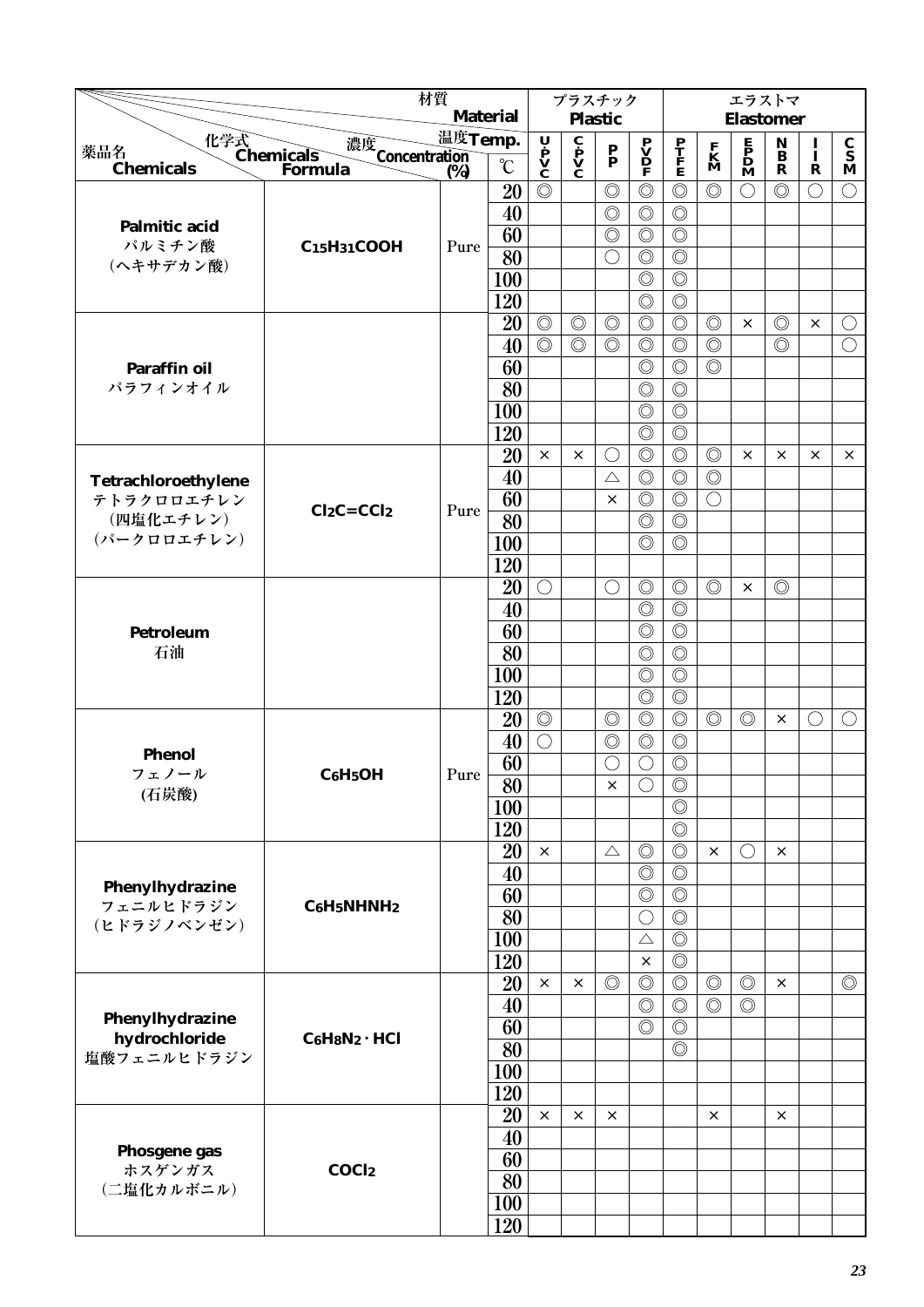|                          |                                                | 材質                                  |                 |                | プラスチック                                                                  |                           |                                                                                     |                                  |                              | エラストマ                                                                               |                       |               |                |
|--------------------------|------------------------------------------------|-------------------------------------|-----------------|----------------|-------------------------------------------------------------------------|---------------------------|-------------------------------------------------------------------------------------|----------------------------------|------------------------------|-------------------------------------------------------------------------------------|-----------------------|---------------|----------------|
|                          |                                                |                                     | <b>Material</b> |                |                                                                         | <b>Plastic</b>            |                                                                                     |                                  |                              | <b>Elastomer</b>                                                                    |                       |               |                |
| 薬品名                      | 化学式<br>Chemicals<br>濃度<br>Concentration<br>(%) | 温度Temp.                             |                 | U P<br>V<br>C  | $\overline{\mathbf{c}}$<br>$\mathbf{p}$<br>$\mathbf{v}$<br>$\mathbf{c}$ | $\mathbf{P}_{\mathbf{P}}$ | $\begin{array}{c} \mathbf{P} \\ \mathbf{V} \\ \mathbf{D} \\ \mathbf{F} \end{array}$ | P<br>T<br>F<br>E                 | $\mathbf{K}$<br>$\mathbf{M}$ | $\begin{array}{c} \mathbf{E} \\ \mathbf{P} \\ \mathbf{D} \\ \mathbf{M} \end{array}$ | ${\bf N}$<br>$\bf{B}$ | $\frac{I}{I}$ | $\frac{c}{s}$  |
| <b>Chemicals</b>         | Formula                                        | $\overline{\text{(*)}}$             | $\rm ^{\circ}C$ |                |                                                                         |                           |                                                                                     |                                  |                              |                                                                                     | $\mathbf R$           | $\mathbf R$   | M              |
|                          |                                                |                                     | 20              | $\circledcirc$ |                                                                         | $\circledcirc$            | $\circledcirc$                                                                      | $\circledcirc$                   | $\circledcirc$               | $(\ )$                                                                              | $\circledcirc$        | ◯             | ○              |
| <b>Palmitic acid</b>     |                                                |                                     | 40              |                |                                                                         | $\circledcirc$            | $\circledcirc$                                                                      | $\circledcirc$                   |                              |                                                                                     |                       |               |                |
| パルミチン酸                   | C <sub>15</sub> H <sub>31</sub> COOH           | Pure                                | 60              |                |                                                                         | $\circledcirc$            | $\circledcirc$                                                                      | $\circledcirc$                   |                              |                                                                                     |                       |               |                |
| (ヘキサデカン酸)                |                                                |                                     | 80              |                |                                                                         | $\bigcirc$                | $\circledcirc$                                                                      | $\circledcirc$                   |                              |                                                                                     |                       |               |                |
|                          |                                                |                                     | 100             |                |                                                                         |                           | $\circledcirc$                                                                      | $\circledcirc$                   |                              |                                                                                     |                       |               |                |
|                          |                                                |                                     | 120             |                |                                                                         |                           | $\circledcirc$                                                                      | $\circledcirc$                   |                              |                                                                                     |                       |               |                |
|                          |                                                |                                     | 20              | $\circledcirc$ | $\circledcirc$                                                          | $\circledcirc$            | $\circledcirc$                                                                      | $\circledcirc$                   | $\circledcirc$               | $\times$                                                                            | $\circledcirc$        | $\times$      | ( )            |
|                          |                                                |                                     | 40              | $\circledcirc$ | $\circledcirc$                                                          | $\circledcirc$            | $\circledcirc$                                                                      | $\circledcirc$                   | $\circledcirc$               |                                                                                     | $\circledcirc$        |               | $\bigcirc$     |
| Paraffin oil             |                                                |                                     | 60              |                |                                                                         |                           | $\circledcirc$                                                                      | $\circledcirc$                   | $\circledcirc$               |                                                                                     |                       |               |                |
| パラフィンオイル                 |                                                |                                     | 80              |                |                                                                         |                           | $\circledcirc$                                                                      | $\circledcirc$                   |                              |                                                                                     |                       |               |                |
|                          |                                                |                                     | 100             |                |                                                                         |                           | $\circledcirc$                                                                      | $\circledcirc$                   |                              |                                                                                     |                       |               |                |
|                          |                                                |                                     | 120             |                |                                                                         |                           | $\circledcirc$                                                                      | $\circledcirc$                   |                              |                                                                                     |                       |               |                |
|                          |                                                |                                     | 20              | $\times$       | $\times$                                                                | $\bigcirc$                | $\circledcirc$                                                                      | $\circledcirc$                   | $\circledcirc$               | $\times$                                                                            | $\times$              | $\times$      | $\times$       |
| Tetrachloroethylene      |                                                |                                     | 40              |                |                                                                         | $\triangle$               | $\circledcirc$                                                                      | $\circledcirc$                   | $\circledcirc$               |                                                                                     |                       |               |                |
| テトラクロロエチレン               | $Cl_2C = CCl_2$                                | Pure                                | 60              |                |                                                                         | $\times$                  | $\circledcirc$                                                                      | $\circledcirc$                   | $\bigcirc$                   |                                                                                     |                       |               |                |
| (四塩化エチレン)<br>(パークロロエチレン) |                                                |                                     | 80              |                |                                                                         |                           | $\circledcirc$                                                                      | $\circledcirc$                   |                              |                                                                                     |                       |               |                |
|                          |                                                |                                     | 100             |                |                                                                         |                           | $\circledcirc$                                                                      | $\circledcirc$                   |                              |                                                                                     |                       |               |                |
|                          |                                                |                                     | 120             |                |                                                                         |                           |                                                                                     |                                  | $\circledcirc$               |                                                                                     |                       |               |                |
|                          |                                                |                                     | 20              | $\bigcirc$     |                                                                         | $\bigcirc$                | $\circledcirc$<br>$\circledcirc$                                                    | $\circledcirc$                   |                              | $\times$                                                                            | $\circledcirc$        |               |                |
|                          |                                                |                                     | 40              |                |                                                                         |                           |                                                                                     | $\circledcirc$                   |                              |                                                                                     |                       |               |                |
| <b>Petroleum</b><br>石油   |                                                |                                     | 60              |                |                                                                         |                           | $\circledcirc$<br>$\circledcirc$                                                    | $\circledcirc$<br>$\circledcirc$ |                              |                                                                                     |                       |               |                |
|                          |                                                |                                     | 80              |                |                                                                         |                           | $\circledcirc$                                                                      |                                  |                              |                                                                                     |                       |               |                |
|                          |                                                |                                     | <b>100</b>      |                |                                                                         |                           | $\circledcirc$                                                                      | $\circledcirc$<br>$\circledcirc$ |                              |                                                                                     |                       |               |                |
|                          |                                                |                                     | 120<br>20       | $\circledcirc$ |                                                                         | $\circledcirc$            | $\circledcirc$                                                                      | $\circledcirc$                   | $\circledcirc$               | $\circledcirc$                                                                      |                       | O             |                |
|                          |                                                |                                     | 40              | $\bigcirc$     |                                                                         | $\circledcirc$            | $\circledcirc$                                                                      | $\circledcirc$                   |                              |                                                                                     | ×                     |               | O              |
| <b>Phenol</b>            |                                                |                                     | 60              |                |                                                                         | $\bigcirc$                | $\bigcirc$                                                                          | $\circledcirc$                   |                              |                                                                                     |                       |               |                |
| フェノール                    | $C_6H_5OH$                                     | $\ensuremath{\text{\textbf{Pure}}}$ | $\overline{80}$ |                |                                                                         | ×                         | $\overline{\bigcirc}$                                                               | $\overline{\circ}$               |                              |                                                                                     |                       |               |                |
| (石炭酸)                    |                                                |                                     | 100             |                |                                                                         |                           |                                                                                     | $\circledcirc$                   |                              |                                                                                     |                       |               |                |
|                          |                                                |                                     | 120             |                |                                                                         |                           |                                                                                     | $\circledcirc$                   |                              |                                                                                     |                       |               |                |
|                          |                                                |                                     | 20              | $\times$       |                                                                         | $\triangle$               | $\circledcirc$                                                                      | $\circledcirc$                   | $\times$                     | $\bigcirc$                                                                          | $\times$              |               |                |
|                          |                                                |                                     | 40              |                |                                                                         |                           | $\circledcirc$                                                                      | $\circledcirc$                   |                              |                                                                                     |                       |               |                |
| Phenylhydrazine          |                                                |                                     | 60              |                |                                                                         |                           | $\circledcirc$                                                                      | $\circledcirc$                   |                              |                                                                                     |                       |               |                |
| フェニルヒドラジン                | $C_6H_5NHNH_2$                                 |                                     | 80              |                |                                                                         |                           | $\bigcirc$                                                                          | $\circledcirc$                   |                              |                                                                                     |                       |               |                |
| (ヒドラジノベンゼン)              |                                                |                                     | 100             |                |                                                                         |                           | $\triangle$                                                                         | $\circledcirc$                   |                              |                                                                                     |                       |               |                |
|                          |                                                |                                     | 120             |                |                                                                         |                           | $\times$                                                                            | $\circledcirc$                   |                              |                                                                                     |                       |               |                |
|                          |                                                |                                     | 20              | $\times$       | $\times$                                                                | $\circledcirc$            | $\circledcirc$                                                                      | $\circledcirc$                   | $\circledcirc$               | $\circledcirc$                                                                      | $\times$              |               | $\circledcirc$ |
|                          |                                                |                                     | 40              |                |                                                                         |                           | $\circledcirc$                                                                      | $\circledcirc$                   | $\circledcirc$               | $\circledcirc$                                                                      |                       |               |                |
| Phenylhydrazine          |                                                |                                     | 60              |                |                                                                         |                           | $\circledcirc$                                                                      | $\circledcirc$                   |                              |                                                                                     |                       |               |                |
| hydrochloride            | $C_6H_8N_2 \cdot HCl$                          |                                     | 80              |                |                                                                         |                           |                                                                                     | $\circledcirc$                   |                              |                                                                                     |                       |               |                |
| 塩酸フェニルヒドラジン              |                                                |                                     | 100             |                |                                                                         |                           |                                                                                     |                                  |                              |                                                                                     |                       |               |                |
|                          |                                                |                                     | 120             |                |                                                                         |                           |                                                                                     |                                  |                              |                                                                                     |                       |               |                |
|                          |                                                |                                     | 20              | $\times$       | $\times$                                                                | $\times$                  |                                                                                     |                                  | ×                            |                                                                                     | $\times$              |               |                |
|                          |                                                |                                     | 40              |                |                                                                         |                           |                                                                                     |                                  |                              |                                                                                     |                       |               |                |
| Phosgene gas             |                                                |                                     | 60              |                |                                                                         |                           |                                                                                     |                                  |                              |                                                                                     |                       |               |                |
| ホスゲンガス<br>(二塩化カルボニル)     | COCl <sub>2</sub>                              |                                     | 80              |                |                                                                         |                           |                                                                                     |                                  |                              |                                                                                     |                       |               |                |
|                          |                                                |                                     | 100             |                |                                                                         |                           |                                                                                     |                                  |                              |                                                                                     |                       |               |                |
|                          |                                                |                                     | 120             |                |                                                                         |                           |                                                                                     |                                  |                              |                                                                                     |                       |               |                |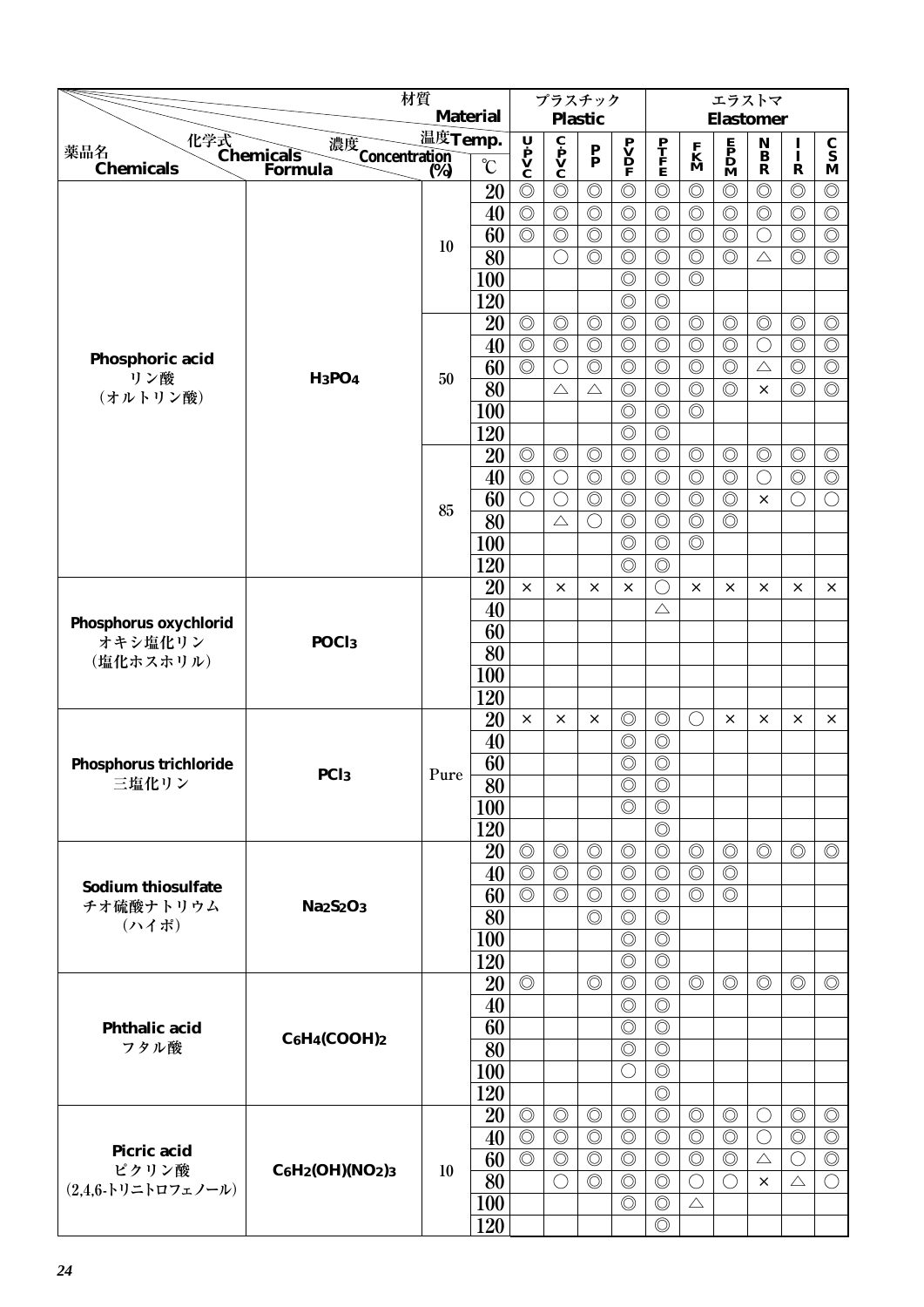|                                               | 材質                                              |                                                          |                 |                                  | プラスチック                           | <b>Plastic</b>                   |                                                |                                  |                                  | エラストマ                                                                               |                              |                                  |                                  |
|-----------------------------------------------|-------------------------------------------------|----------------------------------------------------------|-----------------|----------------------------------|----------------------------------|----------------------------------|------------------------------------------------|----------------------------------|----------------------------------|-------------------------------------------------------------------------------------|------------------------------|----------------------------------|----------------------------------|
|                                               |                                                 | <b>Material</b><br>温度Temp.<br>濃度<br>Concentration<br>(%) |                 |                                  |                                  |                                  |                                                |                                  |                                  | <b>Elastomer</b>                                                                    |                              |                                  |                                  |
| 化学式<br>Chemicals<br>薬品名                       |                                                 |                                                          |                 | U                                | C<br>P<br>V<br>C                 | $\frac{P}{P}$                    | $\overset{\textbf{P}}{\underline{\mathbf{V}}}$ | $\frac{\mathbf{P}}{\mathbf{F}}$  | $\mathbf{K}$<br>$\mathbf{M}$     | $\begin{array}{c} \mathbf{E} \\ \mathbf{P} \\ \mathbf{D} \\ \mathbf{M} \end{array}$ | $\mathbf{N}$<br>$\mathbf{B}$ | $\frac{1}{1}$                    | $\frac{\mathbf{C}}{\mathbf{S}}$  |
| <b>Chemicals</b>                              | Formula                                         | (%)                                                      | $\rm ^{\circ}C$ | P<br>V<br>C                      |                                  |                                  | F                                              |                                  |                                  |                                                                                     | $\mathbf R$                  | $\mathbf R$                      | M                                |
|                                               |                                                 |                                                          | 20              | $\circledcirc$                   | $\circledcirc$                   | $\circledcirc$                   | $\circledcirc$                                 | $\circledcirc$                   | $\circledcirc$                   | $\circledcirc$                                                                      | $\circledcirc$               | $\circledcirc$                   | $\circledcirc$                   |
|                                               |                                                 |                                                          | 40              | $\circledcirc$                   | $\circledcirc$                   | $\circledcirc$                   | $\circledcirc$                                 | $\circledcirc$                   | $\circledcirc$                   | $\circledcirc$                                                                      | $\circledcirc$               | $\circledcirc$                   | $\circledcirc$                   |
|                                               |                                                 | 10                                                       | 60              | $\circledcirc$                   | $\circledcirc$                   | $\circledcirc$                   | $\circledcirc$                                 | $\circledcirc$                   | $\circledcirc$                   | $\circledcirc$                                                                      | $\bigcirc$                   | $\circledcirc$                   | $\circledcirc$                   |
|                                               |                                                 |                                                          | 80              |                                  | $\bigcirc$                       | $\circledcirc$                   | $\circledcirc$                                 | $\circledcirc$                   | $\circledcirc$                   | $\circledcirc$                                                                      | $\triangle$                  | $\circledcirc$                   | $\circledcirc$                   |
|                                               |                                                 |                                                          | 100             |                                  |                                  |                                  | $\circledcirc$                                 | $\circledcirc$                   | $\circledcirc$                   |                                                                                     |                              |                                  |                                  |
|                                               |                                                 |                                                          | 120             |                                  |                                  |                                  | $\circledcirc$                                 | $\circledcirc$                   |                                  |                                                                                     |                              |                                  |                                  |
|                                               |                                                 |                                                          | 20              | $\circledcirc$                   | $\circledcirc$                   | $\circledcirc$                   | $\circledcirc$                                 | $\circledcirc$                   | $\circledcirc$                   | $\circledcirc$                                                                      | $\circledcirc$               | $\circledcirc$                   | $\circledcirc$                   |
| Phosphoric acid                               |                                                 |                                                          | 40              | $\circledcirc$<br>$\circledcirc$ | $\circledcirc$<br>$\bigcirc$     | $\circledcirc$<br>$\circledcirc$ | $\circledcirc$<br>$\circledcirc$               | $\circledcirc$<br>$\circledcirc$ | $\circledcirc$<br>$\circledcirc$ | $\circledcirc$<br>$\circledcirc$                                                    | O<br>$\triangle$             | $\circledcirc$<br>$\circledcirc$ | $\circledcirc$<br>$\circledcirc$ |
| リン酸                                           | <b>H<sub>3</sub>PO<sub>4</sub></b>              | 50                                                       | 60<br>80        |                                  | $\triangle$                      | $\triangle$                      | $\circledcirc$                                 | $\circledcirc$                   | $\circledcirc$                   | $\circledcirc$                                                                      | $\times$                     | $\circledcirc$                   | $\circledcirc$                   |
| (オルトリン酸)                                      |                                                 |                                                          | 100             |                                  |                                  |                                  | $\circledcirc$                                 | $\circledcirc$                   | $\circledcirc$                   |                                                                                     |                              |                                  |                                  |
|                                               |                                                 |                                                          | 120             |                                  |                                  |                                  | $\circledcirc$                                 | $\circledcirc$                   |                                  |                                                                                     |                              |                                  |                                  |
|                                               |                                                 |                                                          | 20              | $\circledcirc$                   | $\circledcirc$                   | $\circledcirc$                   | $\circledcirc$                                 | $\circledcirc$                   | $\circledcirc$                   | $\circledcirc$                                                                      | $\circledcirc$               | $\circledcirc$                   | $\circledcirc$                   |
|                                               |                                                 |                                                          | 40              | $\circledcirc$                   | $\bigcirc$                       | $\circledcirc$                   | $\circledcirc$                                 | $\circledcirc$                   | $\circledcirc$                   | $\circledcirc$                                                                      | ◯                            | $\circledcirc$                   | $\circledcirc$                   |
|                                               |                                                 |                                                          | 60              | $\bigcirc$                       | $\bigcirc$                       | $\circledcirc$                   | $\circledcirc$                                 | $\circledcirc$                   | $\circledcirc$                   | $\circledcirc$                                                                      | $\times$                     | $\bigcirc$                       | $\bigcirc$                       |
|                                               |                                                 | 85                                                       | 80              |                                  | $\triangle$                      | $\bigcirc$                       | $\circledcirc$                                 | $\circledcirc$                   | $\circledcirc$                   | $\circledcirc$                                                                      |                              |                                  |                                  |
|                                               |                                                 |                                                          | 100             |                                  |                                  |                                  | $\circledcirc$                                 | $\circledcirc$                   | $\circledcirc$                   |                                                                                     |                              |                                  |                                  |
|                                               |                                                 |                                                          | 120             |                                  |                                  |                                  | $\circledcirc$                                 | $\circledcirc$                   |                                  |                                                                                     |                              |                                  |                                  |
|                                               |                                                 |                                                          | 20              | $\times$                         | ×                                | $\times$                         | $\times$                                       | O                                | $\times$                         | ×                                                                                   | X                            | $\times$                         | ×                                |
| Phosphorus oxychlorid<br>オキシ塩化リン<br>(塩化ホスホリル) |                                                 |                                                          | 40              |                                  |                                  |                                  |                                                | $\triangle$                      |                                  |                                                                                     |                              |                                  |                                  |
|                                               |                                                 |                                                          | 60              |                                  |                                  |                                  |                                                |                                  |                                  |                                                                                     |                              |                                  |                                  |
|                                               | POC <sub>l3</sub>                               |                                                          | 80              |                                  |                                  |                                  |                                                |                                  |                                  |                                                                                     |                              |                                  |                                  |
|                                               |                                                 |                                                          | 100             |                                  |                                  |                                  |                                                |                                  |                                  |                                                                                     |                              |                                  |                                  |
|                                               |                                                 |                                                          | 120             |                                  |                                  |                                  |                                                |                                  |                                  |                                                                                     |                              |                                  |                                  |
|                                               |                                                 |                                                          | 20              | $\times$                         | ×                                | X                                | $\circledcirc$                                 | $\circledcirc$                   | ( )                              | ×                                                                                   | $\times$                     | $\times$                         | $\times$                         |
|                                               |                                                 |                                                          | 40              |                                  |                                  |                                  | $\circledcirc$                                 | $\circledcirc$                   |                                  |                                                                                     |                              |                                  |                                  |
| Phosphorus trichloride                        | PC <sub>13</sub>                                | Pure                                                     | 60              |                                  |                                  |                                  | $\circledcirc$                                 | $\circledcirc$                   |                                  |                                                                                     |                              |                                  |                                  |
| 三塩化リン                                         |                                                 |                                                          | $\overline{80}$ |                                  |                                  |                                  | $\circledcirc$                                 | $\overline{\circ}$               |                                  |                                                                                     |                              |                                  |                                  |
|                                               |                                                 |                                                          | 100             |                                  |                                  |                                  | $\circledcirc$                                 | $\circledcirc$                   |                                  |                                                                                     |                              |                                  |                                  |
|                                               |                                                 |                                                          | 120             |                                  |                                  |                                  |                                                | $\circledcirc$                   |                                  |                                                                                     |                              |                                  |                                  |
|                                               |                                                 |                                                          | 20              | $\circledcirc$                   | $\circledcirc$                   | $\circledcirc$                   | $\circledcirc$                                 | $\circledcirc$                   | $\circledcirc$                   | $\circledcirc$                                                                      | $\circledcirc$               | $\circledcirc$                   | $\circledcirc$                   |
| <b>Sodium thiosulfate</b>                     |                                                 |                                                          | 40<br>60        | $\circledcirc$<br>$\circledcirc$ | $\circledcirc$<br>$\circledcirc$ | $\circledcirc$                   | $\circledcirc$                                 | $\circledcirc$                   | $\circledcirc$<br>$\circledcirc$ | $\circledcirc$<br>$\circledcirc$                                                    |                              |                                  |                                  |
| チオ硫酸ナトリウム                                     | <b>Na<sub>2</sub>S<sub>2</sub>O<sub>3</sub></b> |                                                          | 80              |                                  |                                  | $\circledcirc$<br>$\circledcirc$ | $\circledcirc$<br>$\circledcirc$               | $\circledcirc$<br>$\circledcirc$ |                                  |                                                                                     |                              |                                  |                                  |
| (ハイポ)                                         |                                                 |                                                          | 100             |                                  |                                  |                                  | $\circledcirc$                                 | $\circledcirc$                   |                                  |                                                                                     |                              |                                  |                                  |
|                                               |                                                 |                                                          | 120             |                                  |                                  |                                  | $\circledcirc$                                 | $\circledcirc$                   |                                  |                                                                                     |                              |                                  |                                  |
|                                               |                                                 |                                                          | 20              | $\circledcirc$                   |                                  | $\circledcirc$                   | $\circledcirc$                                 | $\circledcirc$                   | $\circledcirc$                   | $\circledcirc$                                                                      | $\circledcirc$               | $\circledcirc$                   | $\circledcirc$                   |
|                                               |                                                 |                                                          | 40              |                                  |                                  |                                  | $\circledcirc$                                 | $\circledcirc$                   |                                  |                                                                                     |                              |                                  |                                  |
| <b>Phthalic acid</b>                          |                                                 |                                                          | 60              |                                  |                                  |                                  | $\circledcirc$                                 | $\circledcirc$                   |                                  |                                                                                     |                              |                                  |                                  |
| フタル酸                                          | $C_6H_4(COOH)_2$                                |                                                          | 80              |                                  |                                  |                                  | $\circledcirc$                                 | $\circledcirc$                   |                                  |                                                                                     |                              |                                  |                                  |
|                                               |                                                 |                                                          | 100             |                                  |                                  |                                  | $\bigcirc$                                     | $\circledcirc$                   |                                  |                                                                                     |                              |                                  |                                  |
|                                               |                                                 |                                                          | 120             |                                  |                                  |                                  |                                                | $\circledcirc$                   |                                  |                                                                                     |                              |                                  |                                  |
|                                               |                                                 |                                                          | 20              | $\circledcirc$                   | $\circledcirc$                   | $\circledcirc$                   | $\circledcirc$                                 | $\circledcirc$                   | $\circledcirc$                   | $\circledcirc$                                                                      | O                            | $\circledcirc$                   | $\circledcirc$                   |
|                                               |                                                 |                                                          | 40              | $\circledcirc$                   | $\circledcirc$                   | $\circledcirc$                   | $\circledcirc$                                 | $\circledcirc$                   | $\circledcirc$                   | $\circledcirc$                                                                      | $\bigcirc$                   | $\circledcirc$                   | $\circledcirc$                   |
| Picric acid<br>ピクリン酸                          | $C_6H_2(OH)(NO_2)_3$                            | 10                                                       | 60              | $\circledcirc$                   | $\circledcirc$                   | $\circledcirc$                   | $\circledcirc$                                 | $\circledcirc$                   | $\circledcirc$                   | $\circledcirc$                                                                      | $\triangle$                  | $\bigcirc$                       | $\circledcirc$                   |
| $(2,4,6$ -トリニトロフェノール)                         |                                                 |                                                          | 80              |                                  | $\bigcirc$                       | $\circledcirc$                   | $\circledcirc$                                 | $\circledcirc$                   | $\bigcirc$                       | $\bigcirc$                                                                          | $\times$                     | $\triangle$                      | $\bigcirc$                       |
|                                               |                                                 |                                                          | <b>100</b>      |                                  |                                  |                                  | $\circledcirc$                                 | $\circledcirc$                   | $\triangle$                      |                                                                                     |                              |                                  |                                  |
|                                               |                                                 |                                                          | 120             |                                  |                                  |                                  |                                                | $\circledcirc$                   |                                  |                                                                                     |                              |                                  |                                  |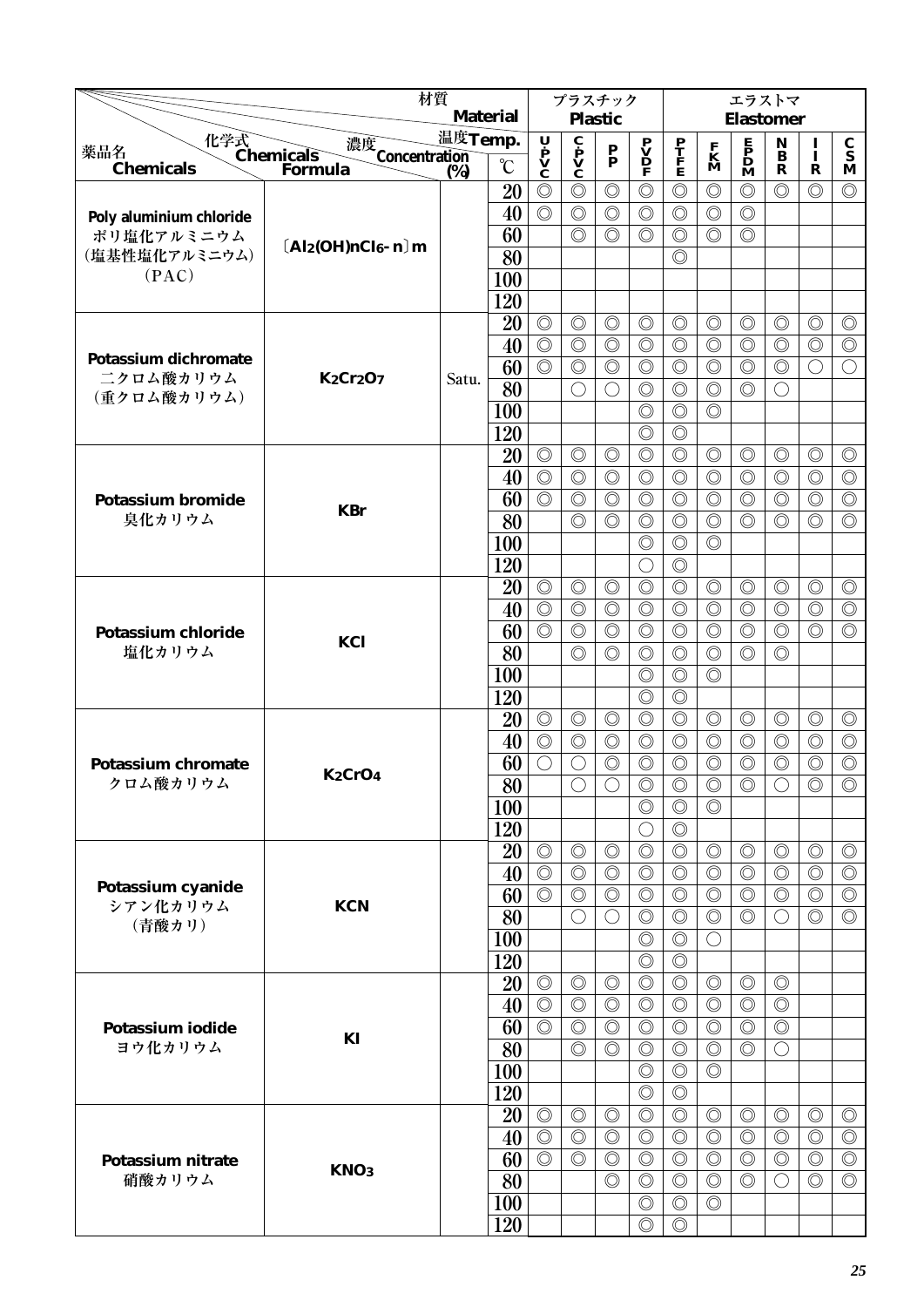|                                                 | 材質                         |         |                 |                                  | プラスチック                                                                  |                                             |                                              |                                  |                                  | エラストマ                                                                               |                                             |                                  |                                  |
|-------------------------------------------------|----------------------------|---------|-----------------|----------------------------------|-------------------------------------------------------------------------|---------------------------------------------|----------------------------------------------|----------------------------------|----------------------------------|-------------------------------------------------------------------------------------|---------------------------------------------|----------------------------------|----------------------------------|
|                                                 |                            |         | <b>Material</b> |                                  |                                                                         | <b>Plastic</b>                              |                                              |                                  |                                  | <b>Elastomer</b>                                                                    |                                             |                                  |                                  |
| 化学式<br>Chemicals<br>Forn<br>薬品名                 | 濃度<br>Concentration<br>(%) | 温度Temp. |                 | Ų                                | $\overline{\mathbf{c}}$<br>$\mathbf{p}$<br>$\mathbf{v}$<br>$\mathbf{c}$ | P                                           | $\mathbf{P}$<br>$\mathbf{D}$<br>$\mathbf{P}$ | P<br>T<br>F<br>E                 | $\mathbf{K}$<br>M                | $\begin{array}{c} \mathbf{E} \\ \mathbf{P} \\ \mathbf{D} \\ \mathbf{M} \end{array}$ | $\mathbf N$<br>$\bf{B}$                     | $\bf{I}$<br>Ī                    | $\frac{c}{s}$                    |
| <b>Chemicals</b>                                | <b>Formula</b>             | (%)     | $\rm ^{\circ}C$ | $\mathbf{v}$                     |                                                                         | $\bar{\mathbf{p}}$                          |                                              |                                  |                                  |                                                                                     | $\mathbf R$                                 | R                                | M                                |
|                                                 |                            |         | 20              | $\circledcirc$                   | $\circledcirc$                                                          | $\circledcirc$                              | $\circledcirc$                               | $\circledcirc$                   | $\circledcirc$                   | $\circledcirc$                                                                      | $\circledcirc$                              | $\circledcirc$                   | $\circledcirc$                   |
| Poly aluminium chloride                         |                            |         | 40              | $\circledcirc$                   | $\circledcirc$                                                          | $\circledcirc$                              | $\circledcirc$                               | $\circledcirc$                   | $\circledcirc$                   | $\circledcirc$                                                                      |                                             |                                  |                                  |
| ポリ塩化アルミニウム                                      | $[Al_2(OH)nCl_6 - n]$ m    |         | 60              |                                  | $\circledcirc$                                                          | $\circledcirc$                              | $\circledcirc$                               | $\circledcirc$                   | $\circledcirc$                   | $\circledcirc$                                                                      |                                             |                                  |                                  |
| (塩基性塩化アルミニウム)<br>(PAC)                          |                            |         | 80              |                                  |                                                                         |                                             |                                              | $\circledcirc$                   |                                  |                                                                                     |                                             |                                  |                                  |
|                                                 |                            |         | 100             |                                  |                                                                         |                                             |                                              |                                  |                                  |                                                                                     |                                             |                                  |                                  |
|                                                 |                            |         | 120             |                                  |                                                                         |                                             |                                              |                                  |                                  |                                                                                     |                                             |                                  |                                  |
|                                                 |                            |         | 20              | $\circledcirc$<br>$\circledcirc$ | $\circledcirc$<br>$\circledcirc$                                        | $\circledcirc$<br>$\circledcirc$            | $\circledcirc$<br>$\circledcirc$             | $\circledcirc$<br>$\circledcirc$ | $\circledcirc$<br>$\circledcirc$ | $\circledcirc$<br>$\circledcirc$                                                    | $\circledcirc$<br>$\circledcirc$            | $\circledcirc$<br>$\circledcirc$ | $\circledcirc$<br>$\circledcirc$ |
| <b>Potassium dichromate</b>                     |                            |         | 40<br>60        | $\overline{\circlearrowright}$   | $\circledcirc$                                                          | $\circledcirc$                              | $\circledcirc$                               | $\circledcirc$                   | $\circledcirc$                   | $\circledcirc$                                                                      | $\circledcirc$                              | $\bigcirc$                       | $\bigcirc$                       |
| 二クロム酸カリウム                                       | <b>K2Cr2O7</b>             | Satu.   | 80              |                                  | $\bigcirc$                                                              | $\left(\begin{array}{c} \end{array}\right)$ | $\circledcirc$                               | $\circledcirc$                   | $\circledcirc$                   | $\circledcirc$                                                                      | $\left(\begin{array}{c} \end{array}\right)$ |                                  |                                  |
| (重クロム酸カリウム)                                     |                            |         | 100             |                                  |                                                                         |                                             | $\circledcirc$                               | $\circledcirc$                   | $\circledcirc$                   |                                                                                     |                                             |                                  |                                  |
|                                                 |                            |         | 120             |                                  |                                                                         |                                             | $\circledcirc$                               | $\circledcirc$                   |                                  |                                                                                     |                                             |                                  |                                  |
|                                                 |                            |         | 20              | $\circledcirc$                   | $\circledcirc$                                                          | $\circledcirc$                              | $\circledcirc$                               | $\circledcirc$                   | $\circledcirc$                   | $\circledcirc$                                                                      | $\circledcirc$                              | $\circledcirc$                   | $\circledcirc$                   |
|                                                 |                            |         | 40              | $\circledcirc$                   | $\circledcirc$                                                          | $\circledcirc$                              | $\circledcirc$                               | $\circledcirc$                   | $\circledcirc$                   | $\circledcirc$                                                                      | $\circledcirc$                              | $\circledcirc$                   | $\circledcirc$                   |
| <b>Potassium bromide</b>                        |                            |         | 60              | $\circledcirc$                   | $\circledcirc$                                                          | $\circledcirc$                              | $\circledcirc$                               | $\circledcirc$                   | $\circledcirc$                   | $\circledcirc$                                                                      | $\circledcirc$                              | $\circledcirc$                   | $\circledcirc$                   |
| 臭化カリウム                                          | <b>KBr</b>                 |         | 80              |                                  | $\circledcirc$                                                          | $\circledcirc$                              | $\circledcirc$                               | $\circledcirc$                   | $\circledcirc$                   | $\circledcirc$                                                                      | $\circledcirc$                              | $\circledcirc$                   | $\circledcirc$                   |
|                                                 |                            |         | 100             |                                  |                                                                         |                                             | $\circledcirc$                               | $\circledcirc$                   | $\circledcirc$                   |                                                                                     |                                             |                                  |                                  |
|                                                 |                            |         | 120             |                                  |                                                                         |                                             | $\bigcirc$                                   | $\circledcirc$                   |                                  |                                                                                     |                                             |                                  |                                  |
|                                                 |                            |         | 20              | $\circledcirc$                   | $\circledcirc$                                                          | $\circledcirc$                              | $\circledcirc$                               | $\circledcirc$                   | $\circledcirc$                   | $\circledcirc$                                                                      | $\circledcirc$                              | $\circledcirc$                   | $\circledcirc$                   |
| <b>Potassium chloride</b><br>塩化カリウム             |                            |         | 40              | $\circledcirc$                   | $\circledcirc$                                                          | $\circledcirc$                              | $\circledcirc$                               | $\circledcirc$                   | $\circledcirc$                   | $\circledcirc$                                                                      | $\circledcirc$                              | $\circledcirc$                   | $\circledcirc$                   |
|                                                 | KCl                        |         | 60              | $\circledcirc$                   | $\circledcirc$                                                          | $\circledcirc$                              | $\circledcirc$                               | $\circledcirc$                   | $\circledcirc$                   | $\circledcirc$                                                                      | $\circledcirc$                              | $\circledcirc$                   | $\circledcirc$                   |
|                                                 |                            |         | 80              |                                  | $\circledcirc$                                                          | $\circledcirc$                              | $\circledcirc$                               | $\circledcirc$                   | $\circledcirc$                   | $\circledcirc$                                                                      | $\circledcirc$                              |                                  |                                  |
|                                                 |                            |         | <b>100</b>      |                                  |                                                                         |                                             | $\circledcirc$                               | $\circledcirc$                   | $\circledcirc$                   |                                                                                     |                                             |                                  |                                  |
|                                                 |                            |         | 120             |                                  |                                                                         |                                             | $\circledcirc$                               | $\circledcirc$                   |                                  |                                                                                     |                                             |                                  |                                  |
|                                                 |                            |         | 20              | $\circledcirc$                   | $\circledcirc$                                                          | $\circledcirc$                              | $\circledcirc$                               | $\circledcirc$                   | $\circledcirc$                   | $\circledcirc$                                                                      | $\circledcirc$                              | $\circledcirc$                   | $\circledcirc$                   |
|                                                 |                            |         | 40              | $\circledcirc$                   | $\circledcirc$                                                          | $\circledcirc$                              | $\circledcirc$                               | $\circledcirc$                   | $\circledcirc$                   | $\circledcirc$                                                                      | $\circledcirc$                              | $\circledcirc$                   | $\circledcirc$                   |
|                                                 | $K_2CrO_4$                 |         | 60              | $\bigcirc$                       | $\bigcirc$                                                              | $\circledcirc$                              | $\circledcirc$                               | $\circledcirc$                   | $\circledcirc$                   | $\circledcirc$                                                                      | $\circledcirc$                              | $\circledcirc$                   | $\circledcirc$                   |
|                                                 |                            |         | $\overline{80}$ |                                  | $\overline{\bigcirc}$                                                   | $\overline{\bigcirc}$                       | $\overline{\circ}$                           | $\overline{\circ}$               | $\overline{\circ}$               | $\overline{\circ}$                                                                  | $\overline{\bigcirc}$                       | $\overline{\circ}$               | $\overline{\circ}$               |
|                                                 |                            |         | <b>100</b>      |                                  |                                                                         |                                             | $\circledcirc$                               | $\circledcirc$                   | $\circledcirc$                   |                                                                                     |                                             |                                  |                                  |
|                                                 |                            |         | 120             | $\circledcirc$                   | $\circledcirc$                                                          | $\circledcirc$                              | $\bigcirc$<br>$\circledcirc$                 | $\circledcirc$<br>$\circledcirc$ | $\circledcirc$                   | $\circledcirc$                                                                      | $\circledcirc$                              | $\circledcirc$                   | $\circledcirc$                   |
|                                                 |                            |         | 20<br>40        | $\circledcirc$                   | $\circledcirc$                                                          | $\circledcirc$                              | $\circledcirc$                               | $\circledcirc$                   | $\circledcirc$                   | $\circledcirc$                                                                      | $\circledcirc$                              | $\circledcirc$                   | $\circledcirc$                   |
| Potassium cyanide                               |                            |         | 60              | $\circledcirc$                   | $\circledcirc$                                                          | $\circledcirc$                              | $\circledcirc$                               | $\circledcirc$                   | $\circledcirc$                   | $\circledcirc$                                                                      | $\circledcirc$                              | $\circledcirc$                   | $\circledcirc$                   |
| シアン化カリウム                                        | <b>KCN</b>                 |         | 80              |                                  | $\bigcirc$                                                              | $\bigcirc$                                  | $\circledcirc$                               | $\circledcirc$                   | $\circledcirc$                   | $\circledcirc$                                                                      | $\left(\right)$                             | $\circledcirc$                   | $\circledcirc$                   |
|                                                 |                            |         | 100             |                                  |                                                                         |                                             | $\circledcirc$                               | $\circledcirc$                   | $\bigcirc$                       |                                                                                     |                                             |                                  |                                  |
|                                                 |                            |         | 120             |                                  |                                                                         |                                             | $\circledcirc$                               | $\circledcirc$                   |                                  |                                                                                     |                                             |                                  |                                  |
|                                                 |                            |         | 20              | $\circledcirc$                   | $\circledcirc$                                                          | $\circledcirc$                              | $\circledcirc$                               | $\circledcirc$                   | $\circledcirc$                   | $\circledcirc$                                                                      | $\circledcirc$                              |                                  |                                  |
|                                                 |                            |         | 40              | $\circledcirc$                   | $\circledcirc$                                                          | $\circledcirc$                              | $\circledcirc$                               | $\circledcirc$                   | $\circledcirc$                   | $\circledcirc$                                                                      | $\circledcirc$                              |                                  |                                  |
| Potassium iodide                                |                            |         | 60              | $\circledcirc$                   | $\circledcirc$                                                          | $\circledcirc$                              | $\circledcirc$                               | $\circledcirc$                   | $\circledcirc$                   | $\circledcirc$                                                                      | $\circledcirc$                              |                                  |                                  |
| ヨウ化カリウム                                         | KI                         |         | 80              |                                  | $\circledcirc$                                                          | $\circledcirc$                              | $\circledcirc$                               | $\circledcirc$                   | $\circledcirc$                   | $\circledcirc$                                                                      | $\bigcirc$                                  |                                  |                                  |
|                                                 |                            |         | <b>100</b>      |                                  |                                                                         |                                             | $\circledcirc$                               | $\circledcirc$                   | $\circledcirc$                   |                                                                                     |                                             |                                  |                                  |
|                                                 |                            |         | 120             |                                  |                                                                         |                                             | $\circledcirc$                               | $\circledcirc$                   |                                  |                                                                                     |                                             |                                  |                                  |
|                                                 |                            |         | 20              | $\circledcirc$                   | $\circledcirc$                                                          | $\circledcirc$                              | $\circledcirc$                               | $\circledcirc$                   | $\circledcirc$                   | $\circledcirc$                                                                      | $\circledcirc$                              | $\circledcirc$                   | $\circledcirc$                   |
|                                                 |                            |         | 40              | $\circledcirc$                   | $\circledcirc$                                                          | $\circledcirc$                              | $\circledcirc$                               | $\circledcirc$                   | $\circledcirc$                   | $\circledcirc$                                                                      | $\circledcirc$                              | $\circledcirc$                   | $\circledcirc$                   |
| Potassium nitrate                               | KNO <sub>3</sub>           |         | 60              | $\circledcirc$                   | $\circledcirc$                                                          | $\circledcirc$                              | $\circledcirc$                               | $\circledcirc$                   | $\circledcirc$                   | $\circledcirc$                                                                      | $\circledcirc$                              | $\circledcirc$                   | $\circledcirc$                   |
| 硝酸カリウム                                          |                            |         | 80              |                                  |                                                                         | $\circledcirc$                              | $\circledcirc$                               | $\circledcirc$                   | $\circledcirc$                   | $\circledcirc$                                                                      | O                                           | $\circledcirc$                   | $\circledcirc$                   |
|                                                 |                            |         | 100             |                                  |                                                                         |                                             | $\circledcirc$                               | $\circledcirc$                   | $\circledcirc$                   |                                                                                     |                                             |                                  |                                  |
| <b>Potassium chromate</b><br>クロム酸カリウム<br>(青酸カリ) |                            |         | 120             |                                  |                                                                         |                                             | $\circledcirc$                               | $\circledcirc$                   |                                  |                                                                                     |                                             |                                  |                                  |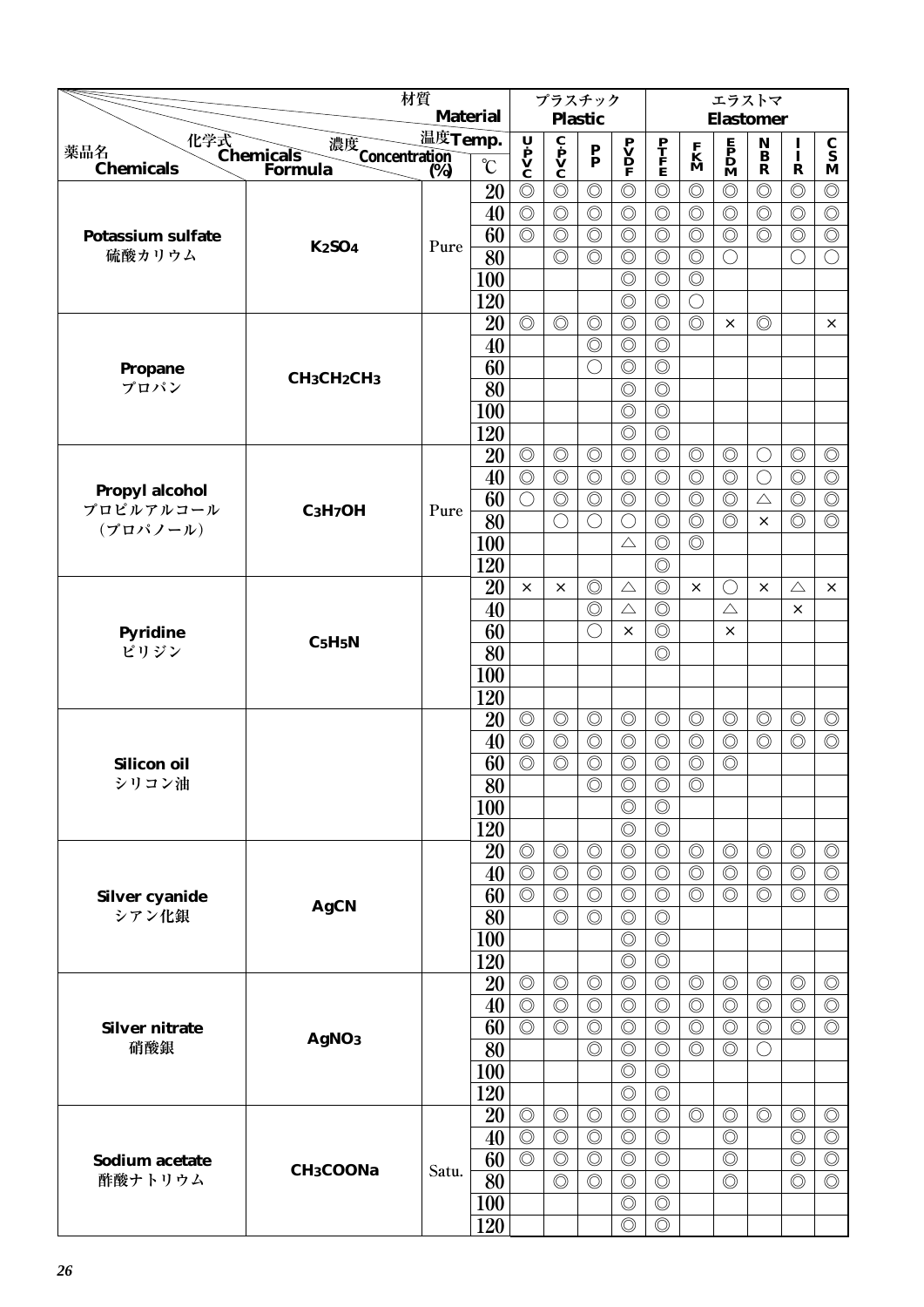|                          | 材質                                                     |         |                 |                                                                                       | プラスチック                                       |                                  |                                                                                     |                                  |                              | エラストマ                                        |                         |                |                                 |
|--------------------------|--------------------------------------------------------|---------|-----------------|---------------------------------------------------------------------------------------|----------------------------------------------|----------------------------------|-------------------------------------------------------------------------------------|----------------------------------|------------------------------|----------------------------------------------|-------------------------|----------------|---------------------------------|
|                          |                                                        |         | <b>Material</b> |                                                                                       |                                              | <b>Plastic</b>                   |                                                                                     |                                  |                              | <b>Elastomer</b>                             |                         |                |                                 |
| 薬品名                      | 化学式<br>Chemicals<br>Forn<br>濃度<br>Concentration<br>(%) | 温度Temp. |                 | $\begin{array}{c}\n\mathbf{U} \\ \mathbf{P} \\ \mathbf{V} \\ \mathbf{C}\n\end{array}$ | $\mathbf{c}$<br>$\mathbf{v}$<br>$\mathbf{c}$ | $\mathbf{P}_{\mathbf{P}}$        | $\begin{array}{c} \mathbf{P} \\ \mathbf{V} \\ \mathbf{D} \\ \mathbf{F} \end{array}$ | P<br>T<br>F<br>E                 | $\mathbf{K}$<br>$\mathbf{M}$ | $\mathbf{P}$<br>$\mathbf{D}$<br>$\mathbf{M}$ | $\mathbf N$<br>$\bf{B}$ | $\mathbf{I}$   | $\frac{\mathbf{C}}{\mathbf{S}}$ |
| <b>Chemicals</b>         | Formula                                                | (%)     | $\rm ^{\circ}C$ |                                                                                       |                                              |                                  |                                                                                     |                                  |                              |                                              | $\mathbf R$             | $\mathbf R$    | M                               |
|                          |                                                        |         | 20              | $\circledcirc$                                                                        | $\circledcirc$                               | $\circledcirc$                   | $\circledcirc$                                                                      | $\circledcirc$                   | $\circledcirc$               | $\circledcirc$                               | $\circledcirc$          | $\circledcirc$ | $\circledcirc$                  |
|                          |                                                        |         | 40              | $\circledcirc$                                                                        | $\circledcirc$                               | $\circledcirc$                   | $\circledcirc$                                                                      | $\circledcirc$                   | $\circledcirc$               | $\circledcirc$                               | $\circledcirc$          | $\circledcirc$ | $\circledcirc$                  |
| <b>Potassium sulfate</b> | <b>K2SO4</b>                                           | Pure    | 60              | $\circledcirc$                                                                        | $\circledcirc$                               | $\circledcirc$                   | $\circledcirc$                                                                      | $\circledcirc$                   | $\circledcirc$               | $\circledcirc$                               | $\circledcirc$          | $\circledcirc$ | $\circledcirc$                  |
| 硫酸カリウム                   |                                                        |         | 80              |                                                                                       | $\circledcirc$                               | $\circledcirc$                   | $\circledcirc$                                                                      | $\circledcirc$                   | $\circledcirc$               | $\bigcirc$                                   |                         | $\bigcirc$     | $\bigcirc$                      |
|                          |                                                        |         | 100             |                                                                                       |                                              |                                  | $\circledcirc$                                                                      | $\circledcirc$                   | $\circledcirc$               |                                              |                         |                |                                 |
|                          |                                                        |         | 120             |                                                                                       |                                              |                                  | $\circledcirc$                                                                      | $\circledcirc$                   | $\bigcirc$                   |                                              |                         |                |                                 |
|                          |                                                        |         | 20<br>40        | $\circledcirc$                                                                        | $\circledcirc$                               | $\circledcirc$<br>$\circledcirc$ | $\circledcirc$<br>$\circledcirc$                                                    | $\circledcirc$<br>$\circledcirc$ | $\circledcirc$               | ×                                            | $\circledcirc$          |                | $\times$                        |
|                          |                                                        |         | 60              |                                                                                       |                                              | $\left(\right)$                  | $\circledcirc$                                                                      | $\circledcirc$                   |                              |                                              |                         |                |                                 |
| Propane<br>プロパン          | CH <sub>3</sub> CH <sub>2</sub> CH <sub>3</sub>        |         | 80              |                                                                                       |                                              |                                  | $\circledcirc$                                                                      | $\circledcirc$                   |                              |                                              |                         |                |                                 |
|                          |                                                        |         | 100             |                                                                                       |                                              |                                  | $\circledcirc$                                                                      | $\circledcirc$                   |                              |                                              |                         |                |                                 |
|                          |                                                        |         | 120             |                                                                                       |                                              |                                  | $\circledcirc$                                                                      | $\circledcirc$                   |                              |                                              |                         |                |                                 |
|                          |                                                        |         | 20              | $\circledcirc$                                                                        | $\circledcirc$                               | $\circledcirc$                   | $\circledcirc$                                                                      | $\circledcirc$                   | $\circledcirc$               | $\circledcirc$                               | $\bigcirc$              | $\circledcirc$ | $\circledcirc$                  |
|                          |                                                        |         | 40              | $\circledcirc$                                                                        | $\circledcirc$                               | $\circledcirc$                   | $\circledcirc$                                                                      | $\circledcirc$                   | $\circledcirc$               | $\circledcirc$                               | $\bigcirc$              | $\circledcirc$ | $\circledcirc$                  |
| Propyl alcohol           |                                                        |         | 60              | $\bigcirc$                                                                            | $\circledcirc$                               | $\circledcirc$                   | $\circledcirc$                                                                      | $\circledcirc$                   | $\circledcirc$               | $\circledcirc$                               | $\triangle$             | $\circledcirc$ | $\circledcirc$                  |
| プロピルアルコール                | $C_3H_7OH$                                             | Pure    | 80              |                                                                                       | $\bigcirc$                                   | $\bigcirc$                       | $\bigcirc$                                                                          | $\circledcirc$                   | $\circledcirc$               | $\circledcirc$                               | $\times$                | $\circledcirc$ | $\circledcirc$                  |
| (プロパノール)                 |                                                        |         | 100             |                                                                                       |                                              |                                  | $\triangle$                                                                         | $\circledcirc$                   | $\circledcirc$               |                                              |                         |                |                                 |
|                          |                                                        |         | 120             |                                                                                       |                                              |                                  |                                                                                     | $\circledcirc$                   |                              |                                              |                         |                |                                 |
|                          |                                                        |         | 20              | ×                                                                                     | $\times$                                     | $\circledcirc$                   | $\triangle$                                                                         | $\circledcirc$                   | $\times$                     | $\bigcirc$                                   | $\times$                | $\triangle$    | $\times$                        |
| <b>Pyridine</b><br>ピリジン  |                                                        |         | 40              |                                                                                       |                                              | $\circledcirc$                   | $\triangle$                                                                         | $\circledcirc$                   |                              | $\triangle$                                  |                         | ×              |                                 |
|                          |                                                        |         | 60              |                                                                                       |                                              | $( \ )$                          | $\times$                                                                            | $\circledcirc$                   |                              | $\times$                                     |                         |                |                                 |
|                          | C <sub>5</sub> H <sub>5</sub> N                        |         | 80              |                                                                                       |                                              |                                  |                                                                                     | $\circledcirc$                   |                              |                                              |                         |                |                                 |
|                          |                                                        |         | 100             |                                                                                       |                                              |                                  |                                                                                     |                                  |                              |                                              |                         |                |                                 |
|                          |                                                        |         | 120             |                                                                                       |                                              |                                  |                                                                                     |                                  |                              |                                              |                         |                |                                 |
|                          |                                                        |         | 20              | $\circledcirc$                                                                        | $\circledcirc$                               | $\circledcirc$                   | $\circledcirc$                                                                      | $\circledcirc$                   | $\circledcirc$               | $\circledcirc$                               | $\circledcirc$          | $\circledcirc$ | $\circledcirc$                  |
|                          |                                                        |         | 40              | $\circledcirc$                                                                        | $\circledcirc$                               | $\circledcirc$                   | $\circledcirc$                                                                      | $\circledcirc$                   | $\circledcirc$               | $\circledcirc$                               | $\circledcirc$          | $\circledcirc$ | $\circledcirc$                  |
| <b>Silicon oil</b>       |                                                        |         | 60              | $\circledcirc$                                                                        | $\circledcirc$                               | $\circledcirc$                   | $\circledcirc$                                                                      | $\circledcirc$                   | $\circledcirc$               | $\circledcirc$                               |                         |                |                                 |
| シリコン油                    |                                                        |         | $\overline{80}$ |                                                                                       |                                              | $\circledcirc$                   | $\circledcirc$                                                                      | $\circledcirc$                   | $\circledcirc$               |                                              |                         |                |                                 |
|                          |                                                        |         | 100             |                                                                                       |                                              |                                  | $\circledcirc$                                                                      | $\circledcirc$                   |                              |                                              |                         |                |                                 |
|                          |                                                        |         | 120             |                                                                                       |                                              |                                  | $\circledcirc$                                                                      | $\circledcirc$                   |                              |                                              |                         |                |                                 |
|                          |                                                        |         | 20              | $\circledcirc$                                                                        | $\circledcirc$                               | $\circledcirc$                   | $\circledcirc$                                                                      | $\circledcirc$                   | $\circledcirc$               | $\circledcirc$                               | $\circledcirc$          | $\circledcirc$ | $\circledcirc$                  |
|                          |                                                        |         | 40              | $\circledcirc$                                                                        | $\circledcirc$                               | $\circledcirc$                   | $\circledcirc$                                                                      | $\circledcirc$                   | $\circledcirc$               | $\circledcirc$                               | $\circledcirc$          | $\circledcirc$ | $\circledcirc$                  |
| Silver cyanide<br>シアン化銀  | <b>AgCN</b>                                            |         | 60              | $\circledcirc$                                                                        | $\circledcirc$<br>$\circledcirc$             | $\circledcirc$<br>$\circledcirc$ | $\circledcirc$<br>$\circledcirc$                                                    | $\circledcirc$<br>$\circledcirc$ | $\circledcirc$               | $\circledcirc$                               | $\circledcirc$          | $\circledcirc$ | $\circledcirc$                  |
|                          |                                                        |         | 80<br>100       |                                                                                       |                                              |                                  | $\circledcirc$                                                                      | $\circledcirc$                   |                              |                                              |                         |                |                                 |
|                          |                                                        |         | 120             |                                                                                       |                                              |                                  | $\circledcirc$                                                                      | $\circledcirc$                   |                              |                                              |                         |                |                                 |
|                          |                                                        |         | 20              | $\circledcirc$                                                                        | $\circledcirc$                               | $\circledcirc$                   | $\circledcirc$                                                                      | $\circledcirc$                   | $\circledcirc$               | $\circledcirc$                               | $\circledcirc$          | $\circledcirc$ | $\circledcirc$                  |
|                          |                                                        |         | 40              | $\circledcirc$                                                                        | $\circledcirc$                               | $\circledcirc$                   | $\circledcirc$                                                                      | $\circledcirc$                   | $\circledcirc$               | $\circledcirc$                               | $\circledcirc$          | $\circledcirc$ | $\circledcirc$                  |
| <b>Silver nitrate</b>    |                                                        |         | 60              | $\circledcirc$                                                                        | $\circledcirc$                               | $\circledcirc$                   | $\circledcirc$                                                                      | $\circledcirc$                   | $\circledcirc$               | $\circledcirc$                               | $\circledcirc$          | $\circledcirc$ | $\circledcirc$                  |
| 硝酸銀                      | AgNO <sub>3</sub>                                      |         | 80              |                                                                                       |                                              | $\circledcirc$                   | $\circledcirc$                                                                      | $\circledcirc$                   | $\circledcirc$               | $\circledcirc$                               | O                       |                |                                 |
|                          |                                                        |         | 100             |                                                                                       |                                              |                                  | $\circledcirc$                                                                      | $\circledcirc$                   |                              |                                              |                         |                |                                 |
|                          |                                                        |         | 120             |                                                                                       |                                              |                                  | $\circledcirc$                                                                      | $\circledcirc$                   |                              |                                              |                         |                |                                 |
|                          |                                                        |         | 20              | $\circledcirc$                                                                        | $\circledcirc$                               | $\circledcirc$                   | $\circledcirc$                                                                      | $\circledcirc$                   | $\circledcirc$               | $\circledcirc$                               | $\circledcirc$          | $\circledcirc$ | $\circledcirc$                  |
|                          |                                                        |         | 40              | $\circledcirc$                                                                        | $\circledcirc$                               | $\circledcirc$                   | $\circledcirc$                                                                      | $\circledcirc$                   |                              | $\circledcirc$                               |                         | $\circledcirc$ | $\circledcirc$                  |
| Sodium acetate           |                                                        |         | 60              | $\overline{\circlearrowright}$                                                        | $\circledcirc$                               | $\circledcirc$                   | $\circledcirc$                                                                      | $\circledcirc$                   |                              | $\circledcirc$                               |                         | $\circledcirc$ | $\circledcirc$                  |
| 酢酸ナトリウム                  | CH <sub>3</sub> COONa                                  | Satu.   | 80              |                                                                                       | $\circledcirc$                               | $\circledcirc$                   | $\circledcirc$                                                                      | $\circledcirc$                   |                              | $\circledcirc$                               |                         | $\circledcirc$ | $\circledcirc$                  |
|                          |                                                        |         | <b>100</b>      |                                                                                       |                                              |                                  | $\circledcirc$                                                                      | $\circledcirc$                   |                              |                                              |                         |                |                                 |
|                          |                                                        |         | 120             |                                                                                       |                                              |                                  | $\circledcirc$                                                                      | $\circledcirc$                   |                              |                                              |                         |                |                                 |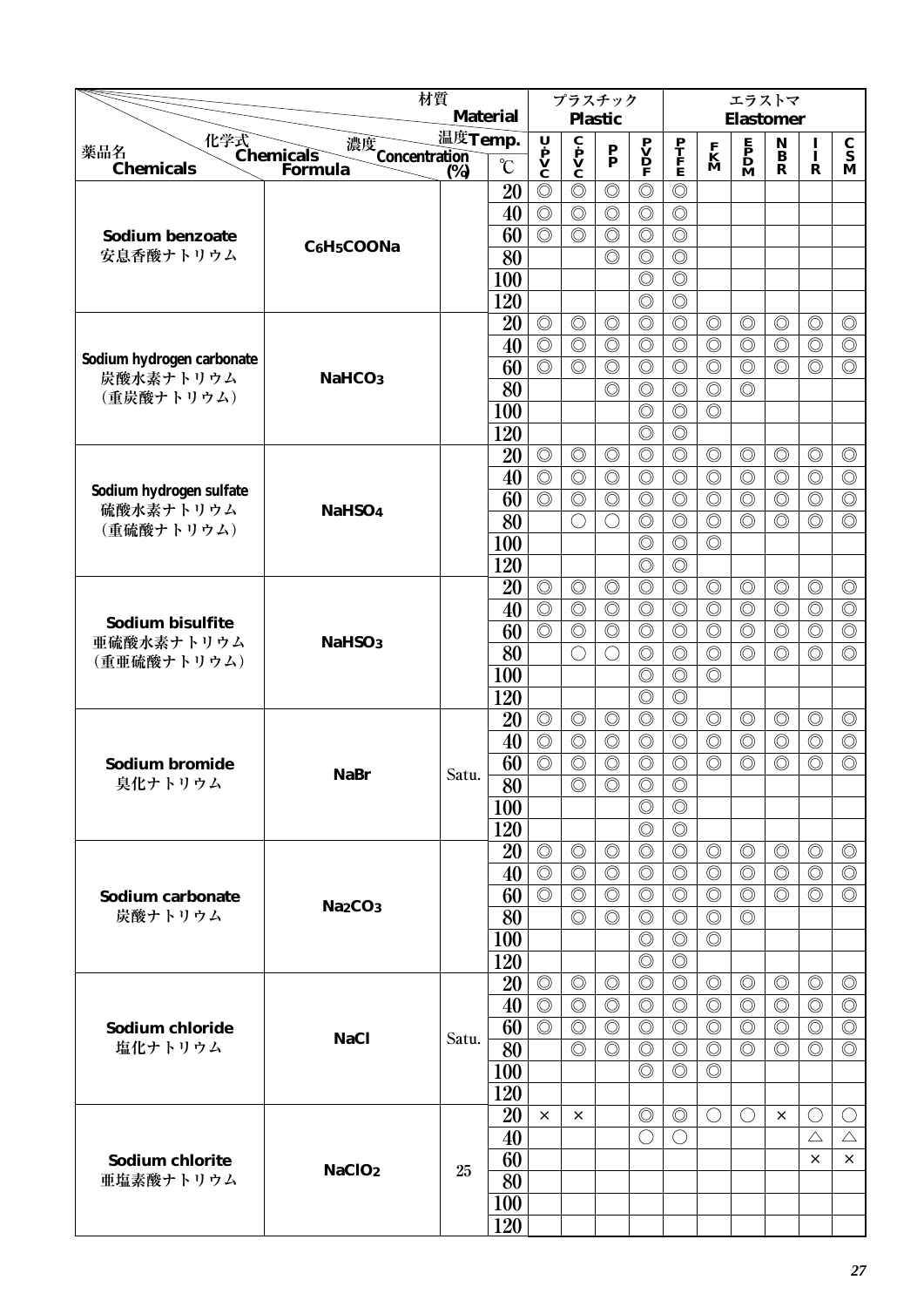|                                                                                                                                  | 材質                              |                   |                   |                                                                                       | プラスチック                                                                  |                                             |                                              |                                  |                                  | エラストマ                                                                 |                                  |                                  |                                  |
|----------------------------------------------------------------------------------------------------------------------------------|---------------------------------|-------------------|-------------------|---------------------------------------------------------------------------------------|-------------------------------------------------------------------------|---------------------------------------------|----------------------------------------------|----------------------------------|----------------------------------|-----------------------------------------------------------------------|----------------------------------|----------------------------------|----------------------------------|
|                                                                                                                                  |                                 |                   | <b>Material</b>   |                                                                                       |                                                                         | <b>Plastic</b>                              |                                              |                                  |                                  | <b>Elastomer</b>                                                      |                                  |                                  |                                  |
| 化学式<br>Chemicals<br>Form<br>薬品名                                                                                                  | 濃度<br>Concentration<br>(%)      | 温度Temp.           |                   | $\begin{array}{c}\n\mathbf{U} \\ \mathbf{P} \\ \mathbf{V} \\ \mathbf{C}\n\end{array}$ | $\overline{\mathbf{c}}$<br>$\mathbf{p}$<br>$\mathbf{v}$<br>$\mathbf{c}$ | $\frac{\mathbf{P}}{\mathbf{P}}$             | $\mathbf{P}$<br>$\mathbf{D}$<br>$\mathbf{P}$ | $\frac{\mathbf{P}}{\mathbf{F}}$  | $\mathbf{K}$<br>$\mathbf{M}$     | $\begin{array}{c} \mathbf{E} \\ \mathbf{P} \\ \mathbf{D} \end{array}$ | ${\bf N}$<br>$\bf{B}$            | $\bf{I}$<br>Ī                    | $\frac{\mathbf{C}}{\mathbf{S}}$  |
| <b>Chemicals</b>                                                                                                                 | Formula                         | $\overline{(}\%)$ | $\rm ^{\circ}\!C$ |                                                                                       |                                                                         |                                             |                                              |                                  |                                  |                                                                       | R                                | $\mathbf R$                      | M                                |
|                                                                                                                                  |                                 |                   | 20                | $\circledcirc$                                                                        | $\circledcirc$                                                          | $\circledcirc$                              | $\circledcirc$                               | $\circledcirc$                   |                                  |                                                                       |                                  |                                  |                                  |
|                                                                                                                                  |                                 |                   | 40                | $\circledcirc$<br>$\circledcirc$                                                      | $\circledcirc$<br>$\circledcirc$                                        | $\circledcirc$                              | $\circledcirc$                               | $\circledcirc$                   |                                  |                                                                       |                                  |                                  |                                  |
| <b>Sodium benzoate</b><br>安息香酸ナトリウム                                                                                              | C6H5COONa                       |                   | 60<br>80          |                                                                                       |                                                                         | $\circledcirc$<br>$\circledcirc$            | $\circledcirc$<br>$\circledcirc$             | $\circledcirc$<br>$\circledcirc$ |                                  |                                                                       |                                  |                                  |                                  |
|                                                                                                                                  |                                 |                   | 100               |                                                                                       |                                                                         |                                             | $\circledcirc$                               | $\circledcirc$                   |                                  |                                                                       |                                  |                                  |                                  |
|                                                                                                                                  |                                 |                   | 120               |                                                                                       |                                                                         |                                             | $\circledcirc$                               | $\circledcirc$                   |                                  |                                                                       |                                  |                                  |                                  |
|                                                                                                                                  |                                 |                   | 20                | $\circledcirc$                                                                        | $\circledcirc$                                                          | $\circledcirc$                              | $\circledcirc$                               | $\circledcirc$                   | $\circledcirc$                   | $\circledcirc$                                                        | $\circledcirc$                   | $\circledcirc$                   | $\circledcirc$                   |
|                                                                                                                                  |                                 |                   | 40                | $\circledcirc$                                                                        | $\circledcirc$                                                          | $\circledcirc$                              | $\circledcirc$                               | $\circledcirc$                   | $\circledcirc$                   | $\circledcirc$                                                        | $\circledcirc$                   | $\circledcirc$                   | $\circledcirc$                   |
| Sodium hydrogen carbonate                                                                                                        |                                 |                   | 60                | $\overline{\circlearrowright}$                                                        | $\circledcirc$                                                          | $\circledcirc$                              | $\circledcirc$                               | $\circledcirc$                   | $\circledcirc$                   | $\circledcirc$                                                        | $\circledcirc$                   | $\circledcirc$                   | $\circledcirc$                   |
| 炭酸水素ナトリウム                                                                                                                        | NaHCO <sub>3</sub>              |                   | 80                |                                                                                       |                                                                         | $\circledcirc$                              | $\circledcirc$                               | $\circledcirc$                   | $\circledcirc$                   | $\circledcirc$                                                        |                                  |                                  |                                  |
| (重炭酸ナトリウム)                                                                                                                       |                                 |                   | 100               |                                                                                       |                                                                         |                                             | $\circledcirc$                               | $\circledcirc$                   | $\circledcirc$                   |                                                                       |                                  |                                  |                                  |
|                                                                                                                                  |                                 |                   | 120               |                                                                                       |                                                                         |                                             | $\circledcirc$                               | $\circledcirc$                   |                                  |                                                                       |                                  |                                  |                                  |
|                                                                                                                                  |                                 |                   | 20                | $\circledcirc$                                                                        | $\circledcirc$                                                          | $\circledcirc$                              | $\circledcirc$                               | $\circledcirc$                   | $\circledcirc$                   | $\circledcirc$                                                        | $\circledcirc$                   | $\circledcirc$                   | $\circledcirc$                   |
|                                                                                                                                  |                                 |                   | 40                | $\circledcirc$                                                                        | $\circledcirc$                                                          | $\circledcirc$                              | $\circledcirc$                               | $\circledcirc$                   | $\circledcirc$                   | $\circledcirc$                                                        | $\circledcirc$                   | $\circledcirc$                   | $\circledcirc$                   |
|                                                                                                                                  | NaHSO <sub>4</sub>              |                   | 60                | $\circledcirc$                                                                        | $\circledcirc$                                                          | $\circledcirc$                              | $\circledcirc$                               | $\circledcirc$                   | $\circledcirc$                   | $\circledcirc$                                                        | $\circledcirc$                   | $\circledcirc$                   | $\circledcirc$                   |
|                                                                                                                                  |                                 |                   | 80                |                                                                                       | $\bigcirc$                                                              | $\bigcirc$                                  | $\circledcirc$                               | $\circledcirc$                   | $\circledcirc$                   | $\circledcirc$                                                        | $\circledcirc$                   | $\circledcirc$                   | $\circledcirc$                   |
|                                                                                                                                  |                                 |                   | 100               |                                                                                       |                                                                         |                                             | $\circledcirc$                               | $\circledcirc$                   | $\circledcirc$                   |                                                                       |                                  |                                  |                                  |
|                                                                                                                                  |                                 |                   | 120               |                                                                                       |                                                                         |                                             | $\circledcirc$                               | $\circledcirc$                   |                                  |                                                                       |                                  |                                  |                                  |
|                                                                                                                                  |                                 |                   | 20                | $\circledcirc$                                                                        | $\circledcirc$                                                          | $\circledcirc$                              | $\circledcirc$                               | $\circledcirc$                   | $\circledcirc$                   | $\circledcirc$                                                        | $\circledcirc$                   | $\circledcirc$                   | $\circledcirc$                   |
|                                                                                                                                  |                                 |                   | 40                | $\circledcirc$                                                                        | $\circledcirc$                                                          | $\circledcirc$                              | $\circledcirc$                               | $\circledcirc$                   | $\circledcirc$                   | $\circledcirc$                                                        | $\circledcirc$                   | $\circledcirc$                   | $\overline{\circlearrowright}$   |
| Sodium hydrogen sulfate<br>硫酸水素ナトリウム<br>(重硫酸ナトリウム)<br>Sodium bisulfite<br>亜硫酸水素ナトリウム<br>(重亜硫酸ナトリウム)<br>Sodium bromide<br>臭化ナトリウム | NaHSO <sub>3</sub>              |                   | 60                | $\circledcirc$                                                                        | $\circledcirc$                                                          | $\circledcirc$                              | $\circledcirc$                               | $\circledcirc$                   | $\circledcirc$                   | $\circledcirc$                                                        | $\circledcirc$                   | $\circledcirc$                   | $\circledcirc$                   |
|                                                                                                                                  |                                 |                   | 80                |                                                                                       | $\bigcirc$                                                              | $\left(\begin{array}{c} \end{array}\right)$ | $\circledcirc$                               | $\circledcirc$                   | $\circledcirc$                   | $\circledcirc$                                                        | $\circledcirc$                   | $\circledcirc$                   | $\circledcirc$                   |
|                                                                                                                                  |                                 |                   | 100               |                                                                                       |                                                                         |                                             | $\circledcirc$                               | $\circledcirc$                   | $\circledcirc$                   |                                                                       |                                  |                                  |                                  |
|                                                                                                                                  |                                 |                   | 120               |                                                                                       |                                                                         | $\circledcirc$                              | $\circledcirc$                               | $\circledcirc$<br>$\circledcirc$ |                                  |                                                                       |                                  |                                  |                                  |
|                                                                                                                                  |                                 |                   | 20<br>40          | $\circledcirc$<br>$\circledcirc$                                                      | $\circledcirc$<br>$\circledcirc$                                        | $\circledcirc$                              | $\circledcirc$<br>$\circledcirc$             | $\circledcirc$                   | $\circledcirc$<br>$\circledcirc$ | $\circledcirc$<br>$\circledcirc$                                      | $\circledcirc$<br>$\circledcirc$ | $\circledcirc$<br>$\circledcirc$ | $\circledcirc$<br>$\circledcirc$ |
|                                                                                                                                  |                                 |                   | 60                | $\circledcirc$                                                                        | $\circledcirc$                                                          | $\circledcirc$                              | $\circledcirc$                               | $\circledcirc$                   | $\circledcirc$                   | $\circledcirc$                                                        | $\circledcirc$                   | $\circledcirc$                   | $\circledcirc$                   |
|                                                                                                                                  | <b>NaBr</b>                     | Satu.             | $\overline{80}$   |                                                                                       | $\circledcirc$                                                          | $\circledcirc$                              | $\overline{\circ}$                           | $\circledcirc$                   |                                  |                                                                       |                                  |                                  |                                  |
|                                                                                                                                  |                                 |                   | 100               |                                                                                       |                                                                         |                                             | $\circledcirc$                               | $\circledcirc$                   |                                  |                                                                       |                                  |                                  |                                  |
|                                                                                                                                  |                                 |                   | 120               |                                                                                       |                                                                         |                                             | $\circledcirc$                               | $\circledcirc$                   |                                  |                                                                       |                                  |                                  |                                  |
|                                                                                                                                  |                                 |                   | 20                | $\circledcirc$                                                                        | $\circledcirc$                                                          | $\circledcirc$                              | $\circledcirc$                               | $\circledcirc$                   | $\circledcirc$                   | $\circledcirc$                                                        | $\circledcirc$                   | $\circledcirc$                   | $\circledcirc$                   |
|                                                                                                                                  |                                 |                   | 40                | $\circledcirc$                                                                        | $\circledcirc$                                                          | $\circledcirc$                              | $\circledcirc$                               | $\circledcirc$                   | $\circledcirc$                   | $\circledcirc$                                                        | $\circledcirc$                   | $\circledcirc$                   | $\circledcirc$                   |
| Sodium carbonate                                                                                                                 |                                 |                   | 60                | $\circledcirc$                                                                        | $\circledcirc$                                                          | $\circledcirc$                              | $\circledcirc$                               | $\circledcirc$                   | $\circledcirc$                   | $\circledcirc$                                                        | $\circledcirc$                   | $\circledcirc$                   | $\circledcirc$                   |
| 炭酸ナトリウム                                                                                                                          | Na <sub>2</sub> CO <sub>3</sub> |                   | 80                |                                                                                       | $\circledcirc$                                                          | $\circledcirc$                              | $\circledcirc$                               | $\circledcirc$                   | $\circledcirc$                   | $\circledcirc$                                                        |                                  |                                  |                                  |
|                                                                                                                                  |                                 |                   | 100               |                                                                                       |                                                                         |                                             | $\circledcirc$                               | $\circledcirc$                   | $\circledcirc$                   |                                                                       |                                  |                                  |                                  |
|                                                                                                                                  |                                 |                   | 120               |                                                                                       |                                                                         |                                             | $\circledcirc$                               | $\circledcirc$                   |                                  |                                                                       |                                  |                                  |                                  |
|                                                                                                                                  |                                 |                   | 20                | $\circledcirc$                                                                        | $\circledcirc$                                                          | $\circledcirc$                              | $\circledcirc$                               | $\circledcirc$                   | $\circledcirc$                   | $\circledcirc$                                                        | $\circledcirc$                   | $\circledcirc$                   | $\circledcirc$                   |
|                                                                                                                                  |                                 |                   | 40                | $\circledcirc$                                                                        | $\circledcirc$                                                          | $\circledcirc$                              | $\circledcirc$                               | $\circledcirc$                   | $\circledcirc$                   | $\circledcirc$                                                        | $\circledcirc$                   | $\circledcirc$                   | $\circledcirc$                   |
| Sodium chloride<br>塩化ナトリウム<br>Sodium chlorite                                                                                    | <b>NaCl</b>                     | Satu.             | 60                | $\circledcirc$                                                                        | $\circledcirc$                                                          | $\circledcirc$                              | $\circledcirc$                               | $\circledcirc$                   | $\circledcirc$                   | $\circledcirc$                                                        | $\circledcirc$                   | $\circledcirc$                   | $\circledcirc$                   |
|                                                                                                                                  |                                 |                   | 80                |                                                                                       | $\circledcirc$                                                          | $\circledcirc$                              | $\circledcirc$                               | $\circledcirc$                   | $\circledcirc$                   | $\circledcirc$                                                        | $\circledcirc$                   | $\circledcirc$                   | $\circledcirc$                   |
|                                                                                                                                  |                                 |                   | <b>100</b>        |                                                                                       |                                                                         |                                             | $\circledcirc$                               | $\circledcirc$                   | $\circledcirc$                   |                                                                       |                                  |                                  |                                  |
|                                                                                                                                  |                                 |                   | 120               |                                                                                       |                                                                         |                                             |                                              |                                  |                                  |                                                                       |                                  |                                  |                                  |
|                                                                                                                                  |                                 |                   | 20<br>40          | $\times$                                                                              | $\times$                                                                |                                             | $\circledcirc$<br>$\bigcirc$                 | $\circledcirc$<br>$\bigcirc$     | $\bigcirc$                       | $\left(\right)$                                                       | $\times$                         | $\left(\right)$<br>$\triangle$   | $\bigcirc$<br>$\triangle$        |
|                                                                                                                                  |                                 |                   | 60                |                                                                                       |                                                                         |                                             |                                              |                                  |                                  |                                                                       |                                  | ×                                | $\times$                         |
| 亜塩素酸ナトリウム                                                                                                                        | NaClO <sub>2</sub>              | 25                | 80                |                                                                                       |                                                                         |                                             |                                              |                                  |                                  |                                                                       |                                  |                                  |                                  |
|                                                                                                                                  |                                 |                   | 100               |                                                                                       |                                                                         |                                             |                                              |                                  |                                  |                                                                       |                                  |                                  |                                  |
|                                                                                                                                  |                                 |                   | 120               |                                                                                       |                                                                         |                                             |                                              |                                  |                                  |                                                                       |                                  |                                  |                                  |
|                                                                                                                                  |                                 |                   |                   |                                                                                       |                                                                         |                                             |                                              |                                  |                                  |                                                                       |                                  |                                  |                                  |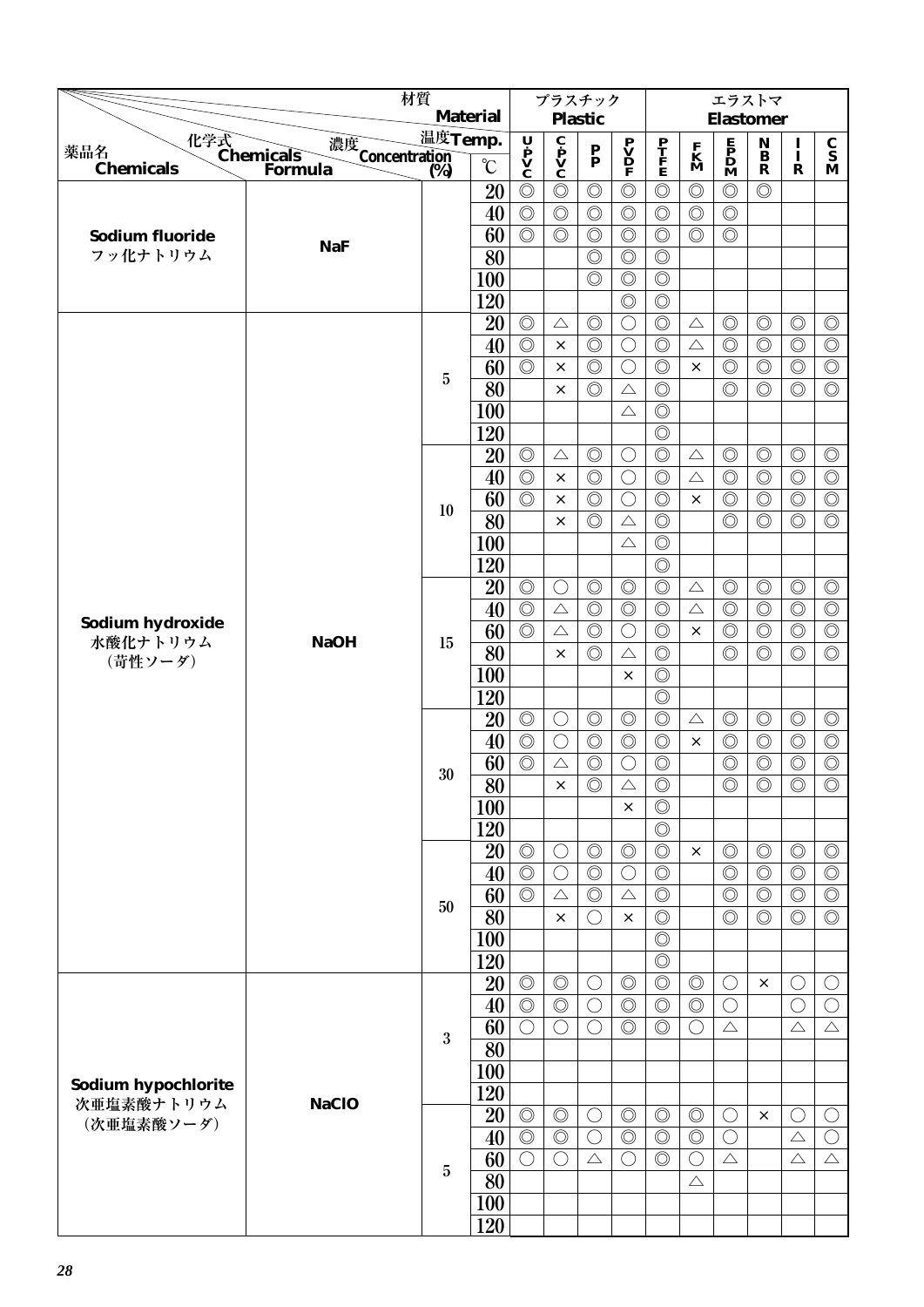|                                                 |                            | 材質               |                   |                                    | プラスチック         |                    |                                              |                                 |                              | エラストマ                                                                               |                                 |                |                                 |
|-------------------------------------------------|----------------------------|------------------|-------------------|------------------------------------|----------------|--------------------|----------------------------------------------|---------------------------------|------------------------------|-------------------------------------------------------------------------------------|---------------------------------|----------------|---------------------------------|
|                                                 |                            |                  | <b>Material</b>   |                                    |                | <b>Plastic</b>     |                                              |                                 |                              | <b>Elastomer</b>                                                                    |                                 |                |                                 |
| 化学式<br>Chemicals<br>薬品名                         | 濃度<br>Concentration<br>(%) | 温度Temp.          |                   | Ų                                  |                |                    |                                              |                                 |                              |                                                                                     | $\mathop{\bf N}\limits_{\bf B}$ | 1              | $\frac{\mathbf{C}}{\mathbf{S}}$ |
| <b>Chemicals</b>                                | Formula                    | $\overline{(%)}$ | $\rm ^{\circ}\!C$ | $\dot{\mathbf{P}}$<br>$\mathbf{V}$ | C P V<br>C     | $\frac{P}{P}$      | $\mathbf{P}$<br>$\mathbf{D}$<br>$\mathbf{P}$ | $\frac{\mathbf{P}}{\mathbf{F}}$ | $\mathbf{K}$<br>$\mathbf{M}$ | $\begin{array}{c} \mathbf{E} \\ \mathbf{P} \\ \mathbf{D} \\ \mathbf{M} \end{array}$ | $\mathbf R$                     | Ī<br>R         | M                               |
|                                                 |                            |                  | 20                | $\circledcirc$                     | $\circledcirc$ | $\circledcirc$     | $\circledcirc$                               | $\circledcirc$                  | $\circledcirc$               | $\circledcirc$                                                                      | $\circledcirc$                  |                |                                 |
|                                                 |                            |                  | 40                | $\circledcirc$                     | $\circledcirc$ | $\circledcirc$     | $\circledcirc$                               | $\circledcirc$                  | $\circledcirc$               | $\circledcirc$                                                                      |                                 |                |                                 |
| <b>Sodium fluoride</b>                          |                            |                  | 60                | $\circledcirc$                     | $\circledcirc$ | $\circledcirc$     | $\circledcirc$                               | $\circledcirc$                  | $\circledcirc$               | $\circledcirc$                                                                      |                                 |                |                                 |
| フッ化ナトリウム                                        | <b>NaF</b>                 |                  | $\overline{80}$   |                                    |                | $\circledcirc$     | $\circledcirc$                               | $\circledcirc$                  |                              |                                                                                     |                                 |                |                                 |
|                                                 |                            |                  | 100               |                                    |                | $\circledcirc$     | $\circledcirc$                               | $\circledcirc$                  |                              |                                                                                     |                                 |                |                                 |
|                                                 |                            |                  | 120               |                                    |                |                    | $\circledcirc$                               | $\circledcirc$                  |                              |                                                                                     |                                 |                |                                 |
|                                                 |                            |                  | 20                | $\circledcirc$                     | $\triangle$    | $\circledcirc$     | $\bigcirc$                                   | $\circledcirc$                  | $\triangle$                  | $\circledcirc$                                                                      | $\circledcirc$                  | $\circledcirc$ | $\circledcirc$                  |
|                                                 |                            |                  | 40                | $\overline{\circlearrowright}$     | $\times$       | $\circledcirc$     | $\bigcirc$                                   | $\circledcirc$                  | $\triangle$                  | $\circledcirc$                                                                      | $\circledcirc$                  | $\circledcirc$ | $\circledcirc$                  |
|                                                 |                            |                  | 60                | $\circledcirc$                     | ×              | $\circledcirc$     | $\bigcirc$                                   | $\circledcirc$                  | $\times$                     | $\circledcirc$                                                                      | $\circledcirc$                  | $\circledcirc$ | $\circledcirc$                  |
|                                                 |                            | $\overline{5}$   | 80                |                                    | $\times$       | $\circledcirc$     | $\triangle$                                  | $\circledcirc$                  |                              | $\circledcirc$                                                                      | $\circledcirc$                  | $\circledcirc$ | $\circledcirc$                  |
|                                                 |                            |                  | 100               |                                    |                |                    | $\triangle$                                  | $\circledcirc$                  |                              |                                                                                     |                                 |                |                                 |
|                                                 |                            |                  | 120               |                                    |                |                    |                                              | $\circledcirc$                  |                              |                                                                                     |                                 |                |                                 |
|                                                 |                            |                  | 20                | $\circledcirc$                     | $\triangle$    | $\circledcirc$     | $\bigcirc$                                   | $\circledcirc$                  | $\triangle$                  | $\circledcirc$                                                                      | $\circledcirc$                  | $\circledcirc$ | $\circledcirc$                  |
|                                                 |                            |                  | 40                | $\circledcirc$                     | $\times$       | $\circledcirc$     | $\bigcirc$                                   | $\circledcirc$                  | $\triangle$                  | $\circledcirc$                                                                      | $\circledcirc$                  | $\circledcirc$ | $\circledcirc$                  |
|                                                 |                            |                  | 60                | $\circledcirc$                     | $\times$       | $\circledcirc$     | $\bigcirc$                                   | $\circledcirc$                  | $\times$                     | $\circledcirc$                                                                      | $\circledcirc$                  | $\circledcirc$ | $\circledcirc$                  |
|                                                 |                            | 10               | 80                |                                    | $\times$       | $\circledcirc$     | $\triangle$                                  | $\circledcirc$                  |                              | $\circledcirc$                                                                      | $\circledcirc$                  | $\circledcirc$ | $\circledcirc$                  |
|                                                 |                            |                  | 100               |                                    |                |                    | $\triangle$                                  | $\circledcirc$                  |                              |                                                                                     |                                 |                |                                 |
|                                                 |                            |                  | 120               |                                    |                |                    |                                              | $\circledcirc$                  |                              |                                                                                     |                                 |                |                                 |
|                                                 |                            |                  | 20                | $\circledcirc$                     | $\bigcirc$     | $\circledcirc$     | $\circledcirc$                               | $\circledcirc$                  | $\triangle$                  | $\circledcirc$                                                                      | $\circledcirc$                  | $\circledcirc$ | $\circledcirc$                  |
|                                                 |                            |                  | 40                | $\circledcirc$                     | $\triangle$    | $\circledcirc$     | $\circledcirc$                               | $\circledcirc$                  | $\triangle$                  | $\circledcirc$                                                                      | $\circledcirc$                  | $\circledcirc$ | $\circledcirc$                  |
| Sodium hydroxide<br>水酸化ナトリウム<br>(苛性ソーダ)         |                            |                  | 60                | $\circledcirc$                     | $\triangle$    | $\circledcirc$     | $\bigcirc$                                   | $\circledcirc$                  | $\times$                     | $\circledcirc$                                                                      | $\circledcirc$                  | $\circledcirc$ | $\circledcirc$                  |
|                                                 | <b>NaOH</b>                | 15               | 80                |                                    | $\times$       | $\circledcirc$     | $\triangle$                                  | $\circledcirc$                  |                              | $\circledcirc$                                                                      | $\circledcirc$                  | $\circledcirc$ | $\circledcirc$                  |
|                                                 |                            |                  | <b>100</b>        |                                    |                |                    | $\times$                                     | $\circledcirc$                  |                              |                                                                                     |                                 |                |                                 |
|                                                 |                            |                  | 120               |                                    |                |                    |                                              | $\circledcirc$                  |                              |                                                                                     |                                 |                |                                 |
|                                                 |                            |                  | 20                | $\circledcirc$                     | $\bigcirc$     | $\circledcirc$     | $\circledcirc$                               | $\circledcirc$                  | $\triangle$                  | $\circledcirc$                                                                      | $\circledcirc$                  | $\circledcirc$ | $\circledcirc$                  |
|                                                 |                            |                  | 40                | $\circledcirc$                     | $\bigcirc$     | $\circledcirc$     | $\circledcirc$                               | $\circledcirc$                  | $\times$                     | $\circledcirc$                                                                      | $\circledcirc$                  | $\circledcirc$ | $\circledcirc$                  |
|                                                 |                            |                  | 60                | $\circledcirc$                     | $\triangle$    | $\circledcirc$     | $\bigcirc$                                   | $\circledcirc$                  |                              | $\circledcirc$                                                                      | $\circledcirc$                  | $\circledcirc$ | $\circledcirc$                  |
|                                                 |                            | 30               | $\overline{80}$   |                                    | $\times$       | $\overline{\circ}$ | $\triangle$                                  | $\overline{\circ}$              |                              | $\circledcirc$                                                                      | $\overline{\circ}$              | $\circledcirc$ | $\overline{\circ}$              |
|                                                 |                            |                  | 100               |                                    |                |                    | $\times$                                     | $\circledcirc$                  |                              |                                                                                     |                                 |                |                                 |
|                                                 |                            |                  | 120               |                                    |                |                    |                                              | $\circledcirc$                  |                              |                                                                                     |                                 |                |                                 |
|                                                 |                            |                  | 20                | $\circledcirc$                     | $\bigcirc$     | $\circledcirc$     | $\circledcirc$                               | $\circledcirc$                  | $\times$                     | $\circledcirc$                                                                      | $\circledcirc$                  | $\circledcirc$ | $\circledcirc$                  |
|                                                 |                            |                  | 40                | $\circledcirc$                     | $\bigcirc$     | $\circledcirc$     | $\bigcirc$                                   | $\circledcirc$                  |                              | $\circledcirc$                                                                      | $\circledcirc$                  | $\circledcirc$ | $\circledcirc$                  |
|                                                 |                            |                  | 60                | $\circledcirc$                     | $\triangle$    | $\circledcirc$     | $\triangle$                                  | $\circledcirc$                  |                              | $\circledcirc$                                                                      | $\circledcirc$                  | $\circledcirc$ | $\circledcirc$                  |
|                                                 |                            | 50               | 80                |                                    | $\times$       | $\bigcirc$         | ×                                            | $\circledcirc$                  |                              | $\circledcirc$                                                                      | $\circledcirc$                  | $\circledcirc$ | $\circledcirc$                  |
|                                                 |                            |                  | 100               |                                    |                |                    |                                              | $\circledcirc$                  |                              |                                                                                     |                                 |                |                                 |
|                                                 |                            |                  | 120               |                                    |                |                    |                                              | $\circledcirc$                  |                              |                                                                                     |                                 |                |                                 |
|                                                 |                            |                  | 20                | $\circledcirc$                     | $\circledcirc$ | $\bigcirc$         | $\circledcirc$                               | $\circledcirc$                  | $\circledcirc$               | C                                                                                   | $\times$                        | $\bigcirc$     | $\bigcirc$                      |
|                                                 |                            |                  | 40                | $\circledcirc$                     | $\circledcirc$ | $\bigcirc$         | $\circledcirc$                               | $\circledcirc$                  | $\circledcirc$               | $\bigcirc$                                                                          |                                 | $\bigcirc$     | $\bigcirc$                      |
|                                                 |                            |                  | 60                | $\bigcirc$                         | $\bigcirc$     | $\bigcirc$         | $\circledcirc$                               | $\circledcirc$                  | $\bigcirc$                   | $\triangle$                                                                         |                                 | $\triangle$    | $\triangle$                     |
| Sodium hypochlorite<br>次亜塩素酸ナトリウム<br>(次亜塩素酸ソーダ) |                            | 3                | $\overline{80}$   |                                    |                |                    |                                              |                                 |                              |                                                                                     |                                 |                |                                 |
|                                                 |                            |                  | 100               |                                    |                |                    |                                              |                                 |                              |                                                                                     |                                 |                |                                 |
|                                                 | <b>NaClO</b>               |                  | 120               |                                    |                |                    |                                              |                                 |                              |                                                                                     |                                 |                |                                 |
|                                                 |                            |                  | 20                | $\circledcirc$                     | $\circledcirc$ | O                  | $\circledcirc$                               | $\circledcirc$                  | $\circledcirc$               | $\bigcirc$                                                                          | $\times$                        | $\bigcirc$     | $\bigcirc$                      |
|                                                 |                            |                  | 40                | $\circledcirc$                     | $\circledcirc$ | $\bigcirc$         | $\circledcirc$                               | $\circledcirc$                  | $\circledcirc$               | $\bigcirc$                                                                          |                                 | $\triangle$    | $\bigcirc$                      |
|                                                 |                            |                  | 60                | $\bigcirc$                         | $\bigcirc$     | $\triangle$        | $\bigcirc$                                   | $\circledcirc$                  | $\bigcirc$                   | $\triangle$                                                                         |                                 | $\triangle$    | $\triangle$                     |
|                                                 |                            | $\overline{5}$   | 80                |                                    |                |                    |                                              |                                 | $\triangle$                  |                                                                                     |                                 |                |                                 |
|                                                 |                            |                  | 100               |                                    |                |                    |                                              |                                 |                              |                                                                                     |                                 |                |                                 |
|                                                 |                            |                  | 120               |                                    |                |                    |                                              |                                 |                              |                                                                                     |                                 |                |                                 |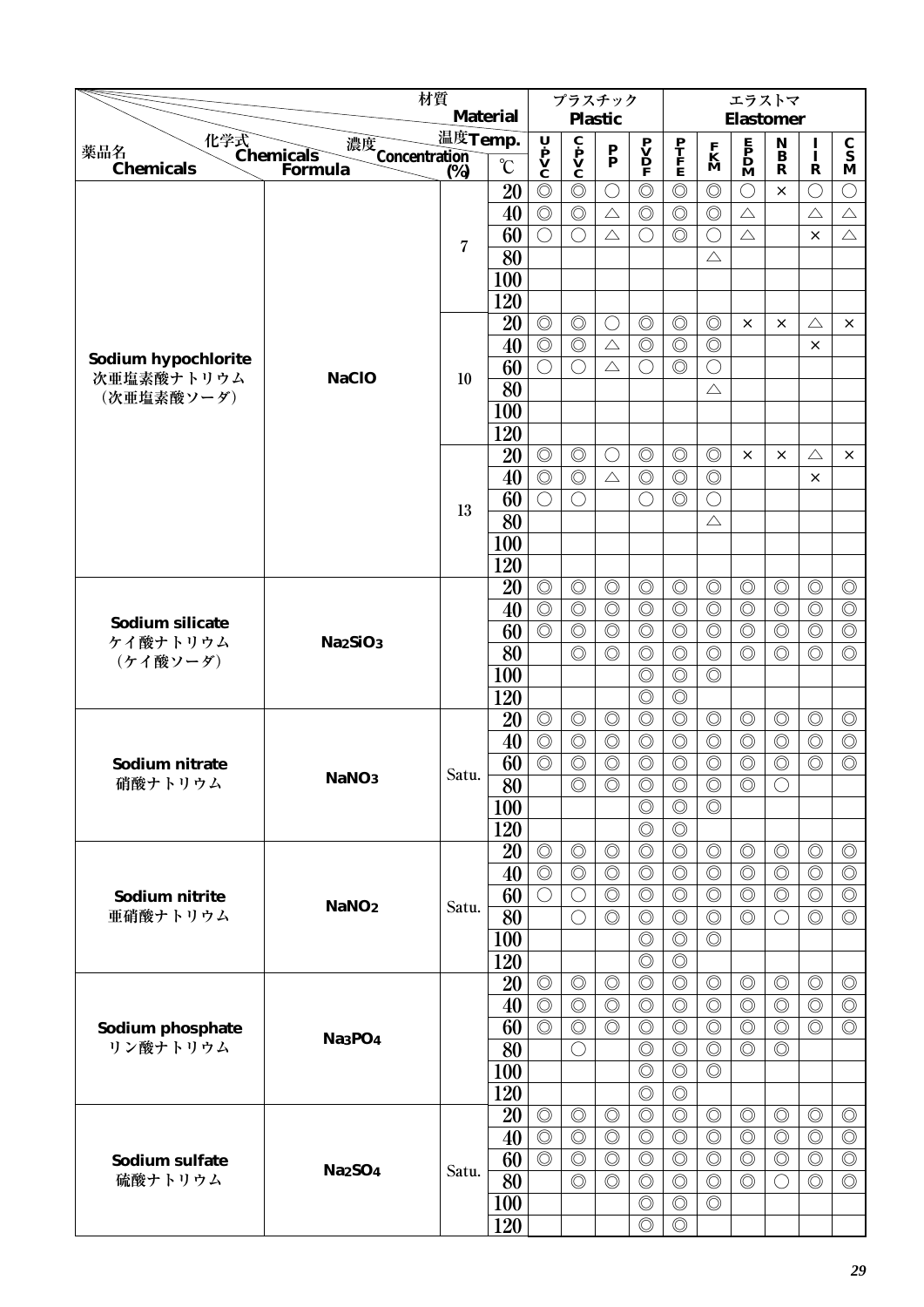|                                                |                                  | 材質      |                   |                                    | プラスチック                                                  |                                 |                                  |                                  |                                  | エラストマ                                        |                                    |                                  |                                        |
|------------------------------------------------|----------------------------------|---------|-------------------|------------------------------------|---------------------------------------------------------|---------------------------------|----------------------------------|----------------------------------|----------------------------------|----------------------------------------------|------------------------------------|----------------------------------|----------------------------------------|
|                                                |                                  |         | <b>Material</b>   |                                    |                                                         | <b>Plastic</b>                  |                                  |                                  |                                  | <b>Elastomer</b>                             |                                    |                                  |                                        |
| 化学式<br>Chemicals<br>薬品名                        | 濃度<br>Concentration<br>(%)       | 温度Temp. |                   | Ų                                  | $\overline{\mathbf{c}}$<br>$\mathbf{v}$<br>$\mathbf{c}$ | $\frac{\mathbf{P}}{\mathbf{P}}$ | $\mathbf{P} \mathbf{V}$          | $\frac{\mathbf{P}}{\mathbf{F}}$  | $\mathbf{K}$<br>$\mathbf{M}$     | $\mathbf{P}$<br>$\mathbf{D}$<br>$\mathbf{M}$ | $\mathbf N$<br>$\ddot{\mathbf{B}}$ | $\mathbf{I}$                     | $\mathbf C$<br>$\overline{\mathbf{s}}$ |
| <b>Chemicals</b>                               | Formula                          | (%)     | $\rm ^{\circ}\!C$ | $\dot{\mathbf{P}}$<br>$\mathbf{V}$ |                                                         |                                 |                                  |                                  |                                  |                                              | $\mathbf R$                        | $\mathbf R$                      | M                                      |
|                                                |                                  |         | 20                | $\circledcirc$                     | $\circledcirc$                                          | $\bigcirc$                      | $\circledcirc$                   | $\circledcirc$                   | $\circledcirc$                   | $\bigcirc$                                   | $\times$                           | $\bigcirc$                       | O                                      |
|                                                |                                  |         | 40                | $\circledcirc$                     | $\circledcirc$                                          | $\triangle$                     | $\circledcirc$                   | $\circledcirc$                   | $\circledcirc$                   | $\triangle$                                  |                                    | $\triangle$                      | $\triangle$                            |
|                                                |                                  | 7       | 60                | $\bigcirc$                         | $\bigcirc$                                              | $\triangle$                     | O                                | $\circledcirc$                   | $\bigcirc$                       | $\triangle$                                  |                                    | $\times$                         | $\triangle$                            |
|                                                |                                  |         | 80                |                                    |                                                         |                                 |                                  |                                  | $\triangle$                      |                                              |                                    |                                  |                                        |
|                                                |                                  |         | <b>100</b>        |                                    |                                                         |                                 |                                  |                                  |                                  |                                              |                                    |                                  |                                        |
|                                                |                                  |         | 120               |                                    |                                                         |                                 |                                  |                                  |                                  |                                              |                                    |                                  |                                        |
|                                                |                                  |         | 20                | $\circledcirc$                     | $\circledcirc$                                          | $\bigcirc$                      | $\circledcirc$                   | $\circledcirc$                   | $\circledcirc$                   | $\times$                                     | $\times$                           | $\triangle$                      | $\times$                               |
| Sodium hypochlorite                            |                                  |         | 40                | $\circledcirc$                     | $\circledcirc$                                          | $\triangle$                     | $\circledcirc$                   | $\circledcirc$                   | $\circledcirc$                   |                                              |                                    | ×                                |                                        |
| 次亜塩素酸ナトリウム                                     | <b>NaClO</b>                     | 10      | 60                | $\bigcirc$                         | $\bigcirc$                                              | $\triangle$                     | $\bigcirc$                       | $\circledcirc$                   | $\bigcirc$                       |                                              |                                    |                                  |                                        |
| (次亜塩素酸ソーダ)                                     |                                  |         | 80                |                                    |                                                         |                                 |                                  |                                  | $\triangle$                      |                                              |                                    |                                  |                                        |
|                                                |                                  |         | 100               |                                    |                                                         |                                 |                                  |                                  |                                  |                                              |                                    |                                  |                                        |
|                                                |                                  |         | 120               |                                    |                                                         |                                 |                                  |                                  |                                  |                                              |                                    |                                  |                                        |
|                                                |                                  |         | 20                | $\circledcirc$                     | $\circledcirc$                                          | $\bigcirc$                      | $\circledcirc$                   | $\circledcirc$                   | $\circledcirc$                   | ×                                            | $\times$                           | $\triangle$                      | $\times$                               |
|                                                |                                  |         | 40                | $\circledcirc$                     | $\circledcirc$                                          | $\triangle$                     | $\circledcirc$                   | $\circledcirc$                   | $\circledcirc$                   |                                              |                                    | $\times$                         |                                        |
|                                                |                                  | 13      | 60                | $\bigcirc$                         | $\bigcirc$                                              |                                 | $\bigcirc$                       | $\circledcirc$                   | $\bigcirc$                       |                                              |                                    |                                  |                                        |
|                                                |                                  |         | 80                |                                    |                                                         |                                 |                                  |                                  | $\triangle$                      |                                              |                                    |                                  |                                        |
|                                                |                                  |         | <b>100</b>        |                                    |                                                         |                                 |                                  |                                  |                                  |                                              |                                    |                                  |                                        |
|                                                |                                  |         | 120               |                                    | $\circledcirc$                                          | $\circledcirc$                  |                                  |                                  |                                  | $\circledcirc$                               | $\circledcirc$                     |                                  |                                        |
| <b>Sodium silicate</b><br>ケイ酸ナトリウム<br>(ケイ酸ソーダ) |                                  |         | 20<br>40          | $\circledcirc$<br>$\circledcirc$   | $\circledcirc$                                          | $\circledcirc$                  | $\circledcirc$<br>$\circledcirc$ | $\circledcirc$<br>$\circledcirc$ | $\circledcirc$<br>$\circledcirc$ | $\circledcirc$                               | $\circledcirc$                     | $\circledcirc$<br>$\circledcirc$ | $\circledcirc$<br>$\circledcirc$       |
|                                                |                                  |         | 60                | $\circledcirc$                     | $\circledcirc$                                          | $\circledcirc$                  | $\circledcirc$                   | $\circledcirc$                   | $\circledcirc$                   | $\circledcirc$                               | $\circledcirc$                     | $\circledcirc$                   | $\circledcirc$                         |
|                                                | Na <sub>2</sub> SiO <sub>3</sub> |         | 80                |                                    | $\circledcirc$                                          | $\circledcirc$                  | $\circledcirc$                   | $\circledcirc$                   | $\circledcirc$                   | $\circledcirc$                               | $\circledcirc$                     | $\circledcirc$                   | $\circledcirc$                         |
|                                                |                                  |         | <b>100</b>        |                                    |                                                         |                                 | $\circledcirc$                   | $\circledcirc$                   | $\circledcirc$                   |                                              |                                    |                                  |                                        |
|                                                |                                  |         | 120               |                                    |                                                         |                                 | $\circledcirc$                   | $\circledcirc$                   |                                  |                                              |                                    |                                  |                                        |
|                                                |                                  |         | 20                | $\circledcirc$                     | $\circledcirc$                                          | $\circledcirc$                  | $\circledcirc$                   | $\circledcirc$                   | $\circledcirc$                   | $\circledcirc$                               | $\circledcirc$                     | $\circledcirc$                   | $\circledcirc$                         |
|                                                |                                  |         | 40                | $\circledcirc$                     | $\circledcirc$                                          | $\circledcirc$                  | $\circledcirc$                   | $\circledcirc$                   | $\circledcirc$                   | $\circledcirc$                               | $\circledcirc$                     | $\circledcirc$                   | $\circledcirc$                         |
| Sodium nitrate                                 |                                  |         | 60                | $\circledcirc$                     | $\circledcirc$                                          | $\circledcirc$                  | $\circledcirc$                   | $\circledcirc$                   | $\circledcirc$                   | $\circledcirc$                               | $\circledcirc$                     | $\circledcirc$                   | $\circledcirc$                         |
| 硝酸ナトリウム                                        | NaNO <sub>3</sub>                | Satu.   | $\overline{80}$   |                                    | $\circledcirc$                                          | $\circledcirc$                  | $\overline{\circ}$               | $\overline{\circ}$               | $\overline{\circ}$               | $\circledcirc$                               | $\bigcirc$                         |                                  |                                        |
|                                                |                                  |         | 100               |                                    |                                                         |                                 | $\circledcirc$                   | $\circledcirc$                   | $\circledcirc$                   |                                              |                                    |                                  |                                        |
|                                                |                                  |         | 120               |                                    |                                                         |                                 | $\circledcirc$                   | $\circledcirc$                   |                                  |                                              |                                    |                                  |                                        |
|                                                |                                  |         | 20                | $\circledcirc$                     | $\circledcirc$                                          | $\circledcirc$                  | $\circledcirc$                   | $\circledcirc$                   | $\circledcirc$                   | $\circledcirc$                               | $\circledcirc$                     | $\circledcirc$                   | $\circledcirc$                         |
|                                                |                                  |         | 40                | $\circledcirc$                     | $\circledcirc$                                          | $\circledcirc$                  | $\circledcirc$                   | $\circledcirc$                   | $\circledcirc$                   | $\circledcirc$                               | $\circledcirc$                     | $\circledcirc$                   | $\circledcirc$                         |
| Sodium nitrite                                 |                                  |         | 60                | $\bigcirc$                         | $\bigcirc$                                              | $\circledcirc$                  | $\circledcirc$                   | $\circledcirc$                   | $\circledcirc$                   | $\circledcirc$                               | $\circledcirc$                     | $\circledcirc$                   | $\circledcirc$                         |
| 亜硝酸ナトリウム                                       | NaNO <sub>2</sub>                | Satu.   | 80                |                                    | $\bigcirc$                                              | $\circledcirc$                  | $\circledcirc$                   | $\circledcirc$                   | $\circledcirc$                   | $\circledcirc$                               | $\bigcirc$                         | $\circledcirc$                   | $\circledcirc$                         |
|                                                |                                  |         | 100               |                                    |                                                         |                                 | $\circledcirc$                   | $\circledcirc$                   | $\circledcirc$                   |                                              |                                    |                                  |                                        |
|                                                |                                  |         | 120               |                                    |                                                         |                                 | $\circledcirc$                   | $\circledcirc$                   |                                  |                                              |                                    |                                  |                                        |
|                                                |                                  |         | 20                | $\circledcirc$                     | $\circledcirc$                                          | $\circledcirc$                  | $\circledcirc$                   | $\circledcirc$                   | $\circledcirc$                   | $\circledcirc$                               | $\circledcirc$                     | $\circledcirc$                   | $\circledcirc$                         |
|                                                |                                  |         | 40                | $\circledcirc$                     | $\circledcirc$                                          | $\circledcirc$                  | $\circledcirc$                   | $\circledcirc$                   | $\circledcirc$                   | $\circledcirc$                               | $\circledcirc$                     | $\circledcirc$                   | $\circledcirc$                         |
| Sodium phosphate                               | Na <sub>3</sub> PO <sub>4</sub>  |         | 60                | $\overline{\circlearrowright}$     | $\circledcirc$                                          | $\circledcirc$                  | $\circledcirc$                   | $\circledcirc$                   | $\circledcirc$                   | $\circledcirc$                               | $\circledcirc$                     | $\circledcirc$                   | $\circledcirc$                         |
| リン酸ナトリウム                                       |                                  |         | 80                |                                    | $\bigcirc$                                              |                                 | $\circledcirc$                   | $\circledcirc$                   | $\circledcirc$                   | $\circledcirc$                               | $\circledcirc$                     |                                  |                                        |
|                                                |                                  |         | <b>100</b>        |                                    |                                                         |                                 | $\circledcirc$                   | $\circledcirc$                   | $\circledcirc$                   |                                              |                                    |                                  |                                        |
|                                                |                                  |         | 120               |                                    |                                                         |                                 | $\circledcirc$                   | $\circledcirc$                   |                                  |                                              |                                    |                                  |                                        |
|                                                |                                  |         | 20                | $\circledcirc$                     | $\circledcirc$                                          | $\circledcirc$                  | $\circledcirc$                   | $\circledcirc$                   | $\circledcirc$                   | $\circledcirc$                               | $\circledcirc$                     | $\circledcirc$                   | $\circledcirc$                         |
|                                                |                                  |         | 40                | $\circledcirc$                     | $\circledcirc$                                          | $\circledcirc$                  | $\circledcirc$                   | $\circledcirc$                   | $\circledcirc$                   | $\circledcirc$                               | $\circledcirc$                     | $\circledcirc$                   | $\circledcirc$                         |
| Sodium sulfate                                 | <b>Na2SO4</b>                    | Satu.   | 60                | $\circledcirc$                     | $\circledcirc$                                          | $\circledcirc$                  | $\circledcirc$                   | $\circledcirc$                   | $\circledcirc$                   | $\circledcirc$                               | $\circledcirc$                     | $\circledcirc$                   | $\circledcirc$                         |
| 硫酸ナトリウム                                        |                                  |         | 80                |                                    | $\circledcirc$                                          | $\circledcirc$                  | $\circledcirc$                   | $\circledcirc$                   | $\circledcirc$                   | $\circledcirc$                               | $\bigcirc$                         | $\circledcirc$                   | $\circledcirc$                         |
|                                                |                                  |         | <b>100</b>        |                                    |                                                         |                                 | $\circledcirc$                   | $\circledcirc$                   | $\circledcirc$                   |                                              |                                    |                                  |                                        |
|                                                |                                  |         | 120               |                                    |                                                         |                                 | $\circledcirc$                   | $\circledcirc$                   |                                  |                                              |                                    |                                  |                                        |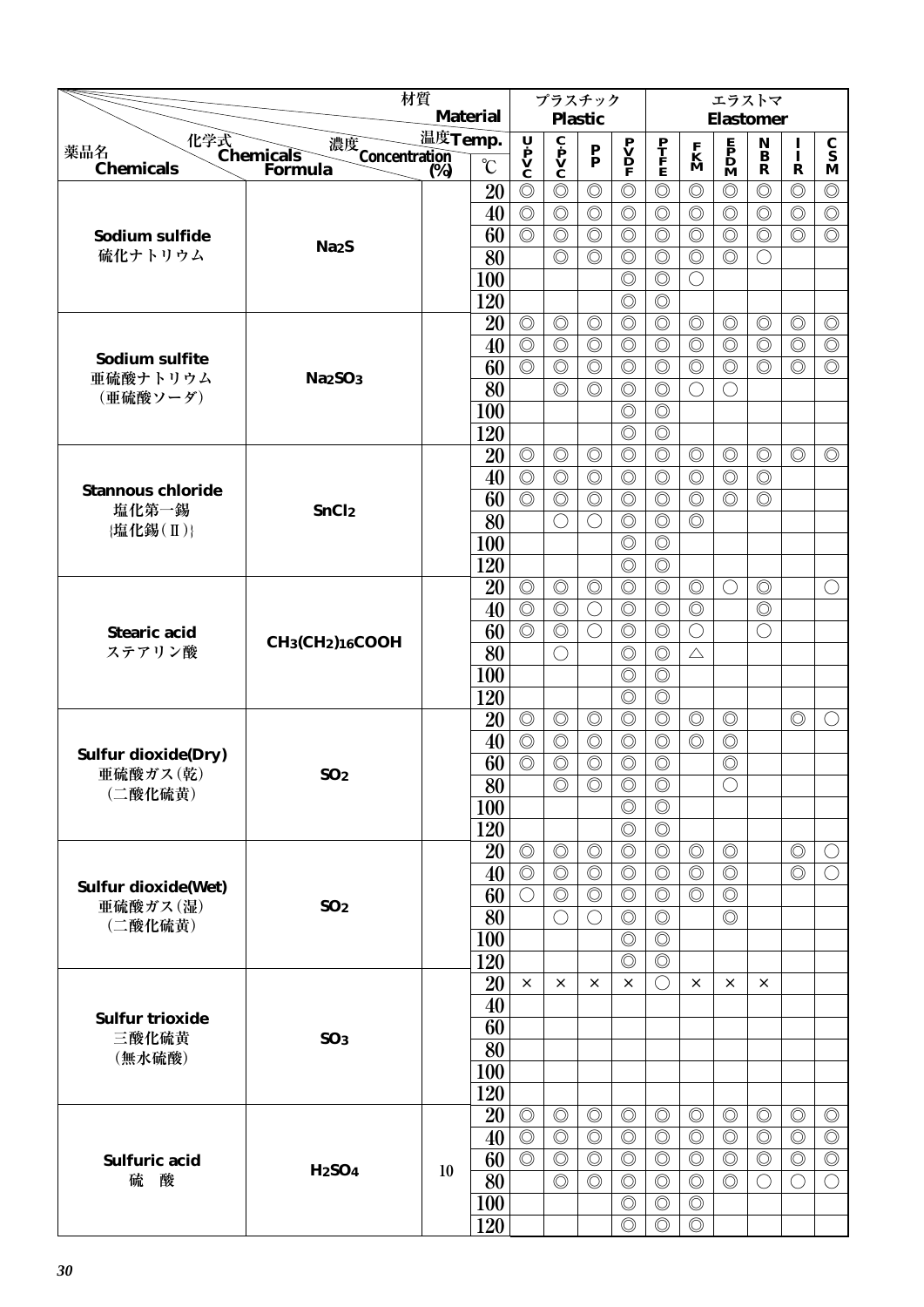|                                           | 材質                                                    |         |                 |                                  | プラスチック                                       |                           |                                                                                     |                                  |                | エラストマ                                                                               |                                             |                                  |                                  |
|-------------------------------------------|-------------------------------------------------------|---------|-----------------|----------------------------------|----------------------------------------------|---------------------------|-------------------------------------------------------------------------------------|----------------------------------|----------------|-------------------------------------------------------------------------------------|---------------------------------------------|----------------------------------|----------------------------------|
|                                           |                                                       |         | <b>Material</b> |                                  |                                              | <b>Plastic</b>            |                                                                                     |                                  |                | <b>Elastomer</b>                                                                    |                                             |                                  |                                  |
| 薬品名                                       | 化学式<br>Chemicals<br>濃度<br>Concentration<br>(%)        | 温度Temp. |                 | U P<br>V<br>C                    | $\mathbf{c}$<br>$\mathbf{v}$<br>$\mathbf{c}$ | $\mathbf{P}_{\mathbf{P}}$ | $\begin{array}{c} \mathbf{P} \\ \mathbf{V} \\ \mathbf{D} \\ \mathbf{F} \end{array}$ | $\frac{\mathbf{P}}{\mathbf{F}}$  | F<br>K         | $\begin{array}{c} \mathbf{E} \\ \mathbf{P} \\ \mathbf{D} \\ \mathbf{M} \end{array}$ | N<br>$\bf{B}$                               | $\mathbf{I}$                     | $\frac{\mathbf{C}}{\mathbf{S}}$  |
| <b>Chemicals</b>                          | Formula                                               | (%)     | $\rm ^{\circ}C$ |                                  |                                              |                           |                                                                                     |                                  | M              |                                                                                     | $\mathbf R$                                 | $\mathbf R$                      | M                                |
|                                           |                                                       |         | 20              | $\circledcirc$                   | $\circledcirc$                               | $\circledcirc$            | $\circledcirc$                                                                      | $\circledcirc$                   | $\circledcirc$ | $\circledcirc$                                                                      | $\circledcirc$                              | $\circledcirc$                   | $\circledcirc$                   |
|                                           |                                                       |         | 40              | $\circledcirc$                   | $\circledcirc$                               | $\circledcirc$            | $\circledcirc$                                                                      | $\circledcirc$                   | $\circledcirc$ | $\circledcirc$                                                                      | $\circledcirc$                              | $\circledcirc$                   | $\circledcirc$                   |
| Sodium sulfide                            | Na <sub>2</sub> S                                     |         | 60              | $\circledcirc$                   | $\circledcirc$                               | $\circledcirc$            | $\circledcirc$                                                                      | $\circledcirc$                   | $\circledcirc$ | $\circledcirc$                                                                      | $\circledcirc$                              | $\circledcirc$                   | $\circledcirc$                   |
| 硫化ナトリウム                                   |                                                       |         | 80              |                                  | $\circledcirc$                               | $\circledcirc$            | $\circledcirc$                                                                      | $\circledcirc$                   | $\circledcirc$ | $\circledcirc$                                                                      | $\left(\right)$                             |                                  |                                  |
|                                           |                                                       |         | <b>100</b>      |                                  |                                              |                           | $\circledcirc$                                                                      | $\circledcirc$                   | $\bigcirc$     |                                                                                     |                                             |                                  |                                  |
|                                           |                                                       |         | 120             |                                  |                                              | $\circledcirc$            | $\circledcirc$<br>$\circledcirc$                                                    | $\circledcirc$                   | $\circledcirc$ |                                                                                     | $\circledcirc$                              |                                  |                                  |
|                                           |                                                       |         | 20<br>40        | $\circledcirc$<br>$\circledcirc$ | $\circledcirc$<br>$\circledcirc$             | $\circledcirc$            | $\circledcirc$                                                                      | $\circledcirc$<br>$\circledcirc$ | $\circledcirc$ | $\circledcirc$<br>$\circledcirc$                                                    | $\circledcirc$                              | $\circledcirc$<br>$\circledcirc$ | $\circledcirc$<br>$\circledcirc$ |
| Sodium sulfite                            |                                                       |         | 60              | $\circledcirc$                   | $\circledcirc$                               | $\circledcirc$            | $\circledcirc$                                                                      | $\circledcirc$                   | $\circledcirc$ | $\circledcirc$                                                                      | $\circledcirc$                              | $\circledcirc$                   | $\circledcirc$                   |
| 亜硫酸ナトリウム                                  | Na <sub>2</sub> SO <sub>3</sub>                       |         | 80              |                                  | $\circledcirc$                               | $\circledcirc$            | $\circledcirc$                                                                      | $\circledcirc$                   | $\bigcirc$     | $\bigcirc$                                                                          |                                             |                                  |                                  |
| (亜硫酸ソーダ)                                  |                                                       |         | <b>100</b>      |                                  |                                              |                           | $\circledcirc$                                                                      | $\circledcirc$                   |                |                                                                                     |                                             |                                  |                                  |
|                                           |                                                       |         | 120             |                                  |                                              |                           | $\circledcirc$                                                                      | $\circledcirc$                   |                |                                                                                     |                                             |                                  |                                  |
|                                           |                                                       |         | 20              | $\circledcirc$                   | $\circledcirc$                               | $\circledcirc$            | $\circledcirc$                                                                      | $\circledcirc$                   | $\circledcirc$ | $\circledcirc$                                                                      | $\circledcirc$                              | $\circledcirc$                   | $\circledcirc$                   |
|                                           |                                                       |         | 40              | $\circledcirc$                   | $\circledcirc$                               | $\circledcirc$            | $\circledcirc$                                                                      | $\circledcirc$                   | $\circledcirc$ | $\circledcirc$                                                                      | $\circledcirc$                              |                                  |                                  |
| <b>Stannous chloride</b>                  |                                                       |         | 60              | $\circledcirc$                   | $\circledcirc$                               | $\circledcirc$            | $\circledcirc$                                                                      | $\circledcirc$                   | $\circledcirc$ | $\circledcirc$                                                                      | $\circledcirc$                              |                                  |                                  |
| 塩化第一錫<br>{塩化錫(Ⅱ)}                         | SnCl <sub>2</sub>                                     |         | 80              |                                  | $\bigcirc$                                   | $\bigcirc$                | $\circledcirc$                                                                      | $\circledcirc$                   | $\circledcirc$ |                                                                                     |                                             |                                  |                                  |
|                                           |                                                       |         | 100             |                                  |                                              |                           | $\circledcirc$                                                                      | $\circledcirc$                   |                |                                                                                     |                                             |                                  |                                  |
|                                           |                                                       |         | 120             |                                  |                                              |                           | $\circledcirc$                                                                      | $\circledcirc$                   |                |                                                                                     |                                             |                                  |                                  |
|                                           |                                                       |         | 20              | $\circledcirc$                   | $\circledcirc$                               | $\circledcirc$            | $\circledcirc$                                                                      | $\circledcirc$                   | $\circledcirc$ | $\bigcirc$                                                                          | $\circledcirc$                              |                                  | $\bigcirc$                       |
|                                           |                                                       |         | 40              | $\circledcirc$                   | $\circledcirc$                               | $\bigcirc$                | $\circledcirc$                                                                      | $\circledcirc$                   | $\circledcirc$ |                                                                                     | $\circledcirc$                              |                                  |                                  |
| <b>Stearic acid</b>                       | CH <sub>3</sub> (CH <sub>2</sub> ) <sub>16</sub> COOH |         | 60              | $\circledcirc$                   | $\circledcirc$                               | $\bigcirc$                | $\circledcirc$                                                                      | $\circledcirc$                   | $\bigcirc$     |                                                                                     | $\left(\begin{array}{c} \end{array}\right)$ |                                  |                                  |
| ステアリン酸                                    |                                                       |         | 80              |                                  | $\bigcirc$                                   |                           | $\circledcirc$                                                                      | $\circledcirc$                   | $\triangle$    |                                                                                     |                                             |                                  |                                  |
|                                           |                                                       |         | <b>100</b>      |                                  |                                              |                           | $\circledcirc$                                                                      | $\circledcirc$                   |                |                                                                                     |                                             |                                  |                                  |
|                                           |                                                       |         | 120             |                                  |                                              |                           | $\circledcirc$                                                                      | $\circledcirc$                   |                |                                                                                     |                                             |                                  |                                  |
|                                           |                                                       |         | 20              | $\circledcirc$                   | $\circledcirc$                               | $\circledcirc$            | $\circledcirc$                                                                      | $\circledcirc$                   | $\circledcirc$ | $\circledcirc$                                                                      |                                             | $\circledcirc$                   | $\left(\right)$                  |
| <b>Sulfur dioxide(Dry)</b>                |                                                       |         | 40              | $\circledcirc$                   | $\circledcirc$                               | $\circledcirc$            | $\circledcirc$                                                                      | $\circledcirc$                   | $\circledcirc$ | $\circledcirc$                                                                      |                                             |                                  |                                  |
| 亜硫酸ガス(乾)                                  | SO <sub>2</sub>                                       |         | 60              | $\circledcirc$                   | $\circledcirc$                               | $\circledcirc$            | $\circledcirc$                                                                      | $\circledcirc$                   |                | $\circledcirc$                                                                      |                                             |                                  |                                  |
| (二酸化硫黄)                                   |                                                       |         | $\overline{80}$ |                                  | $\circledcirc$                               | $\circledcirc$            | $\circledcirc$                                                                      | $\circledcirc$                   |                | $\bigcirc$                                                                          |                                             |                                  |                                  |
|                                           |                                                       |         | 100             |                                  |                                              |                           | $\circledcirc$<br>$\circledcirc$                                                    | $\circledcirc$<br>$\circledcirc$ |                |                                                                                     |                                             |                                  |                                  |
|                                           |                                                       |         | 120<br>20       | $\circledcirc$                   | $\circledcirc$                               | $\circledcirc$            | $\circledcirc$                                                                      | $\circledcirc$                   | $\circledcirc$ | $\circledcirc$                                                                      |                                             | $\circledcirc$                   | O                                |
|                                           |                                                       |         | 40              | $\circledcirc$                   | $\circledcirc$                               | $\circledcirc$            | $\circledcirc$                                                                      | $\circledcirc$                   | $\circledcirc$ | $\circledcirc$                                                                      |                                             | $\circledcirc$                   | $\bigcirc$                       |
| <b>Sulfur dioxide(Wet)</b>                |                                                       |         | 60              | $\bigcirc$                       | $\circledcirc$                               | $\circledcirc$            | $\circledcirc$                                                                      | $\circledcirc$                   | $\circledcirc$ | $\circledcirc$                                                                      |                                             |                                  |                                  |
| 亜硫酸ガス(湿)                                  | SO <sub>2</sub>                                       |         | 80              |                                  | $\bigcirc$                                   | $\bigcirc$                | $\circledcirc$                                                                      | $\circledcirc$                   |                | $\circledcirc$                                                                      |                                             |                                  |                                  |
| (二酸化硫黄)                                   |                                                       |         | 100             |                                  |                                              |                           | $\circledcirc$                                                                      | $\circledcirc$                   |                |                                                                                     |                                             |                                  |                                  |
|                                           |                                                       |         | 120             |                                  |                                              |                           | $\circledcirc$                                                                      | $\circledcirc$                   |                |                                                                                     |                                             |                                  |                                  |
|                                           |                                                       |         | 20              | $\times$                         | $\times$                                     | $\times$                  | $\times$                                                                            | ⊖                                | $\times$       | $\times$                                                                            | $\times$                                    |                                  |                                  |
|                                           |                                                       |         | 40              |                                  |                                              |                           |                                                                                     |                                  |                |                                                                                     |                                             |                                  |                                  |
|                                           |                                                       |         | 60              |                                  |                                              |                           |                                                                                     |                                  |                |                                                                                     |                                             |                                  |                                  |
| <b>Sulfur trioxide</b><br>三酸化硫黄<br>(無水硫酸) | SO <sub>3</sub>                                       |         | 80              |                                  |                                              |                           |                                                                                     |                                  |                |                                                                                     |                                             |                                  |                                  |
|                                           |                                                       |         | 100             |                                  |                                              |                           |                                                                                     |                                  |                |                                                                                     |                                             |                                  |                                  |
|                                           |                                                       |         | 120             |                                  |                                              |                           |                                                                                     |                                  |                |                                                                                     |                                             |                                  |                                  |
|                                           |                                                       |         | 20              | $\circledcirc$                   | $\circledcirc$                               | $\circledcirc$            | $\circledcirc$                                                                      | $\circledcirc$                   | $\circledcirc$ | $\circledcirc$                                                                      | $\circledcirc$                              | $\circledcirc$                   | $\circledcirc$                   |
|                                           |                                                       |         | 40              | $\circledcirc$                   | $\circledcirc$                               | $\circledcirc$            | $\circledcirc$                                                                      | $\circledcirc$                   | $\circledcirc$ | $\circledcirc$                                                                      | $\circledcirc$                              | $\circledcirc$                   | $\circledcirc$                   |
| <b>Sulfuric acid</b>                      | <b>H2SO4</b>                                          | 10      | 60              | $\circledcirc$                   | $\circledcirc$                               | $\circledcirc$            | $\circledcirc$                                                                      | $\circledcirc$                   | $\circledcirc$ | $\circledcirc$                                                                      | $\circledcirc$                              | $\circledcirc$                   | $\circledcirc$                   |
| 硫<br>酸                                    |                                                       |         | 80              |                                  | $\circledcirc$                               | $\circledcirc$            | $\circledcirc$                                                                      | $\circledcirc$                   | $\circledcirc$ | $\circledcirc$                                                                      | $\left(\right)$                             | $\bigcirc$                       | $\bigcirc$                       |
|                                           |                                                       |         | <b>100</b>      |                                  |                                              |                           | $\circledcirc$                                                                      | $\circledcirc$                   | $\circledcirc$ |                                                                                     |                                             |                                  |                                  |
|                                           |                                                       |         | 120             |                                  |                                              |                           | $\circledcirc$                                                                      | $\circledcirc$                   | $\circledcirc$ |                                                                                     |                                             |                                  |                                  |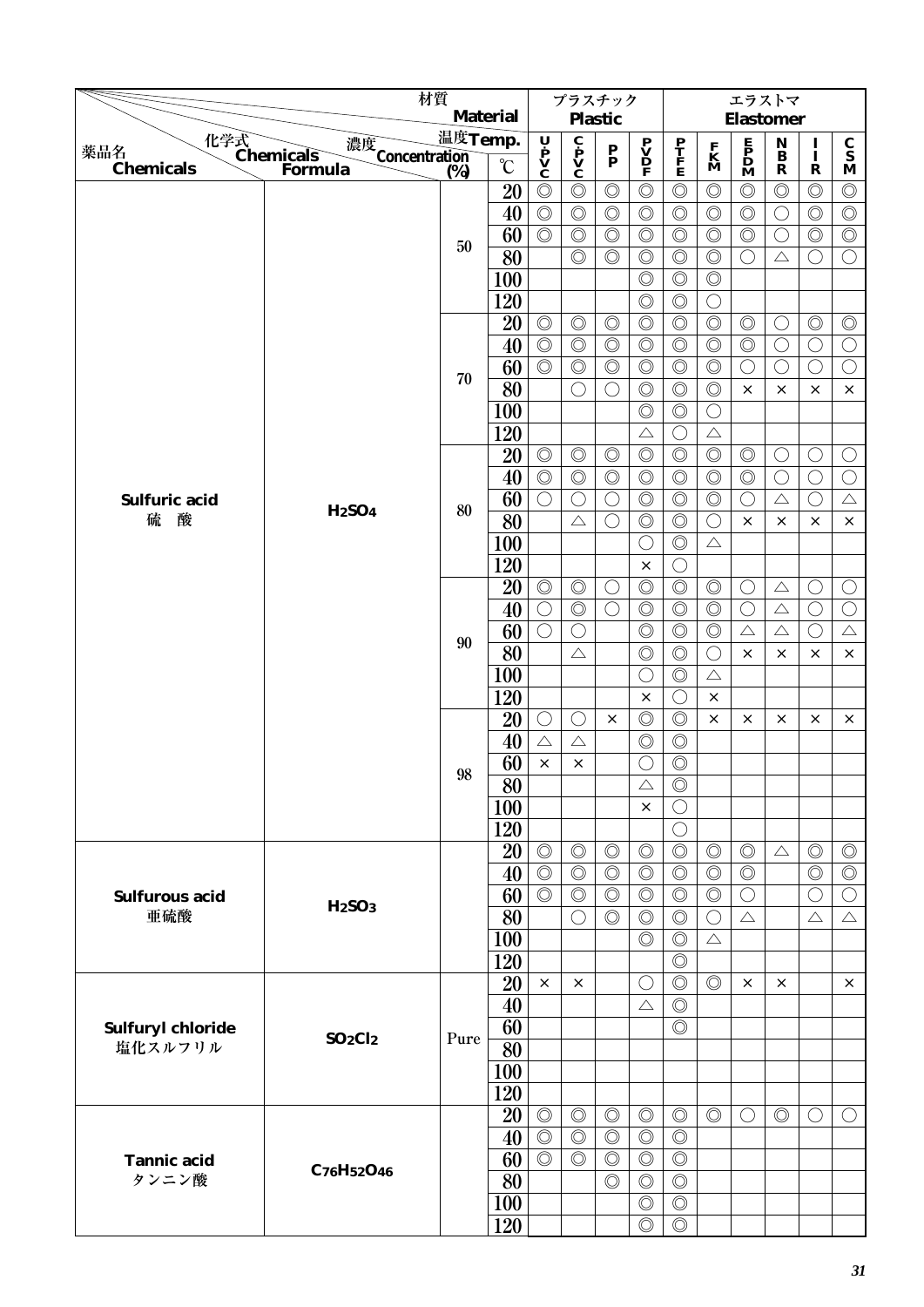|                       |                                             | 材質      |                   |                                         | プラスチック                                                  |                                 |                                              |                                  |                   |                                              | エラストマ                                  |                               |                                  |
|-----------------------|---------------------------------------------|---------|-------------------|-----------------------------------------|---------------------------------------------------------|---------------------------------|----------------------------------------------|----------------------------------|-------------------|----------------------------------------------|----------------------------------------|-------------------------------|----------------------------------|
|                       |                                             |         | <b>Material</b>   |                                         |                                                         | <b>Plastic</b>                  |                                              |                                  |                   |                                              | <b>Elastomer</b>                       |                               |                                  |
| 薬品名                   | 化学式<br>Chemicals<br>濃度<br>Concentration (%) | 温度Temp. | $\rm ^{\circ}\!C$ | Ų<br>$\dot{\mathbf{P}}$<br>$\mathbf{V}$ | $\overline{\mathbf{c}}$<br>$\mathbf{v}$<br>$\mathbf{c}$ | $\frac{\mathbf{P}}{\mathbf{P}}$ | $\mathbf{P}$<br>$\mathbf{D}$<br>$\mathbf{P}$ | $\frac{\mathbf{P}}{\mathbf{F}}$  | $\mathbf{K}$<br>M | $\begin{array}{c}\nE \\ P \\ D\n\end{array}$ | $\mathbf N$<br>$\overline{\mathbf{B}}$ | $\frac{I}{I}$                 | $\frac{\mathbf{C}}{\mathbf{S}}$  |
| <b>Chemicals</b>      | <b>Formula</b>                              |         |                   | $\circledcirc$                          |                                                         | $\circledcirc$                  | $\circledcirc$                               |                                  | $\circledcirc$    |                                              | $\mathbf R$<br>$\circledcirc$          | $\mathbf R$<br>$\circledcirc$ | $\mathbf M$                      |
|                       |                                             |         | 20<br>40          | $\circledcirc$                          | $\circledcirc$<br>$\circledcirc$                        | $\circledcirc$                  | $\circledcirc$                               | $\circledcirc$<br>$\circledcirc$ | $\circledcirc$    | $\circledcirc$<br>$\circledcirc$             |                                        | $\circledcirc$                | $\circledcirc$<br>$\circledcirc$ |
|                       |                                             |         | 60                | $\circledcirc$                          | $\circledcirc$                                          | $\circledcirc$                  | $\circledcirc$                               | $\circledcirc$                   | $\circledcirc$    | $\circledcirc$                               | $\bigcirc$<br>$\left(\right)$          | $\circledcirc$                | $\circledcirc$                   |
|                       |                                             | 50      | 80                |                                         | $\circledcirc$                                          | $\circledcirc$                  | $\circledcirc$                               | $\circledcirc$                   | $\circledcirc$    | ◯                                            | $\triangle$                            | $\bigcirc$                    | $\bigcirc$                       |
|                       |                                             |         | <b>100</b>        |                                         |                                                         |                                 | $\circledcirc$                               | $\circledcirc$                   | $\circledcirc$    |                                              |                                        |                               |                                  |
|                       |                                             |         | 120               |                                         |                                                         |                                 | $\circledcirc$                               | $\circledcirc$                   | $\bigcirc$        |                                              |                                        |                               |                                  |
|                       |                                             |         | 20                | $\circledcirc$                          | $\circledcirc$                                          | $\circledcirc$                  | $\circledcirc$                               | $\circledcirc$                   | $\circledcirc$    | $\circledcirc$                               | $\bigcirc$                             | $\circledcirc$                | $\circledcirc$                   |
|                       |                                             |         | 40                | $\circledcirc$                          | $\circledcirc$                                          | $\circledcirc$                  | $\circledcirc$                               | $\circledcirc$                   | $\circledcirc$    | $\circledcirc$                               | $\bigcirc$                             | $\bigcirc$                    | $\bigcirc$                       |
|                       |                                             |         | 60                | $\circledcirc$                          | $\circledcirc$                                          | $\circledcirc$                  | $\circledcirc$                               | $\circledcirc$                   | $\circledcirc$    | $\bigcirc$                                   | $\bigcirc$                             | $\bigcirc$                    | $\bigcirc$                       |
|                       |                                             | 70      | 80                |                                         | $\bigcirc$                                              | $\bigcirc$                      | $\circledcirc$                               | $\circledcirc$                   | $\circledcirc$    | $\times$                                     | $\times$                               | $\times$                      | $\times$                         |
|                       |                                             |         | 100               |                                         |                                                         |                                 | $\circledcirc$                               | $\circledcirc$                   | $\bigcirc$        |                                              |                                        |                               |                                  |
|                       |                                             |         | 120               |                                         |                                                         |                                 | $\triangle$                                  | O                                | $\triangle$       |                                              |                                        |                               |                                  |
|                       |                                             |         | 20                | $\circledcirc$                          | $\circledcirc$                                          | $\circledcirc$                  | $\circledcirc$                               | $\circledcirc$                   | $\circledcirc$    | $\circledcirc$                               | $\bigcirc$                             | $\bigcirc$                    | $\bigcirc$                       |
|                       |                                             |         | 40                | $\circledcirc$                          | $\circledcirc$                                          | $\circledcirc$                  | $\circledcirc$                               | $\circledcirc$                   | $\circledcirc$    | $\circledcirc$                               | $\bigcirc$                             | $\bigcirc$                    | $\bigcirc$                       |
| Sulfuric acid         |                                             |         | 60                | $\bigcirc$                              | $\bigcirc$                                              | $\bigcirc$                      | $\circledcirc$                               | $\circledcirc$                   | $\circledcirc$    | ◯                                            | $\triangle$                            | $\bigcirc$                    | $\triangle$                      |
| 酸<br>硫                | <b>H2SO4</b>                                | 80      | 80                |                                         | $\triangle$                                             | $\bigcirc$                      | $\circledcirc$                               | $\circledcirc$                   | $\bigcirc$        | $\times$                                     | $\times$                               | $\times$                      | $\times$                         |
|                       |                                             |         | 100               |                                         |                                                         |                                 | $\bigcirc$                                   | $\circledcirc$                   | $\triangle$       |                                              |                                        |                               |                                  |
|                       |                                             |         | 120               |                                         |                                                         |                                 | $\times$                                     | O                                |                   |                                              |                                        |                               |                                  |
|                       |                                             |         | 20                | $\circledcirc$                          | $\circledcirc$                                          | $\bigcirc$                      | $\circledcirc$                               | $\circledcirc$                   | $\circledcirc$    | O                                            | $\triangle$                            | $\bigcirc$                    | О                                |
|                       |                                             |         | 40                | $\bigcirc$                              | $\circledcirc$                                          | $\bigcirc$                      | $\circledcirc$                               | $\circledcirc$                   | $\circledcirc$    | $\bigcirc$                                   | $\triangle$                            | $\bigcirc$                    | $\bigcirc$                       |
|                       |                                             |         | 60                | $\bigcirc$                              | $\bigcirc$                                              |                                 | $\circledcirc$                               | $\circledcirc$                   | $\circledcirc$    | $\triangle$                                  | $\triangle$                            | $\bigcirc$                    | $\triangle$                      |
|                       |                                             | 90      | 80                |                                         | $\triangle$                                             |                                 | $\circledcirc$                               | $\circledcirc$                   | $\bigcirc$        | $\times$                                     | X                                      | $\times$                      | $\times$                         |
|                       |                                             |         | <b>100</b>        |                                         |                                                         |                                 | $\bigcirc$                                   | $\circledcirc$                   | $\triangle$       |                                              |                                        |                               |                                  |
|                       |                                             |         | 120               |                                         |                                                         |                                 | $\times$                                     | ◯                                | $\times$          |                                              |                                        |                               |                                  |
|                       |                                             |         | 20                | O                                       | O                                                       | $\times$                        | $\circledcirc$                               | $\circledcirc$                   | $\times$          | $\times$                                     | ×                                      | ×                             | $\times$                         |
|                       |                                             |         | 40                | $\triangle$                             | $\triangle$                                             |                                 | $\circledcirc$                               | $\circledcirc$                   |                   |                                              |                                        |                               |                                  |
|                       |                                             |         | 60                | $\times$                                | $\times$                                                |                                 | $\bigcirc$                                   | $\circledcirc$                   |                   |                                              |                                        |                               |                                  |
|                       |                                             | 98      | $\overline{80}$   |                                         |                                                         |                                 | $\triangle$                                  | $\overline{\circ}$               |                   |                                              |                                        |                               |                                  |
|                       |                                             |         | 100               |                                         |                                                         |                                 | $\times$                                     | $\left(\right)$                  |                   |                                              |                                        |                               |                                  |
|                       |                                             |         | 120               |                                         |                                                         |                                 |                                              | $\bigcirc$                       |                   |                                              |                                        |                               |                                  |
|                       |                                             |         | 20                | $\circledcirc$                          | $\circledcirc$                                          | $\circledcirc$                  | $\circledcirc$                               | $\circledcirc$                   | $\circledcirc$    | $\circledcirc$                               | $\triangle$                            | $\circledcirc$                | $\circledcirc$                   |
|                       |                                             |         | 40                | $\circledcirc$                          | $\circledcirc$                                          | $\circledcirc$                  | $\circledcirc$                               | $\circledcirc$                   | $\circledcirc$    | $\circledcirc$                               |                                        | $\circledcirc$                | $\circledcirc$                   |
| <b>Sulfurous acid</b> |                                             |         | 60                | $\circledcirc$                          | $\circledcirc$                                          | $\circledcirc$                  | $\circledcirc$                               | $\circledcirc$                   | $\circledcirc$    | $\bigcirc$                                   |                                        | O                             | $\bigcirc$                       |
| 亜硫酸                   | H <sub>2</sub> SO <sub>3</sub>              |         | 80                |                                         | $\bigcirc$                                              | $\circledcirc$                  | $\circledcirc$                               | $\circledcirc$                   | $\bigcirc$        | $\triangle$                                  |                                        | $\triangle$                   | $\triangle$                      |
|                       |                                             |         | 100               |                                         |                                                         |                                 | $\circledcirc$                               | $\circledcirc$                   | $\triangle$       |                                              |                                        |                               |                                  |
|                       |                                             |         | 120               |                                         |                                                         |                                 |                                              | $\circledcirc$                   |                   |                                              |                                        |                               |                                  |
|                       |                                             |         | 20                | $\times$                                | $\times$                                                |                                 | O                                            | $\circledcirc$                   | $\circledcirc$    | $\times$                                     | $\times$                               |                               | $\times$                         |
|                       |                                             |         | 40                |                                         |                                                         |                                 | $\triangle$                                  | $\circledcirc$                   |                   |                                              |                                        |                               |                                  |
| Sulfuryl chloride     | $SO_2Cl_2$                                  | Pure    | 60                |                                         |                                                         |                                 |                                              | $\circledcirc$                   |                   |                                              |                                        |                               |                                  |
| 塩化スルフリル               |                                             |         | 80                |                                         |                                                         |                                 |                                              |                                  |                   |                                              |                                        |                               |                                  |
|                       |                                             |         | <b>100</b>        |                                         |                                                         |                                 |                                              |                                  |                   |                                              |                                        |                               |                                  |
|                       |                                             |         | 120               |                                         |                                                         |                                 |                                              |                                  |                   |                                              |                                        |                               |                                  |
|                       |                                             |         | 20                | $\circledcirc$                          | $\circledcirc$                                          | $\circledcirc$                  | $\circledcirc$                               | $\circledcirc$                   | $\circledcirc$    | O                                            | $\circledcirc$                         | $\bigcirc$                    | $\bigcirc$                       |
|                       |                                             |         | 40                | $\circledcirc$                          | $\circledcirc$                                          | $\circledcirc$                  | $\circledcirc$                               | $\circledcirc$                   |                   |                                              |                                        |                               |                                  |
| <b>Tannic acid</b>    | C76H52O46                                   |         | 60                | $\circledcirc$                          | $\circledcirc$                                          | $\circledcirc$                  | $\circledcirc$                               | $\circledcirc$                   |                   |                                              |                                        |                               |                                  |
| タンニン酸                 |                                             |         | 80                |                                         |                                                         | $\circledcirc$                  | $\circledcirc$                               | $\circledcirc$                   |                   |                                              |                                        |                               |                                  |
|                       |                                             |         | 100               |                                         |                                                         |                                 | $\circledcirc$                               | $\circledcirc$                   |                   |                                              |                                        |                               |                                  |
|                       |                                             |         | 120               |                                         |                                                         |                                 | $\circledcirc$                               | $\circledcirc$                   |                   |                                              |                                        |                               |                                  |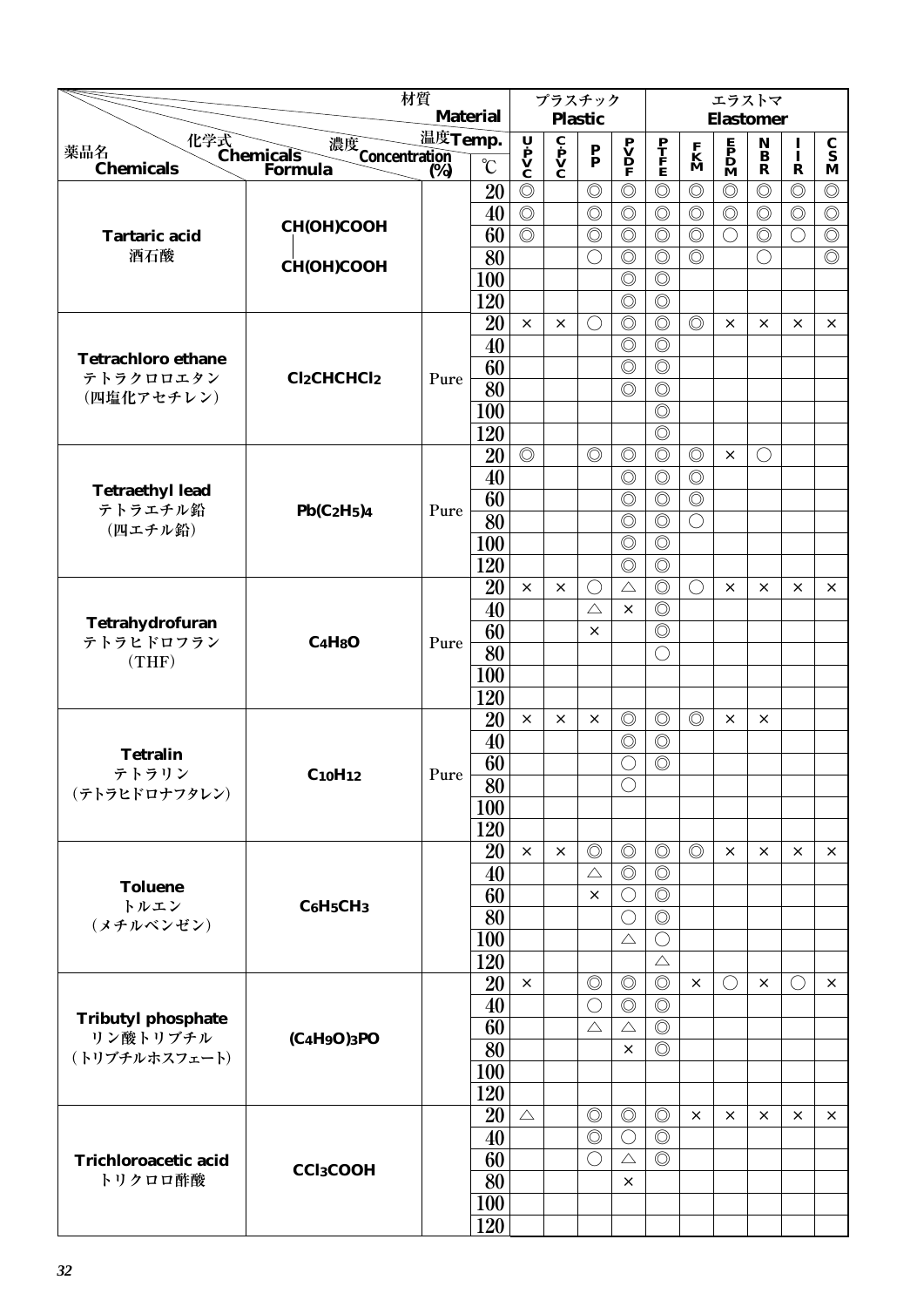|                                                                                                                                                                                                |                             | 材質      |                 |                                                                                       |                                                                         | プラスチック                                      |                                                                                     |                                  |                                  | エラストマ                                        |                                 |                |                                  |
|------------------------------------------------------------------------------------------------------------------------------------------------------------------------------------------------|-----------------------------|---------|-----------------|---------------------------------------------------------------------------------------|-------------------------------------------------------------------------|---------------------------------------------|-------------------------------------------------------------------------------------|----------------------------------|----------------------------------|----------------------------------------------|---------------------------------|----------------|----------------------------------|
|                                                                                                                                                                                                |                             |         | <b>Material</b> |                                                                                       |                                                                         | <b>Plastic</b>                              |                                                                                     |                                  |                                  | <b>Elastomer</b>                             |                                 |                |                                  |
| 化学式<br>Chemicals<br>薬品名                                                                                                                                                                        | 濃度<br>Concentration<br>(%)  | 温度Temp. |                 | $\begin{array}{c}\n\mathbf{U} \\ \mathbf{P} \\ \mathbf{V} \\ \mathbf{C}\n\end{array}$ | $\overline{\mathbf{c}}$<br>$\mathbf{p}$<br>$\mathbf{v}$<br>$\mathbf{c}$ | $\mathbf{P}_{\mathbf{P}}$                   | $\begin{array}{c} \mathbf{P} \\ \mathbf{V} \\ \mathbf{D} \\ \mathbf{F} \end{array}$ | $\frac{\mathbf{P}}{\mathbf{F}}$  | $\mathbf{K}$<br>$\mathbf{M}$     | $\mathbf{P}$<br>$\mathbf{D}$<br>$\mathbf{M}$ | $\mathop{\bf N}\limits_{\bf B}$ | $\mathbf{I}$   | $\frac{\mathbf{C}}{\mathbf{S}}$  |
| <b>Chemicals</b>                                                                                                                                                                               | Formula                     | (%)     | $\mathcal{C}$   |                                                                                       |                                                                         |                                             |                                                                                     |                                  |                                  |                                              | $\mathbf R$                     | ${\bf R}$      | M                                |
|                                                                                                                                                                                                |                             |         | 20              | $\circledcirc$                                                                        |                                                                         | $\circledcirc$                              | $\circledcirc$                                                                      | $\circledcirc$                   | $\circledcirc$                   | $\circledcirc$                               | $\circledcirc$                  | $\circledcirc$ | $\circledcirc$                   |
|                                                                                                                                                                                                | СН(ОН)СООН                  |         | 40              | $\circledcirc$                                                                        |                                                                         | $\circledcirc$                              | $\circledcirc$                                                                      | $\circledcirc$                   | $\circledcirc$                   | $\circledcirc$                               | $\circledcirc$                  | $\circledcirc$ | $\circledcirc$                   |
| <b>Tartaric acid</b><br>酒石酸                                                                                                                                                                    |                             |         | 60              | $\overline{\circlearrowright}$                                                        |                                                                         | $\circledcirc$                              | $\circledcirc$                                                                      | $\circledcirc$                   | $\circledcirc$<br>$\circledcirc$ | $\bigcirc$                                   | $\circledcirc$                  | $\bigcirc$     | $\circledcirc$<br>$\circledcirc$ |
|                                                                                                                                                                                                | <b>CH(OH)COOH</b>           |         | 80              |                                                                                       |                                                                         | $\bigcirc$                                  | $\circledcirc$<br>$\circledcirc$                                                    | $\circledcirc$<br>$\circledcirc$ |                                  |                                              | $\bigcirc$                      |                |                                  |
|                                                                                                                                                                                                |                             |         | 100<br>120      |                                                                                       |                                                                         |                                             | $\circledcirc$                                                                      | $\circledcirc$                   |                                  |                                              |                                 |                |                                  |
|                                                                                                                                                                                                |                             |         | 20              | $\times$                                                                              | $\times$                                                                | $\left(\begin{array}{c} \end{array}\right)$ | $\circledcirc$                                                                      | $\circledcirc$                   | $\circledcirc$                   | $\times$                                     | $\times$                        | ×              | $\times$                         |
|                                                                                                                                                                                                |                             |         | 40              |                                                                                       |                                                                         |                                             | $\circledcirc$                                                                      | $\circledcirc$                   |                                  |                                              |                                 |                |                                  |
| <b>Tetrachloro ethane</b>                                                                                                                                                                      |                             |         | 60              |                                                                                       |                                                                         |                                             | $\circledcirc$                                                                      | $\circledcirc$                   |                                  |                                              |                                 |                |                                  |
| テトラクロロエタン                                                                                                                                                                                      | <b>Cl2CHCHCl2</b>           | Pure    | 80              |                                                                                       |                                                                         |                                             | $\circledcirc$                                                                      | $\circledcirc$                   |                                  |                                              |                                 |                |                                  |
| (四塩化アセチレン)                                                                                                                                                                                     |                             |         | 100             |                                                                                       |                                                                         |                                             |                                                                                     | $\circledcirc$                   |                                  |                                              |                                 |                |                                  |
|                                                                                                                                                                                                |                             |         | 120             |                                                                                       |                                                                         |                                             |                                                                                     | $\circledcirc$                   |                                  |                                              |                                 |                |                                  |
|                                                                                                                                                                                                |                             |         | 20              | $\circledcirc$                                                                        |                                                                         | $\circledcirc$                              | $\circledcirc$                                                                      | $\circledcirc$                   | $\circledcirc$                   | $\times$                                     | $\bigcirc$                      |                |                                  |
|                                                                                                                                                                                                |                             |         | 40              |                                                                                       |                                                                         |                                             | $\circledcirc$                                                                      | $\circledcirc$                   | $\circledcirc$                   |                                              |                                 |                |                                  |
| <b>Tetraethyl lead</b>                                                                                                                                                                         |                             |         | 60              |                                                                                       |                                                                         |                                             | $\circledcirc$                                                                      | $\circledcirc$                   | $\circledcirc$                   |                                              |                                 |                |                                  |
| テトラエチル鉛<br>(四エチル鉛)                                                                                                                                                                             | $Pb(C_2H_5)$ 4              | Pure    | 80              |                                                                                       |                                                                         |                                             | $\circledcirc$                                                                      | $\circledcirc$                   | $\bigcirc$                       |                                              |                                 |                |                                  |
|                                                                                                                                                                                                |                             |         | 100             |                                                                                       |                                                                         |                                             | $\circledcirc$                                                                      | $\circledcirc$                   |                                  |                                              |                                 |                |                                  |
|                                                                                                                                                                                                |                             |         | 120             |                                                                                       |                                                                         |                                             | $\circledcirc$                                                                      | $\circledcirc$                   |                                  |                                              |                                 |                |                                  |
|                                                                                                                                                                                                |                             |         | 20              | $\times$                                                                              | $\times$                                                                | $\bigcirc$                                  | $\triangle$                                                                         | $\circledcirc$                   | $\bigcirc$                       | $\times$                                     | $\times$                        | $\times$       | $\times$                         |
|                                                                                                                                                                                                |                             |         | 40              |                                                                                       |                                                                         | $\triangle$                                 | $\times$                                                                            | $\circledcirc$                   |                                  |                                              |                                 |                |                                  |
|                                                                                                                                                                                                |                             |         |                 |                                                                                       |                                                                         | $\times$                                    |                                                                                     | $\circledcirc$                   |                                  |                                              |                                 |                |                                  |
|                                                                                                                                                                                                |                             |         |                 |                                                                                       |                                                                         |                                             |                                                                                     | O                                |                                  |                                              |                                 |                |                                  |
| Tetrahydrofuran<br>60<br>テトラヒドロフラン<br>C <sub>4</sub> H <sub>8</sub> O<br>Pure<br>80<br>(THF)<br>100<br>120<br>20<br>$\times$<br>40<br><b>Tetralin</b><br>60<br>テトラリン<br>$C_{10}H_{12}$<br>Pure |                             |         |                 |                                                                                       |                                                                         |                                             |                                                                                     |                                  |                                  |                                              |                                 |                |                                  |
|                                                                                                                                                                                                |                             |         |                 |                                                                                       |                                                                         |                                             |                                                                                     |                                  |                                  |                                              |                                 |                |                                  |
|                                                                                                                                                                                                |                             |         |                 |                                                                                       | $\times$                                                                | $\times$                                    | $\circledcirc$                                                                      | $\circledcirc$                   | $\circledcirc$                   | ×                                            | $\times$                        |                |                                  |
|                                                                                                                                                                                                |                             |         |                 |                                                                                       |                                                                         |                                             | $\circledcirc$                                                                      | $\circledcirc$                   |                                  |                                              |                                 |                |                                  |
|                                                                                                                                                                                                |                             |         |                 |                                                                                       |                                                                         |                                             | $\bigcirc$                                                                          | $\circledcirc$                   |                                  |                                              |                                 |                |                                  |
| (テトラヒドロナフタレン)                                                                                                                                                                                  |                             |         | $\overline{80}$ |                                                                                       |                                                                         |                                             | $\bigcirc$                                                                          |                                  |                                  |                                              |                                 |                |                                  |
|                                                                                                                                                                                                |                             |         | <b>100</b>      |                                                                                       |                                                                         |                                             |                                                                                     |                                  |                                  |                                              |                                 |                |                                  |
|                                                                                                                                                                                                |                             |         | 120             | $\times$                                                                              |                                                                         | $\circledcirc$                              | $\circledcirc$                                                                      | $\circledcirc$                   | $\circledcirc$                   |                                              | $\times$                        |                |                                  |
|                                                                                                                                                                                                |                             |         | 20<br>40        |                                                                                       | $\times$                                                                | $\triangle$                                 | $\circledcirc$                                                                      | $\circledcirc$                   |                                  | $\times$                                     |                                 | ×              | $\times$                         |
| <b>Toluene</b>                                                                                                                                                                                 |                             |         | 60              |                                                                                       |                                                                         | $\times$                                    | $\bigcirc$                                                                          | $\circledcirc$                   |                                  |                                              |                                 |                |                                  |
| トルエン                                                                                                                                                                                           | $C_6H_5CH_3$                |         | 80              |                                                                                       |                                                                         |                                             | $\bigcirc$                                                                          | $\circledcirc$                   |                                  |                                              |                                 |                |                                  |
| (メチルベンゼン)                                                                                                                                                                                      |                             |         | 100             |                                                                                       |                                                                         |                                             | $\triangle$                                                                         | $\bigcirc$                       |                                  |                                              |                                 |                |                                  |
|                                                                                                                                                                                                |                             |         | 120             |                                                                                       |                                                                         |                                             |                                                                                     | $\triangle$                      |                                  |                                              |                                 |                |                                  |
|                                                                                                                                                                                                |                             |         | 20              | $\times$                                                                              |                                                                         | $\circledcirc$                              | $\circledcirc$                                                                      | $\circledcirc$                   | $\times$                         | $\bigcirc$                                   | $\times$                        | $\bigcirc$     | $\times$                         |
|                                                                                                                                                                                                |                             |         | 40              |                                                                                       |                                                                         | $\bigcirc$                                  | $\circledcirc$                                                                      | $\circledcirc$                   |                                  |                                              |                                 |                |                                  |
|                                                                                                                                                                                                |                             |         | 60              |                                                                                       |                                                                         | $\triangle$                                 | $\triangle$                                                                         | $\circledcirc$                   |                                  |                                              |                                 |                |                                  |
| <b>Tributyl phosphate</b><br>リン酸トリブチル<br>(トリブチルホスフェート)                                                                                                                                         | $(C_4H_9O)$ <sub>3</sub> PO |         | 80              |                                                                                       |                                                                         |                                             | ×                                                                                   | $\circledcirc$                   |                                  |                                              |                                 |                |                                  |
|                                                                                                                                                                                                |                             |         | 100             |                                                                                       |                                                                         |                                             |                                                                                     |                                  |                                  |                                              |                                 |                |                                  |
|                                                                                                                                                                                                |                             |         | 120             |                                                                                       |                                                                         |                                             |                                                                                     |                                  |                                  |                                              |                                 |                |                                  |
|                                                                                                                                                                                                |                             |         | 20              | $\triangle$                                                                           |                                                                         | $\circledcirc$                              | $\circledcirc$                                                                      | $\circledcirc$                   | $\times$                         | $\times$                                     | $\times$                        | ×              | $\times$                         |
|                                                                                                                                                                                                |                             |         | 40              |                                                                                       |                                                                         | $\circledcirc$                              | $\bigcirc$                                                                          | $\circledcirc$                   |                                  |                                              |                                 |                |                                  |
| <b>Trichloroacetic acid</b>                                                                                                                                                                    | <b>CCl3COOH</b>             |         | 60              |                                                                                       |                                                                         | $\bigcirc$                                  | $\triangle$                                                                         | $\circledcirc$                   |                                  |                                              |                                 |                |                                  |
| トリクロロ酢酸                                                                                                                                                                                        |                             |         | 80              |                                                                                       |                                                                         |                                             | X                                                                                   |                                  |                                  |                                              |                                 |                |                                  |
|                                                                                                                                                                                                |                             |         | 100             |                                                                                       |                                                                         |                                             |                                                                                     |                                  |                                  |                                              |                                 |                |                                  |
|                                                                                                                                                                                                |                             |         | 120             |                                                                                       |                                                                         |                                             |                                                                                     |                                  |                                  |                                              |                                 |                |                                  |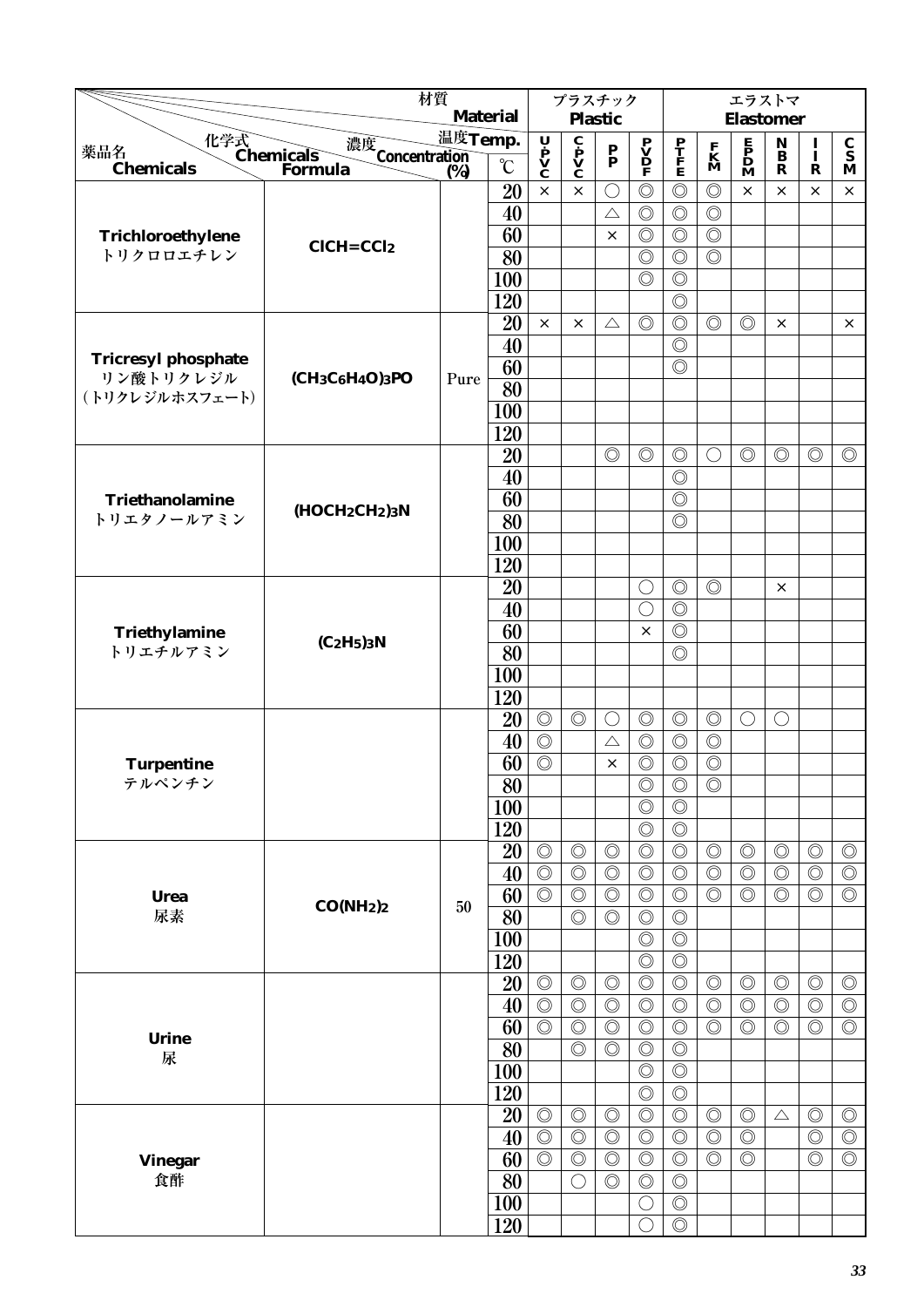|                                             | 材質                                                                |         | <b>Material</b> |                                                                                       | プラスチック                                              |                                  |                                                                                     |                                  |                                  | エラストマ                                                                               |                                                  |                                  |                                  |
|---------------------------------------------|-------------------------------------------------------------------|---------|-----------------|---------------------------------------------------------------------------------------|-----------------------------------------------------|----------------------------------|-------------------------------------------------------------------------------------|----------------------------------|----------------------------------|-------------------------------------------------------------------------------------|--------------------------------------------------|----------------------------------|----------------------------------|
|                                             |                                                                   | 温度Temp. |                 |                                                                                       |                                                     | <b>Plastic</b>                   |                                                                                     |                                  |                                  | <b>Elastomer</b>                                                                    |                                                  |                                  |                                  |
| 化学式<br>Chemicals<br>薬品名<br><b>Chemicals</b> | 濃度<br>Concentration<br>(%)                                        |         | $\rm ^{\circ}C$ | $\begin{array}{c}\n\mathbf{U} \\ \mathbf{P} \\ \mathbf{V} \\ \mathbf{C}\n\end{array}$ | $\mathbf{c}$ $\mathbf{p}$ $\mathbf{v}$ $\mathbf{c}$ | $\mathbf{P}_{\mathbf{P}}$        | $\begin{array}{c} \mathbf{P} \\ \mathbf{V} \\ \mathbf{D} \\ \mathbf{F} \end{array}$ | $\frac{\mathbf{P}}{\mathbf{F}}$  | $\mathbf{K}$<br>$\mathbf{M}$     | $\begin{array}{c} \mathbf{E} \\ \mathbf{P} \\ \mathbf{D} \\ \mathbf{M} \end{array}$ | $\mathbf N$<br>$\mathbf{\bar{B}}$<br>$\mathbf R$ | $\frac{1}{1}$                    | $\frac{\mathbf{C}}{\mathbf{S}}$  |
|                                             | Formula                                                           | (%)     | 20              | $\times$                                                                              | $\times$                                            | $\bigcirc$                       | $\circledcirc$                                                                      | $\circledcirc$                   | $\circledcirc$                   | $\times$                                                                            | $\times$                                         | $\mathbf R$<br>X.                | M<br>$\times$                    |
|                                             |                                                                   |         | 40              |                                                                                       |                                                     | $\triangle$                      | $\circledcirc$                                                                      | $\circledcirc$                   | $\circledcirc$                   |                                                                                     |                                                  |                                  |                                  |
| Trichloroethylene                           |                                                                   |         | 60              |                                                                                       |                                                     | $\times$                         | $\circledcirc$                                                                      | $\circledcirc$                   | $\circledcirc$                   |                                                                                     |                                                  |                                  |                                  |
| トリクロロエチレン                                   | $CICH = CCl2$                                                     |         | $\overline{80}$ |                                                                                       |                                                     |                                  | $\circledcirc$                                                                      | $\circledcirc$                   | $\circledcirc$                   |                                                                                     |                                                  |                                  |                                  |
|                                             |                                                                   |         | 100             |                                                                                       |                                                     |                                  | $\circledcirc$                                                                      | $\circledcirc$                   |                                  |                                                                                     |                                                  |                                  |                                  |
|                                             |                                                                   |         | 120             |                                                                                       |                                                     |                                  |                                                                                     | $\circledcirc$                   |                                  |                                                                                     |                                                  |                                  |                                  |
|                                             |                                                                   |         | 20              | $\times$                                                                              | $\times$                                            | $\triangle$                      | $\circledcirc$                                                                      | $\circledcirc$                   | $\circledcirc$                   | $\circledcirc$                                                                      | $\times$                                         |                                  | $\times$                         |
|                                             |                                                                   |         | 40              |                                                                                       |                                                     |                                  |                                                                                     | $\circledcirc$                   |                                  |                                                                                     |                                                  |                                  |                                  |
| <b>Tricresyl phosphate</b>                  |                                                                   |         | 60              |                                                                                       |                                                     |                                  |                                                                                     | $\circledcirc$                   |                                  |                                                                                     |                                                  |                                  |                                  |
| リン酸トリクレジル                                   | (CH <sub>3</sub> C <sub>6</sub> H <sub>4</sub> O) <sub>3</sub> PO | Pure    | 80              |                                                                                       |                                                     |                                  |                                                                                     |                                  |                                  |                                                                                     |                                                  |                                  |                                  |
| (トリクレジルホスフェート)                              |                                                                   |         | 100             |                                                                                       |                                                     |                                  |                                                                                     |                                  |                                  |                                                                                     |                                                  |                                  |                                  |
|                                             |                                                                   |         | 120             |                                                                                       |                                                     |                                  |                                                                                     |                                  |                                  |                                                                                     |                                                  |                                  |                                  |
|                                             |                                                                   |         | 20              |                                                                                       |                                                     | $\circledcirc$                   | $\circledcirc$                                                                      | $\circledcirc$                   | $\bigcirc$                       | $\circledcirc$                                                                      | $\circledcirc$                                   | $\circledcirc$                   | $\circledcirc$                   |
|                                             |                                                                   |         | 40              |                                                                                       |                                                     |                                  |                                                                                     | $\circledcirc$                   |                                  |                                                                                     |                                                  |                                  |                                  |
| Triethanolamine                             |                                                                   |         | 60              |                                                                                       |                                                     |                                  |                                                                                     | $\circledcirc$                   |                                  |                                                                                     |                                                  |                                  |                                  |
| トリエタノールアミン                                  | $(HOCH2CH2)3N$                                                    |         | 80              |                                                                                       |                                                     |                                  |                                                                                     | $\circledcirc$                   |                                  |                                                                                     |                                                  |                                  |                                  |
|                                             |                                                                   |         | 100             |                                                                                       |                                                     |                                  |                                                                                     |                                  |                                  |                                                                                     |                                                  |                                  |                                  |
|                                             |                                                                   |         | 120             |                                                                                       |                                                     |                                  |                                                                                     |                                  |                                  |                                                                                     |                                                  |                                  |                                  |
|                                             |                                                                   |         | 20              |                                                                                       |                                                     |                                  | $\bigcirc$                                                                          | $\circledcirc$                   | $\circledcirc$                   |                                                                                     | $\times$                                         |                                  |                                  |
|                                             |                                                                   |         | 40              |                                                                                       |                                                     |                                  | Ò                                                                                   | $\circledcirc$                   |                                  |                                                                                     |                                                  |                                  |                                  |
| Triethylamine                               | $(C_2H_5)$ <sub>3</sub> N                                         |         | 60              |                                                                                       |                                                     |                                  | $\times$                                                                            | $\circledcirc$                   |                                  |                                                                                     |                                                  |                                  |                                  |
| トリエチルアミン                                    |                                                                   |         | 80              |                                                                                       |                                                     |                                  |                                                                                     | $\circledcirc$                   |                                  |                                                                                     |                                                  |                                  |                                  |
|                                             |                                                                   |         | <b>100</b>      |                                                                                       |                                                     |                                  |                                                                                     |                                  |                                  |                                                                                     |                                                  |                                  |                                  |
|                                             |                                                                   |         | 120             |                                                                                       |                                                     |                                  |                                                                                     |                                  |                                  |                                                                                     |                                                  |                                  |                                  |
|                                             |                                                                   |         | 20              | $\circledcirc$                                                                        | $\circledcirc$                                      | $\left(\right)$                  | $\circledcirc$                                                                      | $\circledcirc$                   | $\circledcirc$                   | $\bigcirc$                                                                          | $\left(\right)$                                  |                                  |                                  |
|                                             |                                                                   |         | 40              | $\circledcirc$                                                                        |                                                     | $\triangle$                      | $\circledcirc$                                                                      | $\circledcirc$                   | $\circledcirc$                   |                                                                                     |                                                  |                                  |                                  |
| <b>Turpentine</b>                           |                                                                   |         | 60              | $\circledcirc$                                                                        |                                                     | $\times$                         | $\circledcirc$                                                                      | $\circledcirc$                   | $\circledcirc$                   |                                                                                     |                                                  |                                  |                                  |
| テルペンチン                                      |                                                                   |         | $\overline{80}$ |                                                                                       |                                                     |                                  | $\overline{\circ}$                                                                  | $\overline{\circ}$               | $\circledcirc$                   |                                                                                     |                                                  |                                  |                                  |
|                                             |                                                                   |         | 100             |                                                                                       |                                                     |                                  | $\circledcirc$                                                                      | $\circledcirc$                   |                                  |                                                                                     |                                                  |                                  |                                  |
|                                             |                                                                   |         | 120             |                                                                                       |                                                     |                                  | $\circledcirc$                                                                      | $\circledcirc$                   |                                  |                                                                                     |                                                  |                                  |                                  |
|                                             |                                                                   |         | 20              | $\circledcirc$                                                                        | $\circledcirc$                                      | $\circledcirc$                   | $\circledcirc$                                                                      | $\circledcirc$                   | $\circledcirc$                   | $\circledcirc$                                                                      | $\circledcirc$                                   | $\circledcirc$                   | $\circledcirc$                   |
|                                             |                                                                   |         | 40<br>60        | $\circledcirc$<br>$\circledcirc$                                                      | $\circledcirc$<br>$\circledcirc$                    | $\circledcirc$<br>$\circledcirc$ | $\circledcirc$<br>$\circledcirc$                                                    | $\circledcirc$<br>$\circledcirc$ | $\circledcirc$<br>$\circledcirc$ | $\circledcirc$<br>$\circledcirc$                                                    | $\circledcirc$<br>$\circledcirc$                 | $\circledcirc$<br>$\circledcirc$ | $\circledcirc$<br>$\circledcirc$ |
| <b>Urea</b><br>尿素                           | CO(NH <sub>2</sub> ) <sub>2</sub>                                 | 50      | 80              |                                                                                       | $\circledcirc$                                      | $\circledcirc$                   | $\circledcirc$                                                                      | $\circledcirc$                   |                                  |                                                                                     |                                                  |                                  |                                  |
|                                             |                                                                   |         | 100             |                                                                                       |                                                     |                                  | $\circledcirc$                                                                      | $\circledcirc$                   |                                  |                                                                                     |                                                  |                                  |                                  |
|                                             |                                                                   |         | 120             |                                                                                       |                                                     |                                  | $\circledcirc$                                                                      | $\circledcirc$                   |                                  |                                                                                     |                                                  |                                  |                                  |
|                                             |                                                                   |         | 20              | $\circledcirc$                                                                        | $\circledcirc$                                      | $\circledcirc$                   | $\circledcirc$                                                                      | $\circledcirc$                   | $\circledcirc$                   | $\circledcirc$                                                                      | $\circledcirc$                                   | $\circledcirc$                   | $\circledcirc$                   |
|                                             |                                                                   |         | 40              | $\circledcirc$                                                                        | $\circledcirc$                                      | $\circledcirc$                   | $\circledcirc$                                                                      | $\circledcirc$                   | $\circledcirc$                   | $\circledcirc$                                                                      | $\circledcirc$                                   | $\circledcirc$                   | $\circledcirc$                   |
|                                             |                                                                   |         | 60              | $\overline{\circlearrowright}$                                                        | $\circledcirc$                                      | $\circledcirc$                   | $\circledcirc$                                                                      | $\circledcirc$                   | $\circledcirc$                   | $\circledcirc$                                                                      | $\circledcirc$                                   | $\circledcirc$                   | $\overline{\circlearrowright}$   |
| <b>Urine</b>                                |                                                                   |         | $\overline{80}$ |                                                                                       | $\circledcirc$                                      | $\circledcirc$                   | $\circledcirc$                                                                      | $\circledcirc$                   |                                  |                                                                                     |                                                  |                                  |                                  |
| 尿                                           |                                                                   |         | 100             |                                                                                       |                                                     |                                  | $\circledcirc$                                                                      | $\circledcirc$                   |                                  |                                                                                     |                                                  |                                  |                                  |
|                                             |                                                                   |         | 120             |                                                                                       |                                                     |                                  | $\circledcirc$                                                                      | $\circledcirc$                   |                                  |                                                                                     |                                                  |                                  |                                  |
|                                             |                                                                   |         | 20              | $\circledcirc$                                                                        | $\circledcirc$                                      | $\circledcirc$                   | $\circledcirc$                                                                      | $\circledcirc$                   | $\circledcirc$                   | $\circledcirc$                                                                      | $\triangle$                                      | $\circledcirc$                   | $\circledcirc$                   |
|                                             |                                                                   |         | 40              | $\circledcirc$                                                                        | $\circledcirc$                                      | $\circledcirc$                   | $\circledcirc$                                                                      | $\circledcirc$                   | $\circledcirc$                   | $\circledcirc$                                                                      |                                                  | $\circledcirc$                   | $\circledcirc$                   |
| <b>Vinegar</b>                              |                                                                   |         | 60              | $\circledcirc$                                                                        | $\circledcirc$                                      | $\circledcirc$                   | $\circledcirc$                                                                      | $\circledcirc$                   | $\circledcirc$                   | $\circledcirc$                                                                      |                                                  | $\circledcirc$                   | $\circledcirc$                   |
| 食酢                                          |                                                                   |         | 80              |                                                                                       | $\bigcirc$                                          | $\circledcirc$                   | $\circledcirc$                                                                      | $\circledcirc$                   |                                  |                                                                                     |                                                  |                                  |                                  |
|                                             |                                                                   |         | 100             |                                                                                       |                                                     |                                  | $\bigcirc$                                                                          | $\circledcirc$                   |                                  |                                                                                     |                                                  |                                  |                                  |
|                                             |                                                                   |         | 120             |                                                                                       |                                                     |                                  | $\bigcirc$                                                                          | $\circledcirc$                   |                                  |                                                                                     |                                                  |                                  |                                  |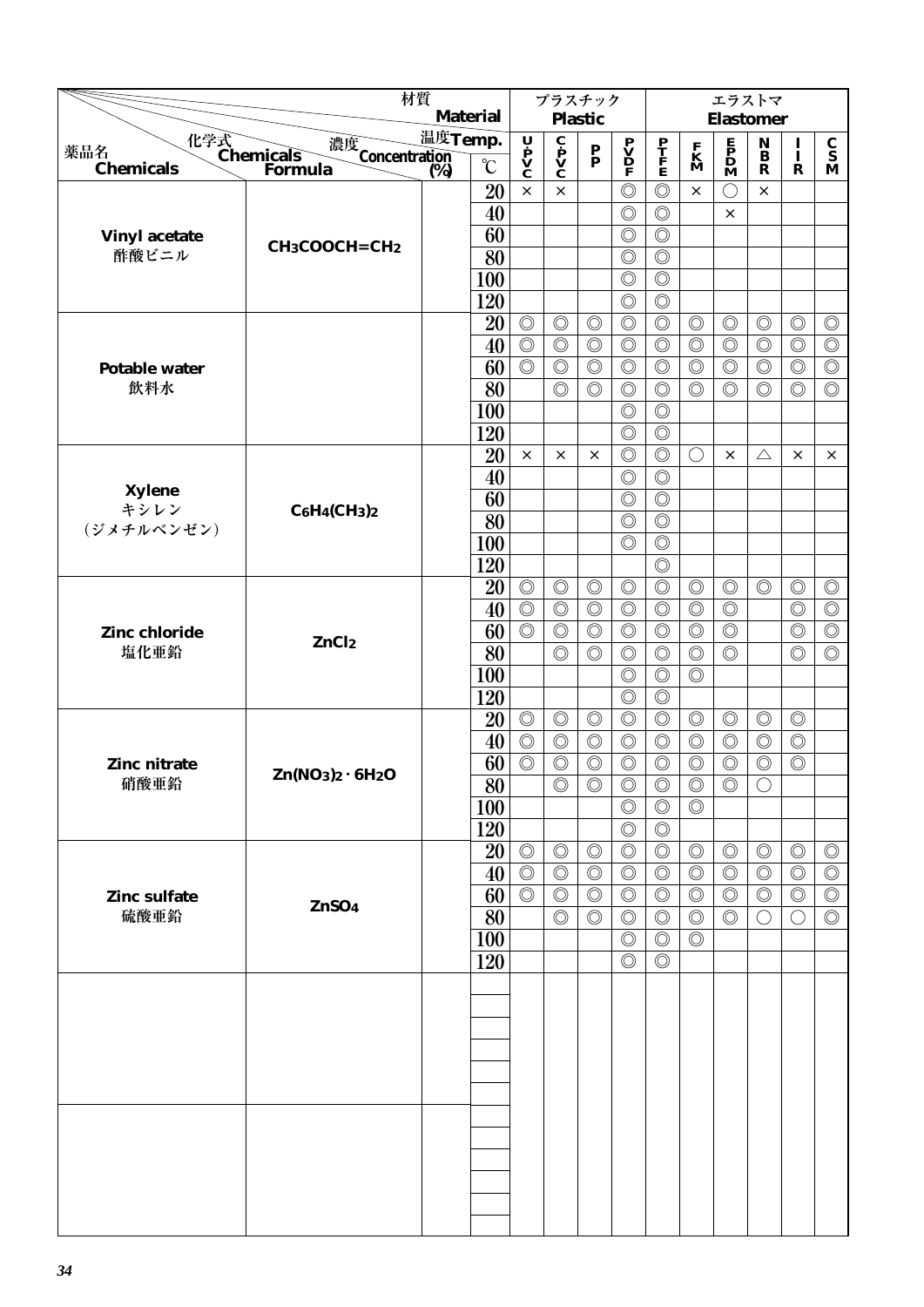|                             | 材質                                    |                                     | プラスチック                           |                                                                         |                                  |                                                                                     |                                  | エラストマ                            |                                                                                     |                              |                                  |                                  |  |  |
|-----------------------------|---------------------------------------|-------------------------------------|----------------------------------|-------------------------------------------------------------------------|----------------------------------|-------------------------------------------------------------------------------------|----------------------------------|----------------------------------|-------------------------------------------------------------------------------------|------------------------------|----------------------------------|----------------------------------|--|--|
|                             |                                       | <b>Material</b>                     |                                  |                                                                         | <b>Plastic</b>                   |                                                                                     |                                  | <b>Elastomer</b>                 |                                                                                     |                              |                                  |                                  |  |  |
| 薬品名                         | 化学式<br>Chemicals                      | 温度Temp.                             |                                  |                                                                         |                                  |                                                                                     |                                  |                                  |                                                                                     | $\mathbf{N}$<br>$\mathbf{B}$ | 1                                | $\frac{\mathbf{C}}{\mathbf{S}}$  |  |  |
| <b>Chemicals</b>            | 濃度<br>Concentration<br>(%)<br>Formula | $\rm ^{\circ}C$<br>$\overline{(%)}$ | U P<br>V<br>C                    | $\overline{\mathbf{c}}$<br>$\mathbf{p}$<br>$\mathbf{v}$<br>$\mathbf{c}$ | $\frac{\mathbf{P}}{\mathbf{P}}$  | $\begin{array}{c} \mathbf{P} \\ \mathbf{V} \\ \mathbf{D} \\ \mathbf{F} \end{array}$ | $\frac{\mathbf{P}}{\mathbf{F}}$  | $\mathbf{K}$<br>$\mathbf{M}$     | $\begin{array}{c} \mathbf{E} \\ \mathbf{P} \\ \mathbf{D} \\ \mathbf{M} \end{array}$ | $\mathbf R$                  | Ī<br>$\mathbf R$                 | M                                |  |  |
|                             |                                       | 20                                  | $\times$                         | $\times$                                                                |                                  | $\circledcirc$                                                                      | $\circledcirc$                   | $\times$                         | C                                                                                   | ×                            |                                  |                                  |  |  |
|                             |                                       | 40                                  |                                  |                                                                         |                                  | $\circledcirc$                                                                      | $\circledcirc$                   |                                  | $\times$                                                                            |                              |                                  |                                  |  |  |
| <b>Vinyl acetate</b>        |                                       | 60                                  |                                  |                                                                         |                                  | $\circledcirc$                                                                      | $\circledcirc$                   |                                  |                                                                                     |                              |                                  |                                  |  |  |
| 酢酸ビニル                       | CH <sub>3</sub> COOCH=CH <sub>2</sub> | $\overline{80}$                     |                                  |                                                                         |                                  | $\circledcirc$                                                                      | $\circledcirc$                   |                                  |                                                                                     |                              |                                  |                                  |  |  |
|                             |                                       | 100                                 |                                  |                                                                         |                                  | $\circledcirc$                                                                      | $\circledcirc$                   |                                  |                                                                                     |                              |                                  |                                  |  |  |
|                             |                                       | 120                                 |                                  |                                                                         |                                  | $\circledcirc$                                                                      | $\circledcirc$                   |                                  |                                                                                     |                              |                                  |                                  |  |  |
|                             |                                       | 20                                  | $\circledcirc$                   | $\circledcirc$                                                          | $\circledcirc$                   | $\circledcirc$                                                                      | $\circledcirc$                   | $\circledcirc$                   | $\circledcirc$                                                                      | $\circledcirc$               | $\circledcirc$                   | $\circledcirc$                   |  |  |
|                             |                                       | 40                                  | $\overline{\circlearrowright}$   | $\circledcirc$                                                          | $\circledcirc$                   | $\circledcirc$                                                                      | $\circledcirc$                   | $\circledcirc$                   | $\circledcirc$                                                                      | $\circledcirc$               | $\circledcirc$                   | $\circledcirc$                   |  |  |
| <b>Potable water</b>        |                                       | 60                                  | $\circledcirc$                   | $\circledcirc$                                                          | $\circledcirc$                   | $\circledcirc$                                                                      | $\circledcirc$                   | $\circledcirc$                   | $\circledcirc$                                                                      | $\circledcirc$               | $\circledcirc$                   | $\circledcirc$                   |  |  |
| 飲料水                         |                                       | 80                                  |                                  | $\circledcirc$                                                          | $\circledcirc$                   | $\circledcirc$                                                                      | $\circledcirc$                   | $\circledcirc$                   | $\circledcirc$                                                                      | $\circledcirc$               | $\circledcirc$                   | $\circledcirc$                   |  |  |
|                             |                                       | 100                                 |                                  |                                                                         |                                  | $\circledcirc$                                                                      | $\circledcirc$                   |                                  |                                                                                     |                              |                                  |                                  |  |  |
|                             |                                       | 120                                 |                                  |                                                                         |                                  | $\circledcirc$                                                                      | $\circledcirc$                   |                                  |                                                                                     |                              |                                  |                                  |  |  |
|                             |                                       | 20                                  | $\times$                         | $\times$                                                                | $\times$                         | $\circledcirc$                                                                      | $\circledcirc$                   | $\bigcirc$                       | $\times$                                                                            | $\triangle$                  | $\times$                         | ×                                |  |  |
| Xylene                      |                                       | 40                                  |                                  |                                                                         |                                  | $\circledcirc$                                                                      | $\circledcirc$                   |                                  |                                                                                     |                              |                                  |                                  |  |  |
| キシレン                        | $C_6H_4CH_3)_2$                       | 60                                  |                                  |                                                                         |                                  | $\circledcirc$                                                                      | $\circledcirc$                   |                                  |                                                                                     |                              |                                  |                                  |  |  |
| (ジメチルベンゼン)                  |                                       | 80                                  |                                  |                                                                         |                                  | $\circledcirc$                                                                      | $\circledcirc$                   |                                  |                                                                                     |                              |                                  |                                  |  |  |
|                             |                                       | 100                                 |                                  |                                                                         |                                  | $\circledcirc$                                                                      | $\circledcirc$                   |                                  |                                                                                     |                              |                                  |                                  |  |  |
|                             |                                       | 120                                 |                                  |                                                                         |                                  |                                                                                     | $\circledcirc$                   |                                  |                                                                                     |                              |                                  |                                  |  |  |
|                             |                                       | 20                                  | $\circledcirc$                   | $\circledcirc$                                                          | $\circledcirc$                   | $\circledcirc$                                                                      | $\circledcirc$                   | $\circledcirc$                   | $\circledcirc$                                                                      | $\circledcirc$               | $\circledcirc$                   | $\circledcirc$                   |  |  |
|                             |                                       | 40                                  | $\circledcirc$                   | $\circledcirc$                                                          | $\circledcirc$                   | $\circledcirc$                                                                      | $\circledcirc$                   | $\circledcirc$                   | $\circledcirc$                                                                      |                              | $\circledcirc$                   | $\circledcirc$                   |  |  |
| Zinc chloride<br>塩化亜鉛       | ZnCl <sub>2</sub>                     | 60                                  | $\circledcirc$                   | $\circledcirc$                                                          | $\circledcirc$                   | $\circledcirc$                                                                      | $\circledcirc$                   | $\circledcirc$                   | $\circledcirc$                                                                      |                              | $\circledcirc$                   | $\circledcirc$                   |  |  |
|                             |                                       | 80                                  |                                  | $\circledcirc$                                                          | $\circledcirc$                   | $\circledcirc$                                                                      | $\circledcirc$                   | $\circledcirc$                   | $\circledcirc$                                                                      |                              | $\circledcirc$                   | $\circledcirc$                   |  |  |
|                             |                                       | 100                                 |                                  |                                                                         |                                  | $\circledcirc$                                                                      | $\circledcirc$                   | $\circledcirc$                   |                                                                                     |                              |                                  |                                  |  |  |
|                             |                                       | 120                                 |                                  |                                                                         |                                  | $\circledcirc$                                                                      | $\circledcirc$                   |                                  |                                                                                     |                              |                                  |                                  |  |  |
|                             |                                       | 20                                  | $\circledcirc$                   | $\circledcirc$                                                          | $\circledcirc$                   | $\circledcirc$                                                                      | $\circledcirc$                   | $\circledcirc$                   | $\circledcirc$                                                                      | $\circledcirc$               | $\circledcirc$                   |                                  |  |  |
|                             |                                       | 40                                  | $\circledcirc$                   | $\circledcirc$                                                          | $\circledcirc$                   | $\circledcirc$                                                                      | $\circledcirc$                   | $\circledcirc$                   | $\circledcirc$                                                                      | $\circledcirc$               | $\circledcirc$                   |                                  |  |  |
| Zinc nitrate                | $Zn(NO3)2 · 6H2O$                     | 60                                  | $\circledcirc$                   | $\circledcirc$                                                          | $\circledcirc$                   | $\circledcirc$                                                                      | $\circledcirc$                   | $\circledcirc$                   | $\circledcirc$                                                                      | $\circledcirc$               | $\circledcirc$                   |                                  |  |  |
| 硝酸亜鉛                        |                                       | $\overline{80}$                     |                                  | $\circledcirc$                                                          | $\circledcirc$                   | $\circledcirc$                                                                      | $\circledcirc$                   | $\overline{\circ}$               | $\circledcirc$                                                                      | $\bigcirc$                   |                                  |                                  |  |  |
|                             |                                       | <b>100</b>                          |                                  |                                                                         |                                  | $\circledcirc$                                                                      | $\circledcirc$                   | $\circledcirc$                   |                                                                                     |                              |                                  |                                  |  |  |
|                             |                                       | 120                                 |                                  |                                                                         |                                  | $\circledcirc$                                                                      | $\circledcirc$                   |                                  |                                                                                     |                              |                                  |                                  |  |  |
|                             |                                       | 20                                  | $\circledcirc$                   | $\circledcirc$                                                          | $\circledcirc$                   | $\circledcirc$                                                                      | $\circledcirc$                   | $\circledcirc$                   | $\circledcirc$                                                                      | $\circledcirc$               | $\circledcirc$                   | $\circledcirc$                   |  |  |
|                             |                                       | 40<br>60                            | $\circledcirc$<br>$\circledcirc$ | $\circledcirc$<br>$\circledcirc$                                        | $\circledcirc$<br>$\circledcirc$ | $\circledcirc$<br>$\circledcirc$                                                    | $\circledcirc$                   | $\circledcirc$<br>$\circledcirc$ | $\circledcirc$<br>$\circledcirc$                                                    | $\circledcirc$               | $\circledcirc$<br>$\circledcirc$ | $\circledcirc$<br>$\circledcirc$ |  |  |
| <b>Zinc sulfate</b><br>硫酸亜鉛 | ZnSO <sub>4</sub>                     | 80                                  |                                  | $\circledcirc$                                                          | $\circledcirc$                   | $\circledcirc$                                                                      | $\circledcirc$<br>$\circledcirc$ | $\circledcirc$                   | $\circledcirc$                                                                      | $\circledcirc$<br>$\bigcirc$ | O                                | $\circledcirc$                   |  |  |
|                             |                                       | 100                                 |                                  |                                                                         |                                  | $\circledcirc$                                                                      | $\circledcirc$                   | $\circledcirc$                   |                                                                                     |                              |                                  |                                  |  |  |
|                             |                                       | 120                                 |                                  |                                                                         |                                  | $\circledcirc$                                                                      | $\circledcirc$                   |                                  |                                                                                     |                              |                                  |                                  |  |  |
|                             |                                       |                                     |                                  |                                                                         |                                  |                                                                                     |                                  |                                  |                                                                                     |                              |                                  |                                  |  |  |
|                             |                                       |                                     |                                  |                                                                         |                                  |                                                                                     |                                  |                                  |                                                                                     |                              |                                  |                                  |  |  |
|                             |                                       |                                     |                                  |                                                                         |                                  |                                                                                     |                                  |                                  |                                                                                     |                              |                                  |                                  |  |  |
|                             |                                       |                                     |                                  |                                                                         |                                  |                                                                                     |                                  |                                  |                                                                                     |                              |                                  |                                  |  |  |
|                             |                                       |                                     |                                  |                                                                         |                                  |                                                                                     |                                  |                                  |                                                                                     |                              |                                  |                                  |  |  |
|                             |                                       |                                     |                                  |                                                                         |                                  |                                                                                     |                                  |                                  |                                                                                     |                              |                                  |                                  |  |  |
|                             |                                       |                                     |                                  |                                                                         |                                  |                                                                                     |                                  |                                  |                                                                                     |                              |                                  |                                  |  |  |
|                             |                                       |                                     |                                  |                                                                         |                                  |                                                                                     |                                  |                                  |                                                                                     |                              |                                  |                                  |  |  |
|                             |                                       |                                     |                                  |                                                                         |                                  |                                                                                     |                                  |                                  |                                                                                     |                              |                                  |                                  |  |  |
|                             |                                       |                                     |                                  |                                                                         |                                  |                                                                                     |                                  |                                  |                                                                                     |                              |                                  |                                  |  |  |
|                             |                                       |                                     |                                  |                                                                         |                                  |                                                                                     |                                  |                                  |                                                                                     |                              |                                  |                                  |  |  |
|                             |                                       |                                     |                                  |                                                                         |                                  |                                                                                     |                                  |                                  |                                                                                     |                              |                                  |                                  |  |  |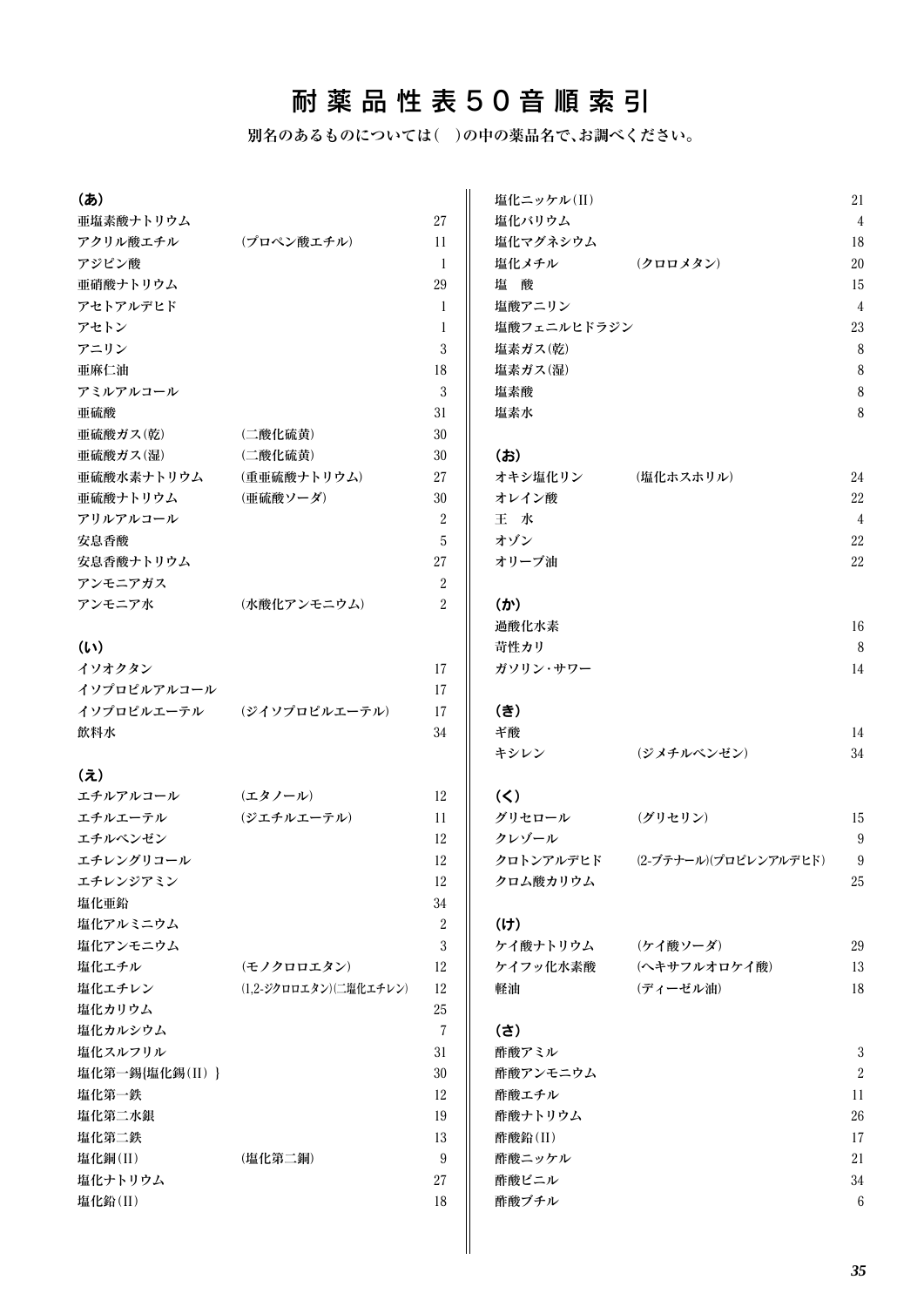## 耐薬品性表50音順索引

**別名のあるものについては( )の中の薬品名で、お調べください。**

| (あ)                  |                        |                | 塩化ニッケル(II)  |                       | 21             |
|----------------------|------------------------|----------------|-------------|-----------------------|----------------|
| 亜塩素酸ナトリウム            |                        | $27\,$         | 塩化バリウム      |                       | $\overline{4}$ |
| アクリル酸エチル             | (プロペン酸エチル)             | 11             | 塩化マグネシウム    |                       | 18             |
| アジピン酸                |                        | -1             | 塩化メチル       | (クロロメタン)              | $20\,$         |
| 亜硝酸ナトリウム             |                        | 29             | 塩酸          |                       | 15             |
| アセトアルデヒド             |                        | 1              | 塩酸アニリン      |                       | $\overline{4}$ |
| アセトン                 |                        | 1              | 塩酸フェニルヒドラジン |                       | 23             |
| アニリン                 |                        | 3              | 塩素ガス(乾)     |                       | $8\,$          |
| 亜麻仁油                 |                        | 18             | 塩素ガス(湿)     |                       | $\, 8$         |
| アミルアルコール             |                        | 3              | 塩素酸         |                       | $8\,$          |
| 亜硫酸                  |                        | 31             | 塩素水         |                       | 8              |
| 亜硫酸ガス(乾)             | (二酸化硫黄)                | 30             |             |                       |                |
| 亜硫酸ガス(湿)             | (二酸化硫黄)                | 30             | (お)         |                       |                |
| 亜硫酸水素ナトリウム           | (重亜硫酸ナトリウム)            | 27             | オキシ塩化リン     | (塩化ホスホリル)             | 24             |
| 亜硫酸ナトリウム             | (亜硫酸ソーダ)               | 30             | オレイン酸       |                       | $22\,$         |
| アリルアルコール             |                        | 2              | 王水          |                       | $\overline{4}$ |
| 安息香酸                 |                        | 5              | オゾン         |                       | $22\,$         |
| 安息香酸ナトリウム            |                        | $27\,$         | オリーブ油       |                       | $22\,$         |
| アンモニアガス              |                        | $\overline{2}$ |             |                       |                |
| アンモニア水               | (水酸化アンモニウム)            | $\overline{2}$ | (か)         |                       |                |
|                      |                        |                | 過酸化水素       |                       | 16             |
| (L)                  |                        |                | 苛性カリ        |                       | $\delta$       |
| イソオクタン               |                        | 17             | ガソリン・サワー    |                       | 14             |
| イソプロピルアルコール          |                        | 17             |             |                       |                |
| イソプロピルエーテル           | (ジイソプロピルエーテル)          | 17             | (き)         |                       |                |
| 飲料水                  |                        | 34             | ギ酸          |                       | 14             |
|                      |                        |                | キシレン        | (ジメチルベンゼン)            | 34             |
| $(\bar{\mathbf{z}})$ |                        |                |             |                       |                |
| エチルアルコール             | (エタノール)                | 12             | $(\leq)$    |                       |                |
| エチルエーテル              | (ジエチルエーテル)             | 11             | グリセロール      | (グリセリン)               | 15             |
| エチルベンゼン              |                        | 12             | クレゾール       |                       | 9              |
| エチレングリコール            |                        | 12             | クロトンアルデヒド   | (2-ブテナール)(プロピレンアルデヒド) | 9              |
| エチレンジアミン             |                        | 12             | クロム酸カリウム    |                       | 25             |
| 塩化亜鉛                 |                        | 34             |             |                       |                |
| 塩化アルミニウム             |                        | $\sqrt{2}$     | (1)         |                       |                |
| 塩化アンモニウム             |                        | 3              | ケイ酸ナトリウム    | (ケイ酸ソーダ)              | 29             |
| 塩化エチル                | (モノクロロエタン)             | 12             | ケイフッ化水素酸    | (ヘキサフルオロケイ酸)          | 13             |
| 塩化エチレン               | (1,2-ジクロロエタン)(二塩化エチレン) | 12             | 軽油          | <b>(ディーゼル油)</b>       | 18             |
| 塩化カリウム               |                        | 25             |             |                       |                |
| 塩化カルシウム              |                        | $\overline{7}$ | (さ)         |                       |                |
| 塩化スルフリル              |                        | 31             | 酢酸アミル       |                       | $\sqrt{3}$     |
| 塩化第一錫{塩化錫(II) }      |                        | 30             | 酢酸アンモニウム    |                       | $\overline{2}$ |
| 塩化第一鉄                |                        | 12             | 酢酸エチル       |                       | 11             |
| 塩化第二水銀               |                        | 19             | 酢酸ナトリウム     |                       | $26\,$         |
| 塩化第二鉄                |                        | 13             | 酢酸鉛(II)     |                       | 17             |
| 塩化銅(II)              | (塩化第二銅)                | 9              | 酢酸ニッケル      |                       | 21             |
| 塩化ナトリウム              |                        | 27             | 酢酸ビニル       |                       | $34\,$         |
| 塩化鉛(II)              |                        | 18             | 酢酸ブチル       |                       | $\,6\,$        |
|                      |                        |                |             |                       |                |
|                      |                        |                |             |                       |                |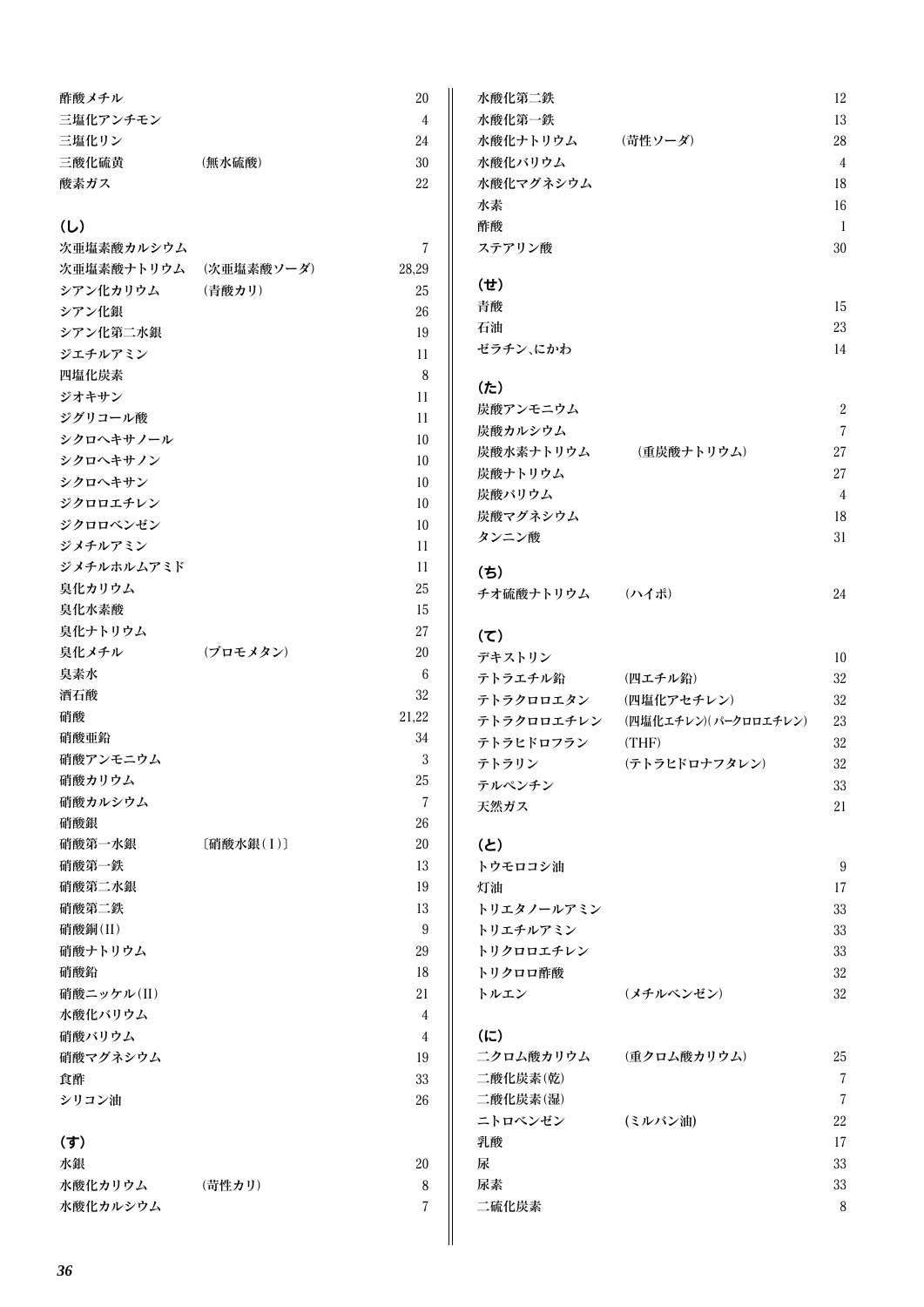| 酢酸メチル    |        | 20 |
|----------|--------|----|
| 三塩化アンチモン |        | 4  |
| 三塩化リン    |        | 24 |
| 三酸化硫黄    | (無水硫酸) | 30 |
| 酸素ガス     |        | 22 |
|          |        |    |

#### (し)

| 次亜塩素酸カルシウム            |           | 7     |
|-----------------------|-----------|-------|
| 次亜塩素酸ナトリウム (次亜塩素酸ソーダ) |           | 28,29 |
| シアン化カリウム              | (青酸カリ)    | 25    |
| シアン化銀                 |           | 26    |
| シアン化第二水銀              |           | 19    |
| ジエチルアミン               |           | 11    |
| 四塩化炭素                 |           | 8     |
| ジオキサン                 |           | 11    |
| ジグリコール酸               |           | 11    |
| シクロヘキサノール             |           | 10    |
| シクロヘキサノン              |           | 10    |
| シクロヘキサン               |           | 10    |
| ジクロロエチレン              |           | 10    |
| ジクロロベンゼン              |           | 10    |
| ジメチルアミン               |           | 11    |
| ジメチルホルムアミド            |           | 11    |
| 臭化カリウム                |           | 25    |
| 臭化水素酸                 |           | 15    |
| 臭化ナトリウム               |           | 27    |
| 臭化メチル                 | (ブロモメタン)  | 20    |
| 臭素水                   |           | 6     |
| 酒石酸                   |           | 32    |
| 硝酸                    |           | 21,22 |
| 硝酸亜鉛                  |           | 34    |
| 硝酸アンモニウム              |           | 3     |
| 硝酸カリウム                |           | 25    |
| 硝酸カルシウム               |           | 7     |
| 硝酸銀                   |           | 26    |
| 硝酸第一水銀                | [硝酸水銀(I)] | 20    |
| 硝酸第一鉄                 |           | 13    |
| 硝酸第二水銀                |           | 19    |
| 硝酸第二鉄                 |           | 13    |
| 硝酸銅(II)               |           | 9     |
| 硝酸ナトリウム               |           | 29    |
| 硝酸鉛                   |           | 18    |
| 硝酸ニッケル(II)            |           | 21    |
| 水酸化バリウム               |           | 4     |
| 硝酸バリウム                |           | 4     |
| 硝酸マグネシウム              |           | 19    |
| 食酢                    |           | 33    |
| シリコン油                 |           | 26    |
| (す)                   |           |       |
| 水銀                    |           | 20    |
| 水酸化カリウム               | (苛性カリ)    | 8     |

水酸化カルシウム フィッシュ アクセス かんしょう かいしょう アイスト アクセス

| 水酸化第二鉄          |             | 12             |
|-----------------|-------------|----------------|
| 水酸化第一鉄          |             | 13             |
| 水酸化ナトリウム        | (苛性ソーダ)     | 28             |
| 水酸化バリウム         |             | $\overline{4}$ |
| 水酸化マグネシウム       |             | 18             |
| 水素              |             | 16             |
| 酢酸              |             | $\mathbf{1}$   |
| ステアリン酸          |             | 30             |
| (せ)             |             |                |
| 青酸              |             | 15             |
| 石油              |             | 23             |
| ゼラチン、にかわ        |             | 14             |
| (t)             |             |                |
| 炭酸アンモニウム        |             | $\overline{2}$ |
| 炭酸カルシウム         |             | $\overline{7}$ |
| 炭酸水素ナトリウム       | (重炭酸ナトリウム)  | 27             |
| 炭酸ナトリウム         |             | 27             |
| 炭酸バリウム          |             | 4              |
| 炭酸マグネシウム        |             | 18             |
| タンニン酸           |             | 31             |
| (ち)             |             |                |
| チオ硫酸ナトリウム (ハイポ) |             | 24             |
| (5)             |             |                |
| デキストリン          |             | 10             |
| テトラエチル鉛         | (四エチル鉛)     | 32             |
| ニしニカーーナカン       | /皿指ルマ レイエハナ | າາ             |

| テトラクロロエタン  | (四塩化アセチレン)           | 32 |
|------------|----------------------|----|
| テトラクロロエチレン | (四塩化エチレン)(パークロロエチレン) | 23 |
| テトラヒドロフラン  | (THF)                | 32 |
| テトラリン      | (テトラヒドロナフタレン)        | 32 |
| テルペンチン     |                      | 33 |
| 天然ガス       |                      | 21 |

#### (と)

| トウモロコシ油    |           | 9  |
|------------|-----------|----|
| 灯油         |           | 17 |
| トリエタノールアミン |           | 33 |
| トリエチルアミン   |           | 33 |
| トリクロロエチレン  |           | 33 |
| トリクロロ酢酸    |           | 32 |
| トルエン       | (メチルベンゼン) | 32 |
|            |           |    |

#### (に)

| 二クロム酸カリウム | (重クロム酸カリウム) | 25 |
|-----------|-------------|----|
| 二酸化炭素(乾)  |             | 7  |
| 二酸化炭素(湿)  |             | 7  |
| ニトロベンゼン   | (ミルバン油)     | 22 |
| 乳酸        |             | 17 |
| 尿         |             | 33 |
| 尿素        |             | 33 |
| 二硫化炭素     |             | 8  |
|           |             |    |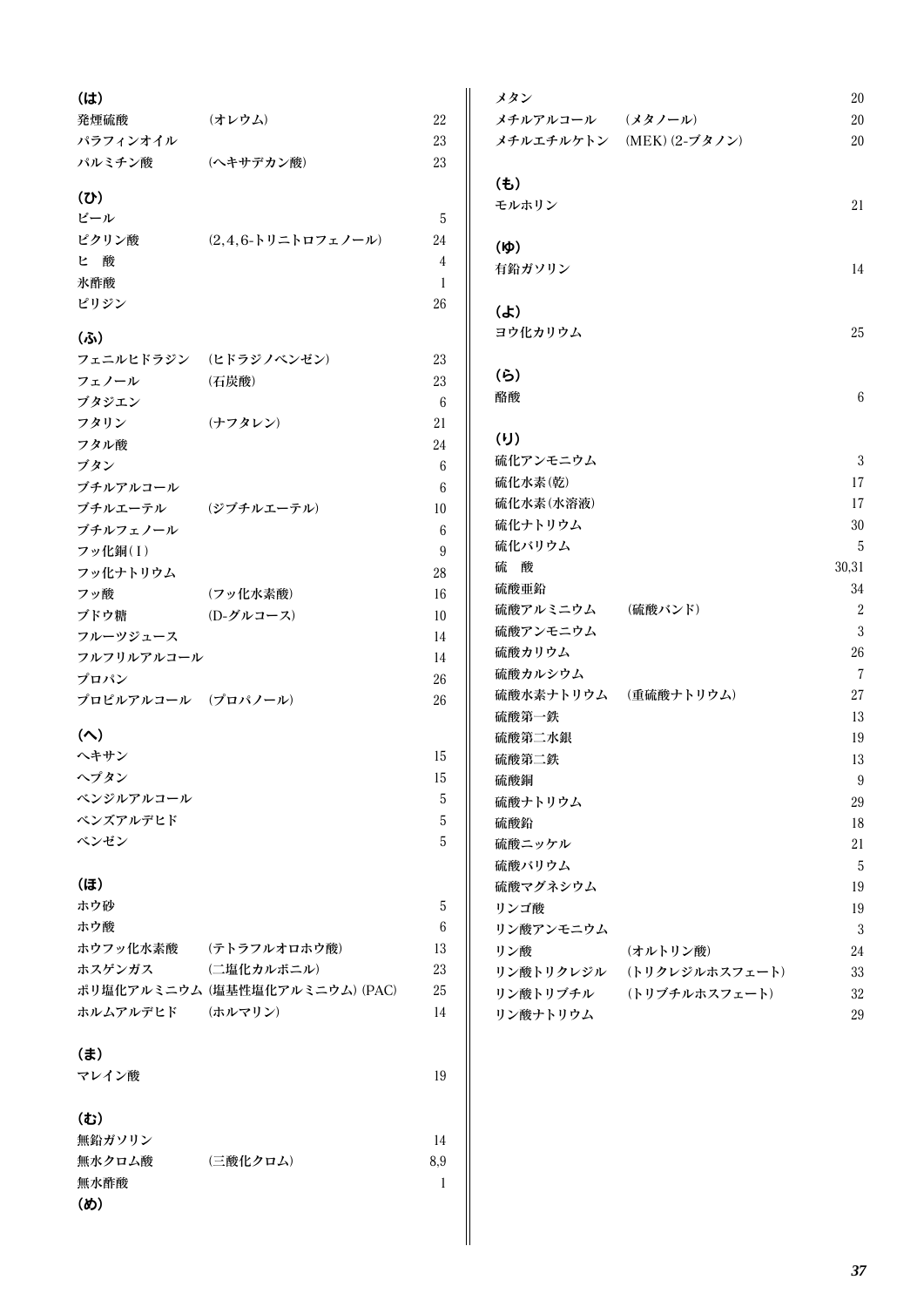| $(l\ddot{\mathbf{t}})$     |                                |                 | メタン                  |                          | 20             |
|----------------------------|--------------------------------|-----------------|----------------------|--------------------------|----------------|
| 発煙硫酸                       | <b>(オレウム)</b>                  | 22              | メチルアルコール (メタノール)     |                          | 20             |
| パラフィンオイル                   |                                | 23              |                      | メチルエチルケトン (MEK) (2-ブタノン) | 20             |
| パルミチン酸                     | (ヘキサデカン酸)                      | 23              |                      |                          |                |
|                            |                                |                 | $(\pm)$              |                          |                |
| (U)                        |                                |                 | モルホリン                |                          | 21             |
| ビール                        |                                | 5               |                      |                          |                |
| ピクリン酸                      | $(2,4,6$ -トリニトロフェノール)          | 24              | $(\phi)$             |                          |                |
| ヒ酸                         |                                | $\overline{4}$  | 有鉛ガソリン               |                          | 14             |
| 氷酢酸                        |                                | 1               |                      |                          |                |
| ピリジン                       |                                | 26              | $\mathbf{r}$         |                          |                |
|                            |                                |                 | ヨウ化カリウム              |                          | 25             |
| (5)                        |                                |                 |                      |                          |                |
|                            | フェニルヒドラジン (ヒドラジノベンゼン)          | 23              |                      |                          |                |
| フェノール                      | (石炭酸)                          | 23              | (5)                  |                          |                |
| ブタジエン                      |                                | 6               | 酪酸                   |                          | $\epsilon$     |
| フタリン                       | (ナフタレン)                        | 21              |                      |                          |                |
| フタル酸                       |                                | 24              | (U)                  |                          |                |
| ブタン                        |                                | $6\phantom{.}6$ | 硫化アンモニウム             |                          | 3              |
| ブチルアルコール                   |                                | 6               | 硫化水素(乾)              |                          | 17             |
| ブチルエーテル (ジブチルエーテル)         |                                | 10              | 硫化水素(水溶液)            |                          | 17             |
| ブチルフェノール                   |                                | $6\phantom{.}6$ | 硫化ナトリウム              |                          | 30             |
| フッ化銅(I)                    |                                | 9               | 硫化バリウム               |                          | 5              |
| フッ化ナトリウム                   |                                | $28\,$          | 硫酸                   |                          | 30,31          |
| フッ酸                        | (フッ化水素酸)                       | 16              | 硫酸亜鉛                 |                          | 34             |
| ブドウ糖                       | <b>(D-グルコース)</b>               | 10              | 硫酸アルミニウム             | (硫酸バンド)                  | $\overline{c}$ |
| フルーツジュース                   |                                | 14              | 硫酸アンモニウム             |                          | 3              |
| フルフリルアルコール                 |                                | 14              | 硫酸カリウム               |                          | 26             |
| プロパン                       |                                | 26              | 硫酸カルシウム              |                          | 7              |
| プロピルアルコール (プロパノール)         |                                | 26              | 硫酸水素ナトリウム (重硫酸ナトリウム) |                          | 27             |
|                            |                                |                 | 硫酸第一鉄                |                          | 13             |
| $(\wedge)$                 |                                |                 | 硫酸第二水銀               |                          | 19             |
| ヘキサン                       |                                | 15              | 硫酸第二鉄                |                          | 13             |
| ヘプタン                       |                                | 15              | 硫酸銅                  |                          | g              |
| ベンジルアルコール                  |                                | 5               | 硫酸ナトリウム              |                          | 29             |
| ベンズアルデヒド                   |                                | 5               | 硫酸鉛                  |                          | 18             |
| ベンゼン                       |                                | 5               | 硫酸ニッケル               |                          | 21             |
|                            |                                |                 | 硫酸バリウム               |                          | 5              |
| (ほ)                        |                                |                 | 硫酸マグネシウム             |                          | 19             |
| ホウ砂                        |                                | 5               | リンゴ酸                 |                          | 19             |
| ホウ酸                        |                                | 6               | リン酸アンモニウム            |                          | $\mathbf{3}$   |
| ホウフッ化水素酸                   | <b>(テトラフルオロホウ酸)</b>            | 13              | リン酸                  | (オルトリン酸)                 | 24             |
| ホスゲンガス                     | (二塩化カルボニル)                     | 23              |                      |                          |                |
|                            | ポリ塩化アルミニウム (塩基性塩化アルミニウム) (PAC) | 25              | リン酸トリクレジル            | (トリクレジルホスフェート)           | 33             |
| ホルムアルデヒド                   | (ホルマリン)                        | 14              | リン酸トリブチル             | (トリブチルホスフェート)            | 32             |
|                            |                                |                 | リン酸ナトリウム             |                          | 29             |
| $(\ddot{\mathbf{t}})$      |                                |                 |                      |                          |                |
|                            |                                |                 |                      |                          |                |
| マレイン酸                      |                                | 19              |                      |                          |                |
|                            |                                |                 |                      |                          |                |
| (む)                        |                                |                 |                      |                          |                |
| 無鉛ガソリン                     |                                | 14              |                      |                          |                |
| 無水クロム酸                     | (三酸化クロム)                       | 8,9             |                      |                          |                |
| 無水酢酸                       |                                | $\mathbf{1}$    |                      |                          |                |
| $(\boldsymbol{\emptyset})$ |                                |                 |                      |                          |                |
|                            |                                |                 |                      |                          |                |
|                            |                                |                 |                      |                          |                |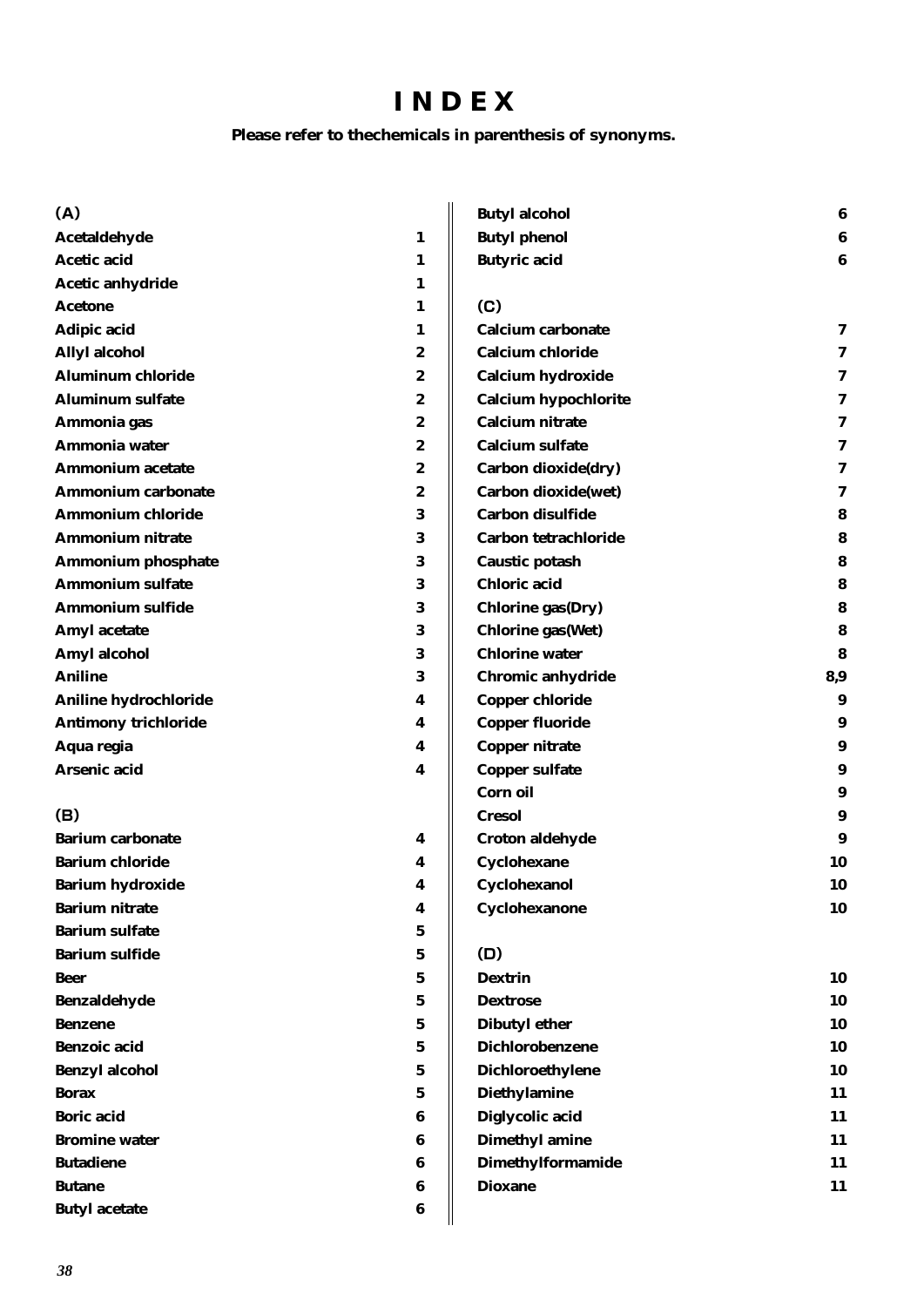### INDEX

#### Please refer to thechemicals in parenthesis of synonyms.

| (A)                         |             | <b>Butyl alcohol</b>        | 6                |
|-----------------------------|-------------|-----------------------------|------------------|
| Acetaldehyde                | 1           | <b>Butyl</b> phenol         | 6                |
| <b>Acetic acid</b>          | 1           | <b>Butyric acid</b>         | 6                |
| <b>Acetic anhydride</b>     | 1           |                             |                  |
| <b>Acetone</b>              | 1           | (C)                         |                  |
| Adipic acid                 | 1           | <b>Calcium carbonate</b>    | 7                |
| <b>Allyl alcohol</b>        | 2           | <b>Calcium chloride</b>     | 7                |
| <b>Aluminum chloride</b>    | 2           | <b>Calcium hydroxide</b>    | 7                |
| <b>Aluminum sulfate</b>     | 2           | <b>Calcium hypochlorite</b> | 7                |
| Ammonia gas                 | 2           | <b>Calcium nitrate</b>      | 7                |
| Ammonia water               | 2           | <b>Calcium sulfate</b>      | 7                |
| <b>Ammonium acetate</b>     | 2           | Carbon dioxide(dry)         | 7                |
| <b>Ammonium carbonate</b>   | 2           | Carbon dioxide(wet)         | 7                |
| <b>Ammonium chloride</b>    | 3           | Carbon disulfide            | 8                |
| <b>Ammonium nitrate</b>     | 3           | Carbon tetrachloride        | 8                |
| <b>Ammonium phosphate</b>   | 3           | Caustic potash              | 8                |
| <b>Ammonium sulfate</b>     | 3           | <b>Chloric</b> acid         | 8                |
| <b>Ammonium sulfide</b>     | $\bf{3}$    | <b>Chlorine gas(Dry)</b>    | 8                |
| <b>Amyl</b> acetate         | 3           | <b>Chlorine gas(Wet)</b>    | 8                |
| Amyl alcohol                | 3           | <b>Chlorine water</b>       | 8                |
| <b>Aniline</b>              | 3           | Chromic anhydride           | 8,9              |
| Aniline hydrochloride       | 4           | <b>Copper chloride</b>      | 9                |
| <b>Antimony trichloride</b> | 4           | <b>Copper fluoride</b>      | 9                |
| Aqua regia                  | 4           | <b>Copper nitrate</b>       | $\boldsymbol{9}$ |
| Arsenic acid                | 4           | <b>Copper sulfate</b>       | 9                |
|                             |             | Corn oil                    | $\boldsymbol{9}$ |
| (B)                         |             | <b>Cresol</b>               | 9                |
| <b>Barium carbonate</b>     | 4           | Croton aldehyde             | 9                |
| <b>Barium chloride</b>      | 4           | Cyclohexane                 | 10               |
| <b>Barium hydroxide</b>     | 4           | Cyclohexanol                | 10               |
| <b>Barium nitrate</b>       | 4           | Cyclohexanone               | 10               |
| <b>Barium sulfate</b>       | 5           |                             |                  |
| <b>Barium sulfide</b>       | 5           | (D)                         |                  |
| <b>Beer</b>                 | 5           | <b>Dextrin</b>              | 10               |
| <b>Benzaldehyde</b>         | 5           | <b>Dextrose</b>             | 10               |
| <b>Benzene</b>              | 5           | <b>Dibutyl ether</b>        | 10               |
| <b>Benzoic</b> acid         | 5           | <b>Dichlorobenzene</b>      | 10               |
| <b>Benzyl alcohol</b>       | $\mathbf 5$ | Dichloroethylene            | 10               |
| <b>Borax</b>                | 5           | <b>Diethylamine</b>         | 11               |
| <b>Boric</b> acid           | 6           | Diglycolic acid             | 11               |
| <b>Bromine water</b>        | 6           | <b>Dimethyl amine</b>       | 11               |
| <b>Butadiene</b>            | 6           | <b>Dimethylformamide</b>    | 11               |
| <b>Butane</b>               | 6           | <b>Dioxane</b>              | 11               |
| <b>Butyl</b> acetate        | 6           |                             |                  |
|                             |             |                             |                  |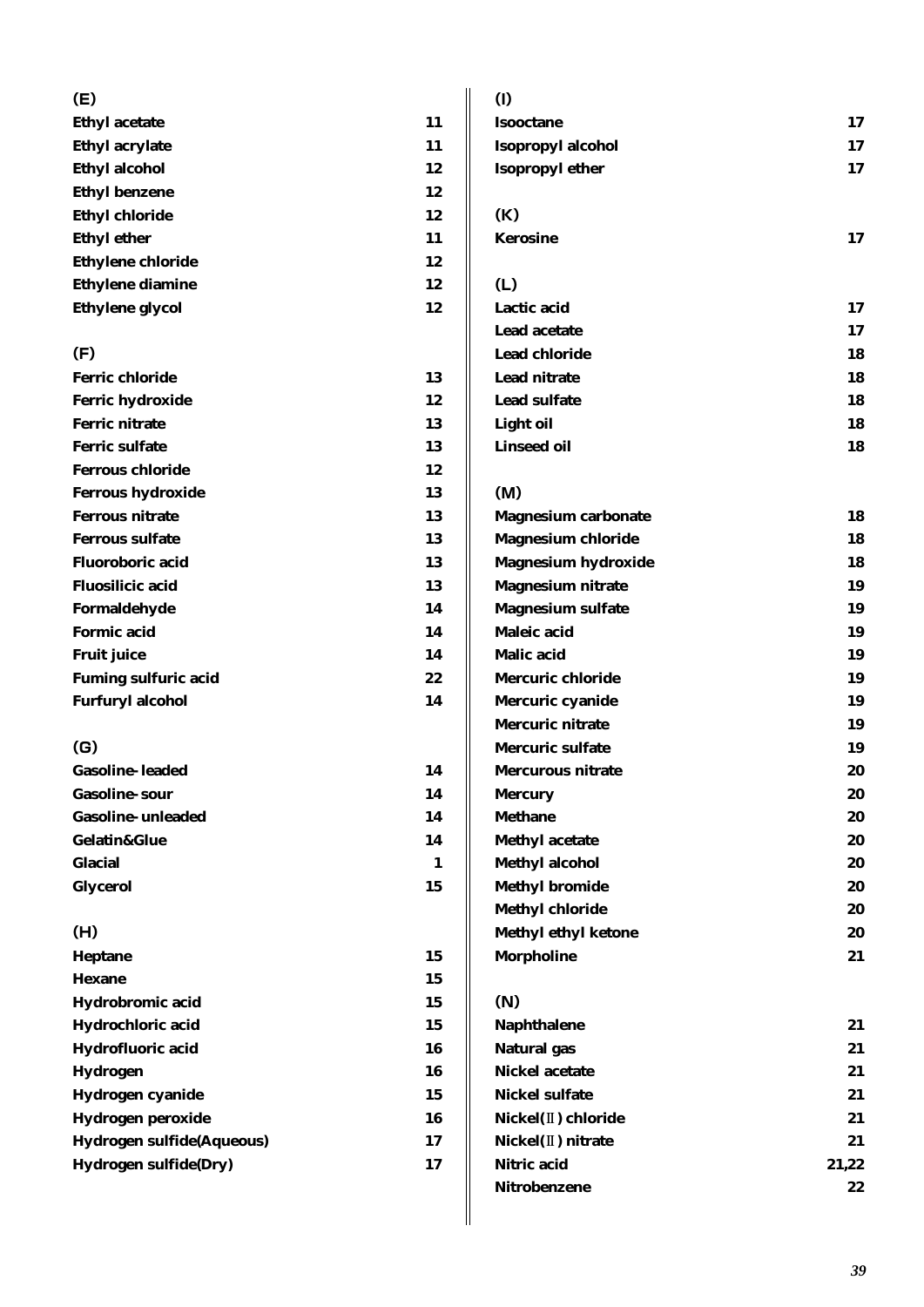| (E)                         |              | (1)                        |       |
|-----------------------------|--------------|----------------------------|-------|
| <b>Ethyl acetate</b>        | 11           | <b>Isooctane</b>           | 17    |
| <b>Ethyl acrylate</b>       | 11           | Isopropyl alcohol          | 17    |
| <b>Ethyl alcohol</b>        | 12           | <b>Isopropyl ether</b>     | 17    |
| <b>Ethyl benzene</b>        | 12           |                            |       |
| <b>Ethyl chloride</b>       | 12           | (K)                        |       |
| <b>Ethyl ether</b>          | 11           | <b>Kerosine</b>            | 17    |
| <b>Ethylene chloride</b>    | 12           |                            |       |
| <b>Ethylene diamine</b>     | 12           | (L)                        |       |
| <b>Ethylene</b> glycol      | 12           | Lactic acid                | 17    |
|                             |              | Lead acetate               | 17    |
| (F)                         |              | <b>Lead chloride</b>       | 18    |
| <b>Ferric chloride</b>      | 13           | Lead nitrate               | 18    |
| Ferric hydroxide            | 12           | <b>Lead sulfate</b>        | 18    |
| <b>Ferric nitrate</b>       | 13           | <b>Light oil</b>           | 18    |
| <b>Ferric sulfate</b>       | 13           | <b>Linseed oil</b>         | 18    |
| <b>Ferrous chloride</b>     | 12           |                            |       |
| <b>Ferrous hydroxide</b>    | 13           | (M)                        |       |
| <b>Ferrous nitrate</b>      | 13           | <b>Magnesium carbonate</b> | 18    |
| <b>Ferrous sulfate</b>      | 13           | <b>Magnesium chloride</b>  | 18    |
| <b>Fluoroboric</b> acid     | 13           | <b>Magnesium hydroxide</b> | 18    |
| <b>Fluosilicic acid</b>     | 13           | <b>Magnesium nitrate</b>   | 19    |
| Formaldehyde                | 14           | <b>Magnesium sulfate</b>   | 19    |
| <b>Formic acid</b>          | 14           | Maleic acid                | 19    |
| <b>Fruit juice</b>          | 14           | <b>Malic acid</b>          | 19    |
| <b>Fuming sulfuric acid</b> | 22           | <b>Mercuric chloride</b>   | 19    |
| <b>Furfuryl alcohol</b>     | 14           | Mercuric cyanide           | 19    |
|                             |              | <b>Mercuric nitrate</b>    | 19    |
| (G)                         |              | Mercuric sulfate           | 19    |
| <b>Gasoline-leaded</b>      | 14           | Mercurous nitrate          | 20    |
| <b>Gasoline-sour</b>        | 14           | <b>Mercury</b>             | 20    |
| <b>Gasoline-unleaded</b>    | 14           | <b>Methane</b>             | 20    |
| Gelatin&Glue                | 14           | <b>Methyl acetate</b>      | 20    |
| <b>Glacial</b>              | $\mathbf{1}$ | <b>Methyl alcohol</b>      | 20    |
| <b>Glycerol</b>             | 15           | <b>Methyl bromide</b>      | 20    |
|                             |              | <b>Methyl chloride</b>     | 20    |
| (H)                         |              | <b>Methyl ethyl ketone</b> | 20    |
| Heptane                     | 15           | <b>Morpholine</b>          | 21    |
| <b>Hexane</b>               | 15           |                            |       |
| Hydrobromic acid            | 15           | (N)                        |       |
| Hydrochloric acid           | 15           | <b>Naphthalene</b>         | 21    |
| Hydrofluoric acid           | 16           | <b>Natural</b> gas         | 21    |
| <b>Hydrogen</b>             | 16           | <b>Nickel acetate</b>      | 21    |
| Hydrogen cyanide            | 15           | <b>Nickel sulfate</b>      | 21    |
| Hydrogen peroxide           | 16           | Nickel(II) chloride        | 21    |
| Hydrogen sulfide(Aqueous)   | 17           | Nickel(II) nitrate         | 21    |
| Hydrogen sulfide(Dry)       | 17           | Nitric acid                | 21,22 |
|                             |              | Nitrobenzene               | 22    |
|                             |              |                            |       |

 $21,22$